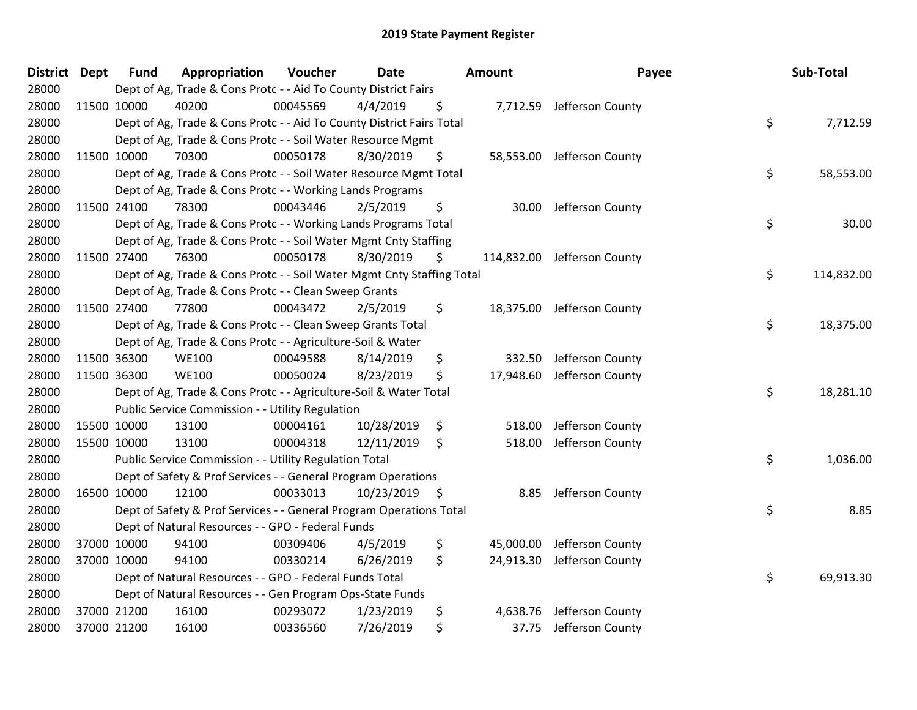| District Dept | <b>Fund</b> | Appropriation                                                          | Voucher  | <b>Date</b>   | Amount          | Payee                       | Sub-Total        |
|---------------|-------------|------------------------------------------------------------------------|----------|---------------|-----------------|-----------------------------|------------------|
| 28000         |             | Dept of Ag, Trade & Cons Protc - - Aid To County District Fairs        |          |               |                 |                             |                  |
| 28000         | 11500 10000 | 40200                                                                  | 00045569 | 4/4/2019      | \$              | 7,712.59 Jefferson County   |                  |
| 28000         |             | Dept of Ag, Trade & Cons Protc - - Aid To County District Fairs Total  |          |               |                 |                             | \$<br>7,712.59   |
| 28000         |             | Dept of Ag, Trade & Cons Protc - - Soil Water Resource Mgmt            |          |               |                 |                             |                  |
| 28000         | 11500 10000 | 70300                                                                  | 00050178 | 8/30/2019     | \$              | 58,553.00 Jefferson County  |                  |
| 28000         |             | Dept of Ag, Trade & Cons Protc - - Soil Water Resource Mgmt Total      |          |               |                 |                             | \$<br>58,553.00  |
| 28000         |             | Dept of Ag, Trade & Cons Protc - - Working Lands Programs              |          |               |                 |                             |                  |
| 28000         | 11500 24100 | 78300                                                                  | 00043446 | 2/5/2019      | \$<br>30.00     | Jefferson County            |                  |
| 28000         |             | Dept of Ag, Trade & Cons Protc - - Working Lands Programs Total        |          |               |                 |                             | \$<br>30.00      |
| 28000         |             | Dept of Ag, Trade & Cons Protc - - Soil Water Mgmt Cnty Staffing       |          |               |                 |                             |                  |
| 28000         | 11500 27400 | 76300                                                                  | 00050178 | 8/30/2019     | \$              | 114,832.00 Jefferson County |                  |
| 28000         |             | Dept of Ag, Trade & Cons Protc - - Soil Water Mgmt Cnty Staffing Total |          |               |                 |                             | \$<br>114,832.00 |
| 28000         |             | Dept of Ag, Trade & Cons Protc - - Clean Sweep Grants                  |          |               |                 |                             |                  |
| 28000         | 11500 27400 | 77800                                                                  | 00043472 | 2/5/2019      | \$<br>18,375.00 | Jefferson County            |                  |
| 28000         |             | Dept of Ag, Trade & Cons Protc - - Clean Sweep Grants Total            |          |               |                 |                             | \$<br>18,375.00  |
| 28000         |             | Dept of Ag, Trade & Cons Protc - - Agriculture-Soil & Water            |          |               |                 |                             |                  |
| 28000         | 11500 36300 | <b>WE100</b>                                                           | 00049588 | 8/14/2019     | \$<br>332.50    | Jefferson County            |                  |
| 28000         | 11500 36300 | <b>WE100</b>                                                           | 00050024 | 8/23/2019     | \$<br>17,948.60 | Jefferson County            |                  |
| 28000         |             | Dept of Ag, Trade & Cons Protc - - Agriculture-Soil & Water Total      |          |               |                 |                             | \$<br>18,281.10  |
| 28000         |             | Public Service Commission - - Utility Regulation                       |          |               |                 |                             |                  |
| 28000         | 15500 10000 | 13100                                                                  | 00004161 | 10/28/2019    | \$<br>518.00    | Jefferson County            |                  |
| 28000         | 15500 10000 | 13100                                                                  | 00004318 | 12/11/2019    | \$<br>518.00    | Jefferson County            |                  |
| 28000         |             | Public Service Commission - - Utility Regulation Total                 |          |               |                 |                             | \$<br>1,036.00   |
| 28000         |             | Dept of Safety & Prof Services - - General Program Operations          |          |               |                 |                             |                  |
| 28000         | 16500 10000 | 12100                                                                  | 00033013 | 10/23/2019 \$ | 8.85            | Jefferson County            |                  |
| 28000         |             | Dept of Safety & Prof Services - - General Program Operations Total    |          |               |                 |                             | \$<br>8.85       |
| 28000         |             | Dept of Natural Resources - - GPO - Federal Funds                      |          |               |                 |                             |                  |
| 28000         | 37000 10000 | 94100                                                                  | 00309406 | 4/5/2019      | \$<br>45,000.00 | Jefferson County            |                  |
| 28000         | 37000 10000 | 94100                                                                  | 00330214 | 6/26/2019     | \$<br>24,913.30 | Jefferson County            |                  |
| 28000         |             | Dept of Natural Resources - - GPO - Federal Funds Total                |          |               |                 |                             | \$<br>69,913.30  |
| 28000         |             | Dept of Natural Resources - - Gen Program Ops-State Funds              |          |               |                 |                             |                  |
| 28000         | 37000 21200 | 16100                                                                  | 00293072 | 1/23/2019     | \$<br>4,638.76  | Jefferson County            |                  |
| 28000         | 37000 21200 | 16100                                                                  | 00336560 | 7/26/2019     | \$<br>37.75     | Jefferson County            |                  |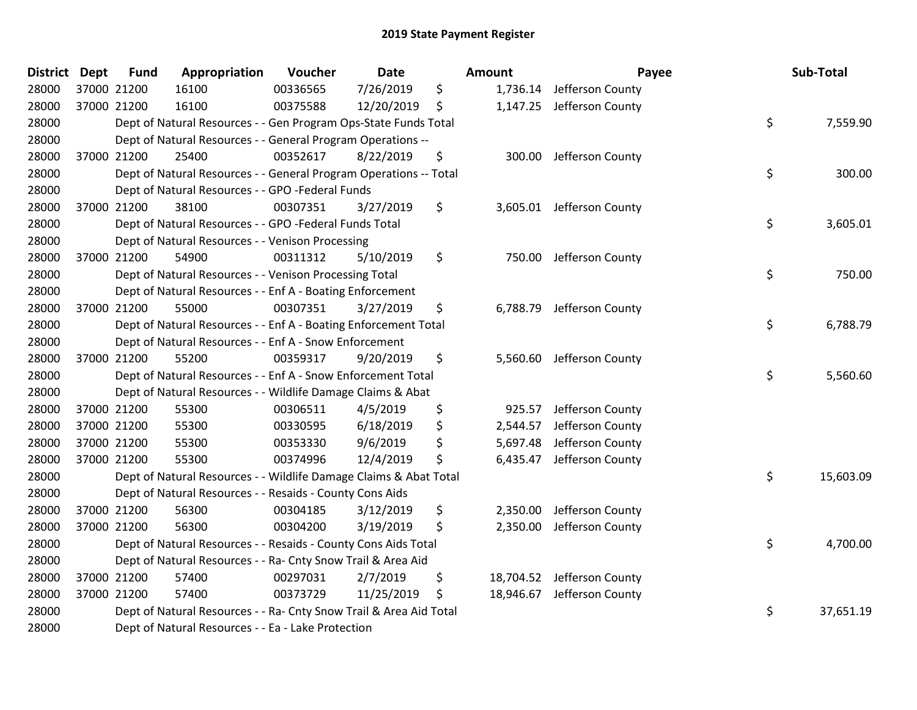| District Dept | <b>Fund</b> | Appropriation                                                      | Voucher  | <b>Date</b> | Amount         | Payee                      | Sub-Total       |
|---------------|-------------|--------------------------------------------------------------------|----------|-------------|----------------|----------------------------|-----------------|
| 28000         | 37000 21200 | 16100                                                              | 00336565 | 7/26/2019   | \$             | 1,736.14 Jefferson County  |                 |
| 28000         | 37000 21200 | 16100                                                              | 00375588 | 12/20/2019  | \$             | 1,147.25 Jefferson County  |                 |
| 28000         |             | Dept of Natural Resources - - Gen Program Ops-State Funds Total    |          |             |                |                            | \$<br>7,559.90  |
| 28000         |             | Dept of Natural Resources - - General Program Operations --        |          |             |                |                            |                 |
| 28000         | 37000 21200 | 25400                                                              | 00352617 | 8/22/2019   | \$<br>300.00   | Jefferson County           |                 |
| 28000         |             | Dept of Natural Resources - - General Program Operations -- Total  |          |             |                |                            | \$<br>300.00    |
| 28000         |             | Dept of Natural Resources - - GPO -Federal Funds                   |          |             |                |                            |                 |
| 28000         | 37000 21200 | 38100                                                              | 00307351 | 3/27/2019   | \$             | 3,605.01 Jefferson County  |                 |
| 28000         |             | Dept of Natural Resources - - GPO -Federal Funds Total             |          |             |                |                            | \$<br>3,605.01  |
| 28000         |             | Dept of Natural Resources - - Venison Processing                   |          |             |                |                            |                 |
| 28000         | 37000 21200 | 54900                                                              | 00311312 | 5/10/2019   | \$             | 750.00 Jefferson County    |                 |
| 28000         |             | Dept of Natural Resources - - Venison Processing Total             |          |             |                |                            | \$<br>750.00    |
| 28000         |             | Dept of Natural Resources - - Enf A - Boating Enforcement          |          |             |                |                            |                 |
| 28000         | 37000 21200 | 55000                                                              | 00307351 | 3/27/2019   | \$<br>6,788.79 | Jefferson County           |                 |
| 28000         |             | Dept of Natural Resources - - Enf A - Boating Enforcement Total    |          |             |                |                            | \$<br>6,788.79  |
| 28000         |             | Dept of Natural Resources - - Enf A - Snow Enforcement             |          |             |                |                            |                 |
| 28000         | 37000 21200 | 55200                                                              | 00359317 | 9/20/2019   | \$             | 5,560.60 Jefferson County  |                 |
| 28000         |             | Dept of Natural Resources - - Enf A - Snow Enforcement Total       |          |             |                |                            | \$<br>5,560.60  |
| 28000         |             | Dept of Natural Resources - - Wildlife Damage Claims & Abat        |          |             |                |                            |                 |
| 28000         | 37000 21200 | 55300                                                              | 00306511 | 4/5/2019    | \$<br>925.57   | Jefferson County           |                 |
| 28000         | 37000 21200 | 55300                                                              | 00330595 | 6/18/2019   | \$<br>2,544.57 | Jefferson County           |                 |
| 28000         | 37000 21200 | 55300                                                              | 00353330 | 9/6/2019    | \$<br>5,697.48 | Jefferson County           |                 |
| 28000         | 37000 21200 | 55300                                                              | 00374996 | 12/4/2019   | \$<br>6,435.47 | Jefferson County           |                 |
| 28000         |             | Dept of Natural Resources - - Wildlife Damage Claims & Abat Total  |          |             |                |                            | \$<br>15,603.09 |
| 28000         |             | Dept of Natural Resources - - Resaids - County Cons Aids           |          |             |                |                            |                 |
| 28000         | 37000 21200 | 56300                                                              | 00304185 | 3/12/2019   | \$<br>2,350.00 | Jefferson County           |                 |
| 28000         | 37000 21200 | 56300                                                              | 00304200 | 3/19/2019   | \$             | 2,350.00 Jefferson County  |                 |
| 28000         |             | Dept of Natural Resources - - Resaids - County Cons Aids Total     |          |             |                |                            | \$<br>4,700.00  |
| 28000         |             | Dept of Natural Resources - - Ra- Cnty Snow Trail & Area Aid       |          |             |                |                            |                 |
| 28000         | 37000 21200 | 57400                                                              | 00297031 | 2/7/2019    | \$             | 18,704.52 Jefferson County |                 |
| 28000         | 37000 21200 | 57400                                                              | 00373729 | 11/25/2019  | \$             | 18,946.67 Jefferson County |                 |
| 28000         |             | Dept of Natural Resources - - Ra- Cnty Snow Trail & Area Aid Total |          |             |                |                            | \$<br>37,651.19 |
| 28000         |             | Dept of Natural Resources - - Ea - Lake Protection                 |          |             |                |                            |                 |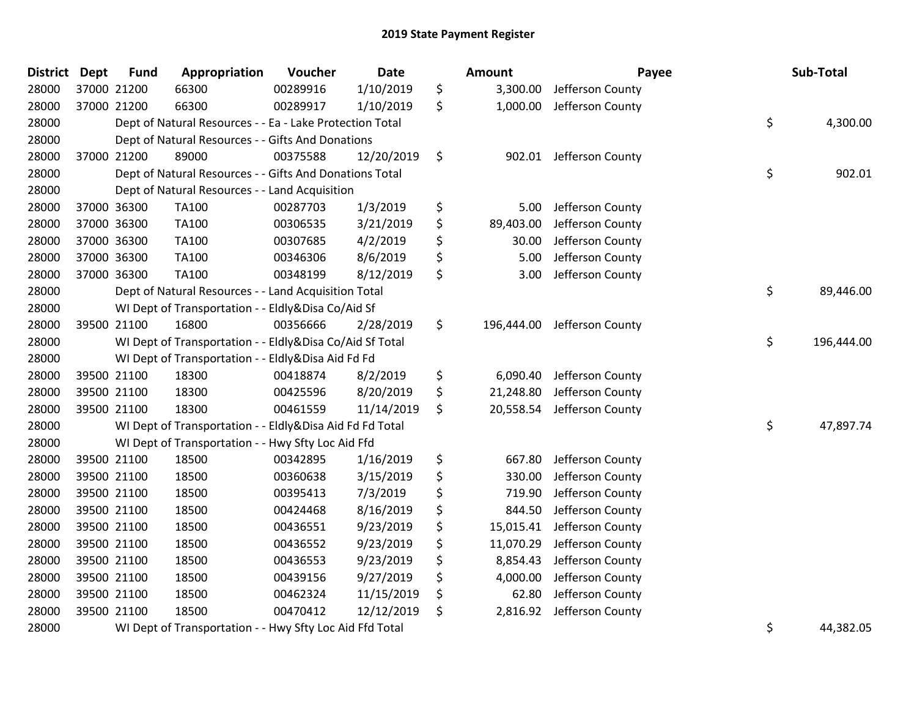| District Dept | <b>Fund</b> | Appropriation                                            | Voucher  | <b>Date</b> | <b>Amount</b>    | Payee            | Sub-Total        |
|---------------|-------------|----------------------------------------------------------|----------|-------------|------------------|------------------|------------------|
| 28000         | 37000 21200 | 66300                                                    | 00289916 | 1/10/2019   | \$<br>3,300.00   | Jefferson County |                  |
| 28000         | 37000 21200 | 66300                                                    | 00289917 | 1/10/2019   | \$<br>1,000.00   | Jefferson County |                  |
| 28000         |             | Dept of Natural Resources - - Ea - Lake Protection Total |          |             |                  |                  | \$<br>4,300.00   |
| 28000         |             | Dept of Natural Resources - - Gifts And Donations        |          |             |                  |                  |                  |
| 28000         | 37000 21200 | 89000                                                    | 00375588 | 12/20/2019  | \$<br>902.01     | Jefferson County |                  |
| 28000         |             | Dept of Natural Resources - - Gifts And Donations Total  |          |             |                  |                  | \$<br>902.01     |
| 28000         |             | Dept of Natural Resources - - Land Acquisition           |          |             |                  |                  |                  |
| 28000         | 37000 36300 | <b>TA100</b>                                             | 00287703 | 1/3/2019    | \$<br>5.00       | Jefferson County |                  |
| 28000         | 37000 36300 | TA100                                                    | 00306535 | 3/21/2019   | \$<br>89,403.00  | Jefferson County |                  |
| 28000         | 37000 36300 | <b>TA100</b>                                             | 00307685 | 4/2/2019    | \$<br>30.00      | Jefferson County |                  |
| 28000         | 37000 36300 | <b>TA100</b>                                             | 00346306 | 8/6/2019    | \$<br>5.00       | Jefferson County |                  |
| 28000         | 37000 36300 | <b>TA100</b>                                             | 00348199 | 8/12/2019   | \$<br>3.00       | Jefferson County |                  |
| 28000         |             | Dept of Natural Resources - - Land Acquisition Total     |          |             |                  |                  | \$<br>89,446.00  |
| 28000         |             | WI Dept of Transportation - - Eldly&Disa Co/Aid Sf       |          |             |                  |                  |                  |
| 28000         | 39500 21100 | 16800                                                    | 00356666 | 2/28/2019   | \$<br>196,444.00 | Jefferson County |                  |
| 28000         |             | WI Dept of Transportation - - Eldly&Disa Co/Aid Sf Total |          |             |                  |                  | \$<br>196,444.00 |
| 28000         |             | WI Dept of Transportation - - Eldly&Disa Aid Fd Fd       |          |             |                  |                  |                  |
| 28000         | 39500 21100 | 18300                                                    | 00418874 | 8/2/2019    | \$<br>6,090.40   | Jefferson County |                  |
| 28000         | 39500 21100 | 18300                                                    | 00425596 | 8/20/2019   | \$<br>21,248.80  | Jefferson County |                  |
| 28000         | 39500 21100 | 18300                                                    | 00461559 | 11/14/2019  | \$<br>20,558.54  | Jefferson County |                  |
| 28000         |             | WI Dept of Transportation - - Eldly&Disa Aid Fd Fd Total |          |             |                  |                  | \$<br>47,897.74  |
| 28000         |             | WI Dept of Transportation - - Hwy Sfty Loc Aid Ffd       |          |             |                  |                  |                  |
| 28000         | 39500 21100 | 18500                                                    | 00342895 | 1/16/2019   | \$<br>667.80     | Jefferson County |                  |
| 28000         | 39500 21100 | 18500                                                    | 00360638 | 3/15/2019   | \$<br>330.00     | Jefferson County |                  |
| 28000         | 39500 21100 | 18500                                                    | 00395413 | 7/3/2019    | \$<br>719.90     | Jefferson County |                  |
| 28000         | 39500 21100 | 18500                                                    | 00424468 | 8/16/2019   | \$<br>844.50     | Jefferson County |                  |
| 28000         | 39500 21100 | 18500                                                    | 00436551 | 9/23/2019   | \$<br>15,015.41  | Jefferson County |                  |
| 28000         | 39500 21100 | 18500                                                    | 00436552 | 9/23/2019   | \$<br>11,070.29  | Jefferson County |                  |
| 28000         | 39500 21100 | 18500                                                    | 00436553 | 9/23/2019   | \$<br>8,854.43   | Jefferson County |                  |
| 28000         | 39500 21100 | 18500                                                    | 00439156 | 9/27/2019   | \$<br>4,000.00   | Jefferson County |                  |
| 28000         | 39500 21100 | 18500                                                    | 00462324 | 11/15/2019  | \$<br>62.80      | Jefferson County |                  |
| 28000         | 39500 21100 | 18500                                                    | 00470412 | 12/12/2019  | \$<br>2,816.92   | Jefferson County |                  |
| 28000         |             | WI Dept of Transportation - - Hwy Sfty Loc Aid Ffd Total |          |             |                  |                  | \$<br>44,382.05  |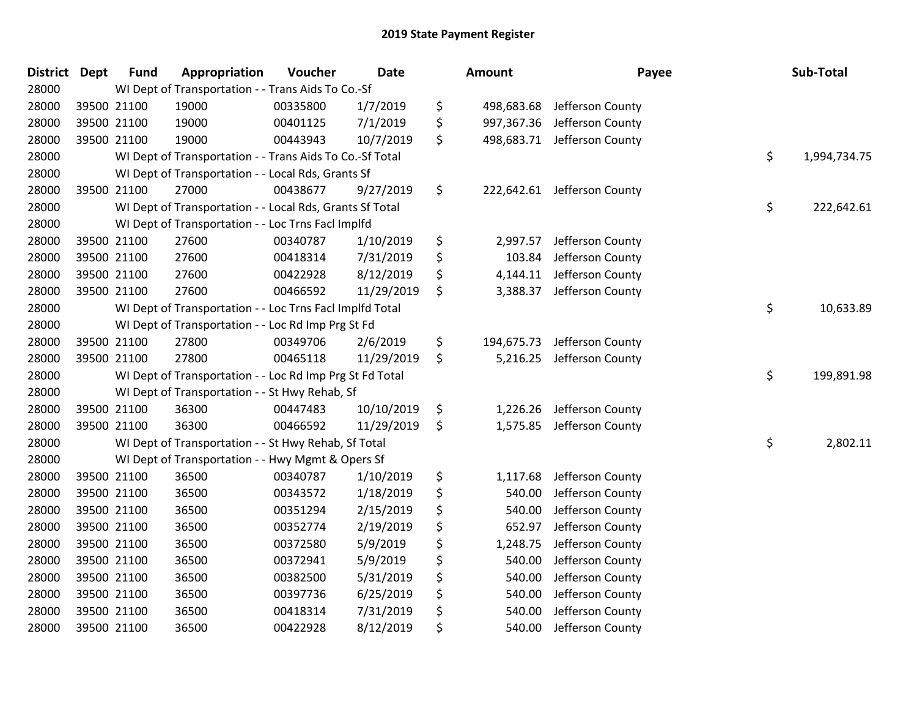| <b>District</b> | <b>Dept</b> | <b>Fund</b> | Appropriation                                            | Voucher  | <b>Date</b> | Amount           | Payee                       | Sub-Total          |
|-----------------|-------------|-------------|----------------------------------------------------------|----------|-------------|------------------|-----------------------------|--------------------|
| 28000           |             |             | WI Dept of Transportation - - Trans Aids To Co.-Sf       |          |             |                  |                             |                    |
| 28000           |             | 39500 21100 | 19000                                                    | 00335800 | 1/7/2019    | \$               | 498,683.68 Jefferson County |                    |
| 28000           |             | 39500 21100 | 19000                                                    | 00401125 | 7/1/2019    | \$<br>997,367.36 | Jefferson County            |                    |
| 28000           |             | 39500 21100 | 19000                                                    | 00443943 | 10/7/2019   | \$<br>498,683.71 | Jefferson County            |                    |
| 28000           |             |             | WI Dept of Transportation - - Trans Aids To Co.-Sf Total |          |             |                  |                             | \$<br>1,994,734.75 |
| 28000           |             |             | WI Dept of Transportation - - Local Rds, Grants Sf       |          |             |                  |                             |                    |
| 28000           |             | 39500 21100 | 27000                                                    | 00438677 | 9/27/2019   | \$               | 222,642.61 Jefferson County |                    |
| 28000           |             |             | WI Dept of Transportation - - Local Rds, Grants Sf Total |          |             |                  |                             | \$<br>222,642.61   |
| 28000           |             |             | WI Dept of Transportation - - Loc Trns Facl Implfd       |          |             |                  |                             |                    |
| 28000           |             | 39500 21100 | 27600                                                    | 00340787 | 1/10/2019   | \$<br>2,997.57   | Jefferson County            |                    |
| 28000           |             | 39500 21100 | 27600                                                    | 00418314 | 7/31/2019   | \$<br>103.84     | Jefferson County            |                    |
| 28000           |             | 39500 21100 | 27600                                                    | 00422928 | 8/12/2019   | \$<br>4,144.11   | Jefferson County            |                    |
| 28000           |             | 39500 21100 | 27600                                                    | 00466592 | 11/29/2019  | \$<br>3,388.37   | Jefferson County            |                    |
| 28000           |             |             | WI Dept of Transportation - - Loc Trns Facl Implfd Total |          |             |                  |                             | \$<br>10,633.89    |
| 28000           |             |             | WI Dept of Transportation - - Loc Rd Imp Prg St Fd       |          |             |                  |                             |                    |
| 28000           |             | 39500 21100 | 27800                                                    | 00349706 | 2/6/2019    | \$<br>194,675.73 | Jefferson County            |                    |
| 28000           |             | 39500 21100 | 27800                                                    | 00465118 | 11/29/2019  | \$<br>5,216.25   | Jefferson County            |                    |
| 28000           |             |             | WI Dept of Transportation - - Loc Rd Imp Prg St Fd Total |          |             |                  |                             | \$<br>199,891.98   |
| 28000           |             |             | WI Dept of Transportation - - St Hwy Rehab, Sf           |          |             |                  |                             |                    |
| 28000           |             | 39500 21100 | 36300                                                    | 00447483 | 10/10/2019  | \$<br>1,226.26   | Jefferson County            |                    |
| 28000           |             | 39500 21100 | 36300                                                    | 00466592 | 11/29/2019  | \$               | 1,575.85 Jefferson County   |                    |
| 28000           |             |             | WI Dept of Transportation - - St Hwy Rehab, Sf Total     |          |             |                  |                             | \$<br>2,802.11     |
| 28000           |             |             | WI Dept of Transportation - - Hwy Mgmt & Opers Sf        |          |             |                  |                             |                    |
| 28000           |             | 39500 21100 | 36500                                                    | 00340787 | 1/10/2019   | \$<br>1,117.68   | Jefferson County            |                    |
| 28000           |             | 39500 21100 | 36500                                                    | 00343572 | 1/18/2019   | \$<br>540.00     | Jefferson County            |                    |
| 28000           |             | 39500 21100 | 36500                                                    | 00351294 | 2/15/2019   | \$<br>540.00     | Jefferson County            |                    |
| 28000           |             | 39500 21100 | 36500                                                    | 00352774 | 2/19/2019   | \$<br>652.97     | Jefferson County            |                    |
| 28000           |             | 39500 21100 | 36500                                                    | 00372580 | 5/9/2019    | \$<br>1,248.75   | Jefferson County            |                    |
| 28000           |             | 39500 21100 | 36500                                                    | 00372941 | 5/9/2019    | \$<br>540.00     | Jefferson County            |                    |
| 28000           |             | 39500 21100 | 36500                                                    | 00382500 | 5/31/2019   | \$<br>540.00     | Jefferson County            |                    |
| 28000           |             | 39500 21100 | 36500                                                    | 00397736 | 6/25/2019   | \$<br>540.00     | Jefferson County            |                    |
| 28000           |             | 39500 21100 | 36500                                                    | 00418314 | 7/31/2019   | \$<br>540.00     | Jefferson County            |                    |
| 28000           |             | 39500 21100 | 36500                                                    | 00422928 | 8/12/2019   | \$<br>540.00     | Jefferson County            |                    |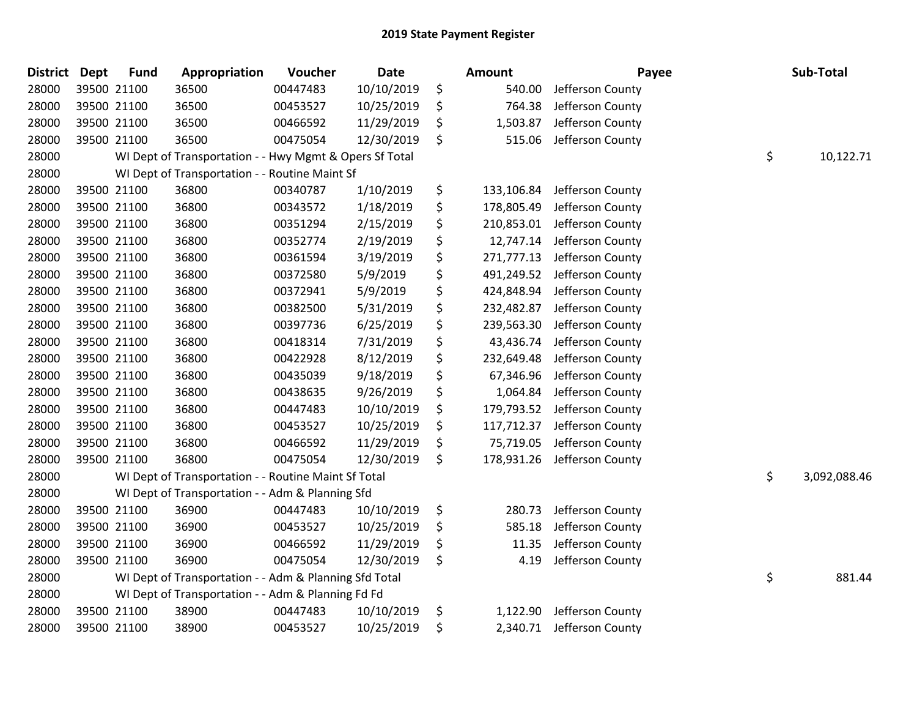| <b>District</b> | <b>Dept</b> | <b>Fund</b> | Appropriation                                           | Voucher  | <b>Date</b> | Amount           | Payee            | Sub-Total          |
|-----------------|-------------|-------------|---------------------------------------------------------|----------|-------------|------------------|------------------|--------------------|
| 28000           |             | 39500 21100 | 36500                                                   | 00447483 | 10/10/2019  | \$<br>540.00     | Jefferson County |                    |
| 28000           |             | 39500 21100 | 36500                                                   | 00453527 | 10/25/2019  | \$<br>764.38     | Jefferson County |                    |
| 28000           |             | 39500 21100 | 36500                                                   | 00466592 | 11/29/2019  | \$<br>1,503.87   | Jefferson County |                    |
| 28000           |             | 39500 21100 | 36500                                                   | 00475054 | 12/30/2019  | \$<br>515.06     | Jefferson County |                    |
| 28000           |             |             | WI Dept of Transportation - - Hwy Mgmt & Opers Sf Total |          |             |                  |                  | \$<br>10,122.71    |
| 28000           |             |             | WI Dept of Transportation - - Routine Maint Sf          |          |             |                  |                  |                    |
| 28000           |             | 39500 21100 | 36800                                                   | 00340787 | 1/10/2019   | \$<br>133,106.84 | Jefferson County |                    |
| 28000           |             | 39500 21100 | 36800                                                   | 00343572 | 1/18/2019   | \$<br>178,805.49 | Jefferson County |                    |
| 28000           |             | 39500 21100 | 36800                                                   | 00351294 | 2/15/2019   | \$<br>210,853.01 | Jefferson County |                    |
| 28000           |             | 39500 21100 | 36800                                                   | 00352774 | 2/19/2019   | \$<br>12,747.14  | Jefferson County |                    |
| 28000           |             | 39500 21100 | 36800                                                   | 00361594 | 3/19/2019   | \$<br>271,777.13 | Jefferson County |                    |
| 28000           |             | 39500 21100 | 36800                                                   | 00372580 | 5/9/2019    | \$<br>491,249.52 | Jefferson County |                    |
| 28000           |             | 39500 21100 | 36800                                                   | 00372941 | 5/9/2019    | \$<br>424,848.94 | Jefferson County |                    |
| 28000           |             | 39500 21100 | 36800                                                   | 00382500 | 5/31/2019   | \$<br>232,482.87 | Jefferson County |                    |
| 28000           |             | 39500 21100 | 36800                                                   | 00397736 | 6/25/2019   | \$<br>239,563.30 | Jefferson County |                    |
| 28000           |             | 39500 21100 | 36800                                                   | 00418314 | 7/31/2019   | \$<br>43,436.74  | Jefferson County |                    |
| 28000           |             | 39500 21100 | 36800                                                   | 00422928 | 8/12/2019   | \$<br>232,649.48 | Jefferson County |                    |
| 28000           |             | 39500 21100 | 36800                                                   | 00435039 | 9/18/2019   | \$<br>67,346.96  | Jefferson County |                    |
| 28000           |             | 39500 21100 | 36800                                                   | 00438635 | 9/26/2019   | \$<br>1,064.84   | Jefferson County |                    |
| 28000           |             | 39500 21100 | 36800                                                   | 00447483 | 10/10/2019  | \$<br>179,793.52 | Jefferson County |                    |
| 28000           |             | 39500 21100 | 36800                                                   | 00453527 | 10/25/2019  | \$<br>117,712.37 | Jefferson County |                    |
| 28000           |             | 39500 21100 | 36800                                                   | 00466592 | 11/29/2019  | \$<br>75,719.05  | Jefferson County |                    |
| 28000           |             | 39500 21100 | 36800                                                   | 00475054 | 12/30/2019  | \$<br>178,931.26 | Jefferson County |                    |
| 28000           |             |             | WI Dept of Transportation - - Routine Maint Sf Total    |          |             |                  |                  | \$<br>3,092,088.46 |
| 28000           |             |             | WI Dept of Transportation - - Adm & Planning Sfd        |          |             |                  |                  |                    |
| 28000           |             | 39500 21100 | 36900                                                   | 00447483 | 10/10/2019  | \$<br>280.73     | Jefferson County |                    |
| 28000           |             | 39500 21100 | 36900                                                   | 00453527 | 10/25/2019  | \$<br>585.18     | Jefferson County |                    |
| 28000           |             | 39500 21100 | 36900                                                   | 00466592 | 11/29/2019  | \$<br>11.35      | Jefferson County |                    |
| 28000           |             | 39500 21100 | 36900                                                   | 00475054 | 12/30/2019  | \$<br>4.19       | Jefferson County |                    |
| 28000           |             |             | WI Dept of Transportation - - Adm & Planning Sfd Total  |          |             |                  |                  | \$<br>881.44       |
| 28000           |             |             | WI Dept of Transportation - - Adm & Planning Fd Fd      |          |             |                  |                  |                    |
| 28000           |             | 39500 21100 | 38900                                                   | 00447483 | 10/10/2019  | \$<br>1,122.90   | Jefferson County |                    |
| 28000           |             | 39500 21100 | 38900                                                   | 00453527 | 10/25/2019  | \$<br>2,340.71   | Jefferson County |                    |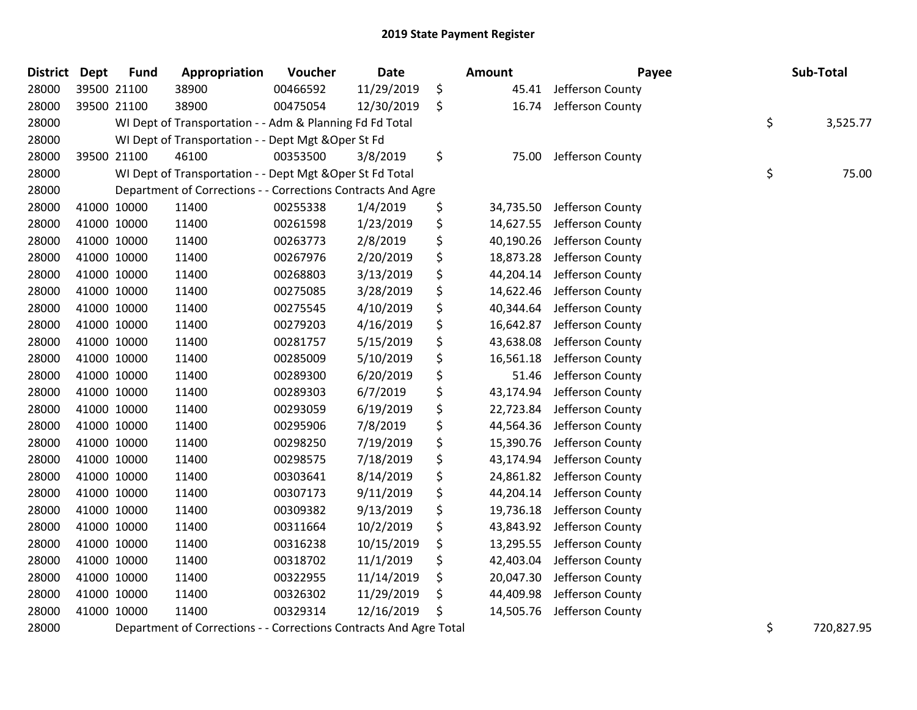| District | <b>Dept</b> | <b>Fund</b> | Appropriation                                                | Voucher  | <b>Date</b> | Amount          | Payee            | Sub-Total      |
|----------|-------------|-------------|--------------------------------------------------------------|----------|-------------|-----------------|------------------|----------------|
| 28000    |             | 39500 21100 | 38900                                                        | 00466592 | 11/29/2019  | \$<br>45.41     | Jefferson County |                |
| 28000    |             | 39500 21100 | 38900                                                        | 00475054 | 12/30/2019  | \$<br>16.74     | Jefferson County |                |
| 28000    |             |             | WI Dept of Transportation - - Adm & Planning Fd Fd Total     |          |             |                 |                  | \$<br>3,525.77 |
| 28000    |             |             | WI Dept of Transportation - - Dept Mgt & Oper St Fd          |          |             |                 |                  |                |
| 28000    |             | 39500 21100 | 46100                                                        | 00353500 | 3/8/2019    | \$<br>75.00     | Jefferson County |                |
| 28000    |             |             | WI Dept of Transportation - - Dept Mgt & Oper St Fd Total    |          |             |                 |                  | \$<br>75.00    |
| 28000    |             |             | Department of Corrections - - Corrections Contracts And Agre |          |             |                 |                  |                |
| 28000    |             | 41000 10000 | 11400                                                        | 00255338 | 1/4/2019    | \$<br>34,735.50 | Jefferson County |                |
| 28000    |             | 41000 10000 | 11400                                                        | 00261598 | 1/23/2019   | \$<br>14,627.55 | Jefferson County |                |
| 28000    |             | 41000 10000 | 11400                                                        | 00263773 | 2/8/2019    | \$<br>40,190.26 | Jefferson County |                |
| 28000    | 41000 10000 |             | 11400                                                        | 00267976 | 2/20/2019   | \$<br>18,873.28 | Jefferson County |                |
| 28000    | 41000 10000 |             | 11400                                                        | 00268803 | 3/13/2019   | \$<br>44,204.14 | Jefferson County |                |
| 28000    | 41000 10000 |             | 11400                                                        | 00275085 | 3/28/2019   | \$<br>14,622.46 | Jefferson County |                |
| 28000    | 41000 10000 |             | 11400                                                        | 00275545 | 4/10/2019   | \$<br>40,344.64 | Jefferson County |                |
| 28000    | 41000 10000 |             | 11400                                                        | 00279203 | 4/16/2019   | \$<br>16,642.87 | Jefferson County |                |
| 28000    | 41000 10000 |             | 11400                                                        | 00281757 | 5/15/2019   | \$<br>43,638.08 | Jefferson County |                |
| 28000    | 41000 10000 |             | 11400                                                        | 00285009 | 5/10/2019   | \$<br>16,561.18 | Jefferson County |                |
| 28000    | 41000 10000 |             | 11400                                                        | 00289300 | 6/20/2019   | \$<br>51.46     | Jefferson County |                |
| 28000    | 41000 10000 |             | 11400                                                        | 00289303 | 6/7/2019    | \$<br>43,174.94 | Jefferson County |                |
| 28000    | 41000 10000 |             | 11400                                                        | 00293059 | 6/19/2019   | \$<br>22,723.84 | Jefferson County |                |
| 28000    |             | 41000 10000 | 11400                                                        | 00295906 | 7/8/2019    | \$<br>44,564.36 | Jefferson County |                |
| 28000    | 41000 10000 |             | 11400                                                        | 00298250 | 7/19/2019   | \$<br>15,390.76 | Jefferson County |                |
| 28000    | 41000 10000 |             | 11400                                                        | 00298575 | 7/18/2019   | \$<br>43,174.94 | Jefferson County |                |
| 28000    | 41000 10000 |             | 11400                                                        | 00303641 | 8/14/2019   | \$<br>24,861.82 | Jefferson County |                |
| 28000    | 41000 10000 |             | 11400                                                        | 00307173 | 9/11/2019   | \$<br>44,204.14 | Jefferson County |                |
| 28000    | 41000 10000 |             | 11400                                                        | 00309382 | 9/13/2019   | \$<br>19,736.18 | Jefferson County |                |
| 28000    | 41000 10000 |             | 11400                                                        | 00311664 | 10/2/2019   | \$<br>43,843.92 | Jefferson County |                |
| 28000    | 41000 10000 |             | 11400                                                        | 00316238 | 10/15/2019  | \$<br>13,295.55 | Jefferson County |                |
| 28000    | 41000 10000 |             | 11400                                                        | 00318702 | 11/1/2019   | \$<br>42,403.04 | Jefferson County |                |
| 28000    | 41000 10000 |             | 11400                                                        | 00322955 | 11/14/2019  | \$<br>20,047.30 | Jefferson County |                |
| 28000    | 41000 10000 |             | 11400                                                        | 00326302 | 11/29/2019  | \$<br>44,409.98 | Jefferson County |                |
| 28000    | 41000 10000 |             | 11400                                                        | 00329314 | 12/16/2019  | \$<br>14,505.76 | Jefferson County |                |
|          |             |             |                                                              |          |             |                 |                  |                |

28000 Department of Corrections - - Corrections Contracts And Agre Total 5 720,827.95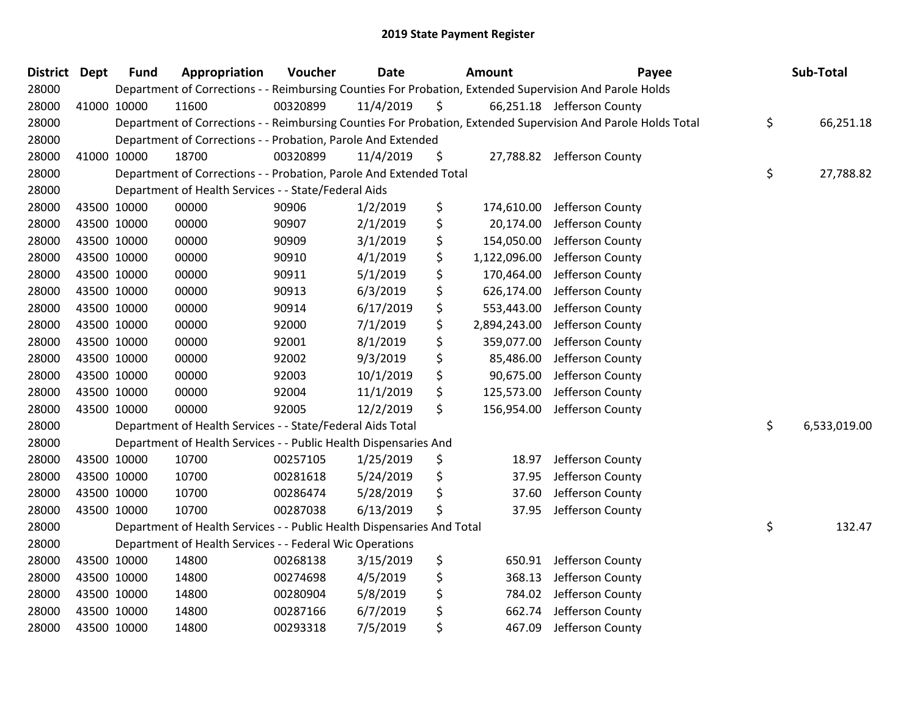| <b>District Dept</b> |             | <b>Fund</b> | Appropriation                                                          | Voucher  | <b>Date</b> | Amount             | Payee                                                                                                         | Sub-Total          |
|----------------------|-------------|-------------|------------------------------------------------------------------------|----------|-------------|--------------------|---------------------------------------------------------------------------------------------------------------|--------------------|
| 28000                |             |             |                                                                        |          |             |                    | Department of Corrections - - Reimbursing Counties For Probation, Extended Supervision And Parole Holds       |                    |
| 28000                | 41000 10000 |             | 11600                                                                  | 00320899 | 11/4/2019   | \$                 | 66,251.18 Jefferson County                                                                                    |                    |
| 28000                |             |             |                                                                        |          |             |                    | Department of Corrections - - Reimbursing Counties For Probation, Extended Supervision And Parole Holds Total | \$<br>66,251.18    |
| 28000                |             |             | Department of Corrections - - Probation, Parole And Extended           |          |             |                    |                                                                                                               |                    |
| 28000                | 41000 10000 |             | 18700                                                                  | 00320899 | 11/4/2019   | \$                 | 27,788.82 Jefferson County                                                                                    |                    |
| 28000                |             |             | Department of Corrections - - Probation, Parole And Extended Total     |          |             |                    |                                                                                                               | \$<br>27,788.82    |
| 28000                |             |             | Department of Health Services - - State/Federal Aids                   |          |             |                    |                                                                                                               |                    |
| 28000                |             | 43500 10000 | 00000                                                                  | 90906    | 1/2/2019    | \$<br>174,610.00   | Jefferson County                                                                                              |                    |
| 28000                | 43500 10000 |             | 00000                                                                  | 90907    | 2/1/2019    | \$<br>20,174.00    | Jefferson County                                                                                              |                    |
| 28000                | 43500 10000 |             | 00000                                                                  | 90909    | 3/1/2019    | \$<br>154,050.00   | Jefferson County                                                                                              |                    |
| 28000                | 43500 10000 |             | 00000                                                                  | 90910    | 4/1/2019    | \$<br>1,122,096.00 | Jefferson County                                                                                              |                    |
| 28000                | 43500 10000 |             | 00000                                                                  | 90911    | 5/1/2019    | \$<br>170,464.00   | Jefferson County                                                                                              |                    |
| 28000                | 43500 10000 |             | 00000                                                                  | 90913    | 6/3/2019    | \$<br>626,174.00   | Jefferson County                                                                                              |                    |
| 28000                | 43500 10000 |             | 00000                                                                  | 90914    | 6/17/2019   | \$<br>553,443.00   | Jefferson County                                                                                              |                    |
| 28000                | 43500 10000 |             | 00000                                                                  | 92000    | 7/1/2019    | \$<br>2,894,243.00 | Jefferson County                                                                                              |                    |
| 28000                | 43500 10000 |             | 00000                                                                  | 92001    | 8/1/2019    | \$<br>359,077.00   | Jefferson County                                                                                              |                    |
| 28000                | 43500 10000 |             | 00000                                                                  | 92002    | 9/3/2019    | \$<br>85,486.00    | Jefferson County                                                                                              |                    |
| 28000                | 43500 10000 |             | 00000                                                                  | 92003    | 10/1/2019   | \$<br>90,675.00    | Jefferson County                                                                                              |                    |
| 28000                | 43500 10000 |             | 00000                                                                  | 92004    | 11/1/2019   | \$<br>125,573.00   | Jefferson County                                                                                              |                    |
| 28000                | 43500 10000 |             | 00000                                                                  | 92005    | 12/2/2019   | \$<br>156,954.00   | Jefferson County                                                                                              |                    |
| 28000                |             |             | Department of Health Services - - State/Federal Aids Total             |          |             |                    |                                                                                                               | \$<br>6,533,019.00 |
| 28000                |             |             | Department of Health Services - - Public Health Dispensaries And       |          |             |                    |                                                                                                               |                    |
| 28000                | 43500 10000 |             | 10700                                                                  | 00257105 | 1/25/2019   | \$<br>18.97        | Jefferson County                                                                                              |                    |
| 28000                | 43500 10000 |             | 10700                                                                  | 00281618 | 5/24/2019   | \$<br>37.95        | Jefferson County                                                                                              |                    |
| 28000                | 43500 10000 |             | 10700                                                                  | 00286474 | 5/28/2019   | \$<br>37.60        | Jefferson County                                                                                              |                    |
| 28000                | 43500 10000 |             | 10700                                                                  | 00287038 | 6/13/2019   | \$<br>37.95        | Jefferson County                                                                                              |                    |
| 28000                |             |             | Department of Health Services - - Public Health Dispensaries And Total |          |             |                    |                                                                                                               | \$<br>132.47       |
| 28000                |             |             | Department of Health Services - - Federal Wic Operations               |          |             |                    |                                                                                                               |                    |
| 28000                | 43500 10000 |             | 14800                                                                  | 00268138 | 3/15/2019   | \$<br>650.91       | Jefferson County                                                                                              |                    |
| 28000                | 43500 10000 |             | 14800                                                                  | 00274698 | 4/5/2019    | \$<br>368.13       | Jefferson County                                                                                              |                    |
| 28000                | 43500 10000 |             | 14800                                                                  | 00280904 | 5/8/2019    | \$<br>784.02       | Jefferson County                                                                                              |                    |
| 28000                | 43500 10000 |             | 14800                                                                  | 00287166 | 6/7/2019    | \$<br>662.74       | Jefferson County                                                                                              |                    |
| 28000                |             | 43500 10000 | 14800                                                                  | 00293318 | 7/5/2019    | \$<br>467.09       | Jefferson County                                                                                              |                    |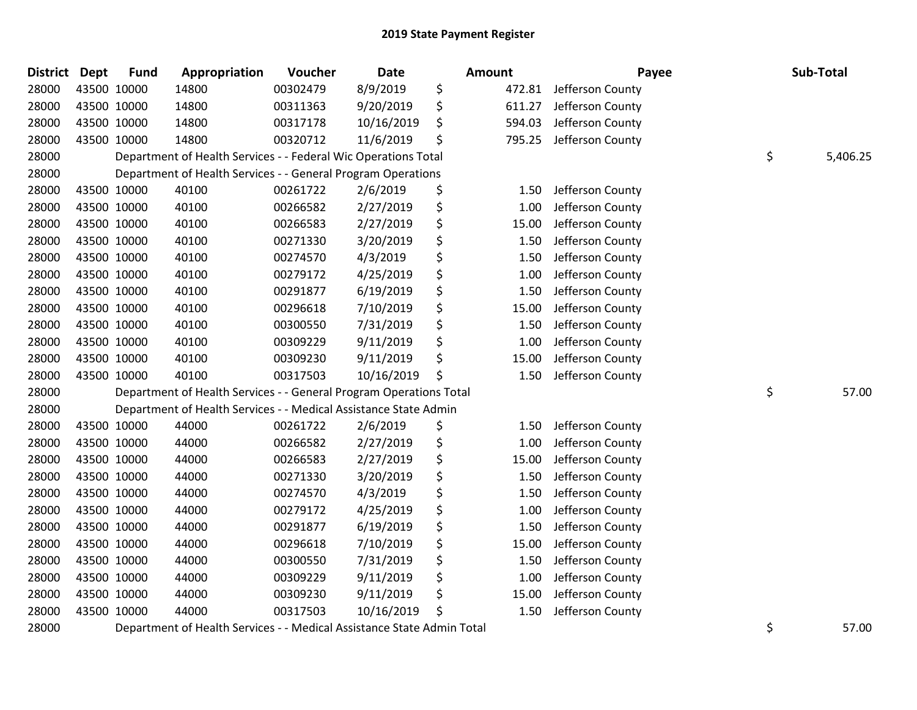| <b>District</b> | <b>Dept</b> | <b>Fund</b> | Appropriation                                                          | Voucher  | <b>Date</b> | <b>Amount</b> |        | Payee            | Sub-Total      |
|-----------------|-------------|-------------|------------------------------------------------------------------------|----------|-------------|---------------|--------|------------------|----------------|
| 28000           |             | 43500 10000 | 14800                                                                  | 00302479 | 8/9/2019    | \$            | 472.81 | Jefferson County |                |
| 28000           | 43500 10000 |             | 14800                                                                  | 00311363 | 9/20/2019   | \$            | 611.27 | Jefferson County |                |
| 28000           | 43500 10000 |             | 14800                                                                  | 00317178 | 10/16/2019  | \$            | 594.03 | Jefferson County |                |
| 28000           | 43500 10000 |             | 14800                                                                  | 00320712 | 11/6/2019   | \$            | 795.25 | Jefferson County |                |
| 28000           |             |             | Department of Health Services - - Federal Wic Operations Total         |          |             |               |        |                  | \$<br>5,406.25 |
| 28000           |             |             | Department of Health Services - - General Program Operations           |          |             |               |        |                  |                |
| 28000           |             | 43500 10000 | 40100                                                                  | 00261722 | 2/6/2019    | \$            | 1.50   | Jefferson County |                |
| 28000           | 43500 10000 |             | 40100                                                                  | 00266582 | 2/27/2019   | \$            | 1.00   | Jefferson County |                |
| 28000           | 43500 10000 |             | 40100                                                                  | 00266583 | 2/27/2019   | \$            | 15.00  | Jefferson County |                |
| 28000           | 43500 10000 |             | 40100                                                                  | 00271330 | 3/20/2019   | \$            | 1.50   | Jefferson County |                |
| 28000           | 43500 10000 |             | 40100                                                                  | 00274570 | 4/3/2019    | \$            | 1.50   | Jefferson County |                |
| 28000           |             | 43500 10000 | 40100                                                                  | 00279172 | 4/25/2019   | \$            | 1.00   | Jefferson County |                |
| 28000           |             | 43500 10000 | 40100                                                                  | 00291877 | 6/19/2019   | \$            | 1.50   | Jefferson County |                |
| 28000           | 43500 10000 |             | 40100                                                                  | 00296618 | 7/10/2019   | \$            | 15.00  | Jefferson County |                |
| 28000           | 43500 10000 |             | 40100                                                                  | 00300550 | 7/31/2019   | \$            | 1.50   | Jefferson County |                |
| 28000           | 43500 10000 |             | 40100                                                                  | 00309229 | 9/11/2019   | \$            | 1.00   | Jefferson County |                |
| 28000           |             | 43500 10000 | 40100                                                                  | 00309230 | 9/11/2019   | \$            | 15.00  | Jefferson County |                |
| 28000           |             | 43500 10000 | 40100                                                                  | 00317503 | 10/16/2019  | \$            | 1.50   | Jefferson County |                |
| 28000           |             |             | Department of Health Services - - General Program Operations Total     |          |             |               |        |                  | \$<br>57.00    |
| 28000           |             |             | Department of Health Services - - Medical Assistance State Admin       |          |             |               |        |                  |                |
| 28000           |             | 43500 10000 | 44000                                                                  | 00261722 | 2/6/2019    | \$            | 1.50   | Jefferson County |                |
| 28000           | 43500 10000 |             | 44000                                                                  | 00266582 | 2/27/2019   | \$            | 1.00   | Jefferson County |                |
| 28000           |             | 43500 10000 | 44000                                                                  | 00266583 | 2/27/2019   | \$            | 15.00  | Jefferson County |                |
| 28000           | 43500 10000 |             | 44000                                                                  | 00271330 | 3/20/2019   | \$            | 1.50   | Jefferson County |                |
| 28000           | 43500 10000 |             | 44000                                                                  | 00274570 | 4/3/2019    | \$            | 1.50   | Jefferson County |                |
| 28000           | 43500 10000 |             | 44000                                                                  | 00279172 | 4/25/2019   | \$            | 1.00   | Jefferson County |                |
| 28000           |             | 43500 10000 | 44000                                                                  | 00291877 | 6/19/2019   | \$            | 1.50   | Jefferson County |                |
| 28000           |             | 43500 10000 | 44000                                                                  | 00296618 | 7/10/2019   | \$            | 15.00  | Jefferson County |                |
| 28000           |             | 43500 10000 | 44000                                                                  | 00300550 | 7/31/2019   | \$            | 1.50   | Jefferson County |                |
| 28000           | 43500 10000 |             | 44000                                                                  | 00309229 | 9/11/2019   | \$            | 1.00   | Jefferson County |                |
| 28000           | 43500 10000 |             | 44000                                                                  | 00309230 | 9/11/2019   | \$            | 15.00  | Jefferson County |                |
| 28000           |             | 43500 10000 | 44000                                                                  | 00317503 | 10/16/2019  | \$            | 1.50   | Jefferson County |                |
| 28000           |             |             | Department of Health Services - - Medical Assistance State Admin Total |          |             |               |        |                  | \$<br>57.00    |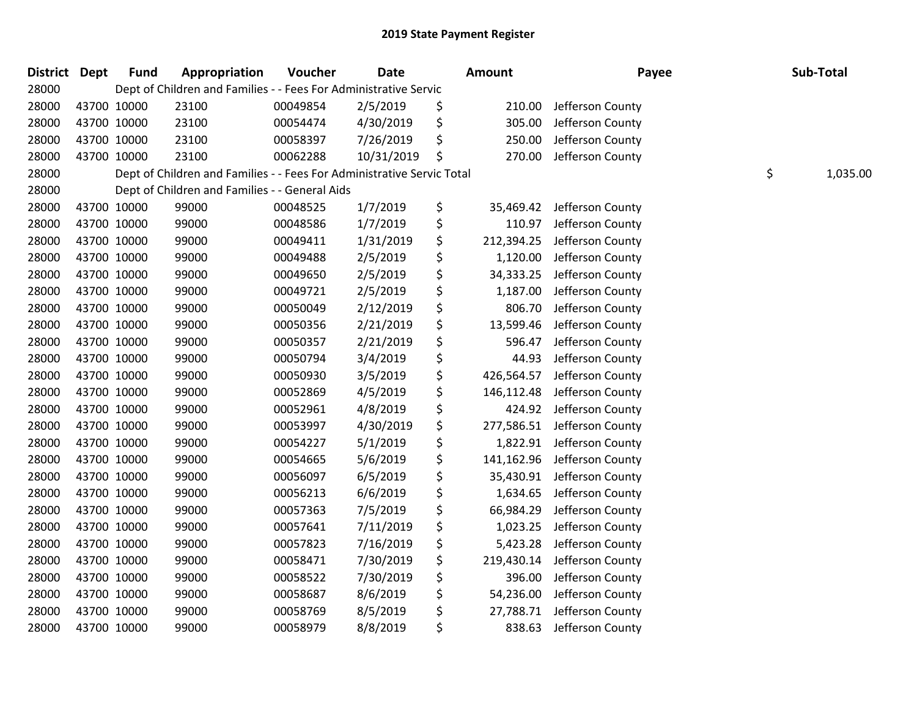| District Dept |             | <b>Fund</b> | Appropriation                                                          | Voucher  | <b>Date</b> | Amount           | Payee            | Sub-Total      |
|---------------|-------------|-------------|------------------------------------------------------------------------|----------|-------------|------------------|------------------|----------------|
| 28000         |             |             | Dept of Children and Families - - Fees For Administrative Servic       |          |             |                  |                  |                |
| 28000         | 43700 10000 |             | 23100                                                                  | 00049854 | 2/5/2019    | \$<br>210.00     | Jefferson County |                |
| 28000         | 43700 10000 |             | 23100                                                                  | 00054474 | 4/30/2019   | \$<br>305.00     | Jefferson County |                |
| 28000         | 43700 10000 |             | 23100                                                                  | 00058397 | 7/26/2019   | \$<br>250.00     | Jefferson County |                |
| 28000         | 43700 10000 |             | 23100                                                                  | 00062288 | 10/31/2019  | \$<br>270.00     | Jefferson County |                |
| 28000         |             |             | Dept of Children and Families - - Fees For Administrative Servic Total |          |             |                  |                  | \$<br>1,035.00 |
| 28000         |             |             | Dept of Children and Families - - General Aids                         |          |             |                  |                  |                |
| 28000         | 43700 10000 |             | 99000                                                                  | 00048525 | 1/7/2019    | \$<br>35,469.42  | Jefferson County |                |
| 28000         | 43700 10000 |             | 99000                                                                  | 00048586 | 1/7/2019    | \$<br>110.97     | Jefferson County |                |
| 28000         | 43700 10000 |             | 99000                                                                  | 00049411 | 1/31/2019   | \$<br>212,394.25 | Jefferson County |                |
| 28000         | 43700 10000 |             | 99000                                                                  | 00049488 | 2/5/2019    | \$<br>1,120.00   | Jefferson County |                |
| 28000         | 43700 10000 |             | 99000                                                                  | 00049650 | 2/5/2019    | \$<br>34,333.25  | Jefferson County |                |
| 28000         | 43700 10000 |             | 99000                                                                  | 00049721 | 2/5/2019    | \$<br>1,187.00   | Jefferson County |                |
| 28000         | 43700 10000 |             | 99000                                                                  | 00050049 | 2/12/2019   | \$<br>806.70     | Jefferson County |                |
| 28000         | 43700 10000 |             | 99000                                                                  | 00050356 | 2/21/2019   | \$<br>13,599.46  | Jefferson County |                |
| 28000         | 43700 10000 |             | 99000                                                                  | 00050357 | 2/21/2019   | \$<br>596.47     | Jefferson County |                |
| 28000         | 43700 10000 |             | 99000                                                                  | 00050794 | 3/4/2019    | \$<br>44.93      | Jefferson County |                |
| 28000         | 43700 10000 |             | 99000                                                                  | 00050930 | 3/5/2019    | \$<br>426,564.57 | Jefferson County |                |
| 28000         | 43700 10000 |             | 99000                                                                  | 00052869 | 4/5/2019    | \$<br>146,112.48 | Jefferson County |                |
| 28000         | 43700 10000 |             | 99000                                                                  | 00052961 | 4/8/2019    | \$<br>424.92     | Jefferson County |                |
| 28000         | 43700 10000 |             | 99000                                                                  | 00053997 | 4/30/2019   | \$<br>277,586.51 | Jefferson County |                |
| 28000         | 43700 10000 |             | 99000                                                                  | 00054227 | 5/1/2019    | \$<br>1,822.91   | Jefferson County |                |
| 28000         | 43700 10000 |             | 99000                                                                  | 00054665 | 5/6/2019    | \$<br>141,162.96 | Jefferson County |                |
| 28000         | 43700 10000 |             | 99000                                                                  | 00056097 | 6/5/2019    | \$<br>35,430.91  | Jefferson County |                |
| 28000         | 43700 10000 |             | 99000                                                                  | 00056213 | 6/6/2019    | \$<br>1,634.65   | Jefferson County |                |
| 28000         | 43700 10000 |             | 99000                                                                  | 00057363 | 7/5/2019    | \$<br>66,984.29  | Jefferson County |                |
| 28000         | 43700 10000 |             | 99000                                                                  | 00057641 | 7/11/2019   | \$<br>1,023.25   | Jefferson County |                |
| 28000         | 43700 10000 |             | 99000                                                                  | 00057823 | 7/16/2019   | \$<br>5,423.28   | Jefferson County |                |
| 28000         | 43700 10000 |             | 99000                                                                  | 00058471 | 7/30/2019   | \$<br>219,430.14 | Jefferson County |                |
| 28000         | 43700 10000 |             | 99000                                                                  | 00058522 | 7/30/2019   | \$<br>396.00     | Jefferson County |                |
| 28000         | 43700 10000 |             | 99000                                                                  | 00058687 | 8/6/2019    | \$<br>54,236.00  | Jefferson County |                |
| 28000         | 43700 10000 |             | 99000                                                                  | 00058769 | 8/5/2019    | \$<br>27,788.71  | Jefferson County |                |
| 28000         | 43700 10000 |             | 99000                                                                  | 00058979 | 8/8/2019    | \$<br>838.63     | Jefferson County |                |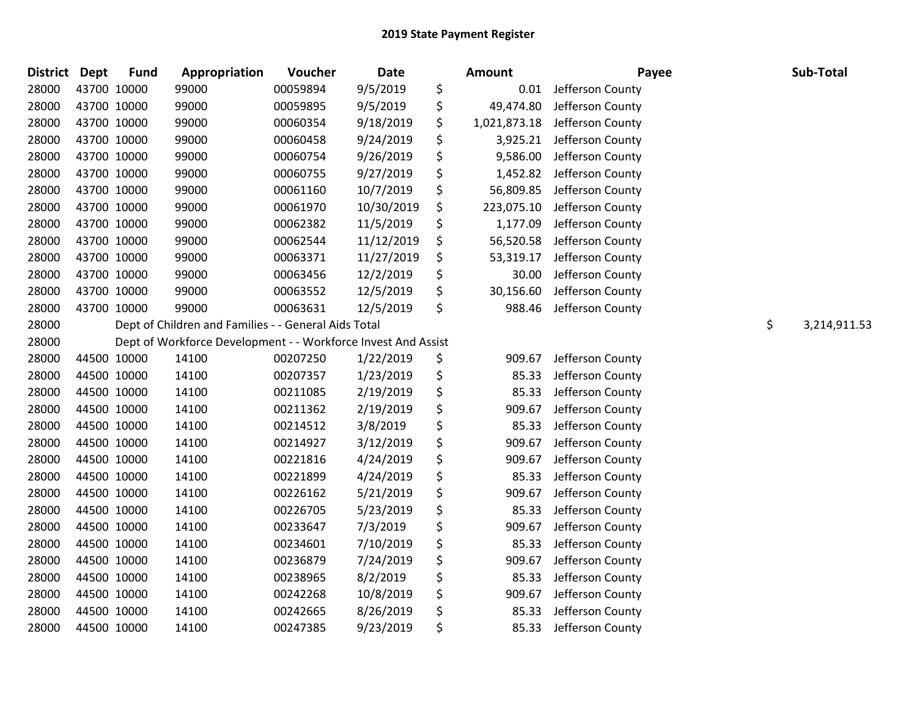| <b>District</b> | <b>Dept</b> | <b>Fund</b> | Appropriation                                                 | Voucher  | <b>Date</b> | <b>Amount</b>      | Payee            | Sub-Total          |
|-----------------|-------------|-------------|---------------------------------------------------------------|----------|-------------|--------------------|------------------|--------------------|
| 28000           | 43700 10000 |             | 99000                                                         | 00059894 | 9/5/2019    | \$<br>0.01         | Jefferson County |                    |
| 28000           | 43700 10000 |             | 99000                                                         | 00059895 | 9/5/2019    | \$<br>49,474.80    | Jefferson County |                    |
| 28000           | 43700 10000 |             | 99000                                                         | 00060354 | 9/18/2019   | \$<br>1,021,873.18 | Jefferson County |                    |
| 28000           | 43700 10000 |             | 99000                                                         | 00060458 | 9/24/2019   | \$<br>3,925.21     | Jefferson County |                    |
| 28000           | 43700 10000 |             | 99000                                                         | 00060754 | 9/26/2019   | \$<br>9,586.00     | Jefferson County |                    |
| 28000           | 43700 10000 |             | 99000                                                         | 00060755 | 9/27/2019   | \$<br>1,452.82     | Jefferson County |                    |
| 28000           | 43700 10000 |             | 99000                                                         | 00061160 | 10/7/2019   | \$<br>56,809.85    | Jefferson County |                    |
| 28000           | 43700 10000 |             | 99000                                                         | 00061970 | 10/30/2019  | \$<br>223,075.10   | Jefferson County |                    |
| 28000           | 43700 10000 |             | 99000                                                         | 00062382 | 11/5/2019   | \$<br>1,177.09     | Jefferson County |                    |
| 28000           | 43700 10000 |             | 99000                                                         | 00062544 | 11/12/2019  | \$<br>56,520.58    | Jefferson County |                    |
| 28000           | 43700 10000 |             | 99000                                                         | 00063371 | 11/27/2019  | \$<br>53,319.17    | Jefferson County |                    |
| 28000           | 43700 10000 |             | 99000                                                         | 00063456 | 12/2/2019   | \$<br>30.00        | Jefferson County |                    |
| 28000           | 43700 10000 |             | 99000                                                         | 00063552 | 12/5/2019   | \$<br>30,156.60    | Jefferson County |                    |
| 28000           | 43700 10000 |             | 99000                                                         | 00063631 | 12/5/2019   | \$<br>988.46       | Jefferson County |                    |
| 28000           |             |             | Dept of Children and Families - - General Aids Total          |          |             |                    |                  | \$<br>3,214,911.53 |
| 28000           |             |             | Dept of Workforce Development - - Workforce Invest And Assist |          |             |                    |                  |                    |
| 28000           | 44500 10000 |             | 14100                                                         | 00207250 | 1/22/2019   | \$<br>909.67       | Jefferson County |                    |
| 28000           | 44500 10000 |             | 14100                                                         | 00207357 | 1/23/2019   | \$<br>85.33        | Jefferson County |                    |
| 28000           | 44500 10000 |             | 14100                                                         | 00211085 | 2/19/2019   | \$<br>85.33        | Jefferson County |                    |
| 28000           | 44500 10000 |             | 14100                                                         | 00211362 | 2/19/2019   | \$<br>909.67       | Jefferson County |                    |
| 28000           | 44500 10000 |             | 14100                                                         | 00214512 | 3/8/2019    | \$<br>85.33        | Jefferson County |                    |
| 28000           | 44500 10000 |             | 14100                                                         | 00214927 | 3/12/2019   | \$<br>909.67       | Jefferson County |                    |
| 28000           | 44500 10000 |             | 14100                                                         | 00221816 | 4/24/2019   | \$<br>909.67       | Jefferson County |                    |
| 28000           | 44500 10000 |             | 14100                                                         | 00221899 | 4/24/2019   | \$<br>85.33        | Jefferson County |                    |
| 28000           | 44500 10000 |             | 14100                                                         | 00226162 | 5/21/2019   | \$<br>909.67       | Jefferson County |                    |
| 28000           | 44500 10000 |             | 14100                                                         | 00226705 | 5/23/2019   | \$<br>85.33        | Jefferson County |                    |
| 28000           | 44500 10000 |             | 14100                                                         | 00233647 | 7/3/2019    | \$<br>909.67       | Jefferson County |                    |
| 28000           | 44500 10000 |             | 14100                                                         | 00234601 | 7/10/2019   | \$<br>85.33        | Jefferson County |                    |
| 28000           | 44500 10000 |             | 14100                                                         | 00236879 | 7/24/2019   | \$<br>909.67       | Jefferson County |                    |
| 28000           | 44500 10000 |             | 14100                                                         | 00238965 | 8/2/2019    | \$<br>85.33        | Jefferson County |                    |
| 28000           | 44500 10000 |             | 14100                                                         | 00242268 | 10/8/2019   | \$<br>909.67       | Jefferson County |                    |
| 28000           | 44500 10000 |             | 14100                                                         | 00242665 | 8/26/2019   | \$<br>85.33        | Jefferson County |                    |
| 28000           | 44500 10000 |             | 14100                                                         | 00247385 | 9/23/2019   | \$<br>85.33        | Jefferson County |                    |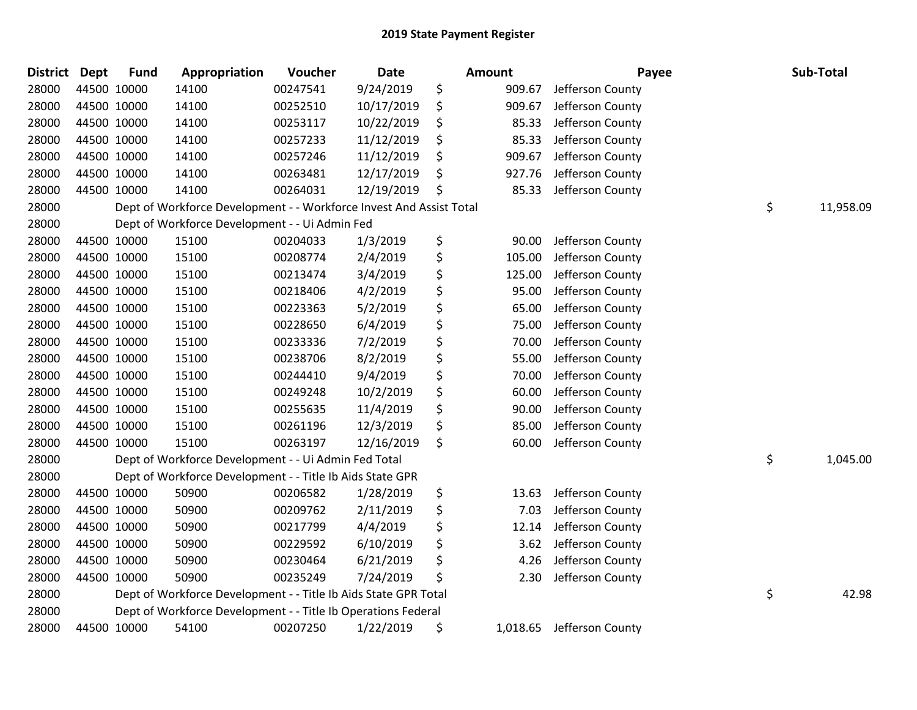| District Dept | <b>Fund</b> | Appropriation                                                       | Voucher  | Date       | <b>Amount</b>  | Payee            | Sub-Total       |
|---------------|-------------|---------------------------------------------------------------------|----------|------------|----------------|------------------|-----------------|
| 28000         | 44500 10000 | 14100                                                               | 00247541 | 9/24/2019  | \$<br>909.67   | Jefferson County |                 |
| 28000         | 44500 10000 | 14100                                                               | 00252510 | 10/17/2019 | \$<br>909.67   | Jefferson County |                 |
| 28000         | 44500 10000 | 14100                                                               | 00253117 | 10/22/2019 | \$<br>85.33    | Jefferson County |                 |
| 28000         | 44500 10000 | 14100                                                               | 00257233 | 11/12/2019 | \$<br>85.33    | Jefferson County |                 |
| 28000         | 44500 10000 | 14100                                                               | 00257246 | 11/12/2019 | \$<br>909.67   | Jefferson County |                 |
| 28000         | 44500 10000 | 14100                                                               | 00263481 | 12/17/2019 | \$<br>927.76   | Jefferson County |                 |
| 28000         | 44500 10000 | 14100                                                               | 00264031 | 12/19/2019 | \$<br>85.33    | Jefferson County |                 |
| 28000         |             | Dept of Workforce Development - - Workforce Invest And Assist Total |          |            |                |                  | \$<br>11,958.09 |
| 28000         |             | Dept of Workforce Development - - Ui Admin Fed                      |          |            |                |                  |                 |
| 28000         | 44500 10000 | 15100                                                               | 00204033 | 1/3/2019   | \$<br>90.00    | Jefferson County |                 |
| 28000         | 44500 10000 | 15100                                                               | 00208774 | 2/4/2019   | \$<br>105.00   | Jefferson County |                 |
| 28000         | 44500 10000 | 15100                                                               | 00213474 | 3/4/2019   | \$<br>125.00   | Jefferson County |                 |
| 28000         | 44500 10000 | 15100                                                               | 00218406 | 4/2/2019   | \$<br>95.00    | Jefferson County |                 |
| 28000         | 44500 10000 | 15100                                                               | 00223363 | 5/2/2019   | \$<br>65.00    | Jefferson County |                 |
| 28000         | 44500 10000 | 15100                                                               | 00228650 | 6/4/2019   | \$<br>75.00    | Jefferson County |                 |
| 28000         | 44500 10000 | 15100                                                               | 00233336 | 7/2/2019   | \$<br>70.00    | Jefferson County |                 |
| 28000         | 44500 10000 | 15100                                                               | 00238706 | 8/2/2019   | \$<br>55.00    | Jefferson County |                 |
| 28000         | 44500 10000 | 15100                                                               | 00244410 | 9/4/2019   | \$<br>70.00    | Jefferson County |                 |
| 28000         | 44500 10000 | 15100                                                               | 00249248 | 10/2/2019  | \$<br>60.00    | Jefferson County |                 |
| 28000         | 44500 10000 | 15100                                                               | 00255635 | 11/4/2019  | \$<br>90.00    | Jefferson County |                 |
| 28000         | 44500 10000 | 15100                                                               | 00261196 | 12/3/2019  | \$<br>85.00    | Jefferson County |                 |
| 28000         | 44500 10000 | 15100                                                               | 00263197 | 12/16/2019 | \$<br>60.00    | Jefferson County |                 |
| 28000         |             | Dept of Workforce Development - - Ui Admin Fed Total                |          |            |                |                  | \$<br>1,045.00  |
| 28000         |             | Dept of Workforce Development - - Title Ib Aids State GPR           |          |            |                |                  |                 |
| 28000         | 44500 10000 | 50900                                                               | 00206582 | 1/28/2019  | \$<br>13.63    | Jefferson County |                 |
| 28000         | 44500 10000 | 50900                                                               | 00209762 | 2/11/2019  | \$<br>7.03     | Jefferson County |                 |
| 28000         | 44500 10000 | 50900                                                               | 00217799 | 4/4/2019   | \$<br>12.14    | Jefferson County |                 |
| 28000         | 44500 10000 | 50900                                                               | 00229592 | 6/10/2019  | \$<br>3.62     | Jefferson County |                 |
| 28000         | 44500 10000 | 50900                                                               | 00230464 | 6/21/2019  | \$<br>4.26     | Jefferson County |                 |
| 28000         | 44500 10000 | 50900                                                               | 00235249 | 7/24/2019  | \$<br>2.30     | Jefferson County |                 |
| 28000         |             | Dept of Workforce Development - - Title Ib Aids State GPR Total     |          |            |                |                  | \$<br>42.98     |
| 28000         |             | Dept of Workforce Development - - Title Ib Operations Federal       |          |            |                |                  |                 |
| 28000         | 44500 10000 | 54100                                                               | 00207250 | 1/22/2019  | \$<br>1,018.65 | Jefferson County |                 |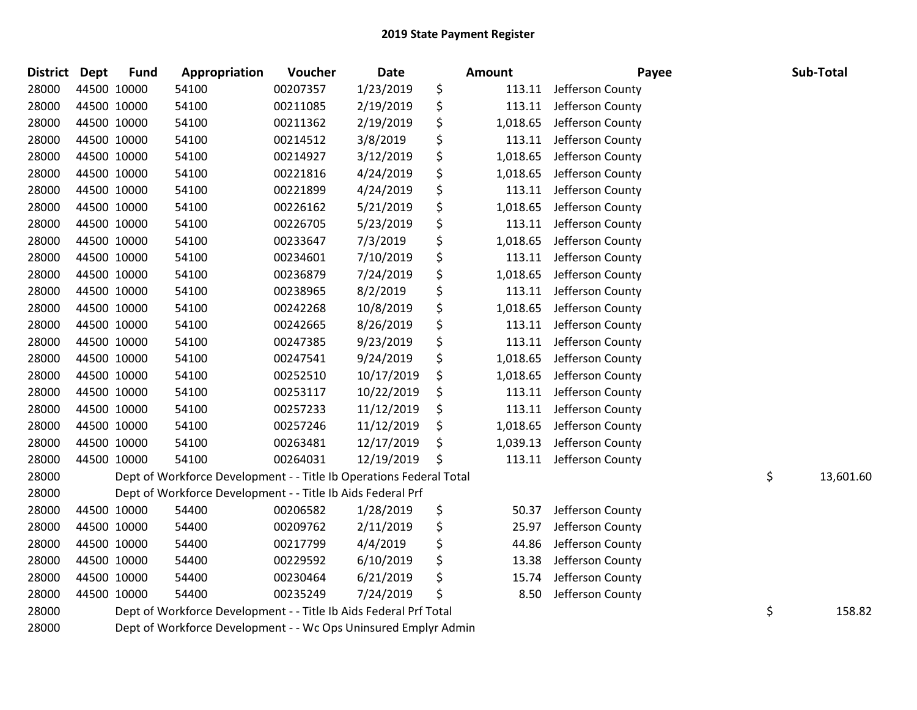| <b>District Dept</b> |             | <b>Fund</b> | Appropriation                                                       | Voucher  | Date       | Amount         | Payee            | Sub-Total       |
|----------------------|-------------|-------------|---------------------------------------------------------------------|----------|------------|----------------|------------------|-----------------|
| 28000                | 44500 10000 |             | 54100                                                               | 00207357 | 1/23/2019  | \$<br>113.11   | Jefferson County |                 |
| 28000                | 44500 10000 |             | 54100                                                               | 00211085 | 2/19/2019  | \$<br>113.11   | Jefferson County |                 |
| 28000                | 44500 10000 |             | 54100                                                               | 00211362 | 2/19/2019  | \$<br>1,018.65 | Jefferson County |                 |
| 28000                | 44500 10000 |             | 54100                                                               | 00214512 | 3/8/2019   | \$<br>113.11   | Jefferson County |                 |
| 28000                | 44500 10000 |             | 54100                                                               | 00214927 | 3/12/2019  | \$<br>1,018.65 | Jefferson County |                 |
| 28000                |             | 44500 10000 | 54100                                                               | 00221816 | 4/24/2019  | \$<br>1,018.65 | Jefferson County |                 |
| 28000                | 44500 10000 |             | 54100                                                               | 00221899 | 4/24/2019  | \$<br>113.11   | Jefferson County |                 |
| 28000                | 44500 10000 |             | 54100                                                               | 00226162 | 5/21/2019  | \$<br>1,018.65 | Jefferson County |                 |
| 28000                | 44500 10000 |             | 54100                                                               | 00226705 | 5/23/2019  | \$<br>113.11   | Jefferson County |                 |
| 28000                | 44500 10000 |             | 54100                                                               | 00233647 | 7/3/2019   | \$<br>1,018.65 | Jefferson County |                 |
| 28000                |             | 44500 10000 | 54100                                                               | 00234601 | 7/10/2019  | \$<br>113.11   | Jefferson County |                 |
| 28000                | 44500 10000 |             | 54100                                                               | 00236879 | 7/24/2019  | \$<br>1,018.65 | Jefferson County |                 |
| 28000                | 44500 10000 |             | 54100                                                               | 00238965 | 8/2/2019   | \$<br>113.11   | Jefferson County |                 |
| 28000                | 44500 10000 |             | 54100                                                               | 00242268 | 10/8/2019  | \$<br>1,018.65 | Jefferson County |                 |
| 28000                | 44500 10000 |             | 54100                                                               | 00242665 | 8/26/2019  | \$<br>113.11   | Jefferson County |                 |
| 28000                | 44500 10000 |             | 54100                                                               | 00247385 | 9/23/2019  | \$<br>113.11   | Jefferson County |                 |
| 28000                | 44500 10000 |             | 54100                                                               | 00247541 | 9/24/2019  | \$<br>1,018.65 | Jefferson County |                 |
| 28000                | 44500 10000 |             | 54100                                                               | 00252510 | 10/17/2019 | \$<br>1,018.65 | Jefferson County |                 |
| 28000                | 44500 10000 |             | 54100                                                               | 00253117 | 10/22/2019 | \$<br>113.11   | Jefferson County |                 |
| 28000                | 44500 10000 |             | 54100                                                               | 00257233 | 11/12/2019 | \$<br>113.11   | Jefferson County |                 |
| 28000                | 44500 10000 |             | 54100                                                               | 00257246 | 11/12/2019 | \$<br>1,018.65 | Jefferson County |                 |
| 28000                | 44500 10000 |             | 54100                                                               | 00263481 | 12/17/2019 | \$<br>1,039.13 | Jefferson County |                 |
| 28000                | 44500 10000 |             | 54100                                                               | 00264031 | 12/19/2019 | \$<br>113.11   | Jefferson County |                 |
| 28000                |             |             | Dept of Workforce Development - - Title Ib Operations Federal Total |          |            |                |                  | \$<br>13,601.60 |
| 28000                |             |             | Dept of Workforce Development - - Title Ib Aids Federal Prf         |          |            |                |                  |                 |
| 28000                | 44500 10000 |             | 54400                                                               | 00206582 | 1/28/2019  | \$<br>50.37    | Jefferson County |                 |
| 28000                | 44500 10000 |             | 54400                                                               | 00209762 | 2/11/2019  | \$<br>25.97    | Jefferson County |                 |
| 28000                | 44500 10000 |             | 54400                                                               | 00217799 | 4/4/2019   | \$<br>44.86    | Jefferson County |                 |
| 28000                | 44500 10000 |             | 54400                                                               | 00229592 | 6/10/2019  | \$<br>13.38    | Jefferson County |                 |
| 28000                | 44500 10000 |             | 54400                                                               | 00230464 | 6/21/2019  | \$<br>15.74    | Jefferson County |                 |
| 28000                | 44500 10000 |             | 54400                                                               | 00235249 | 7/24/2019  | \$<br>8.50     | Jefferson County |                 |
| 28000                |             |             | Dept of Workforce Development - - Title Ib Aids Federal Prf Total   |          |            |                |                  | \$<br>158.82    |
| 28000                |             |             | Dept of Workforce Development - - Wc Ops Uninsured Emplyr Admin     |          |            |                |                  |                 |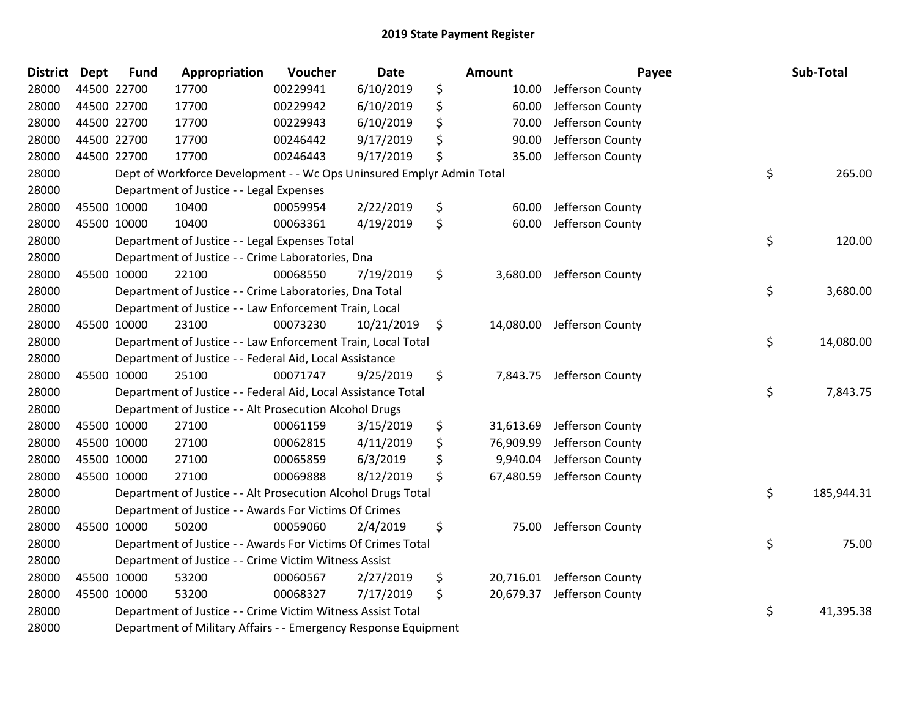| <b>District</b> | <b>Dept</b> | <b>Fund</b> | Appropriation                                                         | Voucher  | Date       | Amount          | Payee            | Sub-Total        |
|-----------------|-------------|-------------|-----------------------------------------------------------------------|----------|------------|-----------------|------------------|------------------|
| 28000           |             | 44500 22700 | 17700                                                                 | 00229941 | 6/10/2019  | \$<br>10.00     | Jefferson County |                  |
| 28000           | 44500 22700 |             | 17700                                                                 | 00229942 | 6/10/2019  | \$<br>60.00     | Jefferson County |                  |
| 28000           | 44500 22700 |             | 17700                                                                 | 00229943 | 6/10/2019  | \$<br>70.00     | Jefferson County |                  |
| 28000           | 44500 22700 |             | 17700                                                                 | 00246442 | 9/17/2019  | \$<br>90.00     | Jefferson County |                  |
| 28000           |             | 44500 22700 | 17700                                                                 | 00246443 | 9/17/2019  | \$<br>35.00     | Jefferson County |                  |
| 28000           |             |             | Dept of Workforce Development - - Wc Ops Uninsured Emplyr Admin Total |          |            |                 |                  | \$<br>265.00     |
| 28000           |             |             | Department of Justice - - Legal Expenses                              |          |            |                 |                  |                  |
| 28000           | 45500 10000 |             | 10400                                                                 | 00059954 | 2/22/2019  | \$<br>60.00     | Jefferson County |                  |
| 28000           | 45500 10000 |             | 10400                                                                 | 00063361 | 4/19/2019  | \$<br>60.00     | Jefferson County |                  |
| 28000           |             |             | Department of Justice - - Legal Expenses Total                        |          |            |                 |                  | \$<br>120.00     |
| 28000           |             |             | Department of Justice - - Crime Laboratories, Dna                     |          |            |                 |                  |                  |
| 28000           |             | 45500 10000 | 22100                                                                 | 00068550 | 7/19/2019  | \$<br>3,680.00  | Jefferson County |                  |
| 28000           |             |             | Department of Justice - - Crime Laboratories, Dna Total               |          |            |                 |                  | \$<br>3,680.00   |
| 28000           |             |             | Department of Justice - - Law Enforcement Train, Local                |          |            |                 |                  |                  |
| 28000           |             | 45500 10000 | 23100                                                                 | 00073230 | 10/21/2019 | \$<br>14,080.00 | Jefferson County |                  |
| 28000           |             |             | Department of Justice - - Law Enforcement Train, Local Total          |          |            |                 |                  | \$<br>14,080.00  |
| 28000           |             |             | Department of Justice - - Federal Aid, Local Assistance               |          |            |                 |                  |                  |
| 28000           | 45500 10000 |             | 25100                                                                 | 00071747 | 9/25/2019  | \$<br>7,843.75  | Jefferson County |                  |
| 28000           |             |             | Department of Justice - - Federal Aid, Local Assistance Total         |          |            |                 |                  | \$<br>7,843.75   |
| 28000           |             |             | Department of Justice - - Alt Prosecution Alcohol Drugs               |          |            |                 |                  |                  |
| 28000           |             | 45500 10000 | 27100                                                                 | 00061159 | 3/15/2019  | \$<br>31,613.69 | Jefferson County |                  |
| 28000           | 45500 10000 |             | 27100                                                                 | 00062815 | 4/11/2019  | \$<br>76,909.99 | Jefferson County |                  |
| 28000           | 45500 10000 |             | 27100                                                                 | 00065859 | 6/3/2019   | \$<br>9,940.04  | Jefferson County |                  |
| 28000           | 45500 10000 |             | 27100                                                                 | 00069888 | 8/12/2019  | \$<br>67,480.59 | Jefferson County |                  |
| 28000           |             |             | Department of Justice - - Alt Prosecution Alcohol Drugs Total         |          |            |                 |                  | \$<br>185,944.31 |
| 28000           |             |             | Department of Justice - - Awards For Victims Of Crimes                |          |            |                 |                  |                  |
| 28000           | 45500 10000 |             | 50200                                                                 | 00059060 | 2/4/2019   | \$<br>75.00     | Jefferson County |                  |
| 28000           |             |             | Department of Justice - - Awards For Victims Of Crimes Total          |          |            |                 |                  | \$<br>75.00      |
| 28000           |             |             | Department of Justice - - Crime Victim Witness Assist                 |          |            |                 |                  |                  |
| 28000           |             | 45500 10000 | 53200                                                                 | 00060567 | 2/27/2019  | \$<br>20,716.01 | Jefferson County |                  |
| 28000           |             | 45500 10000 | 53200                                                                 | 00068327 | 7/17/2019  | \$<br>20,679.37 | Jefferson County |                  |
| 28000           |             |             | Department of Justice - - Crime Victim Witness Assist Total           |          |            |                 |                  | \$<br>41,395.38  |
| 28000           |             |             | Department of Military Affairs - - Emergency Response Equipment       |          |            |                 |                  |                  |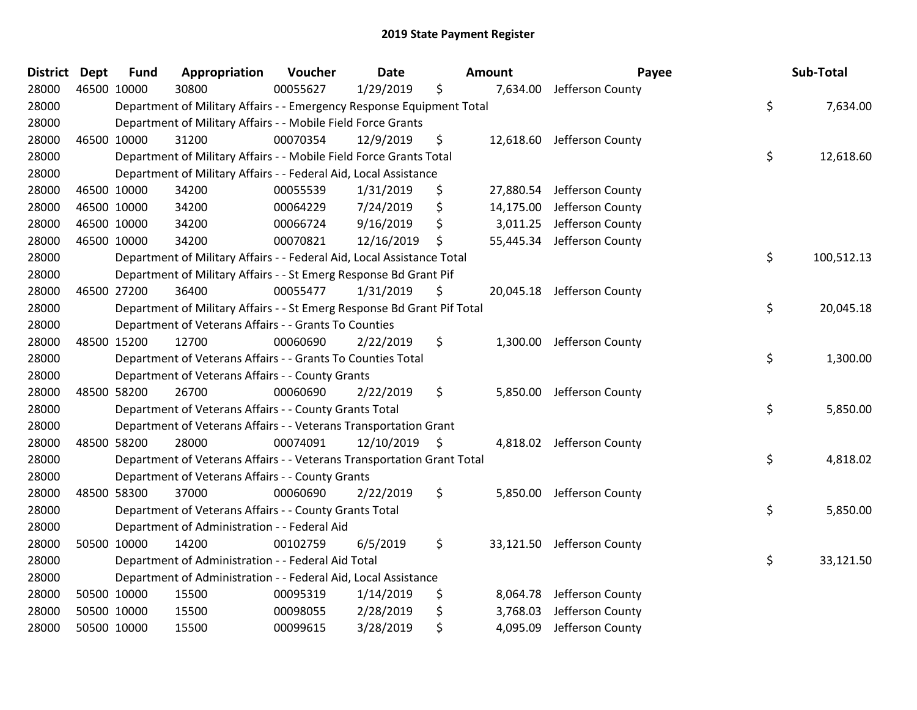| <b>District Dept</b> | <b>Fund</b> | Appropriation                                                           | Voucher  | <b>Date</b>   | Amount          | Payee                      | Sub-Total        |
|----------------------|-------------|-------------------------------------------------------------------------|----------|---------------|-----------------|----------------------------|------------------|
| 28000                | 46500 10000 | 30800                                                                   | 00055627 | 1/29/2019     | \$<br>7,634.00  | Jefferson County           |                  |
| 28000                |             | Department of Military Affairs - - Emergency Response Equipment Total   |          |               |                 |                            | \$<br>7,634.00   |
| 28000                |             | Department of Military Affairs - - Mobile Field Force Grants            |          |               |                 |                            |                  |
| 28000                | 46500 10000 | 31200                                                                   | 00070354 | 12/9/2019     | \$              | 12,618.60 Jefferson County |                  |
| 28000                |             | Department of Military Affairs - - Mobile Field Force Grants Total      |          |               |                 |                            | \$<br>12,618.60  |
| 28000                |             | Department of Military Affairs - - Federal Aid, Local Assistance        |          |               |                 |                            |                  |
| 28000                | 46500 10000 | 34200                                                                   | 00055539 | 1/31/2019     | \$<br>27,880.54 | Jefferson County           |                  |
| 28000                | 46500 10000 | 34200                                                                   | 00064229 | 7/24/2019     | \$<br>14,175.00 | Jefferson County           |                  |
| 28000                | 46500 10000 | 34200                                                                   | 00066724 | 9/16/2019     | \$<br>3,011.25  | Jefferson County           |                  |
| 28000                | 46500 10000 | 34200                                                                   | 00070821 | 12/16/2019    | \$<br>55,445.34 | Jefferson County           |                  |
| 28000                |             | Department of Military Affairs - - Federal Aid, Local Assistance Total  |          |               |                 |                            | \$<br>100,512.13 |
| 28000                |             | Department of Military Affairs - - St Emerg Response Bd Grant Pif       |          |               |                 |                            |                  |
| 28000                | 46500 27200 | 36400                                                                   | 00055477 | 1/31/2019     | \$              | 20,045.18 Jefferson County |                  |
| 28000                |             | Department of Military Affairs - - St Emerg Response Bd Grant Pif Total |          |               |                 |                            | \$<br>20,045.18  |
| 28000                |             | Department of Veterans Affairs - - Grants To Counties                   |          |               |                 |                            |                  |
| 28000                | 48500 15200 | 12700                                                                   | 00060690 | 2/22/2019     | \$<br>1,300.00  | Jefferson County           |                  |
| 28000                |             | Department of Veterans Affairs - - Grants To Counties Total             |          |               |                 |                            | \$<br>1,300.00   |
| 28000                |             | Department of Veterans Affairs - - County Grants                        |          |               |                 |                            |                  |
| 28000                | 48500 58200 | 26700                                                                   | 00060690 | 2/22/2019     | \$<br>5,850.00  | Jefferson County           |                  |
| 28000                |             | Department of Veterans Affairs - - County Grants Total                  |          |               |                 |                            | \$<br>5,850.00   |
| 28000                |             | Department of Veterans Affairs - - Veterans Transportation Grant        |          |               |                 |                            |                  |
| 28000                | 48500 58200 | 28000                                                                   | 00074091 | 12/10/2019 \$ |                 | 4,818.02 Jefferson County  |                  |
| 28000                |             | Department of Veterans Affairs - - Veterans Transportation Grant Total  |          |               |                 |                            | \$<br>4,818.02   |
| 28000                |             | Department of Veterans Affairs - - County Grants                        |          |               |                 |                            |                  |
| 28000                | 48500 58300 | 37000                                                                   | 00060690 | 2/22/2019     | \$<br>5,850.00  | Jefferson County           |                  |
| 28000                |             | Department of Veterans Affairs - - County Grants Total                  |          |               |                 |                            | \$<br>5,850.00   |
| 28000                |             | Department of Administration - - Federal Aid                            |          |               |                 |                            |                  |
| 28000                | 50500 10000 | 14200                                                                   | 00102759 | 6/5/2019      | \$<br>33,121.50 | Jefferson County           |                  |
| 28000                |             | Department of Administration - - Federal Aid Total                      |          |               |                 |                            | \$<br>33,121.50  |
| 28000                |             | Department of Administration - - Federal Aid, Local Assistance          |          |               |                 |                            |                  |
| 28000                | 50500 10000 | 15500                                                                   | 00095319 | 1/14/2019     | \$<br>8,064.78  | Jefferson County           |                  |
| 28000                | 50500 10000 | 15500                                                                   | 00098055 | 2/28/2019     | \$<br>3,768.03  | Jefferson County           |                  |
| 28000                | 50500 10000 | 15500                                                                   | 00099615 | 3/28/2019     | \$<br>4,095.09  | Jefferson County           |                  |
|                      |             |                                                                         |          |               |                 |                            |                  |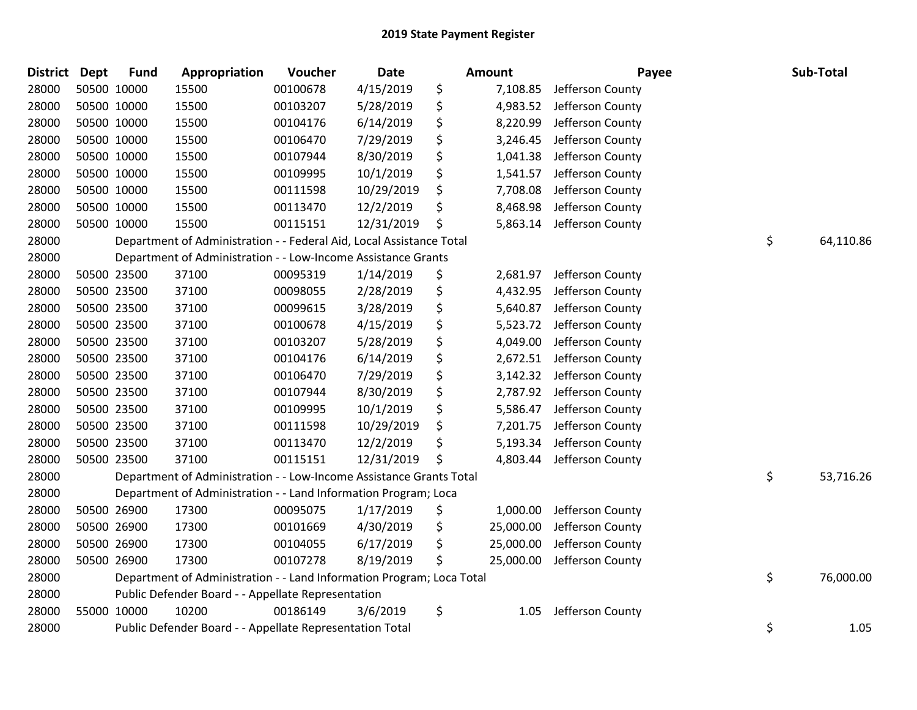| <b>District Dept</b> |             | <b>Fund</b> | Appropriation                                                         | Voucher  | Date       | <b>Amount</b>   | Payee            | Sub-Total       |
|----------------------|-------------|-------------|-----------------------------------------------------------------------|----------|------------|-----------------|------------------|-----------------|
| 28000                | 50500 10000 |             | 15500                                                                 | 00100678 | 4/15/2019  | \$<br>7,108.85  | Jefferson County |                 |
| 28000                | 50500 10000 |             | 15500                                                                 | 00103207 | 5/28/2019  | \$<br>4,983.52  | Jefferson County |                 |
| 28000                | 50500 10000 |             | 15500                                                                 | 00104176 | 6/14/2019  | \$<br>8,220.99  | Jefferson County |                 |
| 28000                | 50500 10000 |             | 15500                                                                 | 00106470 | 7/29/2019  | \$<br>3,246.45  | Jefferson County |                 |
| 28000                | 50500 10000 |             | 15500                                                                 | 00107944 | 8/30/2019  | \$<br>1,041.38  | Jefferson County |                 |
| 28000                | 50500 10000 |             | 15500                                                                 | 00109995 | 10/1/2019  | \$<br>1,541.57  | Jefferson County |                 |
| 28000                | 50500 10000 |             | 15500                                                                 | 00111598 | 10/29/2019 | \$<br>7,708.08  | Jefferson County |                 |
| 28000                | 50500 10000 |             | 15500                                                                 | 00113470 | 12/2/2019  | \$<br>8,468.98  | Jefferson County |                 |
| 28000                | 50500 10000 |             | 15500                                                                 | 00115151 | 12/31/2019 | \$<br>5,863.14  | Jefferson County |                 |
| 28000                |             |             | Department of Administration - - Federal Aid, Local Assistance Total  |          |            |                 |                  | \$<br>64,110.86 |
| 28000                |             |             | Department of Administration - - Low-Income Assistance Grants         |          |            |                 |                  |                 |
| 28000                | 50500 23500 |             | 37100                                                                 | 00095319 | 1/14/2019  | \$<br>2,681.97  | Jefferson County |                 |
| 28000                | 50500 23500 |             | 37100                                                                 | 00098055 | 2/28/2019  | \$<br>4,432.95  | Jefferson County |                 |
| 28000                | 50500 23500 |             | 37100                                                                 | 00099615 | 3/28/2019  | \$<br>5,640.87  | Jefferson County |                 |
| 28000                | 50500 23500 |             | 37100                                                                 | 00100678 | 4/15/2019  | \$<br>5,523.72  | Jefferson County |                 |
| 28000                | 50500 23500 |             | 37100                                                                 | 00103207 | 5/28/2019  | \$<br>4,049.00  | Jefferson County |                 |
| 28000                | 50500 23500 |             | 37100                                                                 | 00104176 | 6/14/2019  | \$<br>2,672.51  | Jefferson County |                 |
| 28000                | 50500 23500 |             | 37100                                                                 | 00106470 | 7/29/2019  | \$<br>3,142.32  | Jefferson County |                 |
| 28000                | 50500 23500 |             | 37100                                                                 | 00107944 | 8/30/2019  | \$<br>2,787.92  | Jefferson County |                 |
| 28000                | 50500 23500 |             | 37100                                                                 | 00109995 | 10/1/2019  | \$<br>5,586.47  | Jefferson County |                 |
| 28000                |             | 50500 23500 | 37100                                                                 | 00111598 | 10/29/2019 | \$<br>7,201.75  | Jefferson County |                 |
| 28000                | 50500 23500 |             | 37100                                                                 | 00113470 | 12/2/2019  | \$<br>5,193.34  | Jefferson County |                 |
| 28000                | 50500 23500 |             | 37100                                                                 | 00115151 | 12/31/2019 | \$<br>4,803.44  | Jefferson County |                 |
| 28000                |             |             | Department of Administration - - Low-Income Assistance Grants Total   |          |            |                 |                  | \$<br>53,716.26 |
| 28000                |             |             | Department of Administration - - Land Information Program; Loca       |          |            |                 |                  |                 |
| 28000                |             | 50500 26900 | 17300                                                                 | 00095075 | 1/17/2019  | \$<br>1,000.00  | Jefferson County |                 |
| 28000                | 50500 26900 |             | 17300                                                                 | 00101669 | 4/30/2019  | \$<br>25,000.00 | Jefferson County |                 |
| 28000                | 50500 26900 |             | 17300                                                                 | 00104055 | 6/17/2019  | \$<br>25,000.00 | Jefferson County |                 |
| 28000                | 50500 26900 |             | 17300                                                                 | 00107278 | 8/19/2019  | \$<br>25,000.00 | Jefferson County |                 |
| 28000                |             |             | Department of Administration - - Land Information Program; Loca Total |          |            |                 |                  | \$<br>76,000.00 |
| 28000                |             |             | Public Defender Board - - Appellate Representation                    |          |            |                 |                  |                 |
| 28000                | 55000 10000 |             | 10200                                                                 | 00186149 | 3/6/2019   | \$<br>1.05      | Jefferson County |                 |
| 28000                |             |             | Public Defender Board - - Appellate Representation Total              |          |            |                 |                  | \$<br>1.05      |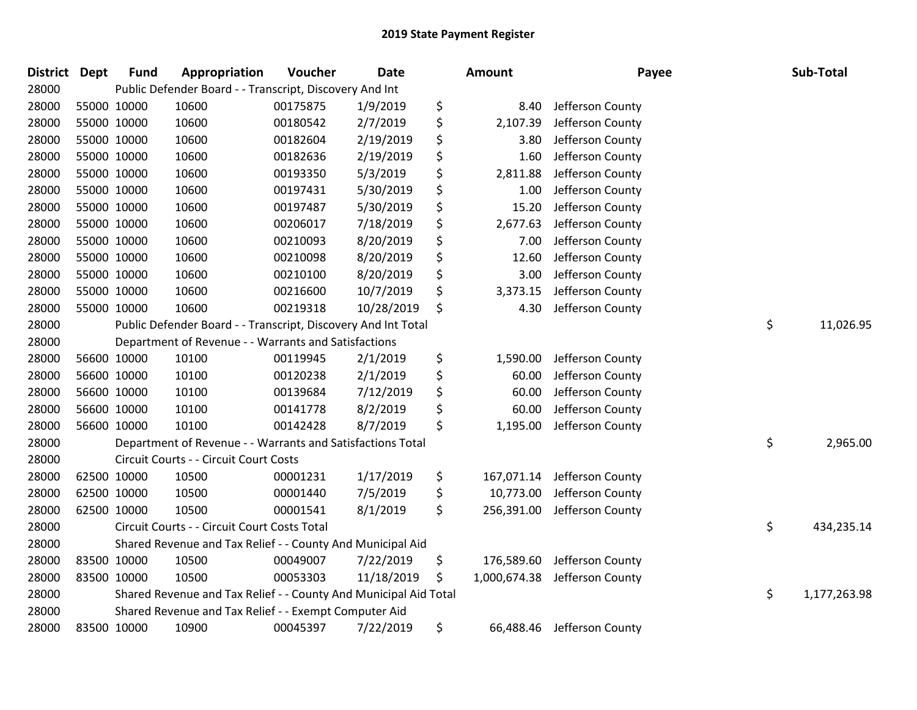| District Dept |             | <b>Fund</b> | Appropriation                                                    | Voucher  | <b>Date</b> | Amount             | Payee            | Sub-Total          |
|---------------|-------------|-------------|------------------------------------------------------------------|----------|-------------|--------------------|------------------|--------------------|
| 28000         |             |             | Public Defender Board - - Transcript, Discovery And Int          |          |             |                    |                  |                    |
| 28000         | 55000 10000 |             | 10600                                                            | 00175875 | 1/9/2019    | \$<br>8.40         | Jefferson County |                    |
| 28000         | 55000 10000 |             | 10600                                                            | 00180542 | 2/7/2019    | \$<br>2,107.39     | Jefferson County |                    |
| 28000         | 55000 10000 |             | 10600                                                            | 00182604 | 2/19/2019   | \$<br>3.80         | Jefferson County |                    |
| 28000         | 55000 10000 |             | 10600                                                            | 00182636 | 2/19/2019   | \$<br>1.60         | Jefferson County |                    |
| 28000         | 55000 10000 |             | 10600                                                            | 00193350 | 5/3/2019    | \$<br>2,811.88     | Jefferson County |                    |
| 28000         | 55000 10000 |             | 10600                                                            | 00197431 | 5/30/2019   | \$<br>1.00         | Jefferson County |                    |
| 28000         | 55000 10000 |             | 10600                                                            | 00197487 | 5/30/2019   | \$<br>15.20        | Jefferson County |                    |
| 28000         | 55000 10000 |             | 10600                                                            | 00206017 | 7/18/2019   | \$<br>2,677.63     | Jefferson County |                    |
| 28000         | 55000 10000 |             | 10600                                                            | 00210093 | 8/20/2019   | \$<br>7.00         | Jefferson County |                    |
| 28000         | 55000 10000 |             | 10600                                                            | 00210098 | 8/20/2019   | \$<br>12.60        | Jefferson County |                    |
| 28000         | 55000 10000 |             | 10600                                                            | 00210100 | 8/20/2019   | \$<br>3.00         | Jefferson County |                    |
| 28000         | 55000 10000 |             | 10600                                                            | 00216600 | 10/7/2019   | \$<br>3,373.15     | Jefferson County |                    |
| 28000         | 55000 10000 |             | 10600                                                            | 00219318 | 10/28/2019  | \$<br>4.30         | Jefferson County |                    |
| 28000         |             |             | Public Defender Board - - Transcript, Discovery And Int Total    |          |             |                    |                  | \$<br>11,026.95    |
| 28000         |             |             | Department of Revenue - - Warrants and Satisfactions             |          |             |                    |                  |                    |
| 28000         | 56600 10000 |             | 10100                                                            | 00119945 | 2/1/2019    | \$<br>1,590.00     | Jefferson County |                    |
| 28000         | 56600 10000 |             | 10100                                                            | 00120238 | 2/1/2019    | \$<br>60.00        | Jefferson County |                    |
| 28000         | 56600 10000 |             | 10100                                                            | 00139684 | 7/12/2019   | \$<br>60.00        | Jefferson County |                    |
| 28000         | 56600 10000 |             | 10100                                                            | 00141778 | 8/2/2019    | \$<br>60.00        | Jefferson County |                    |
| 28000         | 56600 10000 |             | 10100                                                            | 00142428 | 8/7/2019    | \$<br>1,195.00     | Jefferson County |                    |
| 28000         |             |             | Department of Revenue - - Warrants and Satisfactions Total       |          |             |                    |                  | \$<br>2,965.00     |
| 28000         |             |             | Circuit Courts - - Circuit Court Costs                           |          |             |                    |                  |                    |
| 28000         | 62500 10000 |             | 10500                                                            | 00001231 | 1/17/2019   | \$<br>167,071.14   | Jefferson County |                    |
| 28000         |             | 62500 10000 | 10500                                                            | 00001440 | 7/5/2019    | \$<br>10,773.00    | Jefferson County |                    |
| 28000         | 62500 10000 |             | 10500                                                            | 00001541 | 8/1/2019    | \$<br>256,391.00   | Jefferson County |                    |
| 28000         |             |             | Circuit Courts - - Circuit Court Costs Total                     |          |             |                    |                  | \$<br>434,235.14   |
| 28000         |             |             | Shared Revenue and Tax Relief - - County And Municipal Aid       |          |             |                    |                  |                    |
| 28000         | 83500 10000 |             | 10500                                                            | 00049007 | 7/22/2019   | \$<br>176,589.60   | Jefferson County |                    |
| 28000         | 83500 10000 |             | 10500                                                            | 00053303 | 11/18/2019  | \$<br>1,000,674.38 | Jefferson County |                    |
| 28000         |             |             | Shared Revenue and Tax Relief - - County And Municipal Aid Total |          |             |                    |                  | \$<br>1,177,263.98 |
| 28000         |             |             | Shared Revenue and Tax Relief - - Exempt Computer Aid            |          |             |                    |                  |                    |
| 28000         |             | 83500 10000 | 10900                                                            | 00045397 | 7/22/2019   | \$<br>66,488.46    | Jefferson County |                    |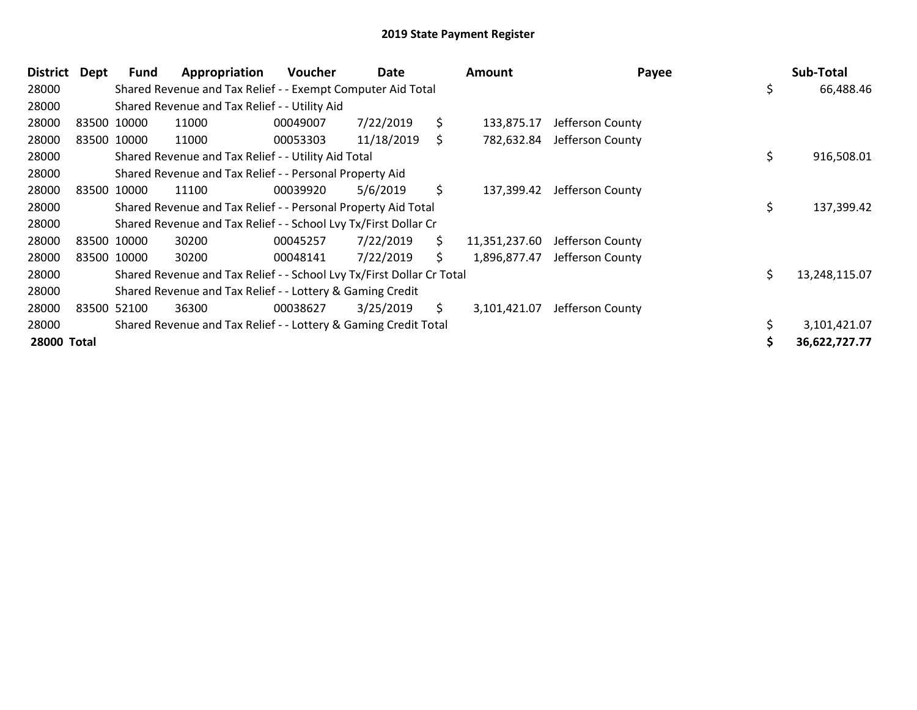| District    | Dept        | Fund        | Appropriation                                                         | <b>Voucher</b> | Date       |     | Amount        | Payee            |    | Sub-Total     |
|-------------|-------------|-------------|-----------------------------------------------------------------------|----------------|------------|-----|---------------|------------------|----|---------------|
| 28000       |             |             | Shared Revenue and Tax Relief - - Exempt Computer Aid Total           |                |            |     |               |                  | \$ | 66,488.46     |
| 28000       |             |             | Shared Revenue and Tax Relief - - Utility Aid                         |                |            |     |               |                  |    |               |
| 28000       | 83500 10000 |             | 11000                                                                 | 00049007       | 7/22/2019  | \$  | 133,875.17    | Jefferson County |    |               |
| 28000       | 83500 10000 |             | 11000                                                                 | 00053303       | 11/18/2019 | \$  | 782,632.84    | Jefferson County |    |               |
| 28000       |             |             | Shared Revenue and Tax Relief - - Utility Aid Total                   |                |            |     |               |                  | \$ | 916,508.01    |
| 28000       |             |             | Shared Revenue and Tax Relief - - Personal Property Aid               |                |            |     |               |                  |    |               |
| 28000       |             | 83500 10000 | 11100                                                                 | 00039920       | 5/6/2019   | \$  | 137,399.42    | Jefferson County |    |               |
| 28000       |             |             | Shared Revenue and Tax Relief - - Personal Property Aid Total         |                |            |     |               |                  | \$ | 137,399.42    |
| 28000       |             |             | Shared Revenue and Tax Relief - - School Lvy Tx/First Dollar Cr       |                |            |     |               |                  |    |               |
| 28000       | 83500 10000 |             | 30200                                                                 | 00045257       | 7/22/2019  | \$  | 11,351,237.60 | Jefferson County |    |               |
| 28000       | 83500 10000 |             | 30200                                                                 | 00048141       | 7/22/2019  | \$. | 1,896,877.47  | Jefferson County |    |               |
| 28000       |             |             | Shared Revenue and Tax Relief - - School Lvy Tx/First Dollar Cr Total |                |            |     |               |                  | Ś  | 13,248,115.07 |
| 28000       |             |             | Shared Revenue and Tax Relief - - Lottery & Gaming Credit             |                |            |     |               |                  |    |               |
| 28000       | 83500 52100 |             | 36300                                                                 | 00038627       | 3/25/2019  | S.  | 3,101,421.07  | Jefferson County |    |               |
| 28000       |             |             | Shared Revenue and Tax Relief - - Lottery & Gaming Credit Total       |                |            |     |               |                  |    | 3,101,421.07  |
| 28000 Total |             |             |                                                                       |                |            |     |               |                  |    | 36,622,727.77 |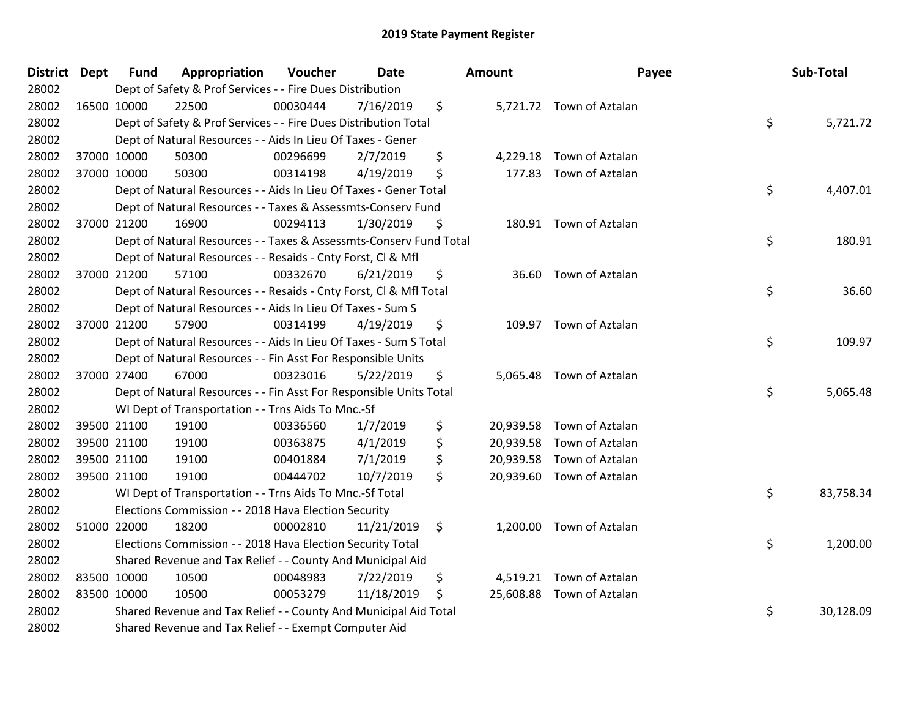| District Dept |             | <b>Fund</b> | Appropriation                                                      | Voucher  | <b>Date</b> | <b>Amount</b> | Payee                     | Sub-Total       |
|---------------|-------------|-------------|--------------------------------------------------------------------|----------|-------------|---------------|---------------------------|-----------------|
| 28002         |             |             | Dept of Safety & Prof Services - - Fire Dues Distribution          |          |             |               |                           |                 |
| 28002         |             | 16500 10000 | 22500                                                              | 00030444 | 7/16/2019   | \$            | 5,721.72 Town of Aztalan  |                 |
| 28002         |             |             | Dept of Safety & Prof Services - - Fire Dues Distribution Total    |          |             |               |                           | \$<br>5,721.72  |
| 28002         |             |             | Dept of Natural Resources - - Aids In Lieu Of Taxes - Gener        |          |             |               |                           |                 |
| 28002         |             | 37000 10000 | 50300                                                              | 00296699 | 2/7/2019    | \$            | 4,229.18 Town of Aztalan  |                 |
| 28002         |             | 37000 10000 | 50300                                                              | 00314198 | 4/19/2019   | \$            | 177.83 Town of Aztalan    |                 |
| 28002         |             |             | Dept of Natural Resources - - Aids In Lieu Of Taxes - Gener Total  |          |             |               |                           | \$<br>4,407.01  |
| 28002         |             |             | Dept of Natural Resources - - Taxes & Assessmts-Conserv Fund       |          |             |               |                           |                 |
| 28002         |             | 37000 21200 | 16900                                                              | 00294113 | 1/30/2019   | \$            | 180.91 Town of Aztalan    |                 |
| 28002         |             |             | Dept of Natural Resources - - Taxes & Assessmts-Conserv Fund Total |          |             |               |                           | \$<br>180.91    |
| 28002         |             |             | Dept of Natural Resources - - Resaids - Cnty Forst, Cl & Mfl       |          |             |               |                           |                 |
| 28002         |             | 37000 21200 | 57100                                                              | 00332670 | 6/21/2019   | \$            | 36.60 Town of Aztalan     |                 |
| 28002         |             |             | Dept of Natural Resources - - Resaids - Cnty Forst, Cl & Mfl Total |          |             |               |                           | \$<br>36.60     |
| 28002         |             |             | Dept of Natural Resources - - Aids In Lieu Of Taxes - Sum S        |          |             |               |                           |                 |
| 28002         |             | 37000 21200 | 57900                                                              | 00314199 | 4/19/2019   | \$            | 109.97 Town of Aztalan    |                 |
| 28002         |             |             | Dept of Natural Resources - - Aids In Lieu Of Taxes - Sum S Total  |          |             |               |                           | \$<br>109.97    |
| 28002         |             |             | Dept of Natural Resources - - Fin Asst For Responsible Units       |          |             |               |                           |                 |
| 28002         |             | 37000 27400 | 67000                                                              | 00323016 | 5/22/2019   | \$            | 5,065.48 Town of Aztalan  |                 |
| 28002         |             |             | Dept of Natural Resources - - Fin Asst For Responsible Units Total |          |             |               |                           | \$<br>5,065.48  |
| 28002         |             |             | WI Dept of Transportation - - Trns Aids To Mnc.-Sf                 |          |             |               |                           |                 |
| 28002         |             | 39500 21100 | 19100                                                              | 00336560 | 1/7/2019    | \$            | 20,939.58 Town of Aztalan |                 |
| 28002         |             | 39500 21100 | 19100                                                              | 00363875 | 4/1/2019    | \$            | 20,939.58 Town of Aztalan |                 |
| 28002         |             | 39500 21100 | 19100                                                              | 00401884 | 7/1/2019    | \$            | 20,939.58 Town of Aztalan |                 |
| 28002         |             | 39500 21100 | 19100                                                              | 00444702 | 10/7/2019   | \$            | 20,939.60 Town of Aztalan |                 |
| 28002         |             |             | WI Dept of Transportation - - Trns Aids To Mnc.-Sf Total           |          |             |               |                           | \$<br>83,758.34 |
| 28002         |             |             | Elections Commission - - 2018 Hava Election Security               |          |             |               |                           |                 |
| 28002         |             | 51000 22000 | 18200                                                              | 00002810 | 11/21/2019  | \$            | 1,200.00 Town of Aztalan  |                 |
| 28002         |             |             | Elections Commission - - 2018 Hava Election Security Total         |          |             |               |                           | \$<br>1,200.00  |
| 28002         |             |             | Shared Revenue and Tax Relief - - County And Municipal Aid         |          |             |               |                           |                 |
| 28002         | 83500 10000 |             | 10500                                                              | 00048983 | 7/22/2019   | \$            | 4,519.21 Town of Aztalan  |                 |
| 28002         | 83500 10000 |             | 10500                                                              | 00053279 | 11/18/2019  | \$            | 25,608.88 Town of Aztalan |                 |
| 28002         |             |             | Shared Revenue and Tax Relief - - County And Municipal Aid Total   |          |             |               |                           | \$<br>30,128.09 |
| 28002         |             |             | Shared Revenue and Tax Relief - - Exempt Computer Aid              |          |             |               |                           |                 |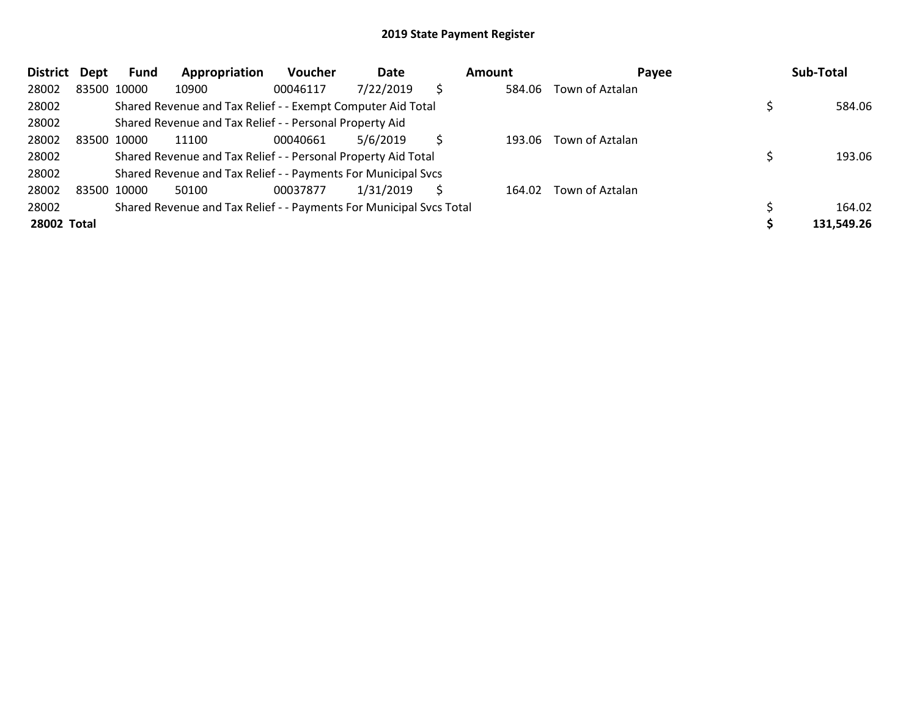| <b>District</b> | Dept | Fund        | Appropriation                                                       | <b>Voucher</b> | Date      |   | Amount | Payee           | Sub-Total  |
|-----------------|------|-------------|---------------------------------------------------------------------|----------------|-----------|---|--------|-----------------|------------|
| 28002           |      | 83500 10000 | 10900                                                               | 00046117       | 7/22/2019 | S | 584.06 | Town of Aztalan |            |
| 28002           |      |             | Shared Revenue and Tax Relief - - Exempt Computer Aid Total         |                |           |   |        |                 | 584.06     |
| 28002           |      |             | Shared Revenue and Tax Relief - - Personal Property Aid             |                |           |   |        |                 |            |
| 28002           |      | 83500 10000 | 11100                                                               | 00040661       | 5/6/2019  |   | 193.06 | Town of Aztalan |            |
| 28002           |      |             | Shared Revenue and Tax Relief - - Personal Property Aid Total       |                |           |   |        |                 | 193.06     |
| 28002           |      |             | Shared Revenue and Tax Relief - - Payments For Municipal Svcs       |                |           |   |        |                 |            |
| 28002           |      | 83500 10000 | 50100                                                               | 00037877       | 1/31/2019 | S | 164.02 | Town of Aztalan |            |
| 28002           |      |             | Shared Revenue and Tax Relief - - Payments For Municipal Svcs Total |                |           |   |        |                 | 164.02     |
| 28002 Total     |      |             |                                                                     |                |           |   |        |                 | 131,549.26 |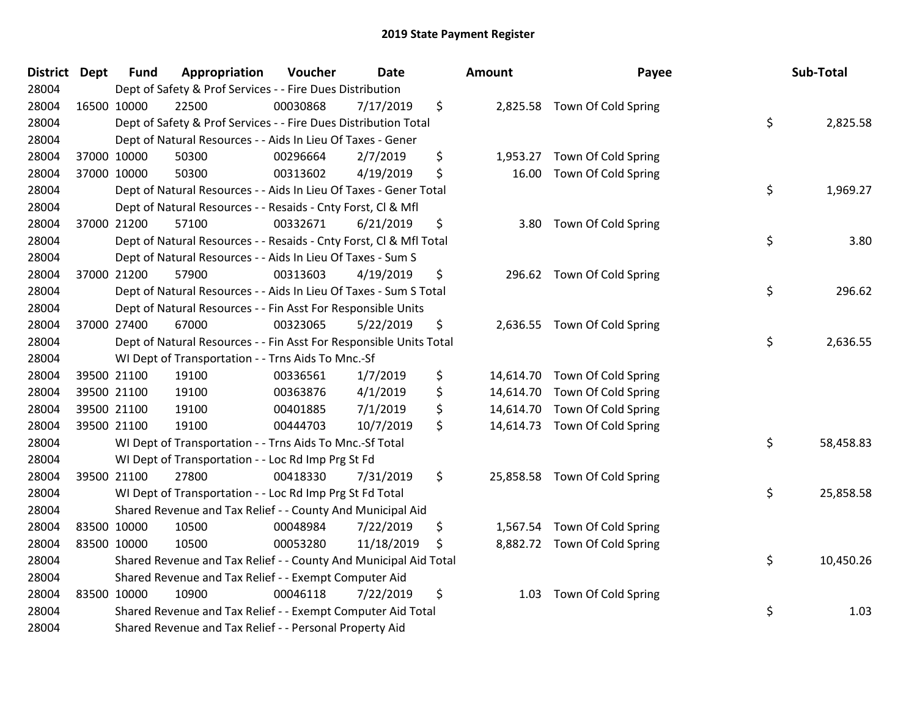| <b>District</b> | <b>Dept</b> | <b>Fund</b> | Appropriation                                                      | Voucher  | <b>Date</b> |     | Amount    | Payee                         | Sub-Total       |
|-----------------|-------------|-------------|--------------------------------------------------------------------|----------|-------------|-----|-----------|-------------------------------|-----------------|
| 28004           |             |             | Dept of Safety & Prof Services - - Fire Dues Distribution          |          |             |     |           |                               |                 |
| 28004           |             | 16500 10000 | 22500                                                              | 00030868 | 7/17/2019   | \$  |           | 2,825.58 Town Of Cold Spring  |                 |
| 28004           |             |             | Dept of Safety & Prof Services - - Fire Dues Distribution Total    |          |             |     |           |                               | \$<br>2,825.58  |
| 28004           |             |             | Dept of Natural Resources - - Aids In Lieu Of Taxes - Gener        |          |             |     |           |                               |                 |
| 28004           |             | 37000 10000 | 50300                                                              | 00296664 | 2/7/2019    | \$  | 1,953.27  | Town Of Cold Spring           |                 |
| 28004           |             | 37000 10000 | 50300                                                              | 00313602 | 4/19/2019   | \$  | 16.00     | Town Of Cold Spring           |                 |
| 28004           |             |             | Dept of Natural Resources - - Aids In Lieu Of Taxes - Gener Total  |          |             |     |           |                               | \$<br>1,969.27  |
| 28004           |             |             | Dept of Natural Resources - - Resaids - Cnty Forst, Cl & Mfl       |          |             |     |           |                               |                 |
| 28004           |             | 37000 21200 | 57100                                                              | 00332671 | 6/21/2019   | \$  | 3.80      | Town Of Cold Spring           |                 |
| 28004           |             |             | Dept of Natural Resources - - Resaids - Cnty Forst, CI & Mfl Total |          |             |     |           |                               | \$<br>3.80      |
| 28004           |             |             | Dept of Natural Resources - - Aids In Lieu Of Taxes - Sum S        |          |             |     |           |                               |                 |
| 28004           |             | 37000 21200 | 57900                                                              | 00313603 | 4/19/2019   | \$  |           | 296.62 Town Of Cold Spring    |                 |
| 28004           |             |             | Dept of Natural Resources - - Aids In Lieu Of Taxes - Sum S Total  |          |             |     |           |                               | \$<br>296.62    |
| 28004           |             |             | Dept of Natural Resources - - Fin Asst For Responsible Units       |          |             |     |           |                               |                 |
| 28004           |             | 37000 27400 | 67000                                                              | 00323065 | 5/22/2019   | \$  | 2,636.55  | Town Of Cold Spring           |                 |
| 28004           |             |             | Dept of Natural Resources - - Fin Asst For Responsible Units Total |          |             |     |           |                               | \$<br>2,636.55  |
| 28004           |             |             | WI Dept of Transportation - - Trns Aids To Mnc.-Sf                 |          |             |     |           |                               |                 |
| 28004           |             | 39500 21100 | 19100                                                              | 00336561 | 1/7/2019    | \$  |           | 14,614.70 Town Of Cold Spring |                 |
| 28004           |             | 39500 21100 | 19100                                                              | 00363876 | 4/1/2019    | \$  | 14,614.70 | Town Of Cold Spring           |                 |
| 28004           |             | 39500 21100 | 19100                                                              | 00401885 | 7/1/2019    | \$  | 14,614.70 | Town Of Cold Spring           |                 |
| 28004           |             | 39500 21100 | 19100                                                              | 00444703 | 10/7/2019   | \$  |           | 14,614.73 Town Of Cold Spring |                 |
| 28004           |             |             | WI Dept of Transportation - - Trns Aids To Mnc.-Sf Total           |          |             |     |           |                               | \$<br>58,458.83 |
| 28004           |             |             | WI Dept of Transportation - - Loc Rd Imp Prg St Fd                 |          |             |     |           |                               |                 |
| 28004           |             | 39500 21100 | 27800                                                              | 00418330 | 7/31/2019   | \$  |           | 25,858.58 Town Of Cold Spring |                 |
| 28004           |             |             | WI Dept of Transportation - - Loc Rd Imp Prg St Fd Total           |          |             |     |           |                               | \$<br>25,858.58 |
| 28004           |             |             | Shared Revenue and Tax Relief - - County And Municipal Aid         |          |             |     |           |                               |                 |
| 28004           |             | 83500 10000 | 10500                                                              | 00048984 | 7/22/2019   | \$  | 1,567.54  | Town Of Cold Spring           |                 |
| 28004           |             | 83500 10000 | 10500                                                              | 00053280 | 11/18/2019  | \$. |           | 8,882.72 Town Of Cold Spring  |                 |
| 28004           |             |             | Shared Revenue and Tax Relief - - County And Municipal Aid Total   |          |             |     |           |                               | \$<br>10,450.26 |
| 28004           |             |             | Shared Revenue and Tax Relief - - Exempt Computer Aid              |          |             |     |           |                               |                 |
| 28004           |             | 83500 10000 | 10900                                                              | 00046118 | 7/22/2019   | \$  | 1.03      | Town Of Cold Spring           |                 |
| 28004           |             |             | Shared Revenue and Tax Relief - - Exempt Computer Aid Total        |          |             |     |           |                               | \$<br>1.03      |
| 28004           |             |             | Shared Revenue and Tax Relief - - Personal Property Aid            |          |             |     |           |                               |                 |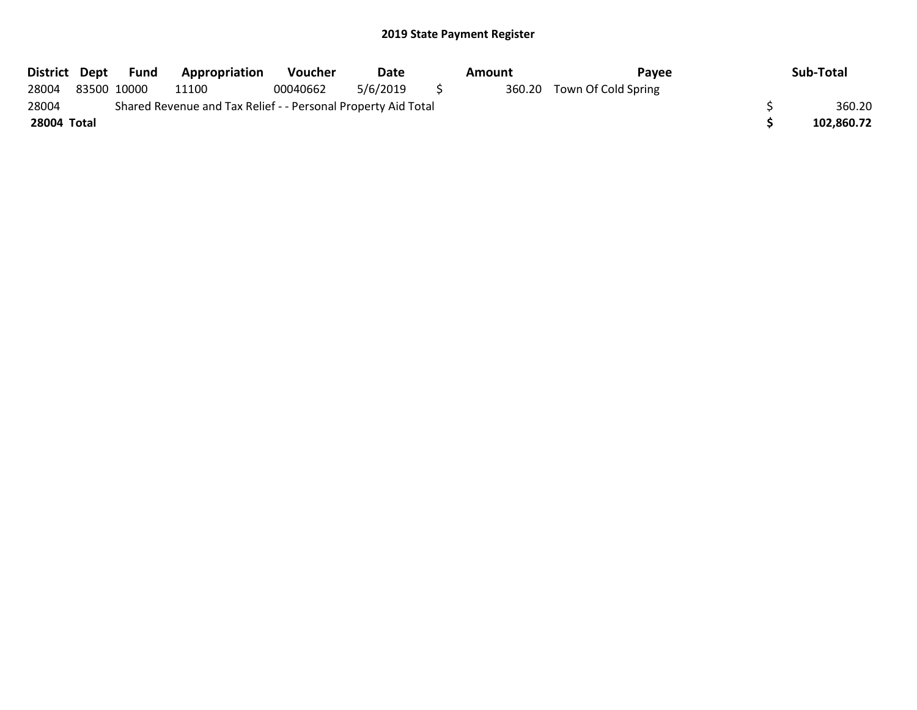| District Dept |                                                               | Fund        | <b>Appropriation</b> | <b>Voucher</b> | Date     |     | Amount | Pavee                      |  | Sub-Total  |
|---------------|---------------------------------------------------------------|-------------|----------------------|----------------|----------|-----|--------|----------------------------|--|------------|
| 28004         |                                                               | 83500 10000 | 11100                | 00040662       | 5/6/2019 | - 5 |        | 360.20 Town Of Cold Spring |  |            |
| 28004         | Shared Revenue and Tax Relief - - Personal Property Aid Total |             |                      |                |          |     |        |                            |  |            |
| 28004 Total   |                                                               |             |                      |                |          |     |        |                            |  | 102.860.72 |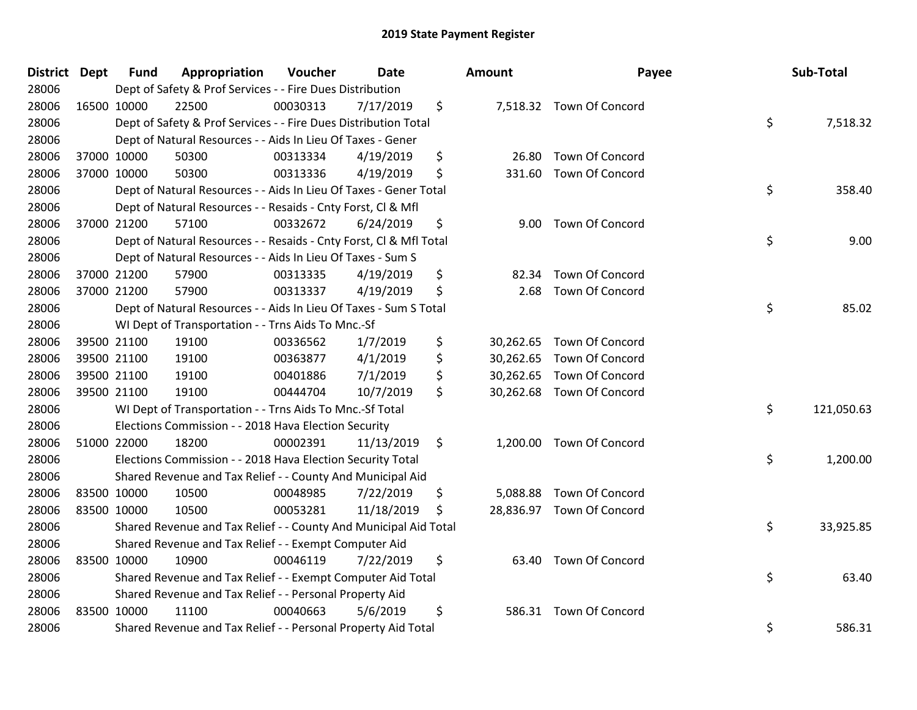| <b>District Dept</b> | Fund        | Appropriation                                                      | Voucher  | Date       | <b>Amount</b>   | Payee                     | Sub-Total        |
|----------------------|-------------|--------------------------------------------------------------------|----------|------------|-----------------|---------------------------|------------------|
| 28006                |             | Dept of Safety & Prof Services - - Fire Dues Distribution          |          |            |                 |                           |                  |
| 28006                | 16500 10000 | 22500                                                              | 00030313 | 7/17/2019  | \$              | 7,518.32 Town Of Concord  |                  |
| 28006                |             | Dept of Safety & Prof Services - - Fire Dues Distribution Total    |          |            |                 |                           | \$<br>7,518.32   |
| 28006                |             | Dept of Natural Resources - - Aids In Lieu Of Taxes - Gener        |          |            |                 |                           |                  |
| 28006                | 37000 10000 | 50300                                                              | 00313334 | 4/19/2019  | \$<br>26.80     | Town Of Concord           |                  |
| 28006                | 37000 10000 | 50300                                                              | 00313336 | 4/19/2019  | \$<br>331.60    | <b>Town Of Concord</b>    |                  |
| 28006                |             | Dept of Natural Resources - - Aids In Lieu Of Taxes - Gener Total  |          |            |                 |                           | \$<br>358.40     |
| 28006                |             | Dept of Natural Resources - - Resaids - Cnty Forst, Cl & Mfl       |          |            |                 |                           |                  |
| 28006                | 37000 21200 | 57100                                                              | 00332672 | 6/24/2019  | \$              | 9.00 Town Of Concord      |                  |
| 28006                |             | Dept of Natural Resources - - Resaids - Cnty Forst, Cl & Mfl Total |          |            |                 |                           | \$<br>9.00       |
| 28006                |             | Dept of Natural Resources - - Aids In Lieu Of Taxes - Sum S        |          |            |                 |                           |                  |
| 28006                | 37000 21200 | 57900                                                              | 00313335 | 4/19/2019  | \$<br>82.34     | Town Of Concord           |                  |
| 28006                | 37000 21200 | 57900                                                              | 00313337 | 4/19/2019  | \$<br>2.68      | Town Of Concord           |                  |
| 28006                |             | Dept of Natural Resources - - Aids In Lieu Of Taxes - Sum S Total  |          |            |                 |                           | \$<br>85.02      |
| 28006                |             | WI Dept of Transportation - - Trns Aids To Mnc.-Sf                 |          |            |                 |                           |                  |
| 28006                | 39500 21100 | 19100                                                              | 00336562 | 1/7/2019   | \$<br>30,262.65 | Town Of Concord           |                  |
| 28006                | 39500 21100 | 19100                                                              | 00363877 | 4/1/2019   | \$<br>30,262.65 | Town Of Concord           |                  |
| 28006                | 39500 21100 | 19100                                                              | 00401886 | 7/1/2019   | \$              | 30,262.65 Town Of Concord |                  |
| 28006                | 39500 21100 | 19100                                                              | 00444704 | 10/7/2019  | \$              | 30,262.68 Town Of Concord |                  |
| 28006                |             | WI Dept of Transportation - - Trns Aids To Mnc.-Sf Total           |          |            |                 |                           | \$<br>121,050.63 |
| 28006                |             | Elections Commission - - 2018 Hava Election Security               |          |            |                 |                           |                  |
| 28006                | 51000 22000 | 18200                                                              | 00002391 | 11/13/2019 | \$              | 1,200.00 Town Of Concord  |                  |
| 28006                |             | Elections Commission - - 2018 Hava Election Security Total         |          |            |                 |                           | \$<br>1,200.00   |
| 28006                |             | Shared Revenue and Tax Relief - - County And Municipal Aid         |          |            |                 |                           |                  |
| 28006                | 83500 10000 | 10500                                                              | 00048985 | 7/22/2019  | \$<br>5,088.88  | Town Of Concord           |                  |
| 28006                | 83500 10000 | 10500                                                              | 00053281 | 11/18/2019 | \$              | 28,836.97 Town Of Concord |                  |
| 28006                |             | Shared Revenue and Tax Relief - - County And Municipal Aid Total   |          |            |                 |                           | \$<br>33,925.85  |
| 28006                |             | Shared Revenue and Tax Relief - - Exempt Computer Aid              |          |            |                 |                           |                  |
| 28006                | 83500 10000 | 10900                                                              | 00046119 | 7/22/2019  | \$              | 63.40 Town Of Concord     |                  |
| 28006                |             | Shared Revenue and Tax Relief - - Exempt Computer Aid Total        |          |            |                 |                           | \$<br>63.40      |
| 28006                |             | Shared Revenue and Tax Relief - - Personal Property Aid            |          |            |                 |                           |                  |
| 28006                | 83500 10000 | 11100                                                              | 00040663 | 5/6/2019   | \$<br>586.31    | Town Of Concord           |                  |
| 28006                |             | Shared Revenue and Tax Relief - - Personal Property Aid Total      |          |            |                 |                           | \$<br>586.31     |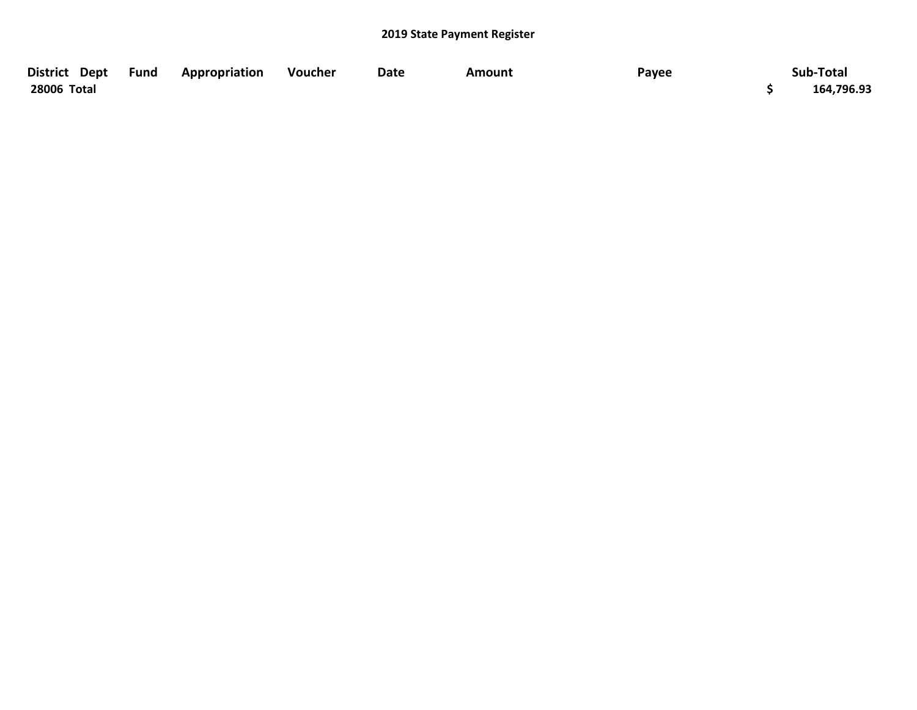| District Dept | Fund | Appropriation | Voucher | <b>Date</b> | Amount | Payee | Sub-Total  |
|---------------|------|---------------|---------|-------------|--------|-------|------------|
| 28006 Total   |      |               |         |             |        |       | 164,796.93 |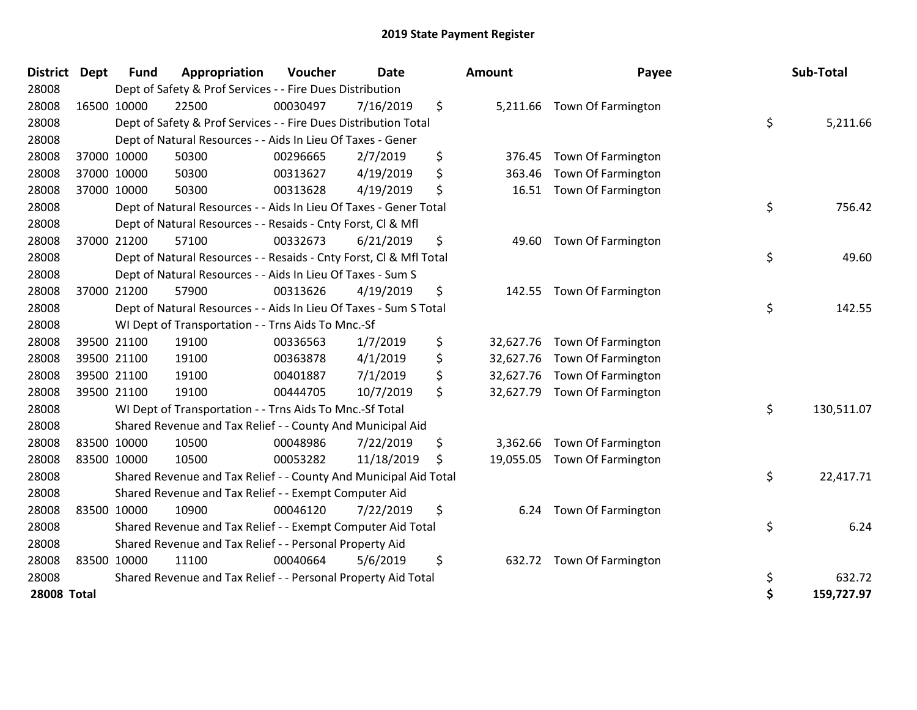| District Dept      | <b>Fund</b> | Appropriation                                                      | Voucher  | <b>Date</b> |    | Amount    | Payee                       | Sub-Total        |
|--------------------|-------------|--------------------------------------------------------------------|----------|-------------|----|-----------|-----------------------------|------------------|
| 28008              |             | Dept of Safety & Prof Services - - Fire Dues Distribution          |          |             |    |           |                             |                  |
| 28008              | 16500 10000 | 22500                                                              | 00030497 | 7/16/2019   | \$ |           | 5,211.66 Town Of Farmington |                  |
| 28008              |             | Dept of Safety & Prof Services - - Fire Dues Distribution Total    |          |             |    |           |                             | \$<br>5,211.66   |
| 28008              |             | Dept of Natural Resources - - Aids In Lieu Of Taxes - Gener        |          |             |    |           |                             |                  |
| 28008              | 37000 10000 | 50300                                                              | 00296665 | 2/7/2019    | \$ | 376.45    | Town Of Farmington          |                  |
| 28008              | 37000 10000 | 50300                                                              | 00313627 | 4/19/2019   | \$ | 363.46    | Town Of Farmington          |                  |
| 28008              | 37000 10000 | 50300                                                              | 00313628 | 4/19/2019   | \$ | 16.51     | Town Of Farmington          |                  |
| 28008              |             | Dept of Natural Resources - - Aids In Lieu Of Taxes - Gener Total  |          |             |    |           |                             | \$<br>756.42     |
| 28008              |             | Dept of Natural Resources - - Resaids - Cnty Forst, Cl & Mfl       |          |             |    |           |                             |                  |
| 28008              | 37000 21200 | 57100                                                              | 00332673 | 6/21/2019   | \$ | 49.60     | Town Of Farmington          |                  |
| 28008              |             | Dept of Natural Resources - - Resaids - Cnty Forst, CI & Mfl Total |          |             |    |           |                             | \$<br>49.60      |
| 28008              |             | Dept of Natural Resources - - Aids In Lieu Of Taxes - Sum S        |          |             |    |           |                             |                  |
| 28008              | 37000 21200 | 57900                                                              | 00313626 | 4/19/2019   | \$ | 142.55    | Town Of Farmington          |                  |
| 28008              |             | Dept of Natural Resources - - Aids In Lieu Of Taxes - Sum S Total  |          |             |    |           |                             | \$<br>142.55     |
| 28008              |             | WI Dept of Transportation - - Trns Aids To Mnc.-Sf                 |          |             |    |           |                             |                  |
| 28008              | 39500 21100 | 19100                                                              | 00336563 | 1/7/2019    | \$ | 32,627.76 | Town Of Farmington          |                  |
| 28008              | 39500 21100 | 19100                                                              | 00363878 | 4/1/2019    | \$ | 32,627.76 | Town Of Farmington          |                  |
| 28008              | 39500 21100 | 19100                                                              | 00401887 | 7/1/2019    | \$ | 32,627.76 | Town Of Farmington          |                  |
| 28008              | 39500 21100 | 19100                                                              | 00444705 | 10/7/2019   | \$ | 32,627.79 | Town Of Farmington          |                  |
| 28008              |             | WI Dept of Transportation - - Trns Aids To Mnc.-Sf Total           |          |             |    |           |                             | \$<br>130,511.07 |
| 28008              |             | Shared Revenue and Tax Relief - - County And Municipal Aid         |          |             |    |           |                             |                  |
| 28008              | 83500 10000 | 10500                                                              | 00048986 | 7/22/2019   | \$ | 3,362.66  | Town Of Farmington          |                  |
| 28008              | 83500 10000 | 10500                                                              | 00053282 | 11/18/2019  | Ŝ  | 19,055.05 | Town Of Farmington          |                  |
| 28008              |             | Shared Revenue and Tax Relief - - County And Municipal Aid Total   |          |             |    |           |                             | \$<br>22,417.71  |
| 28008              |             | Shared Revenue and Tax Relief - - Exempt Computer Aid              |          |             |    |           |                             |                  |
| 28008              | 83500 10000 | 10900                                                              | 00046120 | 7/22/2019   | \$ | 6.24      | Town Of Farmington          |                  |
| 28008              |             | Shared Revenue and Tax Relief - - Exempt Computer Aid Total        |          |             |    |           |                             | \$<br>6.24       |
| 28008              |             | Shared Revenue and Tax Relief - - Personal Property Aid            |          |             |    |           |                             |                  |
| 28008              | 83500 10000 | 11100                                                              | 00040664 | 5/6/2019    | \$ | 632.72    | Town Of Farmington          |                  |
| 28008              |             | Shared Revenue and Tax Relief - - Personal Property Aid Total      |          |             |    |           |                             | \$<br>632.72     |
| <b>28008 Total</b> |             |                                                                    |          |             |    |           |                             | \$<br>159,727.97 |

| District           | <b>Dept</b> | <b>Fund</b> | Appropriation                                                      | Voucher  | <b>Date</b> | <b>Amount</b>   | Payee                       | Sub-Total        |
|--------------------|-------------|-------------|--------------------------------------------------------------------|----------|-------------|-----------------|-----------------------------|------------------|
| 28008              |             |             | Dept of Safety & Prof Services - - Fire Dues Distribution          |          |             |                 |                             |                  |
| 28008              | 16500 10000 |             | 22500                                                              | 00030497 | 7/16/2019   | \$              | 5,211.66 Town Of Farmington |                  |
| 28008              |             |             | Dept of Safety & Prof Services - - Fire Dues Distribution Total    |          |             |                 |                             | \$<br>5,211.66   |
| 28008              |             |             | Dept of Natural Resources - - Aids In Lieu Of Taxes - Gener        |          |             |                 |                             |                  |
| 28008              | 37000 10000 |             | 50300                                                              | 00296665 | 2/7/2019    | \$<br>376.45    | Town Of Farmington          |                  |
| 28008              | 37000 10000 |             | 50300                                                              | 00313627 | 4/19/2019   | \$<br>363.46    | Town Of Farmington          |                  |
| 28008              | 37000 10000 |             | 50300                                                              | 00313628 | 4/19/2019   | \$<br>16.51     | Town Of Farmington          |                  |
| 28008              |             |             | Dept of Natural Resources - - Aids In Lieu Of Taxes - Gener Total  |          |             |                 |                             | \$<br>756.42     |
| 28008              |             |             | Dept of Natural Resources - - Resaids - Cnty Forst, Cl & Mfl       |          |             |                 |                             |                  |
| 28008              | 37000 21200 |             | 57100                                                              | 00332673 | 6/21/2019   | \$<br>49.60     | Town Of Farmington          |                  |
| 28008              |             |             | Dept of Natural Resources - - Resaids - Cnty Forst, Cl & Mfl Total |          |             |                 |                             | \$<br>49.60      |
| 28008              |             |             | Dept of Natural Resources - - Aids In Lieu Of Taxes - Sum S        |          |             |                 |                             |                  |
| 28008              | 37000 21200 |             | 57900                                                              | 00313626 | 4/19/2019   | \$<br>142.55    | Town Of Farmington          |                  |
| 28008              |             |             | Dept of Natural Resources - - Aids In Lieu Of Taxes - Sum S Total  |          |             |                 |                             | \$<br>142.55     |
| 28008              |             |             | WI Dept of Transportation - - Trns Aids To Mnc.-Sf                 |          |             |                 |                             |                  |
| 28008              | 39500 21100 |             | 19100                                                              | 00336563 | 1/7/2019    | \$<br>32,627.76 | Town Of Farmington          |                  |
| 28008              |             | 39500 21100 | 19100                                                              | 00363878 | 4/1/2019    | \$<br>32,627.76 | Town Of Farmington          |                  |
| 28008              |             | 39500 21100 | 19100                                                              | 00401887 | 7/1/2019    | \$<br>32,627.76 | Town Of Farmington          |                  |
| 28008              | 39500 21100 |             | 19100                                                              | 00444705 | 10/7/2019   | \$<br>32,627.79 | Town Of Farmington          |                  |
| 28008              |             |             | WI Dept of Transportation - - Trns Aids To Mnc.-Sf Total           |          |             |                 |                             | \$<br>130,511.07 |
| 28008              |             |             | Shared Revenue and Tax Relief - - County And Municipal Aid         |          |             |                 |                             |                  |
| 28008              | 83500 10000 |             | 10500                                                              | 00048986 | 7/22/2019   | \$<br>3,362.66  | Town Of Farmington          |                  |
| 28008              | 83500 10000 |             | 10500                                                              | 00053282 | 11/18/2019  | \$<br>19,055.05 | Town Of Farmington          |                  |
| 28008              |             |             | Shared Revenue and Tax Relief - - County And Municipal Aid Total   |          |             |                 |                             | \$<br>22,417.71  |
| 28008              |             |             | Shared Revenue and Tax Relief - - Exempt Computer Aid              |          |             |                 |                             |                  |
| 28008              | 83500 10000 |             | 10900                                                              | 00046120 | 7/22/2019   | \$<br>6.24      | Town Of Farmington          |                  |
| 28008              |             |             | Shared Revenue and Tax Relief - - Exempt Computer Aid Total        |          |             |                 |                             | \$<br>6.24       |
| 28008              |             |             | Shared Revenue and Tax Relief - - Personal Property Aid            |          |             |                 |                             |                  |
| 28008              | 83500 10000 |             | 11100                                                              | 00040664 | 5/6/2019    | \$              | 632.72 Town Of Farmington   |                  |
| 28008              |             |             | Shared Revenue and Tax Relief - - Personal Property Aid Total      |          |             |                 |                             | \$<br>632.72     |
| <b>28008 Total</b> |             |             |                                                                    |          |             |                 |                             | \$<br>159,727.97 |
|                    |             |             |                                                                    |          |             |                 |                             |                  |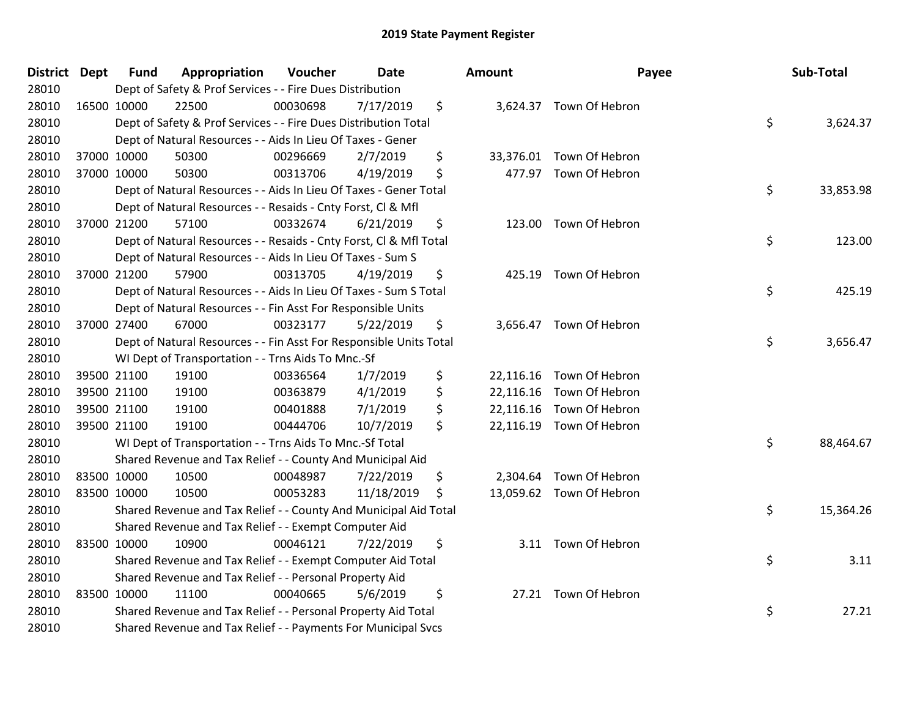| <b>District Dept</b> | <b>Fund</b> | Appropriation                                                      | Voucher  | Date       | Amount          | Payee                    | Sub-Total       |
|----------------------|-------------|--------------------------------------------------------------------|----------|------------|-----------------|--------------------------|-----------------|
| 28010                |             | Dept of Safety & Prof Services - - Fire Dues Distribution          |          |            |                 |                          |                 |
| 28010                | 16500 10000 | 22500                                                              | 00030698 | 7/17/2019  | \$              | 3,624.37 Town Of Hebron  |                 |
| 28010                |             | Dept of Safety & Prof Services - - Fire Dues Distribution Total    |          |            |                 |                          | \$<br>3,624.37  |
| 28010                |             | Dept of Natural Resources - - Aids In Lieu Of Taxes - Gener        |          |            |                 |                          |                 |
| 28010                | 37000 10000 | 50300                                                              | 00296669 | 2/7/2019   | \$<br>33,376.01 | Town Of Hebron           |                 |
| 28010                | 37000 10000 | 50300                                                              | 00313706 | 4/19/2019  | \$              | 477.97 Town Of Hebron    |                 |
| 28010                |             | Dept of Natural Resources - - Aids In Lieu Of Taxes - Gener Total  |          |            |                 |                          | \$<br>33,853.98 |
| 28010                |             | Dept of Natural Resources - - Resaids - Cnty Forst, Cl & Mfl       |          |            |                 |                          |                 |
| 28010                | 37000 21200 | 57100                                                              | 00332674 | 6/21/2019  | \$<br>123.00    | Town Of Hebron           |                 |
| 28010                |             | Dept of Natural Resources - - Resaids - Cnty Forst, Cl & Mfl Total |          |            |                 |                          | \$<br>123.00    |
| 28010                |             | Dept of Natural Resources - - Aids In Lieu Of Taxes - Sum S        |          |            |                 |                          |                 |
| 28010                | 37000 21200 | 57900                                                              | 00313705 | 4/19/2019  | \$<br>425.19    | Town Of Hebron           |                 |
| 28010                |             | Dept of Natural Resources - - Aids In Lieu Of Taxes - Sum S Total  |          |            |                 |                          | \$<br>425.19    |
| 28010                |             | Dept of Natural Resources - - Fin Asst For Responsible Units       |          |            |                 |                          |                 |
| 28010                | 37000 27400 | 67000                                                              | 00323177 | 5/22/2019  | \$<br>3,656.47  | Town Of Hebron           |                 |
| 28010                |             | Dept of Natural Resources - - Fin Asst For Responsible Units Total |          |            |                 |                          | \$<br>3,656.47  |
| 28010                |             | WI Dept of Transportation - - Trns Aids To Mnc.-Sf                 |          |            |                 |                          |                 |
| 28010                | 39500 21100 | 19100                                                              | 00336564 | 1/7/2019   | \$              | 22,116.16 Town Of Hebron |                 |
| 28010                | 39500 21100 | 19100                                                              | 00363879 | 4/1/2019   | \$              | 22,116.16 Town Of Hebron |                 |
| 28010                | 39500 21100 | 19100                                                              | 00401888 | 7/1/2019   | \$<br>22,116.16 | Town Of Hebron           |                 |
| 28010                | 39500 21100 | 19100                                                              | 00444706 | 10/7/2019  | \$              | 22,116.19 Town Of Hebron |                 |
| 28010                |             | WI Dept of Transportation - - Trns Aids To Mnc.-Sf Total           |          |            |                 |                          | \$<br>88,464.67 |
| 28010                |             | Shared Revenue and Tax Relief - - County And Municipal Aid         |          |            |                 |                          |                 |
| 28010                | 83500 10000 | 10500                                                              | 00048987 | 7/22/2019  | \$<br>2,304.64  | Town Of Hebron           |                 |
| 28010                | 83500 10000 | 10500                                                              | 00053283 | 11/18/2019 | \$              | 13,059.62 Town Of Hebron |                 |
| 28010                |             | Shared Revenue and Tax Relief - - County And Municipal Aid Total   |          |            |                 |                          | \$<br>15,364.26 |
| 28010                |             | Shared Revenue and Tax Relief - - Exempt Computer Aid              |          |            |                 |                          |                 |
| 28010                | 83500 10000 | 10900                                                              | 00046121 | 7/22/2019  | \$              | 3.11 Town Of Hebron      |                 |
| 28010                |             | Shared Revenue and Tax Relief - - Exempt Computer Aid Total        |          |            |                 |                          | \$<br>3.11      |
| 28010                |             | Shared Revenue and Tax Relief - - Personal Property Aid            |          |            |                 |                          |                 |
| 28010                | 83500 10000 | 11100                                                              | 00040665 | 5/6/2019   | \$              | 27.21 Town Of Hebron     |                 |
| 28010                |             | Shared Revenue and Tax Relief - - Personal Property Aid Total      |          |            |                 |                          | \$<br>27.21     |
| 28010                |             | Shared Revenue and Tax Relief - - Payments For Municipal Svcs      |          |            |                 |                          |                 |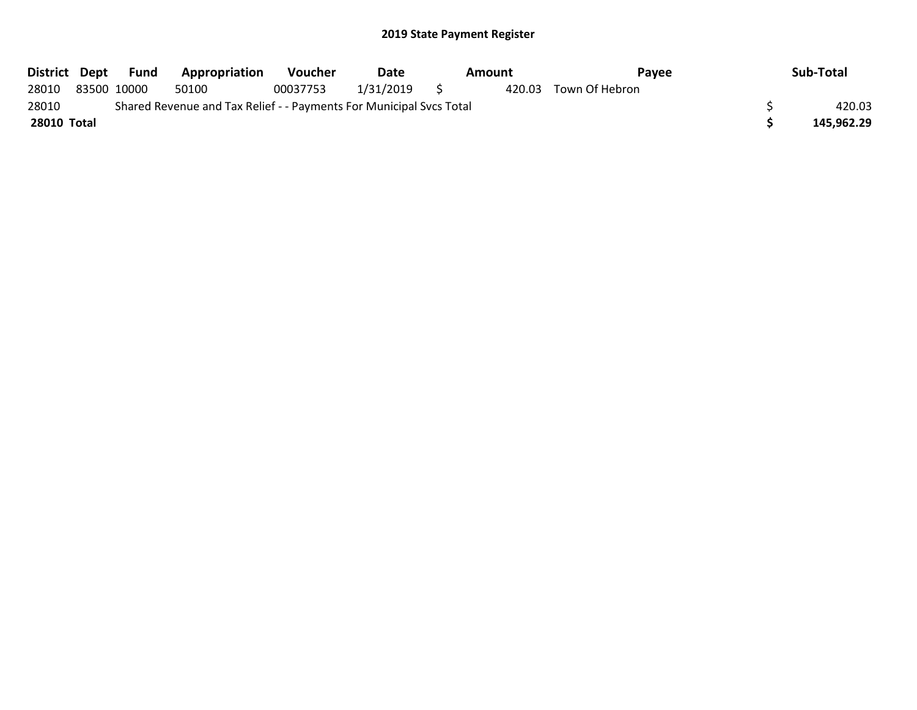| District Dept |                                                                     | Fund        | <b>Appropriation</b> | <b>Voucher</b> | Date           |  | Amount | Payee          |  | Sub-Total  |
|---------------|---------------------------------------------------------------------|-------------|----------------------|----------------|----------------|--|--------|----------------|--|------------|
| 28010         |                                                                     | 83500 10000 | 50100                | 00037753       | $1/31/2019$ \$ |  | 420.03 | Town Of Hebron |  |            |
| 28010         | Shared Revenue and Tax Relief - - Payments For Municipal Svcs Total |             |                      |                |                |  |        |                |  | 420.03     |
| 28010 Total   |                                                                     |             |                      |                |                |  |        |                |  | 145,962.29 |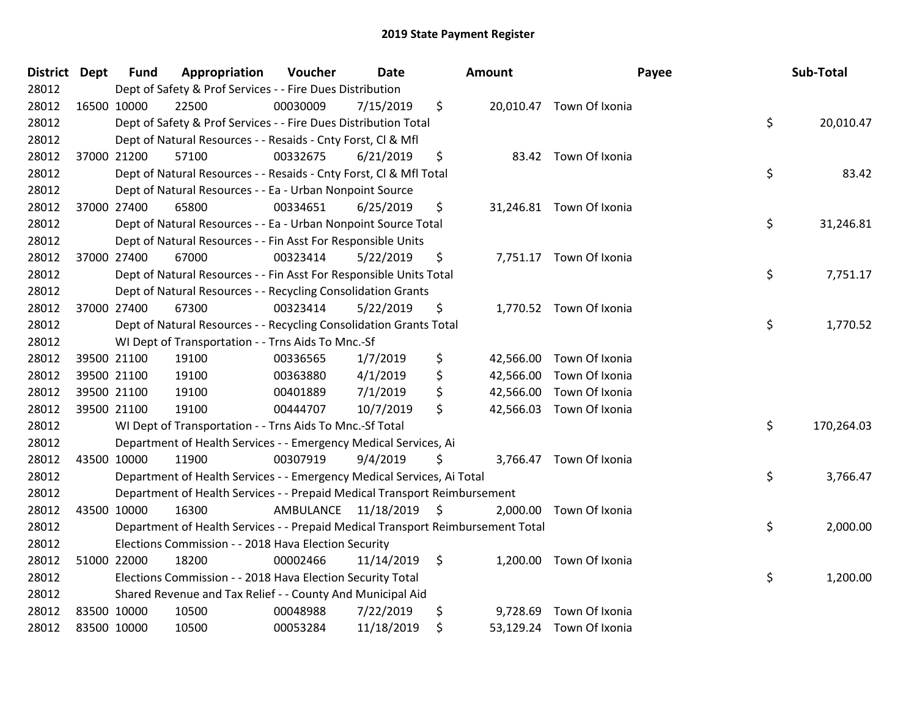| District Dept |             | <b>Fund</b> | Appropriation                                                                   | Voucher                 | <b>Date</b> | Amount          |                          | Payee | Sub-Total  |
|---------------|-------------|-------------|---------------------------------------------------------------------------------|-------------------------|-------------|-----------------|--------------------------|-------|------------|
| 28012         |             |             | Dept of Safety & Prof Services - - Fire Dues Distribution                       |                         |             |                 |                          |       |            |
| 28012         | 16500 10000 |             | 22500                                                                           | 00030009                | 7/15/2019   | \$              | 20,010.47 Town Of Ixonia |       |            |
| 28012         |             |             | Dept of Safety & Prof Services - - Fire Dues Distribution Total                 |                         |             |                 |                          | \$    | 20,010.47  |
| 28012         |             |             | Dept of Natural Resources - - Resaids - Cnty Forst, Cl & Mfl                    |                         |             |                 |                          |       |            |
| 28012         |             | 37000 21200 | 57100                                                                           | 00332675                | 6/21/2019   | \$              | 83.42 Town Of Ixonia     |       |            |
| 28012         |             |             | Dept of Natural Resources - - Resaids - Cnty Forst, Cl & Mfl Total              |                         |             |                 |                          | \$    | 83.42      |
| 28012         |             |             | Dept of Natural Resources - - Ea - Urban Nonpoint Source                        |                         |             |                 |                          |       |            |
| 28012         |             | 37000 27400 | 65800                                                                           | 00334651                | 6/25/2019   | \$              | 31,246.81 Town Of Ixonia |       |            |
| 28012         |             |             | Dept of Natural Resources - - Ea - Urban Nonpoint Source Total                  |                         |             |                 |                          | \$    | 31,246.81  |
| 28012         |             |             | Dept of Natural Resources - - Fin Asst For Responsible Units                    |                         |             |                 |                          |       |            |
| 28012         |             | 37000 27400 | 67000                                                                           | 00323414                | 5/22/2019   | \$              | 7,751.17 Town Of Ixonia  |       |            |
| 28012         |             |             | Dept of Natural Resources - - Fin Asst For Responsible Units Total              |                         |             |                 |                          | \$    | 7,751.17   |
| 28012         |             |             | Dept of Natural Resources - - Recycling Consolidation Grants                    |                         |             |                 |                          |       |            |
| 28012         |             | 37000 27400 | 67300                                                                           | 00323414                | 5/22/2019   | \$              | 1,770.52 Town Of Ixonia  |       |            |
| 28012         |             |             | Dept of Natural Resources - - Recycling Consolidation Grants Total              |                         |             |                 |                          | \$    | 1,770.52   |
| 28012         |             |             | WI Dept of Transportation - - Trns Aids To Mnc.-Sf                              |                         |             |                 |                          |       |            |
| 28012         |             | 39500 21100 | 19100                                                                           | 00336565                | 1/7/2019    | \$<br>42,566.00 | Town Of Ixonia           |       |            |
| 28012         |             | 39500 21100 | 19100                                                                           | 00363880                | 4/1/2019    | \$              | 42,566.00 Town Of Ixonia |       |            |
| 28012         |             | 39500 21100 | 19100                                                                           | 00401889                | 7/1/2019    | \$<br>42,566.00 | Town Of Ixonia           |       |            |
| 28012         |             | 39500 21100 | 19100                                                                           | 00444707                | 10/7/2019   | \$              | 42,566.03 Town Of Ixonia |       |            |
| 28012         |             |             | WI Dept of Transportation - - Trns Aids To Mnc.-Sf Total                        |                         |             |                 |                          | \$    | 170,264.03 |
| 28012         |             |             | Department of Health Services - - Emergency Medical Services, Ai                |                         |             |                 |                          |       |            |
| 28012         | 43500 10000 |             | 11900                                                                           | 00307919                | 9/4/2019    | \$              | 3,766.47 Town Of Ixonia  |       |            |
| 28012         |             |             | Department of Health Services - - Emergency Medical Services, Ai Total          |                         |             |                 |                          | \$    | 3,766.47   |
| 28012         |             |             | Department of Health Services - - Prepaid Medical Transport Reimbursement       |                         |             |                 |                          |       |            |
| 28012         | 43500 10000 |             | 16300                                                                           | AMBULANCE 11/18/2019 \$ |             |                 | 2,000.00 Town Of Ixonia  |       |            |
| 28012         |             |             | Department of Health Services - - Prepaid Medical Transport Reimbursement Total |                         |             |                 |                          | \$    | 2,000.00   |
| 28012         |             |             | Elections Commission - - 2018 Hava Election Security                            |                         |             |                 |                          |       |            |
| 28012         |             | 51000 22000 | 18200                                                                           | 00002466                | 11/14/2019  | \$              | 1,200.00 Town Of Ixonia  |       |            |
| 28012         |             |             | Elections Commission - - 2018 Hava Election Security Total                      |                         |             |                 |                          | \$    | 1,200.00   |
| 28012         |             |             | Shared Revenue and Tax Relief - - County And Municipal Aid                      |                         |             |                 |                          |       |            |
| 28012         | 83500 10000 |             | 10500                                                                           | 00048988                | 7/22/2019   | \$<br>9,728.69  | Town Of Ixonia           |       |            |
| 28012         | 83500 10000 |             | 10500                                                                           | 00053284                | 11/18/2019  | \$              | 53,129.24 Town Of Ixonia |       |            |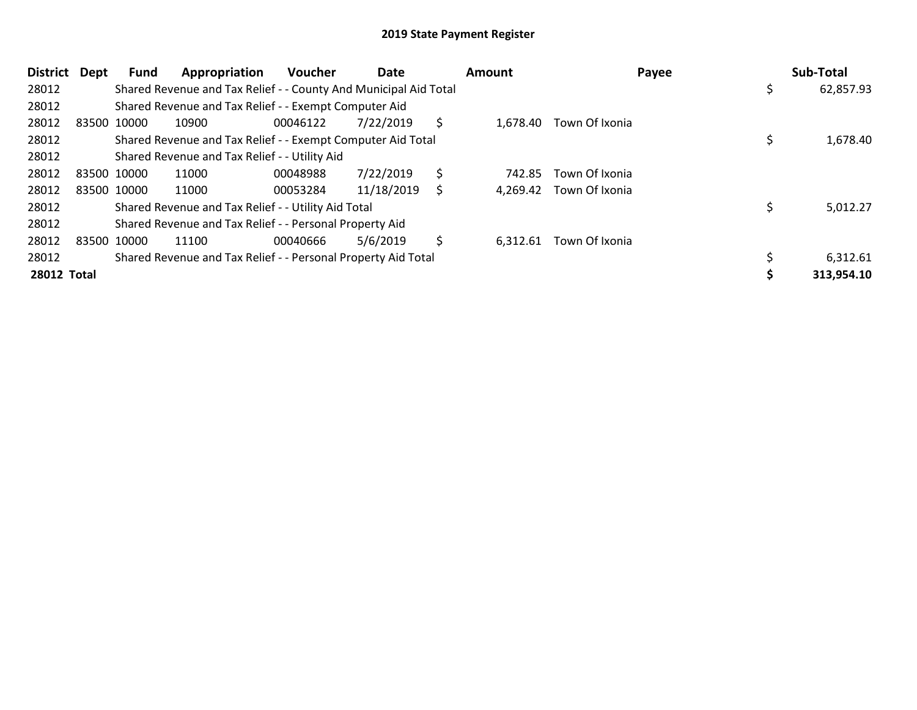| <b>District</b> | Dept        | Fund        | Appropriation                                                    | <b>Voucher</b> | Date       |     | <b>Amount</b> | Payee                   | Sub-Total  |
|-----------------|-------------|-------------|------------------------------------------------------------------|----------------|------------|-----|---------------|-------------------------|------------|
| 28012           |             |             | Shared Revenue and Tax Relief - - County And Municipal Aid Total |                |            |     |               |                         | 62,857.93  |
| 28012           |             |             | Shared Revenue and Tax Relief - - Exempt Computer Aid            |                |            |     |               |                         |            |
| 28012           | 83500 10000 |             | 10900                                                            | 00046122       | 7/22/2019  | \$. | 1.678.40      | Town Of Ixonia          |            |
| 28012           |             |             | Shared Revenue and Tax Relief - - Exempt Computer Aid Total      |                |            |     |               |                         | 1,678.40   |
| 28012           |             |             | Shared Revenue and Tax Relief - - Utility Aid                    |                |            |     |               |                         |            |
| 28012           | 83500 10000 |             | 11000                                                            | 00048988       | 7/22/2019  | \$  | 742.85        | Town Of Ixonia          |            |
| 28012           |             | 83500 10000 | 11000                                                            | 00053284       | 11/18/2019 | \$  |               | 4,269.42 Town Of Ixonia |            |
| 28012           |             |             | Shared Revenue and Tax Relief - - Utility Aid Total              |                |            |     |               |                         | 5,012.27   |
| 28012           |             |             | Shared Revenue and Tax Relief - - Personal Property Aid          |                |            |     |               |                         |            |
| 28012           | 83500 10000 |             | 11100                                                            | 00040666       | 5/6/2019   | \$  | 6,312.61      | Town Of Ixonia          |            |
| 28012           |             |             | Shared Revenue and Tax Relief - - Personal Property Aid Total    |                |            |     |               |                         | 6,312.61   |
| 28012 Total     |             |             |                                                                  |                |            |     |               |                         | 313,954.10 |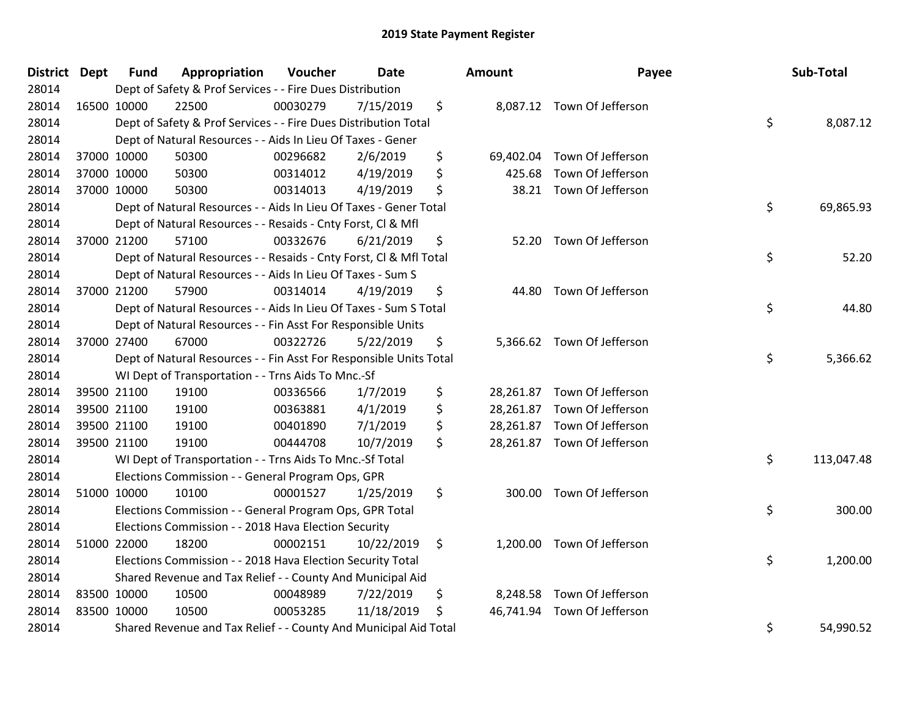| District Dept | <b>Fund</b> | Appropriation                                                      | Voucher  | <b>Date</b> | <b>Amount</b>   | Payee                       | Sub-Total        |
|---------------|-------------|--------------------------------------------------------------------|----------|-------------|-----------------|-----------------------------|------------------|
| 28014         |             | Dept of Safety & Prof Services - - Fire Dues Distribution          |          |             |                 |                             |                  |
| 28014         | 16500 10000 | 22500                                                              | 00030279 | 7/15/2019   | \$              | 8,087.12 Town Of Jefferson  |                  |
| 28014         |             | Dept of Safety & Prof Services - - Fire Dues Distribution Total    |          |             |                 |                             | \$<br>8,087.12   |
| 28014         |             | Dept of Natural Resources - - Aids In Lieu Of Taxes - Gener        |          |             |                 |                             |                  |
| 28014         | 37000 10000 | 50300                                                              | 00296682 | 2/6/2019    | \$<br>69,402.04 | Town Of Jefferson           |                  |
| 28014         | 37000 10000 | 50300                                                              | 00314012 | 4/19/2019   | \$<br>425.68    | Town Of Jefferson           |                  |
| 28014         | 37000 10000 | 50300                                                              | 00314013 | 4/19/2019   | \$<br>38.21     | Town Of Jefferson           |                  |
| 28014         |             | Dept of Natural Resources - - Aids In Lieu Of Taxes - Gener Total  |          |             |                 |                             | \$<br>69,865.93  |
| 28014         |             | Dept of Natural Resources - - Resaids - Cnty Forst, Cl & Mfl       |          |             |                 |                             |                  |
| 28014         | 37000 21200 | 57100                                                              | 00332676 | 6/21/2019   | \$<br>52.20     | Town Of Jefferson           |                  |
| 28014         |             | Dept of Natural Resources - - Resaids - Cnty Forst, CI & Mfl Total |          |             |                 |                             | \$<br>52.20      |
| 28014         |             | Dept of Natural Resources - - Aids In Lieu Of Taxes - Sum S        |          |             |                 |                             |                  |
| 28014         | 37000 21200 | 57900                                                              | 00314014 | 4/19/2019   | \$              | 44.80 Town Of Jefferson     |                  |
| 28014         |             | Dept of Natural Resources - - Aids In Lieu Of Taxes - Sum S Total  |          |             |                 |                             | \$<br>44.80      |
| 28014         |             | Dept of Natural Resources - - Fin Asst For Responsible Units       |          |             |                 |                             |                  |
| 28014         | 37000 27400 | 67000                                                              | 00322726 | 5/22/2019   | \$              | 5,366.62 Town Of Jefferson  |                  |
| 28014         |             | Dept of Natural Resources - - Fin Asst For Responsible Units Total |          |             |                 |                             | \$<br>5,366.62   |
| 28014         |             | WI Dept of Transportation - - Trns Aids To Mnc.-Sf                 |          |             |                 |                             |                  |
| 28014         | 39500 21100 | 19100                                                              | 00336566 | 1/7/2019    | \$<br>28,261.87 | Town Of Jefferson           |                  |
| 28014         | 39500 21100 | 19100                                                              | 00363881 | 4/1/2019    | \$<br>28,261.87 | Town Of Jefferson           |                  |
| 28014         | 39500 21100 | 19100                                                              | 00401890 | 7/1/2019    | \$<br>28,261.87 | Town Of Jefferson           |                  |
| 28014         | 39500 21100 | 19100                                                              | 00444708 | 10/7/2019   | \$              | 28,261.87 Town Of Jefferson |                  |
| 28014         |             | WI Dept of Transportation - - Trns Aids To Mnc .- Sf Total         |          |             |                 |                             | \$<br>113,047.48 |
| 28014         |             | Elections Commission - - General Program Ops, GPR                  |          |             |                 |                             |                  |
| 28014         | 51000 10000 | 10100                                                              | 00001527 | 1/25/2019   | \$<br>300.00    | Town Of Jefferson           |                  |
| 28014         |             | Elections Commission - - General Program Ops, GPR Total            |          |             |                 |                             | \$<br>300.00     |
| 28014         |             | Elections Commission - - 2018 Hava Election Security               |          |             |                 |                             |                  |
| 28014         | 51000 22000 | 18200                                                              | 00002151 | 10/22/2019  | \$              | 1,200.00 Town Of Jefferson  |                  |
| 28014         |             | Elections Commission - - 2018 Hava Election Security Total         |          |             |                 |                             | \$<br>1,200.00   |
| 28014         |             | Shared Revenue and Tax Relief - - County And Municipal Aid         |          |             |                 |                             |                  |
| 28014         | 83500 10000 | 10500                                                              | 00048989 | 7/22/2019   | \$<br>8,248.58  | Town Of Jefferson           |                  |
| 28014         | 83500 10000 | 10500                                                              | 00053285 | 11/18/2019  | \$<br>46,741.94 | Town Of Jefferson           |                  |
| 28014         |             | Shared Revenue and Tax Relief - - County And Municipal Aid Total   |          |             |                 |                             | \$<br>54,990.52  |

| nount     | Payee             | Sub-Total        |
|-----------|-------------------|------------------|
| 8,087.12  | Town Of Jefferson | \$<br>8,087.12   |
| 69,402.04 | Town Of Jefferson |                  |
| 425.68    | Town Of Jefferson |                  |
| 38.21     | Town Of Jefferson |                  |
|           |                   | \$<br>69,865.93  |
| 52.20     | Town Of Jefferson |                  |
|           |                   | \$<br>52.20      |
| 44.80     | Town Of Jefferson |                  |
|           |                   | \$<br>44.80      |
| 5,366.62  | Town Of Jefferson |                  |
|           |                   | \$<br>5,366.62   |
| 28,261.87 | Town Of Jefferson |                  |
| 28,261.87 | Town Of Jefferson |                  |
| 28,261.87 | Town Of Jefferson |                  |
| 28,261.87 | Town Of Jefferson |                  |
|           |                   | \$<br>113,047.48 |
| 300.00    | Town Of Jefferson |                  |
|           |                   | \$<br>300.00     |
| 1,200.00  | Town Of Jefferson |                  |
|           |                   | \$<br>1,200.00   |
| 8,248.58  | Town Of Jefferson |                  |
| 46,741.94 | Town Of Jefferson |                  |
|           |                   | \$<br>54,990.52  |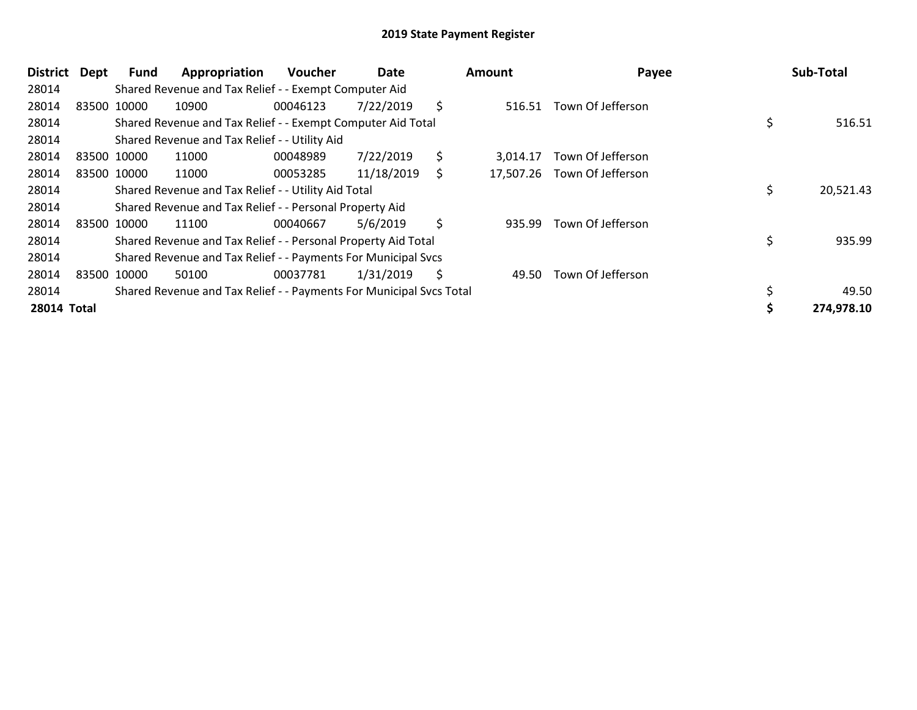| District           | Dept  | Fund        | Appropriation                                                       | <b>Voucher</b> | Date       |     | Amount    | Payee             | Sub-Total       |
|--------------------|-------|-------------|---------------------------------------------------------------------|----------------|------------|-----|-----------|-------------------|-----------------|
| 28014              |       |             | Shared Revenue and Tax Relief - - Exempt Computer Aid               |                |            |     |           |                   |                 |
| 28014              | 83500 | 10000       | 10900                                                               | 00046123       | 7/22/2019  | \$  | 516.51    | Town Of Jefferson |                 |
| 28014              |       |             | Shared Revenue and Tax Relief - - Exempt Computer Aid Total         |                |            |     |           |                   | \$<br>516.51    |
| 28014              |       |             | Shared Revenue and Tax Relief - - Utility Aid                       |                |            |     |           |                   |                 |
| 28014              |       | 83500 10000 | 11000                                                               | 00048989       | 7/22/2019  | \$  | 3.014.17  | Town Of Jefferson |                 |
| 28014              |       | 83500 10000 | 11000                                                               | 00053285       | 11/18/2019 | S   | 17,507.26 | Town Of Jefferson |                 |
| 28014              |       |             | Shared Revenue and Tax Relief - - Utility Aid Total                 |                |            |     |           |                   | \$<br>20,521.43 |
| 28014              |       |             | Shared Revenue and Tax Relief - - Personal Property Aid             |                |            |     |           |                   |                 |
| 28014              |       | 83500 10000 | 11100                                                               | 00040667       | 5/6/2019   | \$  | 935.99    | Town Of Jefferson |                 |
| 28014              |       |             | Shared Revenue and Tax Relief - - Personal Property Aid Total       |                |            |     |           |                   | \$<br>935.99    |
| 28014              |       |             | Shared Revenue and Tax Relief - - Payments For Municipal Svcs       |                |            |     |           |                   |                 |
| 28014              |       | 83500 10000 | 50100                                                               | 00037781       | 1/31/2019  | \$. | 49.50     | Town Of Jefferson |                 |
| 28014              |       |             | Shared Revenue and Tax Relief - - Payments For Municipal Svcs Total |                |            |     |           |                   | 49.50           |
| <b>28014 Total</b> |       |             |                                                                     |                |            |     |           |                   | 274,978.10      |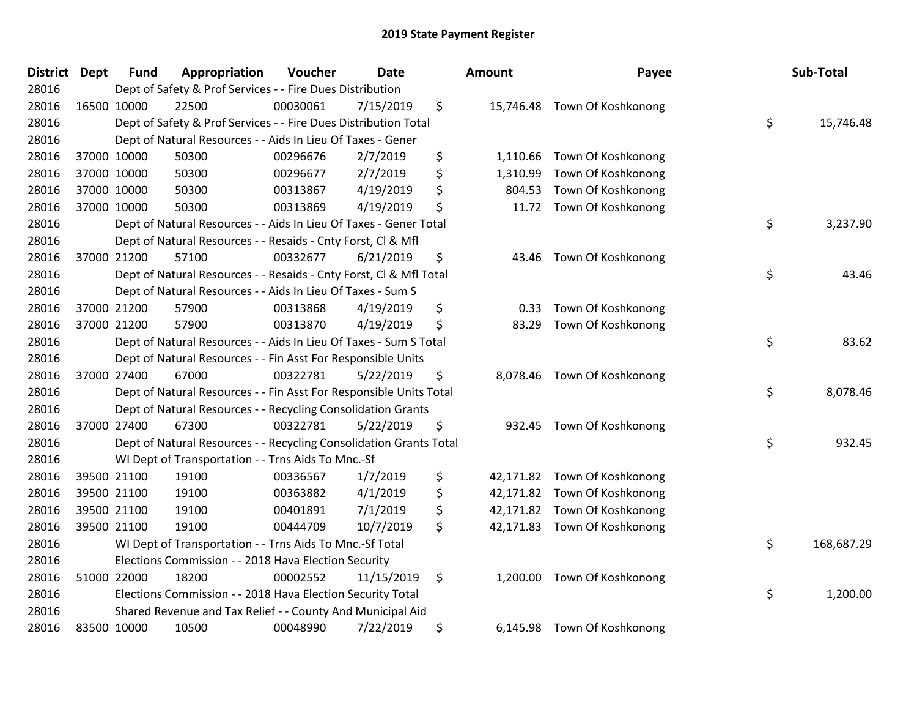| District Dept | <b>Fund</b> | Appropriation                                                      | Voucher  | <b>Date</b> | <b>Amount</b>  | Payee                        | Sub-Total        |
|---------------|-------------|--------------------------------------------------------------------|----------|-------------|----------------|------------------------------|------------------|
| 28016         |             | Dept of Safety & Prof Services - - Fire Dues Distribution          |          |             |                |                              |                  |
| 28016         | 16500 10000 | 22500                                                              | 00030061 | 7/15/2019   | \$             | 15,746.48 Town Of Koshkonong |                  |
| 28016         |             | Dept of Safety & Prof Services - - Fire Dues Distribution Total    |          |             |                |                              | \$<br>15,746.48  |
| 28016         |             | Dept of Natural Resources - - Aids In Lieu Of Taxes - Gener        |          |             |                |                              |                  |
| 28016         | 37000 10000 | 50300                                                              | 00296676 | 2/7/2019    | \$<br>1,110.66 | Town Of Koshkonong           |                  |
| 28016         | 37000 10000 | 50300                                                              | 00296677 | 2/7/2019    | \$<br>1,310.99 | Town Of Koshkonong           |                  |
| 28016         | 37000 10000 | 50300                                                              | 00313867 | 4/19/2019   | \$<br>804.53   | Town Of Koshkonong           |                  |
| 28016         | 37000 10000 | 50300                                                              | 00313869 | 4/19/2019   | \$             | 11.72 Town Of Koshkonong     |                  |
| 28016         |             | Dept of Natural Resources - - Aids In Lieu Of Taxes - Gener Total  |          |             |                |                              | \$<br>3,237.90   |
| 28016         |             | Dept of Natural Resources - - Resaids - Cnty Forst, Cl & Mfl       |          |             |                |                              |                  |
| 28016         | 37000 21200 | 57100                                                              | 00332677 | 6/21/2019   | \$<br>43.46    | Town Of Koshkonong           |                  |
| 28016         |             | Dept of Natural Resources - - Resaids - Cnty Forst, CI & Mfl Total |          |             |                |                              | \$<br>43.46      |
| 28016         |             | Dept of Natural Resources - - Aids In Lieu Of Taxes - Sum S        |          |             |                |                              |                  |
| 28016         | 37000 21200 | 57900                                                              | 00313868 | 4/19/2019   | \$<br>0.33     | Town Of Koshkonong           |                  |
| 28016         | 37000 21200 | 57900                                                              | 00313870 | 4/19/2019   | \$<br>83.29    | Town Of Koshkonong           |                  |
| 28016         |             | Dept of Natural Resources - - Aids In Lieu Of Taxes - Sum S Total  |          |             |                |                              | \$<br>83.62      |
| 28016         |             | Dept of Natural Resources - - Fin Asst For Responsible Units       |          |             |                |                              |                  |
| 28016         | 37000 27400 | 67000                                                              | 00322781 | 5/22/2019   | \$             | 8,078.46 Town Of Koshkonong  |                  |
| 28016         |             | Dept of Natural Resources - - Fin Asst For Responsible Units Total |          |             |                |                              | \$<br>8,078.46   |
| 28016         |             | Dept of Natural Resources - - Recycling Consolidation Grants       |          |             |                |                              |                  |
| 28016         | 37000 27400 | 67300                                                              | 00322781 | 5/22/2019   | \$<br>932.45   | Town Of Koshkonong           |                  |
| 28016         |             | Dept of Natural Resources - - Recycling Consolidation Grants Total |          |             |                |                              | \$<br>932.45     |
| 28016         |             | WI Dept of Transportation - - Trns Aids To Mnc.-Sf                 |          |             |                |                              |                  |
| 28016         | 39500 21100 | 19100                                                              | 00336567 | 1/7/2019    | \$             | 42,171.82 Town Of Koshkonong |                  |
| 28016         | 39500 21100 | 19100                                                              | 00363882 | 4/1/2019    | \$             | 42,171.82 Town Of Koshkonong |                  |
| 28016         | 39500 21100 | 19100                                                              | 00401891 | 7/1/2019    | \$             | 42,171.82 Town Of Koshkonong |                  |
| 28016         | 39500 21100 | 19100                                                              | 00444709 | 10/7/2019   | \$             | 42,171.83 Town Of Koshkonong |                  |
| 28016         |             | WI Dept of Transportation - - Trns Aids To Mnc.-Sf Total           |          |             |                |                              | \$<br>168,687.29 |
| 28016         |             | Elections Commission - - 2018 Hava Election Security               |          |             |                |                              |                  |
| 28016         | 51000 22000 | 18200                                                              | 00002552 | 11/15/2019  | \$             | 1,200.00 Town Of Koshkonong  |                  |
| 28016         |             | Elections Commission - - 2018 Hava Election Security Total         |          |             |                |                              | \$<br>1,200.00   |
| 28016         |             | Shared Revenue and Tax Relief - - County And Municipal Aid         |          |             |                |                              |                  |
| 28016         | 83500 10000 | 10500                                                              | 00048990 | 7/22/2019   | \$             | 6,145.98 Town Of Koshkonong  |                  |

| າount     | Payee              | Sub-Total        |
|-----------|--------------------|------------------|
| 15,746.48 | Town Of Koshkonong | \$<br>15,746.48  |
| 1,110.66  | Town Of Koshkonong |                  |
| 1,310.99  | Town Of Koshkonong |                  |
| 804.53    | Town Of Koshkonong |                  |
| 11.72     | Town Of Koshkonong |                  |
|           |                    | \$<br>3,237.90   |
| 43.46     | Town Of Koshkonong |                  |
|           |                    | \$<br>43.46      |
| 0.33      | Town Of Koshkonong |                  |
| 83.29     | Town Of Koshkonong |                  |
|           |                    | \$<br>83.62      |
| 8,078.46  | Town Of Koshkonong |                  |
|           |                    | \$<br>8,078.46   |
| 932.45    | Town Of Koshkonong |                  |
|           |                    | \$<br>932.45     |
| 42,171.82 | Town Of Koshkonong |                  |
| 42,171.82 | Town Of Koshkonong |                  |
| 42,171.82 | Town Of Koshkonong |                  |
| 42,171.83 | Town Of Koshkonong | \$<br>168,687.29 |
|           |                    |                  |
| 1,200.00  | Town Of Koshkonong | \$<br>1,200.00   |
|           |                    |                  |
| 6,145.98  | Town Of Koshkonong |                  |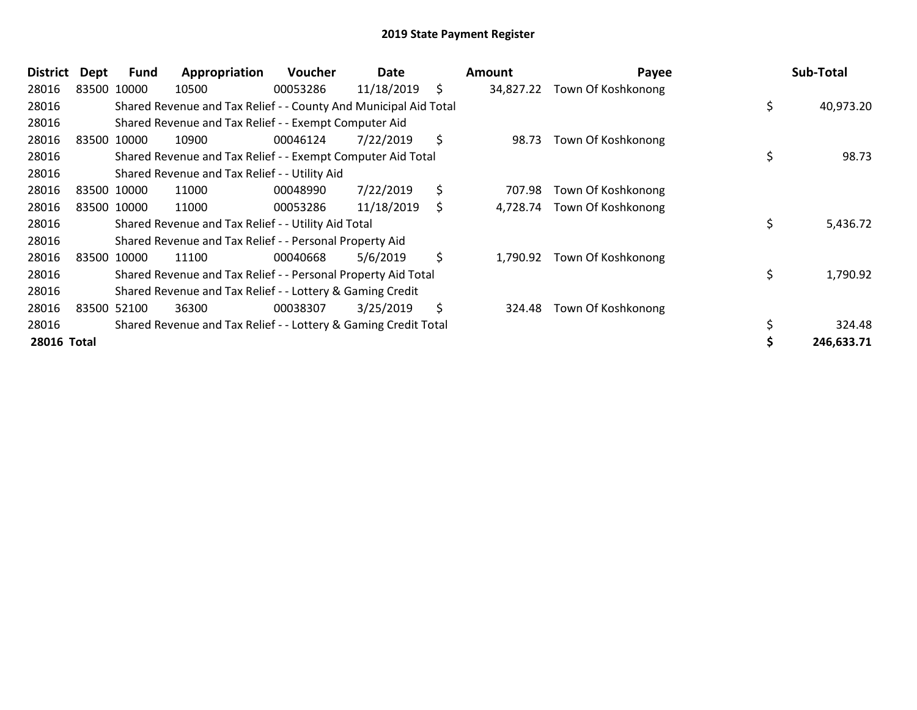| <b>District</b> | Dept | <b>Fund</b> | Appropriation                                                    | <b>Voucher</b> | Date       | Amount          | Payee              | Sub-Total       |
|-----------------|------|-------------|------------------------------------------------------------------|----------------|------------|-----------------|--------------------|-----------------|
| 28016           |      | 83500 10000 | 10500                                                            | 00053286       | 11/18/2019 | \$<br>34,827.22 | Town Of Koshkonong |                 |
| 28016           |      |             | Shared Revenue and Tax Relief - - County And Municipal Aid Total |                |            |                 |                    | \$<br>40,973.20 |
| 28016           |      |             | Shared Revenue and Tax Relief - - Exempt Computer Aid            |                |            |                 |                    |                 |
| 28016           |      | 83500 10000 | 10900                                                            | 00046124       | 7/22/2019  | \$<br>98.73     | Town Of Koshkonong |                 |
| 28016           |      |             | Shared Revenue and Tax Relief - - Exempt Computer Aid Total      |                |            |                 |                    | \$<br>98.73     |
| 28016           |      |             | Shared Revenue and Tax Relief - - Utility Aid                    |                |            |                 |                    |                 |
| 28016           |      | 83500 10000 | 11000                                                            | 00048990       | 7/22/2019  | \$<br>707.98    | Town Of Koshkonong |                 |
| 28016           |      | 83500 10000 | 11000                                                            | 00053286       | 11/18/2019 | \$<br>4,728.74  | Town Of Koshkonong |                 |
| 28016           |      |             | Shared Revenue and Tax Relief - - Utility Aid Total              |                |            |                 |                    | \$<br>5,436.72  |
| 28016           |      |             | Shared Revenue and Tax Relief - - Personal Property Aid          |                |            |                 |                    |                 |
| 28016           |      | 83500 10000 | 11100                                                            | 00040668       | 5/6/2019   | \$<br>1,790.92  | Town Of Koshkonong |                 |
| 28016           |      |             | Shared Revenue and Tax Relief - - Personal Property Aid Total    |                |            |                 |                    | \$<br>1,790.92  |
| 28016           |      |             | Shared Revenue and Tax Relief - - Lottery & Gaming Credit        |                |            |                 |                    |                 |
| 28016           |      | 83500 52100 | 36300                                                            | 00038307       | 3/25/2019  | \$<br>324.48    | Town Of Koshkonong |                 |
| 28016           |      |             | Shared Revenue and Tax Relief - - Lottery & Gaming Credit Total  |                |            |                 |                    | \$<br>324.48    |
| 28016 Total     |      |             |                                                                  |                |            |                 |                    | 246,633.71      |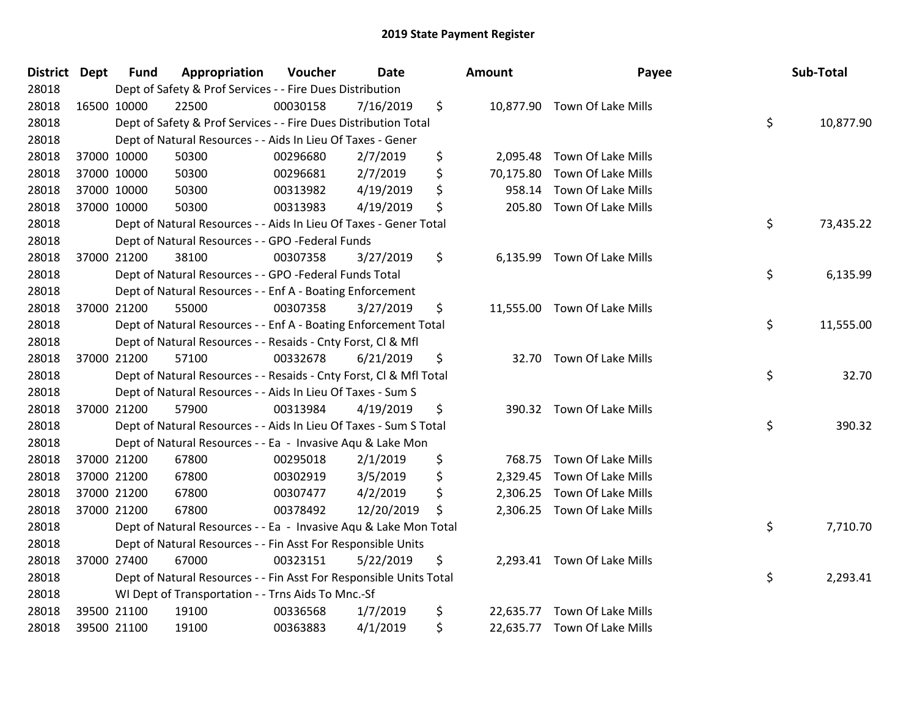| <b>District Dept</b> | <b>Fund</b> | Appropriation                                                      | Voucher  | <b>Date</b> | Amount          | Payee                        | Sub-Total       |
|----------------------|-------------|--------------------------------------------------------------------|----------|-------------|-----------------|------------------------------|-----------------|
| 28018                |             | Dept of Safety & Prof Services - - Fire Dues Distribution          |          |             |                 |                              |                 |
| 28018                | 16500 10000 | 22500                                                              | 00030158 | 7/16/2019   | \$              | 10,877.90 Town Of Lake Mills |                 |
| 28018                |             | Dept of Safety & Prof Services - - Fire Dues Distribution Total    |          |             |                 |                              | \$<br>10,877.90 |
| 28018                |             | Dept of Natural Resources - - Aids In Lieu Of Taxes - Gener        |          |             |                 |                              |                 |
| 28018                | 37000 10000 | 50300                                                              | 00296680 | 2/7/2019    | \$<br>2,095.48  | Town Of Lake Mills           |                 |
| 28018                | 37000 10000 | 50300                                                              | 00296681 | 2/7/2019    | \$<br>70,175.80 | Town Of Lake Mills           |                 |
| 28018                | 37000 10000 | 50300                                                              | 00313982 | 4/19/2019   | \$<br>958.14    | Town Of Lake Mills           |                 |
| 28018                | 37000 10000 | 50300                                                              | 00313983 | 4/19/2019   | \$<br>205.80    | Town Of Lake Mills           |                 |
| 28018                |             | Dept of Natural Resources - - Aids In Lieu Of Taxes - Gener Total  |          |             |                 |                              | \$<br>73,435.22 |
| 28018                |             | Dept of Natural Resources - - GPO -Federal Funds                   |          |             |                 |                              |                 |
| 28018                | 37000 21200 | 38100                                                              | 00307358 | 3/27/2019   | \$<br>6,135.99  | Town Of Lake Mills           |                 |
| 28018                |             | Dept of Natural Resources - - GPO -Federal Funds Total             |          |             |                 |                              | \$<br>6,135.99  |
| 28018                |             | Dept of Natural Resources - - Enf A - Boating Enforcement          |          |             |                 |                              |                 |
| 28018                | 37000 21200 | 55000                                                              | 00307358 | 3/27/2019   | \$              | 11,555.00 Town Of Lake Mills |                 |
| 28018                |             | Dept of Natural Resources - - Enf A - Boating Enforcement Total    |          |             |                 |                              | \$<br>11,555.00 |
| 28018                |             | Dept of Natural Resources - - Resaids - Cnty Forst, Cl & Mfl       |          |             |                 |                              |                 |
| 28018                | 37000 21200 | 57100                                                              | 00332678 | 6/21/2019   | \$<br>32.70     | Town Of Lake Mills           |                 |
| 28018                |             | Dept of Natural Resources - - Resaids - Cnty Forst, CI & Mfl Total |          |             |                 |                              | \$<br>32.70     |
| 28018                |             | Dept of Natural Resources - - Aids In Lieu Of Taxes - Sum S        |          |             |                 |                              |                 |
| 28018                | 37000 21200 | 57900                                                              | 00313984 | 4/19/2019   | \$              | 390.32 Town Of Lake Mills    |                 |
| 28018                |             | Dept of Natural Resources - - Aids In Lieu Of Taxes - Sum S Total  |          |             |                 |                              | \$<br>390.32    |
| 28018                |             | Dept of Natural Resources - - Ea - Invasive Aqu & Lake Mon         |          |             |                 |                              |                 |
| 28018                | 37000 21200 | 67800                                                              | 00295018 | 2/1/2019    | \$<br>768.75    | Town Of Lake Mills           |                 |
| 28018                | 37000 21200 | 67800                                                              | 00302919 | 3/5/2019    | \$              | 2,329.45 Town Of Lake Mills  |                 |
| 28018                | 37000 21200 | 67800                                                              | 00307477 | 4/2/2019    | \$              | 2,306.25 Town Of Lake Mills  |                 |
| 28018                | 37000 21200 | 67800                                                              | 00378492 | 12/20/2019  | \$              | 2,306.25 Town Of Lake Mills  |                 |
| 28018                |             | Dept of Natural Resources - - Ea - Invasive Aqu & Lake Mon Total   |          |             |                 |                              | \$<br>7,710.70  |
| 28018                |             | Dept of Natural Resources - - Fin Asst For Responsible Units       |          |             |                 |                              |                 |
| 28018                | 37000 27400 | 67000                                                              | 00323151 | 5/22/2019   | \$              | 2,293.41 Town Of Lake Mills  |                 |
| 28018                |             | Dept of Natural Resources - - Fin Asst For Responsible Units Total |          |             |                 |                              | \$<br>2,293.41  |
| 28018                |             | WI Dept of Transportation - - Trns Aids To Mnc.-Sf                 |          |             |                 |                              |                 |
| 28018                | 39500 21100 | 19100                                                              | 00336568 | 1/7/2019    | \$<br>22,635.77 | Town Of Lake Mills           |                 |
| 28018                | 39500 21100 | 19100                                                              | 00363883 | 4/1/2019    | \$              | 22,635.77 Town Of Lake Mills |                 |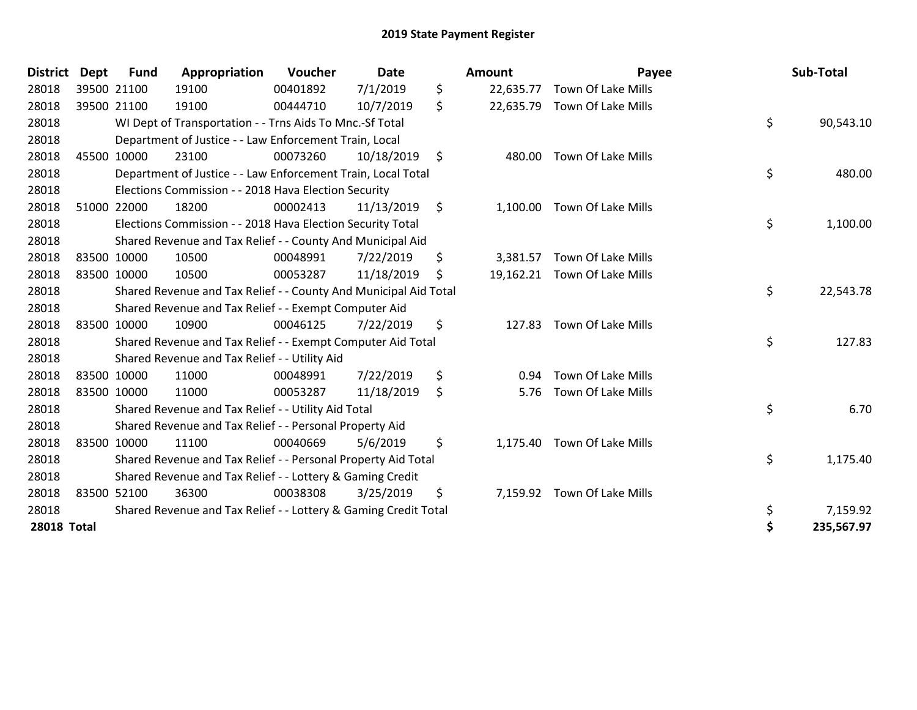| <b>District</b>    | <b>Dept</b> | <b>Fund</b>                                                      | Appropriation                                                   | Voucher  | <b>Date</b> |    | <b>Amount</b> | Payee                        |            | Sub-Total |
|--------------------|-------------|------------------------------------------------------------------|-----------------------------------------------------------------|----------|-------------|----|---------------|------------------------------|------------|-----------|
| 28018              |             | 39500 21100                                                      | 19100                                                           | 00401892 | 7/1/2019    | \$ | 22,635.77     | Town Of Lake Mills           |            |           |
| 28018              |             | 39500 21100                                                      | 19100                                                           | 00444710 | 10/7/2019   | \$ | 22,635.79     | Town Of Lake Mills           |            |           |
| 28018              |             | WI Dept of Transportation - - Trns Aids To Mnc.-Sf Total         |                                                                 |          |             |    |               |                              | \$         | 90,543.10 |
| 28018              |             | Department of Justice - - Law Enforcement Train, Local           |                                                                 |          |             |    |               |                              |            |           |
| 28018              |             | 45500 10000                                                      | 23100                                                           | 00073260 | 10/18/2019  | \$ | 480.00        | Town Of Lake Mills           |            |           |
| 28018              |             |                                                                  | Department of Justice - - Law Enforcement Train, Local Total    |          |             |    |               |                              | \$         | 480.00    |
| 28018              |             |                                                                  | Elections Commission - - 2018 Hava Election Security            |          |             |    |               |                              |            |           |
| 28018              |             | 51000 22000                                                      | 18200                                                           | 00002413 | 11/13/2019  | \$ | 1,100.00      | Town Of Lake Mills           |            |           |
| 28018              |             |                                                                  | Elections Commission - - 2018 Hava Election Security Total      |          |             |    |               |                              | \$         | 1,100.00  |
| 28018              |             |                                                                  | Shared Revenue and Tax Relief - - County And Municipal Aid      |          |             |    |               |                              |            |           |
| 28018              |             | 83500 10000                                                      | 10500                                                           | 00048991 | 7/22/2019   | \$ | 3,381.57      | Town Of Lake Mills           |            |           |
| 28018              |             | 83500 10000                                                      | 10500                                                           | 00053287 | 11/18/2019  | Ŝ. |               | 19,162.21 Town Of Lake Mills |            |           |
| 28018              |             | Shared Revenue and Tax Relief - - County And Municipal Aid Total |                                                                 |          |             |    |               |                              |            | 22,543.78 |
| 28018              |             | Shared Revenue and Tax Relief - - Exempt Computer Aid            |                                                                 |          |             |    |               |                              |            |           |
| 28018              |             | 83500 10000                                                      | 10900                                                           | 00046125 | 7/22/2019   | \$ | 127.83        | Town Of Lake Mills           |            |           |
| 28018              |             | Shared Revenue and Tax Relief - - Exempt Computer Aid Total      |                                                                 |          |             |    |               |                              |            | 127.83    |
| 28018              |             |                                                                  | Shared Revenue and Tax Relief - - Utility Aid                   |          |             |    |               |                              |            |           |
| 28018              |             | 83500 10000                                                      | 11000                                                           | 00048991 | 7/22/2019   | \$ | 0.94          | Town Of Lake Mills           |            |           |
| 28018              |             | 83500 10000                                                      | 11000                                                           | 00053287 | 11/18/2019  | \$ | 5.76          | Town Of Lake Mills           |            |           |
| 28018              |             | Shared Revenue and Tax Relief - - Utility Aid Total              |                                                                 |          |             |    |               |                              | \$         | 6.70      |
| 28018              |             | Shared Revenue and Tax Relief - - Personal Property Aid          |                                                                 |          |             |    |               |                              |            |           |
| 28018              |             | 83500 10000                                                      | 11100                                                           | 00040669 | 5/6/2019    | \$ | 1,175.40      | Town Of Lake Mills           |            |           |
| 28018              |             | Shared Revenue and Tax Relief - - Personal Property Aid Total    |                                                                 |          |             |    |               |                              | \$         | 1,175.40  |
| 28018              |             | Shared Revenue and Tax Relief - - Lottery & Gaming Credit        |                                                                 |          |             |    |               |                              |            |           |
| 28018              |             | 83500 52100                                                      | 36300                                                           | 00038308 | 3/25/2019   | \$ | 7,159.92      | Town Of Lake Mills           |            |           |
| 28018              |             |                                                                  | Shared Revenue and Tax Relief - - Lottery & Gaming Credit Total |          |             |    |               |                              | \$         | 7,159.92  |
| <b>28018 Total</b> |             |                                                                  |                                                                 |          |             |    |               | \$                           | 235,567.97 |           |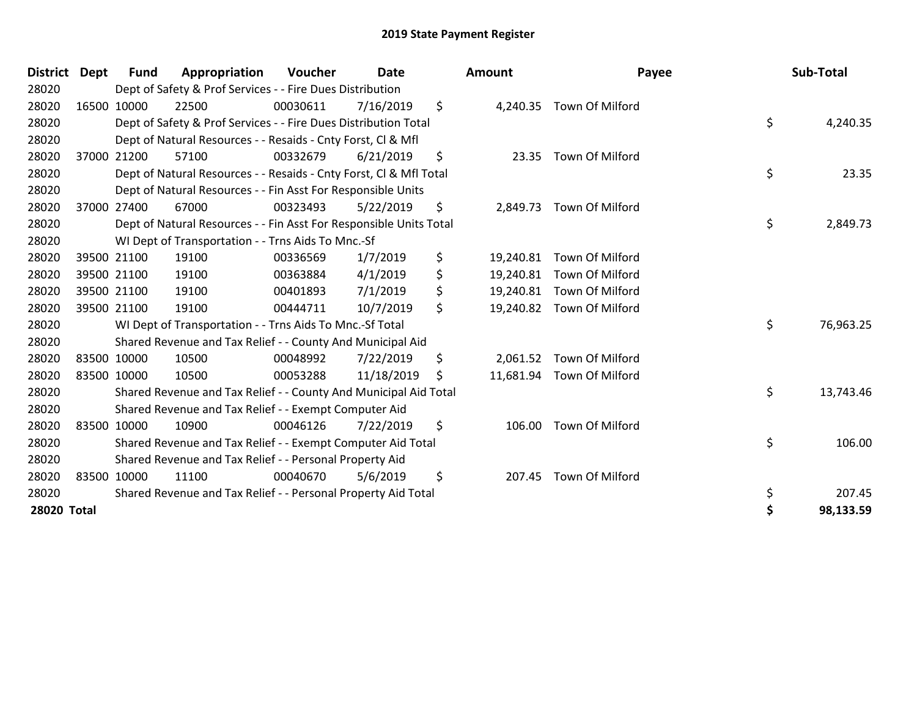| <b>District Dept</b> |                                                               | Fund                                                             | Appropriation                                                      | Voucher  | Date       |    | <b>Amount</b> | Payee                     |           | Sub-Total |
|----------------------|---------------------------------------------------------------|------------------------------------------------------------------|--------------------------------------------------------------------|----------|------------|----|---------------|---------------------------|-----------|-----------|
| 28020                |                                                               | Dept of Safety & Prof Services - - Fire Dues Distribution        |                                                                    |          |            |    |               |                           |           |           |
| 28020                | 16500 10000                                                   |                                                                  | 22500                                                              | 00030611 | 7/16/2019  | \$ | 4,240.35      | Town Of Milford           |           |           |
| 28020                |                                                               |                                                                  | Dept of Safety & Prof Services - - Fire Dues Distribution Total    |          |            |    |               |                           | \$        | 4,240.35  |
| 28020                |                                                               | Dept of Natural Resources - - Resaids - Cnty Forst, CI & Mfl     |                                                                    |          |            |    |               |                           |           |           |
| 28020                |                                                               | 37000 21200                                                      | 57100                                                              | 00332679 | 6/21/2019  | \$ | 23.35         | Town Of Milford           |           |           |
| 28020                |                                                               |                                                                  | Dept of Natural Resources - - Resaids - Cnty Forst, CI & Mfl Total |          |            |    |               |                           | \$        | 23.35     |
| 28020                |                                                               |                                                                  | Dept of Natural Resources - - Fin Asst For Responsible Units       |          |            |    |               |                           |           |           |
| 28020                |                                                               | 37000 27400                                                      | 67000                                                              | 00323493 | 5/22/2019  | \$ |               | 2,849.73 Town Of Milford  |           |           |
| 28020                |                                                               |                                                                  | Dept of Natural Resources - - Fin Asst For Responsible Units Total |          |            |    |               |                           | \$        | 2,849.73  |
| 28020                |                                                               |                                                                  | WI Dept of Transportation - - Trns Aids To Mnc.-Sf                 |          |            |    |               |                           |           |           |
| 28020                |                                                               | 39500 21100                                                      | 19100                                                              | 00336569 | 1/7/2019   | \$ | 19,240.81     | Town Of Milford           |           |           |
| 28020                |                                                               | 39500 21100                                                      | 19100                                                              | 00363884 | 4/1/2019   | \$ | 19,240.81     | Town Of Milford           |           |           |
| 28020                |                                                               | 39500 21100                                                      | 19100                                                              | 00401893 | 7/1/2019   | \$ | 19,240.81     | Town Of Milford           |           |           |
| 28020                | 39500 21100                                                   |                                                                  | 19100                                                              | 00444711 | 10/7/2019  | \$ | 19,240.82     | Town Of Milford           |           |           |
| 28020                |                                                               |                                                                  | WI Dept of Transportation - - Trns Aids To Mnc.-Sf Total           |          |            |    |               |                           | \$        | 76,963.25 |
| 28020                |                                                               |                                                                  | Shared Revenue and Tax Relief - - County And Municipal Aid         |          |            |    |               |                           |           |           |
| 28020                | 83500 10000                                                   |                                                                  | 10500                                                              | 00048992 | 7/22/2019  | \$ | 2,061.52      | Town Of Milford           |           |           |
| 28020                | 83500 10000                                                   |                                                                  | 10500                                                              | 00053288 | 11/18/2019 | \$ |               | 11,681.94 Town Of Milford |           |           |
| 28020                |                                                               | Shared Revenue and Tax Relief - - County And Municipal Aid Total |                                                                    |          |            |    |               |                           | \$        | 13,743.46 |
| 28020                |                                                               | Shared Revenue and Tax Relief - - Exempt Computer Aid            |                                                                    |          |            |    |               |                           |           |           |
| 28020                | 83500 10000                                                   |                                                                  | 10900                                                              | 00046126 | 7/22/2019  | \$ | 106.00        | Town Of Milford           |           |           |
| 28020                |                                                               | Shared Revenue and Tax Relief - - Exempt Computer Aid Total      |                                                                    |          |            |    |               |                           | \$        | 106.00    |
| 28020                |                                                               | Shared Revenue and Tax Relief - - Personal Property Aid          |                                                                    |          |            |    |               |                           |           |           |
| 28020                | 83500 10000                                                   |                                                                  | 11100                                                              | 00040670 | 5/6/2019   | \$ | 207.45        | Town Of Milford           |           |           |
| 28020                | Shared Revenue and Tax Relief - - Personal Property Aid Total |                                                                  |                                                                    |          |            |    |               |                           | \$        | 207.45    |
| 28020 Total          |                                                               |                                                                  |                                                                    |          |            |    |               | \$                        | 98,133.59 |           |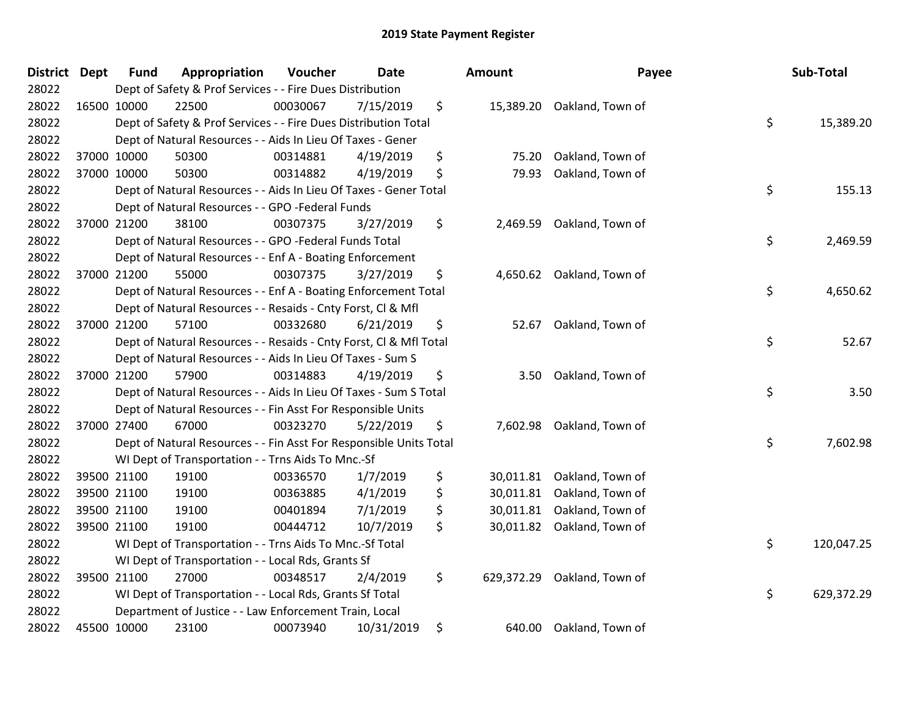| District Dept |             | <b>Fund</b>                                                           | Appropriation                                                                        | Voucher  | <b>Date</b> |    | <b>Amount</b> | Payee                       |            | Sub-Total  |
|---------------|-------------|-----------------------------------------------------------------------|--------------------------------------------------------------------------------------|----------|-------------|----|---------------|-----------------------------|------------|------------|
| 28022         |             | Dept of Safety & Prof Services - - Fire Dues Distribution             |                                                                                      |          |             |    |               |                             |            |            |
| 28022         | 16500 10000 |                                                                       | 22500                                                                                | 00030067 | 7/15/2019   | \$ |               | 15,389.20 Oakland, Town of  |            |            |
| 28022         |             | \$<br>Dept of Safety & Prof Services - - Fire Dues Distribution Total |                                                                                      |          |             |    |               |                             |            | 15,389.20  |
| 28022         |             | Dept of Natural Resources - - Aids In Lieu Of Taxes - Gener           |                                                                                      |          |             |    |               |                             |            |            |
| 28022         |             | 37000 10000                                                           | 50300                                                                                | 00314881 | 4/19/2019   | \$ | 75.20         | Oakland, Town of            |            |            |
| 28022         |             | 37000 10000                                                           | 50300                                                                                | 00314882 | 4/19/2019   | \$ | 79.93         | Oakland, Town of            |            |            |
| 28022         |             |                                                                       | Dept of Natural Resources - - Aids In Lieu Of Taxes - Gener Total                    |          |             |    |               |                             | \$         | 155.13     |
| 28022         |             |                                                                       | Dept of Natural Resources - - GPO -Federal Funds                                     |          |             |    |               |                             |            |            |
| 28022         |             | 37000 21200                                                           | 38100                                                                                | 00307375 | 3/27/2019   | \$ | 2,469.59      | Oakland, Town of            |            |            |
| 28022         |             |                                                                       | Dept of Natural Resources - - GPO -Federal Funds Total                               |          |             |    |               |                             | \$         | 2,469.59   |
| 28022         |             |                                                                       | Dept of Natural Resources - - Enf A - Boating Enforcement                            |          |             |    |               |                             |            |            |
| 28022         |             | 37000 21200                                                           | 55000                                                                                | 00307375 | 3/27/2019   | \$ |               | 4,650.62 Oakland, Town of   |            |            |
| 28022         |             |                                                                       | Dept of Natural Resources - - Enf A - Boating Enforcement Total                      |          |             |    |               |                             | \$         | 4,650.62   |
| 28022         |             |                                                                       | Dept of Natural Resources - - Resaids - Cnty Forst, CI & Mfl                         |          |             |    |               |                             |            |            |
| 28022         |             | 37000 21200                                                           | 57100                                                                                | 00332680 | 6/21/2019   | \$ | 52.67         | Oakland, Town of            |            |            |
| 28022         |             |                                                                       | Dept of Natural Resources - - Resaids - Cnty Forst, CI & Mfl Total                   |          |             |    |               |                             | \$         | 52.67      |
| 28022         |             |                                                                       | Dept of Natural Resources - - Aids In Lieu Of Taxes - Sum S                          |          |             |    |               |                             |            |            |
| 28022         |             | 37000 21200                                                           | 57900                                                                                | 00314883 | 4/19/2019   | \$ | 3.50          | Oakland, Town of            |            |            |
| 28022         |             |                                                                       | Dept of Natural Resources - - Aids In Lieu Of Taxes - Sum S Total                    |          |             |    |               |                             | \$         | 3.50       |
| 28022         |             |                                                                       | Dept of Natural Resources - - Fin Asst For Responsible Units                         |          |             |    |               |                             |            |            |
| 28022         |             | 37000 27400                                                           | 67000                                                                                | 00323270 | 5/22/2019   | \$ |               | 7,602.98 Oakland, Town of   |            |            |
| 28022         |             |                                                                       | \$<br>7,602.98<br>Dept of Natural Resources - - Fin Asst For Responsible Units Total |          |             |    |               |                             |            |            |
| 28022         |             |                                                                       | WI Dept of Transportation - - Trns Aids To Mnc.-Sf                                   |          |             |    |               |                             |            |            |
| 28022         |             | 39500 21100                                                           | 19100                                                                                | 00336570 | 1/7/2019    | \$ | 30,011.81     | Oakland, Town of            |            |            |
| 28022         |             | 39500 21100                                                           | 19100                                                                                | 00363885 | 4/1/2019    | \$ | 30,011.81     | Oakland, Town of            |            |            |
| 28022         |             | 39500 21100                                                           | 19100                                                                                | 00401894 | 7/1/2019    | \$ | 30,011.81     | Oakland, Town of            |            |            |
| 28022         | 39500 21100 |                                                                       | 19100                                                                                | 00444712 | 10/7/2019   | \$ |               | 30,011.82 Oakland, Town of  |            |            |
| 28022         |             | \$<br>WI Dept of Transportation - - Trns Aids To Mnc.-Sf Total        |                                                                                      |          |             |    |               |                             | 120,047.25 |            |
| 28022         |             | WI Dept of Transportation - - Local Rds, Grants Sf                    |                                                                                      |          |             |    |               |                             |            |            |
| 28022         |             | 39500 21100                                                           | 27000                                                                                | 00348517 | 2/4/2019    | \$ |               | 629,372.29 Oakland, Town of |            |            |
| 28022         |             | \$<br>WI Dept of Transportation - - Local Rds, Grants Sf Total        |                                                                                      |          |             |    |               |                             |            | 629,372.29 |
| 28022         |             | Department of Justice - - Law Enforcement Train, Local                |                                                                                      |          |             |    |               |                             |            |            |
| 28022         | 45500 10000 |                                                                       | 23100                                                                                | 00073940 | 10/31/2019  | \$ | 640.00        | Oakland, Town of            |            |            |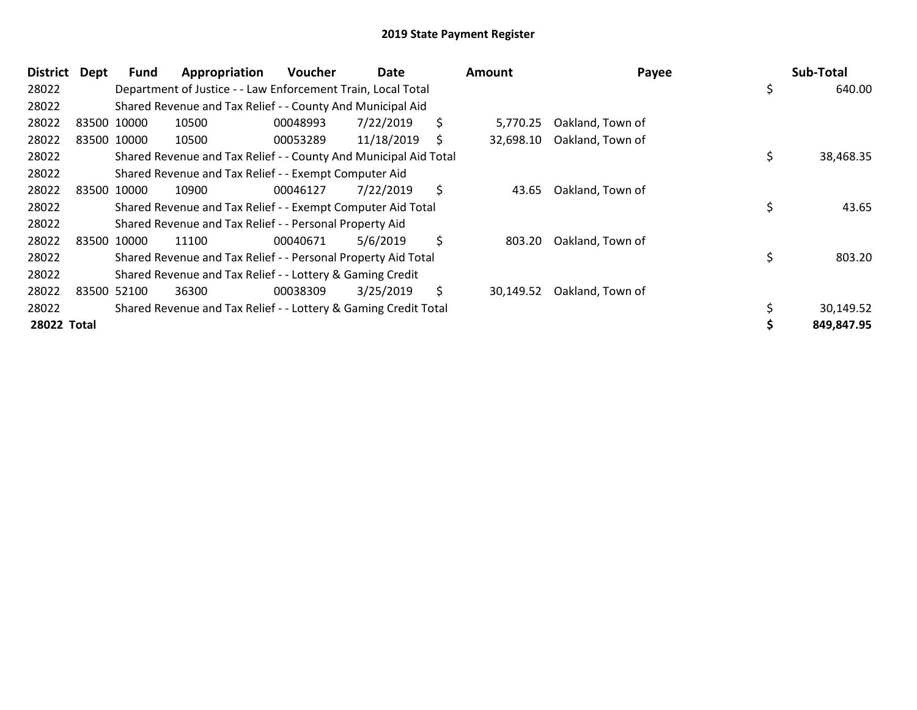| <b>District</b>    | Dept | <b>Fund</b> | Appropriation                                                    | Voucher  | Date       | <b>Amount</b>   | Payee            | Sub-Total       |
|--------------------|------|-------------|------------------------------------------------------------------|----------|------------|-----------------|------------------|-----------------|
| 28022              |      |             | Department of Justice - - Law Enforcement Train, Local Total     |          |            |                 |                  | \$<br>640.00    |
| 28022              |      |             | Shared Revenue and Tax Relief - - County And Municipal Aid       |          |            |                 |                  |                 |
| 28022              |      | 83500 10000 | 10500                                                            | 00048993 | 7/22/2019  | \$<br>5,770.25  | Oakland, Town of |                 |
| 28022              |      | 83500 10000 | 10500                                                            | 00053289 | 11/18/2019 | \$<br>32,698.10 | Oakland, Town of |                 |
| 28022              |      |             | Shared Revenue and Tax Relief - - County And Municipal Aid Total |          |            |                 |                  | \$<br>38,468.35 |
| 28022              |      |             | Shared Revenue and Tax Relief - - Exempt Computer Aid            |          |            |                 |                  |                 |
| 28022              |      | 83500 10000 | 10900                                                            | 00046127 | 7/22/2019  | \$<br>43.65     | Oakland, Town of |                 |
| 28022              |      |             | Shared Revenue and Tax Relief - - Exempt Computer Aid Total      |          |            |                 |                  | \$<br>43.65     |
| 28022              |      |             | Shared Revenue and Tax Relief - - Personal Property Aid          |          |            |                 |                  |                 |
| 28022              |      | 83500 10000 | 11100                                                            | 00040671 | 5/6/2019   | \$<br>803.20    | Oakland, Town of |                 |
| 28022              |      |             | Shared Revenue and Tax Relief - - Personal Property Aid Total    |          |            |                 |                  | \$<br>803.20    |
| 28022              |      |             | Shared Revenue and Tax Relief - - Lottery & Gaming Credit        |          |            |                 |                  |                 |
| 28022              |      | 83500 52100 | 36300                                                            | 00038309 | 3/25/2019  | \$<br>30,149.52 | Oakland, Town of |                 |
| 28022              |      |             | Shared Revenue and Tax Relief - - Lottery & Gaming Credit Total  |          |            |                 |                  | 30,149.52       |
| <b>28022 Total</b> |      |             |                                                                  |          |            |                 |                  | 849,847.95      |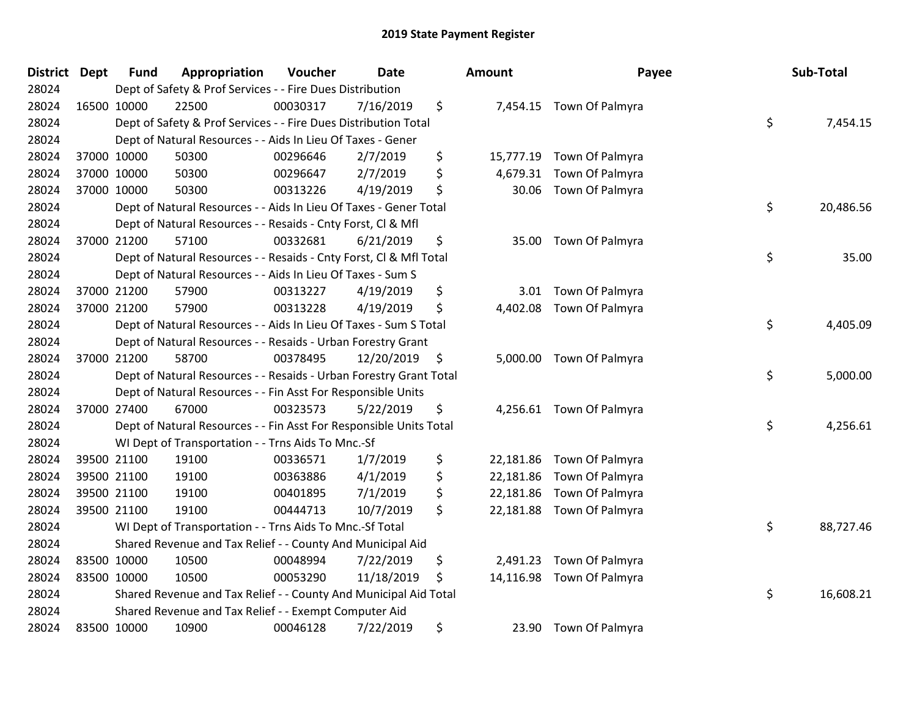| District Dept | <b>Fund</b> | Appropriation                                                      | Voucher  | <b>Date</b> |     | Amount    | Payee                    | Sub-Total       |
|---------------|-------------|--------------------------------------------------------------------|----------|-------------|-----|-----------|--------------------------|-----------------|
| 28024         |             | Dept of Safety & Prof Services - - Fire Dues Distribution          |          |             |     |           |                          |                 |
| 28024         | 16500 10000 | 22500                                                              | 00030317 | 7/16/2019   | \$  |           | 7,454.15 Town Of Palmyra |                 |
| 28024         |             | Dept of Safety & Prof Services - - Fire Dues Distribution Total    |          |             |     |           |                          | \$<br>7,454.15  |
| 28024         |             | Dept of Natural Resources - - Aids In Lieu Of Taxes - Gener        |          |             |     |           |                          |                 |
| 28024         | 37000 10000 | 50300                                                              | 00296646 | 2/7/2019    | \$  | 15,777.19 | Town Of Palmyra          |                 |
| 28024         | 37000 10000 | 50300                                                              | 00296647 | 2/7/2019    | \$  | 4,679.31  | Town Of Palmyra          |                 |
| 28024         | 37000 10000 | 50300                                                              | 00313226 | 4/19/2019   | \$  | 30.06     | Town Of Palmyra          |                 |
| 28024         |             | Dept of Natural Resources - - Aids In Lieu Of Taxes - Gener Total  |          |             |     |           |                          | \$<br>20,486.56 |
| 28024         |             | Dept of Natural Resources - - Resaids - Cnty Forst, Cl & Mfl       |          |             |     |           |                          |                 |
| 28024         | 37000 21200 | 57100                                                              | 00332681 | 6/21/2019   | \$  | 35.00     | Town Of Palmyra          |                 |
| 28024         |             | Dept of Natural Resources - - Resaids - Cnty Forst, Cl & Mfl Total |          |             |     |           |                          | \$<br>35.00     |
| 28024         |             | Dept of Natural Resources - - Aids In Lieu Of Taxes - Sum S        |          |             |     |           |                          |                 |
| 28024         | 37000 21200 | 57900                                                              | 00313227 | 4/19/2019   | \$  | 3.01      | Town Of Palmyra          |                 |
| 28024         | 37000 21200 | 57900                                                              | 00313228 | 4/19/2019   | \$  | 4,402.08  | Town Of Palmyra          |                 |
| 28024         |             | Dept of Natural Resources - - Aids In Lieu Of Taxes - Sum S Total  |          |             |     |           |                          | \$<br>4,405.09  |
| 28024         |             | Dept of Natural Resources - - Resaids - Urban Forestry Grant       |          |             |     |           |                          |                 |
| 28024         | 37000 21200 | 58700                                                              | 00378495 | 12/20/2019  | -\$ | 5,000.00  | Town Of Palmyra          |                 |
| 28024         |             | Dept of Natural Resources - - Resaids - Urban Forestry Grant Total |          |             |     |           |                          | \$<br>5,000.00  |
| 28024         |             | Dept of Natural Resources - - Fin Asst For Responsible Units       |          |             |     |           |                          |                 |
| 28024         | 37000 27400 | 67000                                                              | 00323573 | 5/22/2019   | \$  |           | 4,256.61 Town Of Palmyra |                 |
| 28024         |             | Dept of Natural Resources - - Fin Asst For Responsible Units Total |          |             |     |           |                          | \$<br>4,256.61  |
| 28024         |             | WI Dept of Transportation - - Trns Aids To Mnc.-Sf                 |          |             |     |           |                          |                 |
| 28024         | 39500 21100 | 19100                                                              | 00336571 | 1/7/2019    | \$  | 22,181.86 | Town Of Palmyra          |                 |
| 28024         | 39500 21100 | 19100                                                              | 00363886 | 4/1/2019    | \$  | 22,181.86 | Town Of Palmyra          |                 |
| 28024         | 39500 21100 | 19100                                                              | 00401895 | 7/1/2019    | \$  | 22,181.86 | Town Of Palmyra          |                 |
| 28024         | 39500 21100 | 19100                                                              | 00444713 | 10/7/2019   | \$  | 22,181.88 | Town Of Palmyra          |                 |
| 28024         |             | WI Dept of Transportation - - Trns Aids To Mnc.-Sf Total           |          |             |     |           |                          | \$<br>88,727.46 |
| 28024         |             | Shared Revenue and Tax Relief - - County And Municipal Aid         |          |             |     |           |                          |                 |
| 28024         | 83500 10000 | 10500                                                              | 00048994 | 7/22/2019   | \$  | 2,491.23  | Town Of Palmyra          |                 |
| 28024         | 83500 10000 | 10500                                                              | 00053290 | 11/18/2019  | \$  | 14,116.98 | Town Of Palmyra          |                 |
| 28024         |             | Shared Revenue and Tax Relief - - County And Municipal Aid Total   |          |             |     |           |                          | \$<br>16,608.21 |
| 28024         |             | Shared Revenue and Tax Relief - - Exempt Computer Aid              |          |             |     |           |                          |                 |
| 28024         | 83500 10000 | 10900                                                              | 00046128 | 7/22/2019   | \$  | 23.90     | Town Of Palmyra          |                 |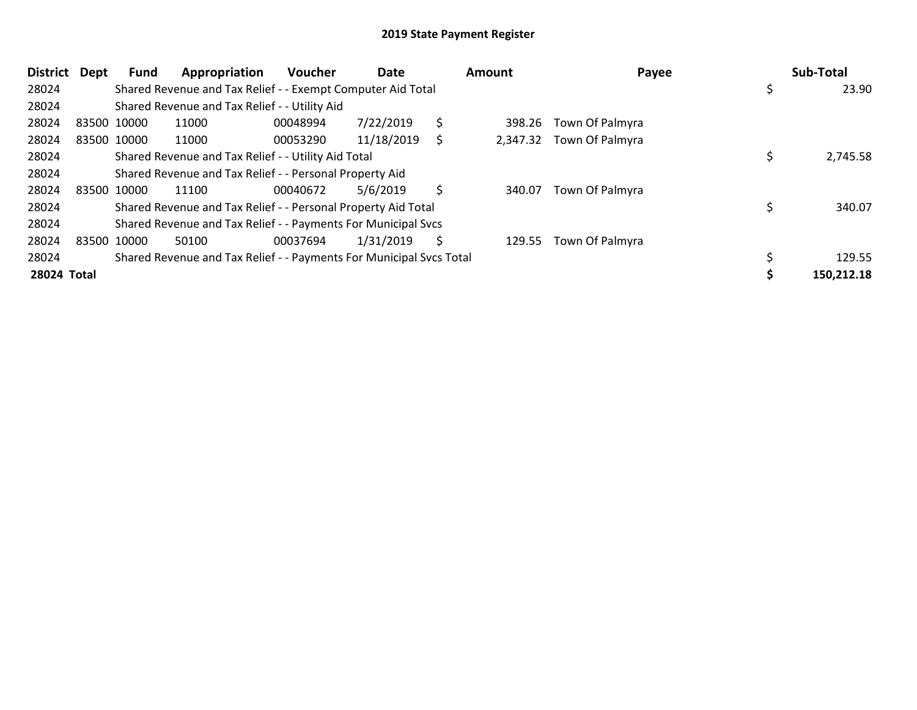| District Dept |             | Fund        | Appropriation                                                       | <b>Voucher</b> | Date       |    | Amount | Payee                    | Sub-Total   |
|---------------|-------------|-------------|---------------------------------------------------------------------|----------------|------------|----|--------|--------------------------|-------------|
| 28024         |             |             | Shared Revenue and Tax Relief - - Exempt Computer Aid Total         |                |            |    |        |                          | \$<br>23.90 |
| 28024         |             |             | Shared Revenue and Tax Relief - - Utility Aid                       |                |            |    |        |                          |             |
| 28024         | 83500 10000 |             | 11000                                                               | 00048994       | 7/22/2019  | \$ | 398.26 | Town Of Palmyra          |             |
| 28024         |             | 83500 10000 | 11000                                                               | 00053290       | 11/18/2019 | S  |        | 2,347.32 Town Of Palmyra |             |
| 28024         |             |             | Shared Revenue and Tax Relief - - Utility Aid Total                 |                |            |    |        |                          | 2,745.58    |
| 28024         |             |             | Shared Revenue and Tax Relief - - Personal Property Aid             |                |            |    |        |                          |             |
| 28024         | 83500 10000 |             | 11100                                                               | 00040672       | 5/6/2019   | \$ | 340.07 | Town Of Palmyra          |             |
| 28024         |             |             | Shared Revenue and Tax Relief - - Personal Property Aid Total       |                |            |    |        |                          | 340.07      |
| 28024         |             |             | Shared Revenue and Tax Relief - - Payments For Municipal Svcs       |                |            |    |        |                          |             |
| 28024         |             | 83500 10000 | 50100                                                               | 00037694       | 1/31/2019  | \$ | 129.55 | Town Of Palmyra          |             |
| 28024         |             |             | Shared Revenue and Tax Relief - - Payments For Municipal Svcs Total |                |            |    |        |                          | 129.55      |
| 28024 Total   |             |             |                                                                     |                |            |    |        |                          | 150,212.18  |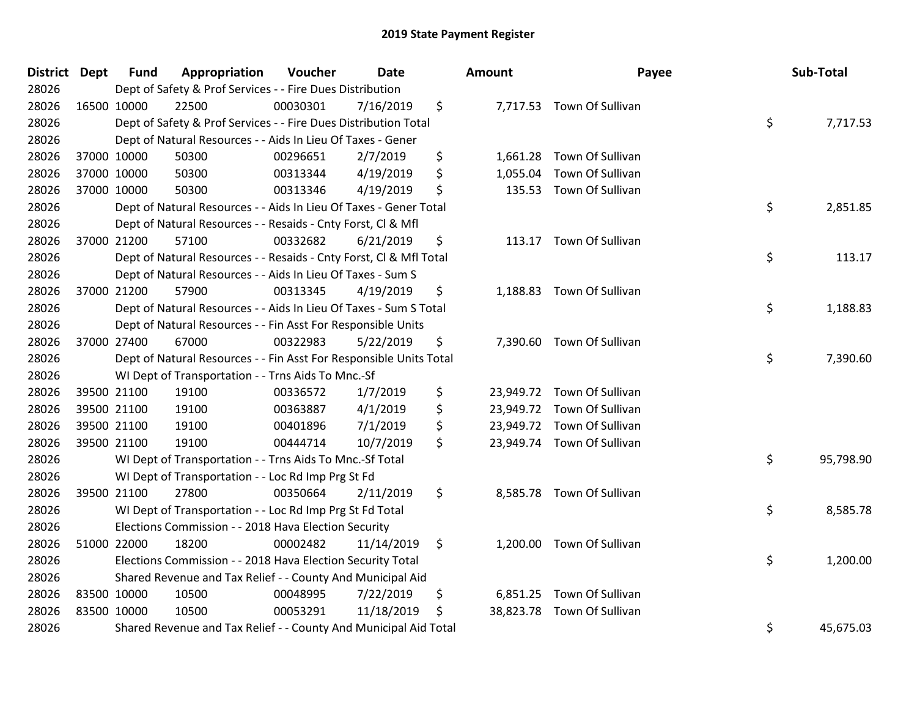| <b>District Dept</b> | <b>Fund</b> | Appropriation                                                      | Voucher  | <b>Date</b> | <b>Amount</b>  | Payee                      | Sub-Total       |
|----------------------|-------------|--------------------------------------------------------------------|----------|-------------|----------------|----------------------------|-----------------|
| 28026                |             | Dept of Safety & Prof Services - - Fire Dues Distribution          |          |             |                |                            |                 |
| 28026                | 16500 10000 | 22500                                                              | 00030301 | 7/16/2019   | \$             | 7,717.53 Town Of Sullivan  |                 |
| 28026                |             | Dept of Safety & Prof Services - - Fire Dues Distribution Total    |          |             |                |                            | \$<br>7,717.53  |
| 28026                |             | Dept of Natural Resources - - Aids In Lieu Of Taxes - Gener        |          |             |                |                            |                 |
| 28026                | 37000 10000 | 50300                                                              | 00296651 | 2/7/2019    | \$             | 1,661.28 Town Of Sullivan  |                 |
| 28026                | 37000 10000 | 50300                                                              | 00313344 | 4/19/2019   | \$<br>1,055.04 | Town Of Sullivan           |                 |
| 28026                | 37000 10000 | 50300                                                              | 00313346 | 4/19/2019   | \$             | 135.53 Town Of Sullivan    |                 |
| 28026                |             | Dept of Natural Resources - - Aids In Lieu Of Taxes - Gener Total  |          |             |                |                            | \$<br>2,851.85  |
| 28026                |             | Dept of Natural Resources - - Resaids - Cnty Forst, Cl & Mfl       |          |             |                |                            |                 |
| 28026                | 37000 21200 | 57100                                                              | 00332682 | 6/21/2019   | \$             | 113.17 Town Of Sullivan    |                 |
| 28026                |             | Dept of Natural Resources - - Resaids - Cnty Forst, CI & Mfl Total |          |             |                |                            | \$<br>113.17    |
| 28026                |             | Dept of Natural Resources - - Aids In Lieu Of Taxes - Sum S        |          |             |                |                            |                 |
| 28026                | 37000 21200 | 57900                                                              | 00313345 | 4/19/2019   | \$             | 1,188.83 Town Of Sullivan  |                 |
| 28026                |             | Dept of Natural Resources - - Aids In Lieu Of Taxes - Sum S Total  |          |             |                |                            | \$<br>1,188.83  |
| 28026                |             | Dept of Natural Resources - - Fin Asst For Responsible Units       |          |             |                |                            |                 |
| 28026                | 37000 27400 | 67000                                                              | 00322983 | 5/22/2019   | \$             | 7,390.60 Town Of Sullivan  |                 |
| 28026                |             | Dept of Natural Resources - - Fin Asst For Responsible Units Total |          |             |                |                            | \$<br>7,390.60  |
| 28026                |             | WI Dept of Transportation - - Trns Aids To Mnc.-Sf                 |          |             |                |                            |                 |
| 28026                | 39500 21100 | 19100                                                              | 00336572 | 1/7/2019    | \$             | 23,949.72 Town Of Sullivan |                 |
| 28026                | 39500 21100 | 19100                                                              | 00363887 | 4/1/2019    | \$             | 23,949.72 Town Of Sullivan |                 |
| 28026                | 39500 21100 | 19100                                                              | 00401896 | 7/1/2019    | \$             | 23,949.72 Town Of Sullivan |                 |
| 28026                | 39500 21100 | 19100                                                              | 00444714 | 10/7/2019   | \$             | 23,949.74 Town Of Sullivan |                 |
| 28026                |             | WI Dept of Transportation - - Trns Aids To Mnc.-Sf Total           |          |             |                |                            | \$<br>95,798.90 |
| 28026                |             | WI Dept of Transportation - - Loc Rd Imp Prg St Fd                 |          |             |                |                            |                 |
| 28026                | 39500 21100 | 27800                                                              | 00350664 | 2/11/2019   | \$             | 8,585.78 Town Of Sullivan  |                 |
| 28026                |             | WI Dept of Transportation - - Loc Rd Imp Prg St Fd Total           |          |             |                |                            | \$<br>8,585.78  |
| 28026                |             | Elections Commission - - 2018 Hava Election Security               |          |             |                |                            |                 |
| 28026                | 51000 22000 | 18200                                                              | 00002482 | 11/14/2019  | \$             | 1,200.00 Town Of Sullivan  |                 |
| 28026                |             | Elections Commission - - 2018 Hava Election Security Total         |          |             |                |                            | \$<br>1,200.00  |
| 28026                |             | Shared Revenue and Tax Relief - - County And Municipal Aid         |          |             |                |                            |                 |
| 28026                | 83500 10000 | 10500                                                              | 00048995 | 7/22/2019   | \$             | 6,851.25 Town Of Sullivan  |                 |
| 28026                | 83500 10000 | 10500                                                              | 00053291 | 11/18/2019  | \$             | 38,823.78 Town Of Sullivan |                 |
| 28026                |             | Shared Revenue and Tax Relief - - County And Municipal Aid Total   |          |             |                |                            | \$<br>45,675.03 |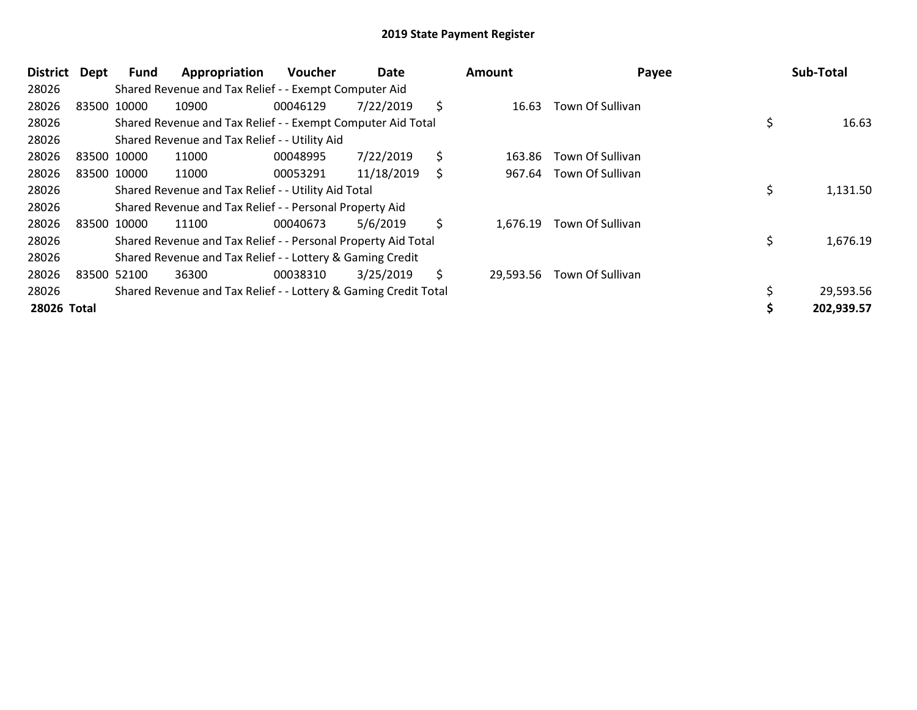| <b>District</b> | Dept | Fund        | Appropriation                                                   | <b>Voucher</b> | Date       |     | <b>Amount</b> | Payee            | Sub-Total      |
|-----------------|------|-------------|-----------------------------------------------------------------|----------------|------------|-----|---------------|------------------|----------------|
| 28026           |      |             | Shared Revenue and Tax Relief - - Exempt Computer Aid           |                |            |     |               |                  |                |
| 28026           |      | 83500 10000 | 10900                                                           | 00046129       | 7/22/2019  | \$  | 16.63         | Town Of Sullivan |                |
| 28026           |      |             | Shared Revenue and Tax Relief - - Exempt Computer Aid Total     |                |            |     |               |                  | 16.63          |
| 28026           |      |             | Shared Revenue and Tax Relief - - Utility Aid                   |                |            |     |               |                  |                |
| 28026           |      | 83500 10000 | 11000                                                           | 00048995       | 7/22/2019  | \$  | 163.86        | Town Of Sullivan |                |
| 28026           |      | 83500 10000 | 11000                                                           | 00053291       | 11/18/2019 | \$  | 967.64        | Town Of Sullivan |                |
| 28026           |      |             | Shared Revenue and Tax Relief - - Utility Aid Total             |                |            |     |               |                  | \$<br>1,131.50 |
| 28026           |      |             | Shared Revenue and Tax Relief - - Personal Property Aid         |                |            |     |               |                  |                |
| 28026           |      | 83500 10000 | 11100                                                           | 00040673       | 5/6/2019   | \$  | 1,676.19      | Town Of Sullivan |                |
| 28026           |      |             | Shared Revenue and Tax Relief - - Personal Property Aid Total   |                |            |     |               |                  | \$<br>1,676.19 |
| 28026           |      |             | Shared Revenue and Tax Relief - - Lottery & Gaming Credit       |                |            |     |               |                  |                |
| 28026           |      | 83500 52100 | 36300                                                           | 00038310       | 3/25/2019  | \$. | 29,593.56     | Town Of Sullivan |                |
| 28026           |      |             | Shared Revenue and Tax Relief - - Lottery & Gaming Credit Total |                |            |     |               |                  | 29,593.56      |
| 28026 Total     |      |             |                                                                 |                |            |     |               |                  | 202,939.57     |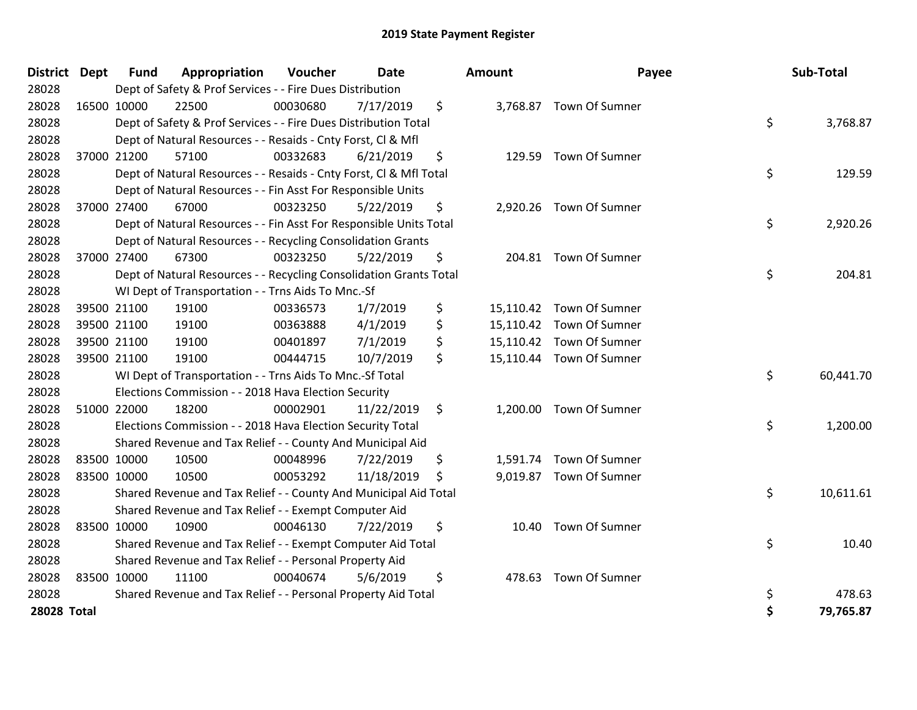| District Dept      |             | <b>Fund</b> | Appropriation                                                      | Voucher  | <b>Date</b> | <b>Amount</b> | Payee                    | Sub-Total       |
|--------------------|-------------|-------------|--------------------------------------------------------------------|----------|-------------|---------------|--------------------------|-----------------|
| 28028              |             |             | Dept of Safety & Prof Services - - Fire Dues Distribution          |          |             |               |                          |                 |
| 28028              |             | 16500 10000 | 22500                                                              | 00030680 | 7/17/2019   | \$            | 3,768.87 Town Of Sumner  |                 |
| 28028              |             |             | Dept of Safety & Prof Services - - Fire Dues Distribution Total    |          |             |               |                          | \$<br>3,768.87  |
| 28028              |             |             | Dept of Natural Resources - - Resaids - Cnty Forst, Cl & Mfl       |          |             |               |                          |                 |
| 28028              |             | 37000 21200 | 57100                                                              | 00332683 | 6/21/2019   | \$<br>129.59  | Town Of Sumner           |                 |
| 28028              |             |             | Dept of Natural Resources - - Resaids - Cnty Forst, CI & Mfl Total |          |             |               |                          | \$<br>129.59    |
| 28028              |             |             | Dept of Natural Resources - - Fin Asst For Responsible Units       |          |             |               |                          |                 |
| 28028              |             | 37000 27400 | 67000                                                              | 00323250 | 5/22/2019   | \$            | 2,920.26 Town Of Sumner  |                 |
| 28028              |             |             | Dept of Natural Resources - - Fin Asst For Responsible Units Total |          |             |               |                          | \$<br>2,920.26  |
| 28028              |             |             | Dept of Natural Resources - - Recycling Consolidation Grants       |          |             |               |                          |                 |
| 28028              |             | 37000 27400 | 67300                                                              | 00323250 | 5/22/2019   | \$            | 204.81 Town Of Sumner    |                 |
| 28028              |             |             | Dept of Natural Resources - - Recycling Consolidation Grants Total |          |             |               |                          | \$<br>204.81    |
| 28028              |             |             | WI Dept of Transportation - - Trns Aids To Mnc.-Sf                 |          |             |               |                          |                 |
| 28028              |             | 39500 21100 | 19100                                                              | 00336573 | 1/7/2019    | \$            | 15,110.42 Town Of Sumner |                 |
| 28028              |             | 39500 21100 | 19100                                                              | 00363888 | 4/1/2019    | \$            | 15,110.42 Town Of Sumner |                 |
| 28028              |             | 39500 21100 | 19100                                                              | 00401897 | 7/1/2019    | \$            | 15,110.42 Town Of Sumner |                 |
| 28028              | 39500 21100 |             | 19100                                                              | 00444715 | 10/7/2019   | \$            | 15,110.44 Town Of Sumner |                 |
| 28028              |             |             | WI Dept of Transportation - - Trns Aids To Mnc.-Sf Total           |          |             |               |                          | \$<br>60,441.70 |
| 28028              |             |             | Elections Commission - - 2018 Hava Election Security               |          |             |               |                          |                 |
| 28028              |             | 51000 22000 | 18200                                                              | 00002901 | 11/22/2019  | \$            | 1,200.00 Town Of Sumner  |                 |
| 28028              |             |             | Elections Commission - - 2018 Hava Election Security Total         |          |             |               |                          | \$<br>1,200.00  |
| 28028              |             |             | Shared Revenue and Tax Relief - - County And Municipal Aid         |          |             |               |                          |                 |
| 28028              |             | 83500 10000 | 10500                                                              | 00048996 | 7/22/2019   | \$            | 1,591.74 Town Of Sumner  |                 |
| 28028              | 83500 10000 |             | 10500                                                              | 00053292 | 11/18/2019  | \$            | 9,019.87 Town Of Sumner  |                 |
| 28028              |             |             | Shared Revenue and Tax Relief - - County And Municipal Aid Total   |          |             |               |                          | \$<br>10,611.61 |
| 28028              |             |             | Shared Revenue and Tax Relief - - Exempt Computer Aid              |          |             |               |                          |                 |
| 28028              |             | 83500 10000 | 10900                                                              | 00046130 | 7/22/2019   | \$<br>10.40   | Town Of Sumner           |                 |
| 28028              |             |             | Shared Revenue and Tax Relief - - Exempt Computer Aid Total        |          |             |               |                          | \$<br>10.40     |
| 28028              |             |             | Shared Revenue and Tax Relief - - Personal Property Aid            |          |             |               |                          |                 |
| 28028              | 83500 10000 |             | 11100                                                              | 00040674 | 5/6/2019    | \$<br>478.63  | Town Of Sumner           |                 |
| 28028              |             |             | Shared Revenue and Tax Relief - - Personal Property Aid Total      |          |             |               |                          | \$<br>478.63    |
| <b>28028 Total</b> |             |             |                                                                    |          |             |               |                          | 79,765.87       |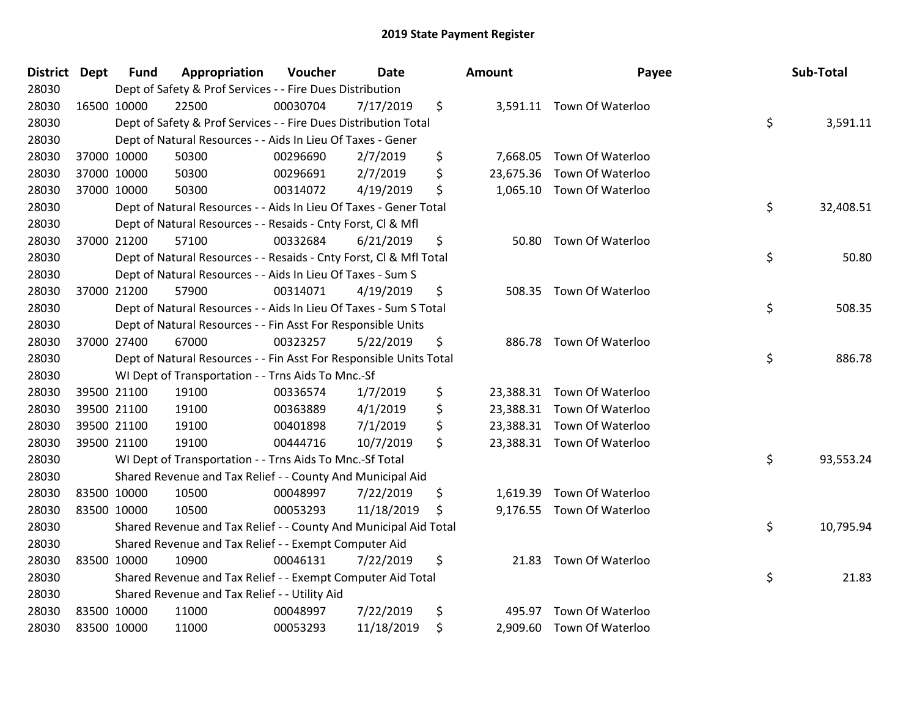| District Dept | <b>Fund</b> | Appropriation                                                      | Voucher  | <b>Date</b> | <b>Amount</b>   | Payee                      | Sub-Total       |
|---------------|-------------|--------------------------------------------------------------------|----------|-------------|-----------------|----------------------------|-----------------|
| 28030         |             | Dept of Safety & Prof Services - - Fire Dues Distribution          |          |             |                 |                            |                 |
| 28030         | 16500 10000 | 22500                                                              | 00030704 | 7/17/2019   | \$              | 3,591.11 Town Of Waterloo  |                 |
| 28030         |             | Dept of Safety & Prof Services - - Fire Dues Distribution Total    |          |             |                 |                            | \$<br>3,591.11  |
| 28030         |             | Dept of Natural Resources - - Aids In Lieu Of Taxes - Gener        |          |             |                 |                            |                 |
| 28030         | 37000 10000 | 50300                                                              | 00296690 | 2/7/2019    | \$<br>7,668.05  | Town Of Waterloo           |                 |
| 28030         | 37000 10000 | 50300                                                              | 00296691 | 2/7/2019    | \$<br>23,675.36 | Town Of Waterloo           |                 |
| 28030         | 37000 10000 | 50300                                                              | 00314072 | 4/19/2019   | \$              | 1,065.10 Town Of Waterloo  |                 |
| 28030         |             | Dept of Natural Resources - - Aids In Lieu Of Taxes - Gener Total  |          |             |                 |                            | \$<br>32,408.51 |
| 28030         |             | Dept of Natural Resources - - Resaids - Cnty Forst, CI & Mfl       |          |             |                 |                            |                 |
| 28030         | 37000 21200 | 57100                                                              | 00332684 | 6/21/2019   | \$<br>50.80     | Town Of Waterloo           |                 |
| 28030         |             | Dept of Natural Resources - - Resaids - Cnty Forst, Cl & Mfl Total |          |             |                 |                            | \$<br>50.80     |
| 28030         |             | Dept of Natural Resources - - Aids In Lieu Of Taxes - Sum S        |          |             |                 |                            |                 |
| 28030         | 37000 21200 | 57900                                                              | 00314071 | 4/19/2019   | \$              | 508.35 Town Of Waterloo    |                 |
| 28030         |             | Dept of Natural Resources - - Aids In Lieu Of Taxes - Sum S Total  |          |             |                 |                            | \$<br>508.35    |
| 28030         |             | Dept of Natural Resources - - Fin Asst For Responsible Units       |          |             |                 |                            |                 |
| 28030         | 37000 27400 | 67000                                                              | 00323257 | 5/22/2019   | \$<br>886.78    | Town Of Waterloo           |                 |
| 28030         |             | Dept of Natural Resources - - Fin Asst For Responsible Units Total |          |             |                 |                            | \$<br>886.78    |
| 28030         |             | WI Dept of Transportation - - Trns Aids To Mnc.-Sf                 |          |             |                 |                            |                 |
| 28030         | 39500 21100 | 19100                                                              | 00336574 | 1/7/2019    | \$              | 23,388.31 Town Of Waterloo |                 |
| 28030         | 39500 21100 | 19100                                                              | 00363889 | 4/1/2019    | \$              | 23,388.31 Town Of Waterloo |                 |
| 28030         | 39500 21100 | 19100                                                              | 00401898 | 7/1/2019    | \$              | 23,388.31 Town Of Waterloo |                 |
| 28030         | 39500 21100 | 19100                                                              | 00444716 | 10/7/2019   | \$              | 23,388.31 Town Of Waterloo |                 |
| 28030         |             | WI Dept of Transportation - - Trns Aids To Mnc .- Sf Total         |          |             |                 |                            | \$<br>93,553.24 |
| 28030         |             | Shared Revenue and Tax Relief - - County And Municipal Aid         |          |             |                 |                            |                 |
| 28030         | 83500 10000 | 10500                                                              | 00048997 | 7/22/2019   | \$<br>1,619.39  | Town Of Waterloo           |                 |
| 28030         | 83500 10000 | 10500                                                              | 00053293 | 11/18/2019  | \$              | 9,176.55 Town Of Waterloo  |                 |
| 28030         |             | Shared Revenue and Tax Relief - - County And Municipal Aid Total   |          |             |                 |                            | \$<br>10,795.94 |
| 28030         |             | Shared Revenue and Tax Relief - - Exempt Computer Aid              |          |             |                 |                            |                 |
| 28030         | 83500 10000 | 10900                                                              | 00046131 | 7/22/2019   | \$              | 21.83 Town Of Waterloo     |                 |
| 28030         |             | Shared Revenue and Tax Relief - - Exempt Computer Aid Total        |          |             |                 |                            | \$<br>21.83     |
| 28030         |             | Shared Revenue and Tax Relief - - Utility Aid                      |          |             |                 |                            |                 |
| 28030         | 83500 10000 | 11000                                                              | 00048997 | 7/22/2019   | \$<br>495.97    | Town Of Waterloo           |                 |
| 28030         | 83500 10000 | 11000                                                              | 00053293 | 11/18/2019  | \$              | 2,909.60 Town Of Waterloo  |                 |

| ınt      | Payee                     | Sub-Total       |
|----------|---------------------------|-----------------|
| 3,591.11 | Town Of Waterloo          | \$<br>3,591.11  |
|          | 7,668.05 Town Of Waterloo |                 |
| 3,675.36 | Town Of Waterloo          |                 |
| 1,065.10 | Town Of Waterloo          |                 |
|          |                           | \$<br>32,408.51 |
| 50.80    | Town Of Waterloo          |                 |
|          |                           | \$<br>50.80     |
| 508.35   | Town Of Waterloo          |                 |
|          |                           | \$<br>508.35    |
| 886.78   | Town Of Waterloo          |                 |
|          |                           | \$<br>886.78    |
| 3,388.31 | Town Of Waterloo          |                 |
| 3,388.31 | Town Of Waterloo          |                 |
| 3,388.31 | Town Of Waterloo          |                 |
| 3,388.31 | Town Of Waterloo          |                 |
|          |                           | \$<br>93,553.24 |
|          | 1,619.39 Town Of Waterloo |                 |
| 9,176.55 | Town Of Waterloo          |                 |
|          |                           | \$<br>10,795.94 |
| 21.83    | Town Of Waterloo          |                 |
|          |                           | \$<br>21.83     |
| 495.97   | Town Of Waterloo          |                 |
| 2,909.60 | Town Of Waterloo          |                 |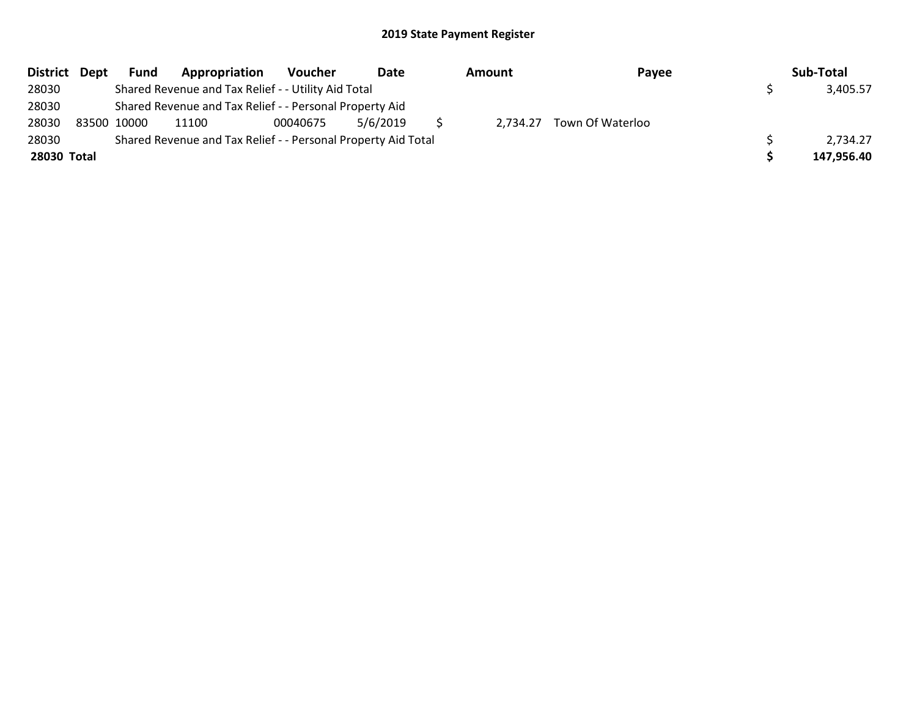|             | District Dept | <b>Fund</b> | Appropriation                                                 | Voucher  | Date     | Amount | Payee                     | Sub-Total  |
|-------------|---------------|-------------|---------------------------------------------------------------|----------|----------|--------|---------------------------|------------|
| 28030       |               |             | Shared Revenue and Tax Relief - - Utility Aid Total           |          |          |        |                           | 3,405.57   |
| 28030       |               |             | Shared Revenue and Tax Relief - - Personal Property Aid       |          |          |        |                           |            |
| 28030       |               | 83500 10000 | 11100                                                         | 00040675 | 5/6/2019 |        | 2,734.27 Town Of Waterloo |            |
| 28030       |               |             | Shared Revenue and Tax Relief - - Personal Property Aid Total |          |          |        |                           | 2,734.27   |
| 28030 Total |               |             |                                                               |          |          |        |                           | 147,956.40 |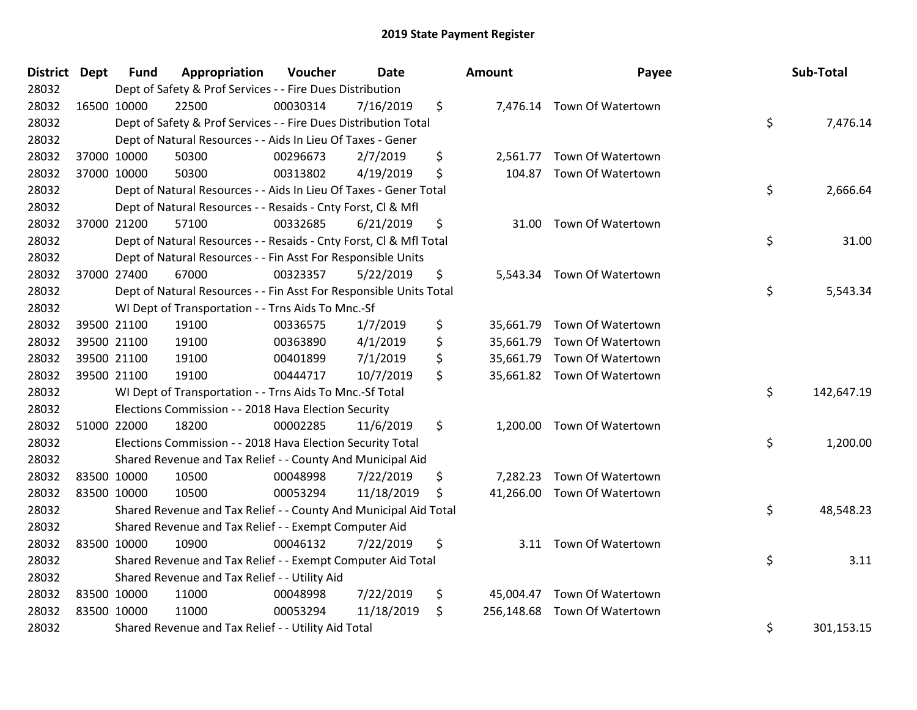| District Dept | <b>Fund</b> | Appropriation                                                      | Voucher  | Date       | Amount           | Payee                       | Sub-Total        |
|---------------|-------------|--------------------------------------------------------------------|----------|------------|------------------|-----------------------------|------------------|
| 28032         |             | Dept of Safety & Prof Services - - Fire Dues Distribution          |          |            |                  |                             |                  |
| 28032         | 16500 10000 | 22500                                                              | 00030314 | 7/16/2019  | \$               | 7,476.14 Town Of Watertown  |                  |
| 28032         |             | Dept of Safety & Prof Services - - Fire Dues Distribution Total    |          |            |                  |                             | \$<br>7,476.14   |
| 28032         |             | Dept of Natural Resources - - Aids In Lieu Of Taxes - Gener        |          |            |                  |                             |                  |
| 28032         | 37000 10000 | 50300                                                              | 00296673 | 2/7/2019   | \$<br>2,561.77   | Town Of Watertown           |                  |
| 28032         | 37000 10000 | 50300                                                              | 00313802 | 4/19/2019  | \$               | 104.87 Town Of Watertown    |                  |
| 28032         |             | Dept of Natural Resources - - Aids In Lieu Of Taxes - Gener Total  |          |            |                  |                             | \$<br>2,666.64   |
| 28032         |             | Dept of Natural Resources - - Resaids - Cnty Forst, Cl & Mfl       |          |            |                  |                             |                  |
| 28032         | 37000 21200 | 57100                                                              | 00332685 | 6/21/2019  | \$               | 31.00 Town Of Watertown     |                  |
| 28032         |             | Dept of Natural Resources - - Resaids - Cnty Forst, Cl & Mfl Total |          |            |                  |                             | \$<br>31.00      |
| 28032         |             | Dept of Natural Resources - - Fin Asst For Responsible Units       |          |            |                  |                             |                  |
| 28032         | 37000 27400 | 67000                                                              | 00323357 | 5/22/2019  | \$               | 5,543.34 Town Of Watertown  |                  |
| 28032         |             | Dept of Natural Resources - - Fin Asst For Responsible Units Total |          |            |                  |                             | \$<br>5,543.34   |
| 28032         |             | WI Dept of Transportation - - Trns Aids To Mnc.-Sf                 |          |            |                  |                             |                  |
| 28032         | 39500 21100 | 19100                                                              | 00336575 | 1/7/2019   | \$<br>35,661.79  | Town Of Watertown           |                  |
| 28032         | 39500 21100 | 19100                                                              | 00363890 | 4/1/2019   | \$               | 35,661.79 Town Of Watertown |                  |
| 28032         | 39500 21100 | 19100                                                              | 00401899 | 7/1/2019   | \$               | 35,661.79 Town Of Watertown |                  |
| 28032         | 39500 21100 | 19100                                                              | 00444717 | 10/7/2019  | \$               | 35,661.82 Town Of Watertown |                  |
| 28032         |             | WI Dept of Transportation - - Trns Aids To Mnc.-Sf Total           |          |            |                  |                             | \$<br>142,647.19 |
| 28032         |             | Elections Commission - - 2018 Hava Election Security               |          |            |                  |                             |                  |
| 28032         | 51000 22000 | 18200                                                              | 00002285 | 11/6/2019  | \$               | 1,200.00 Town Of Watertown  |                  |
| 28032         |             | Elections Commission - - 2018 Hava Election Security Total         |          |            |                  |                             | \$<br>1,200.00   |
| 28032         |             | Shared Revenue and Tax Relief - - County And Municipal Aid         |          |            |                  |                             |                  |
| 28032         | 83500 10000 | 10500                                                              | 00048998 | 7/22/2019  | \$<br>7,282.23   | Town Of Watertown           |                  |
| 28032         | 83500 10000 | 10500                                                              | 00053294 | 11/18/2019 | \$               | 41,266.00 Town Of Watertown |                  |
| 28032         |             | Shared Revenue and Tax Relief - - County And Municipal Aid Total   |          |            |                  |                             | \$<br>48,548.23  |
| 28032         |             | Shared Revenue and Tax Relief - - Exempt Computer Aid              |          |            |                  |                             |                  |
| 28032         | 83500 10000 | 10900                                                              | 00046132 | 7/22/2019  | \$               | 3.11 Town Of Watertown      |                  |
| 28032         |             | Shared Revenue and Tax Relief - - Exempt Computer Aid Total        |          |            |                  |                             | \$<br>3.11       |
| 28032         |             | Shared Revenue and Tax Relief - - Utility Aid                      |          |            |                  |                             |                  |
| 28032         | 83500 10000 | 11000                                                              | 00048998 | 7/22/2019  | \$<br>45,004.47  | Town Of Watertown           |                  |
| 28032         | 83500 10000 | 11000                                                              | 00053294 | 11/18/2019 | \$<br>256,148.68 | Town Of Watertown           |                  |
| 28032         |             | Shared Revenue and Tax Relief - - Utility Aid Total                |          |            |                  |                             | \$<br>301,153.15 |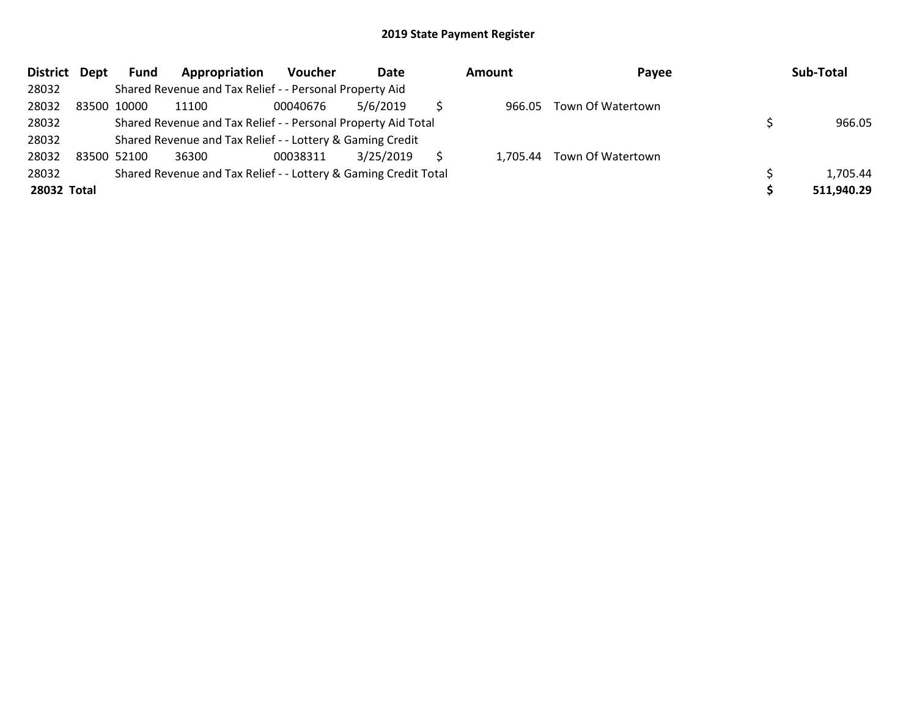| District Dept |             | <b>Fund</b> | Appropriation                                                   | <b>Voucher</b> | Date      | Amount | Payee                      | Sub-Total  |
|---------------|-------------|-------------|-----------------------------------------------------------------|----------------|-----------|--------|----------------------------|------------|
| 28032         |             |             | Shared Revenue and Tax Relief - - Personal Property Aid         |                |           |        |                            |            |
| 28032         | 83500 10000 |             | 11100                                                           | 00040676       | 5/6/2019  | 966.05 | Town Of Watertown          |            |
| 28032         |             |             | Shared Revenue and Tax Relief - - Personal Property Aid Total   |                |           |        |                            | 966.05     |
| 28032         |             |             | Shared Revenue and Tax Relief - - Lottery & Gaming Credit       |                |           |        |                            |            |
| 28032         | 83500 52100 |             | 36300                                                           | 00038311       | 3/25/2019 |        | 1,705.44 Town Of Watertown |            |
| 28032         |             |             | Shared Revenue and Tax Relief - - Lottery & Gaming Credit Total |                |           |        |                            | 1,705.44   |
| 28032 Total   |             |             |                                                                 |                |           |        |                            | 511,940.29 |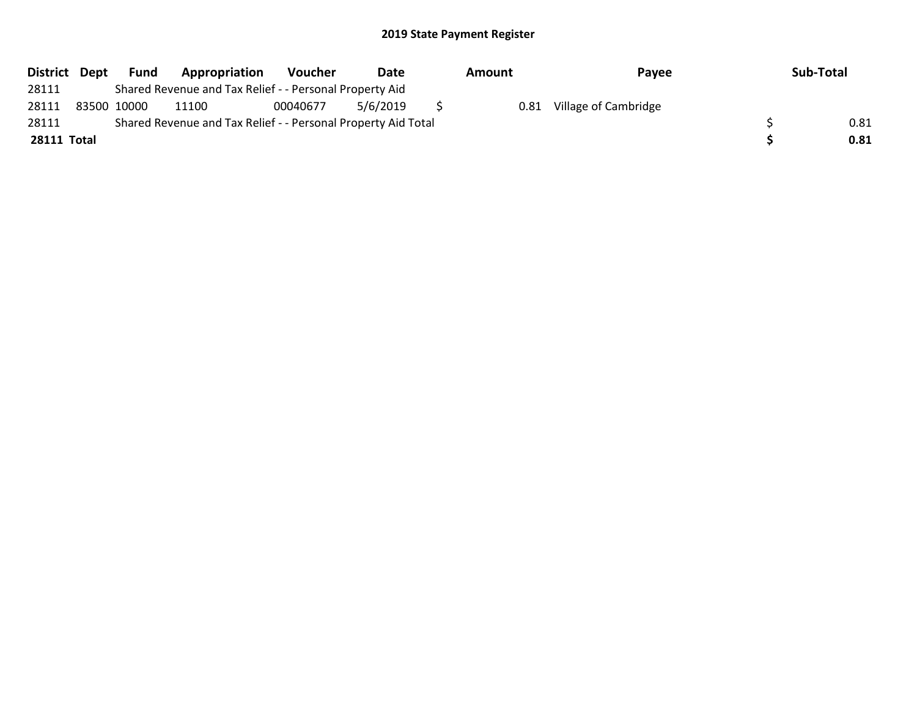| District Dept | Fund        | Appropriation                                                 | <b>Voucher</b> | Date     | Amount | Payee                | Sub-Total |
|---------------|-------------|---------------------------------------------------------------|----------------|----------|--------|----------------------|-----------|
| 28111         |             | Shared Revenue and Tax Relief - - Personal Property Aid       |                |          |        |                      |           |
| 28111         | 83500 10000 | 11100                                                         | 00040677       | 5/6/2019 | 0.81   | Village of Cambridge |           |
| 28111         |             | Shared Revenue and Tax Relief - - Personal Property Aid Total |                |          |        |                      | 0.81      |
| 28111 Total   |             |                                                               |                |          |        |                      | 0.81      |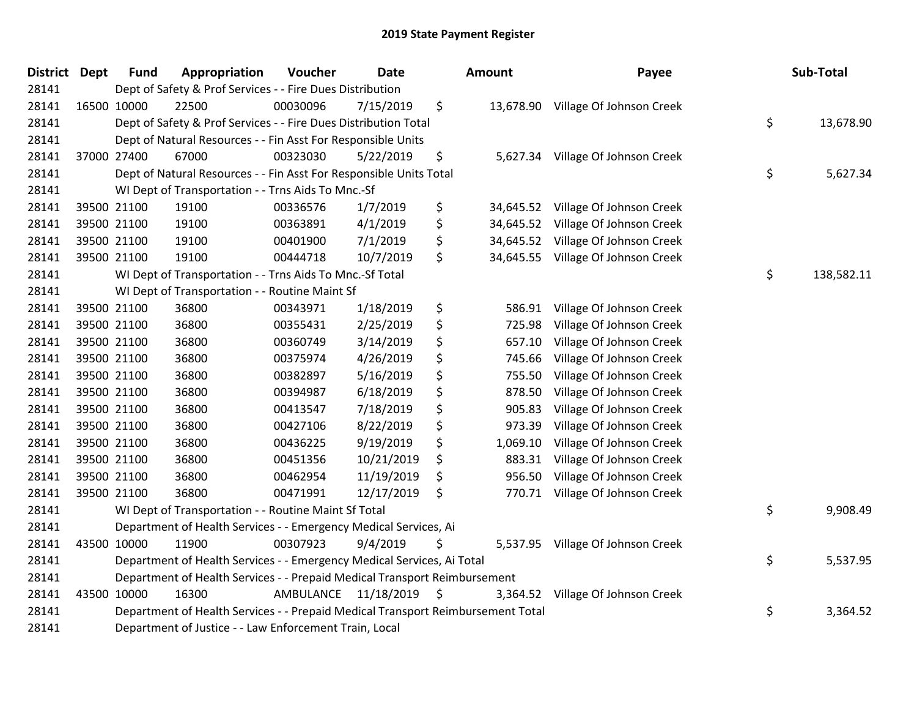| <b>District Dept</b> | <b>Fund</b> | Appropriation                                                                   | Voucher              | <b>Date</b> |     | <b>Amount</b> | Payee                              | Sub-Total        |
|----------------------|-------------|---------------------------------------------------------------------------------|----------------------|-------------|-----|---------------|------------------------------------|------------------|
| 28141                |             | Dept of Safety & Prof Services - - Fire Dues Distribution                       |                      |             |     |               |                                    |                  |
| 28141                | 16500 10000 | 22500                                                                           | 00030096             | 7/15/2019   | \$  |               | 13,678.90 Village Of Johnson Creek |                  |
| 28141                |             | Dept of Safety & Prof Services - - Fire Dues Distribution Total                 |                      |             |     |               |                                    | \$<br>13,678.90  |
| 28141                |             | Dept of Natural Resources - - Fin Asst For Responsible Units                    |                      |             |     |               |                                    |                  |
| 28141                | 37000 27400 | 67000                                                                           | 00323030             | 5/22/2019   | \$  | 5,627.34      | Village Of Johnson Creek           |                  |
| 28141                |             | Dept of Natural Resources - - Fin Asst For Responsible Units Total              |                      |             |     |               |                                    | \$<br>5,627.34   |
| 28141                |             | WI Dept of Transportation - - Trns Aids To Mnc.-Sf                              |                      |             |     |               |                                    |                  |
| 28141                | 39500 21100 | 19100                                                                           | 00336576             | 1/7/2019    | \$  | 34,645.52     | Village Of Johnson Creek           |                  |
| 28141                | 39500 21100 | 19100                                                                           | 00363891             | 4/1/2019    | \$  | 34,645.52     | Village Of Johnson Creek           |                  |
| 28141                | 39500 21100 | 19100                                                                           | 00401900             | 7/1/2019    | \$  | 34,645.52     | Village Of Johnson Creek           |                  |
| 28141                | 39500 21100 | 19100                                                                           | 00444718             | 10/7/2019   | \$  | 34,645.55     | Village Of Johnson Creek           |                  |
| 28141                |             | WI Dept of Transportation - - Trns Aids To Mnc.-Sf Total                        |                      |             |     |               |                                    | \$<br>138,582.11 |
| 28141                |             | WI Dept of Transportation - - Routine Maint Sf                                  |                      |             |     |               |                                    |                  |
| 28141                | 39500 21100 | 36800                                                                           | 00343971             | 1/18/2019   | \$  | 586.91        | Village Of Johnson Creek           |                  |
| 28141                | 39500 21100 | 36800                                                                           | 00355431             | 2/25/2019   | \$  | 725.98        | Village Of Johnson Creek           |                  |
| 28141                | 39500 21100 | 36800                                                                           | 00360749             | 3/14/2019   | \$  | 657.10        | Village Of Johnson Creek           |                  |
| 28141                | 39500 21100 | 36800                                                                           | 00375974             | 4/26/2019   | \$  | 745.66        | Village Of Johnson Creek           |                  |
| 28141                | 39500 21100 | 36800                                                                           | 00382897             | 5/16/2019   | \$  | 755.50        | Village Of Johnson Creek           |                  |
| 28141                | 39500 21100 | 36800                                                                           | 00394987             | 6/18/2019   | \$  | 878.50        | Village Of Johnson Creek           |                  |
| 28141                | 39500 21100 | 36800                                                                           | 00413547             | 7/18/2019   | \$  | 905.83        | Village Of Johnson Creek           |                  |
| 28141                | 39500 21100 | 36800                                                                           | 00427106             | 8/22/2019   | \$  | 973.39        | Village Of Johnson Creek           |                  |
| 28141                | 39500 21100 | 36800                                                                           | 00436225             | 9/19/2019   | \$  | 1,069.10      | Village Of Johnson Creek           |                  |
| 28141                | 39500 21100 | 36800                                                                           | 00451356             | 10/21/2019  | \$  | 883.31        | Village Of Johnson Creek           |                  |
| 28141                | 39500 21100 | 36800                                                                           | 00462954             | 11/19/2019  | \$  | 956.50        | Village Of Johnson Creek           |                  |
| 28141                | 39500 21100 | 36800                                                                           | 00471991             | 12/17/2019  | \$  | 770.71        | Village Of Johnson Creek           |                  |
| 28141                |             | WI Dept of Transportation - - Routine Maint Sf Total                            |                      |             |     |               |                                    | \$<br>9,908.49   |
| 28141                |             | Department of Health Services - - Emergency Medical Services, Ai                |                      |             |     |               |                                    |                  |
| 28141                | 43500 10000 | 11900                                                                           | 00307923             | 9/4/2019    | \$  |               | 5,537.95 Village Of Johnson Creek  |                  |
| 28141                |             | Department of Health Services - - Emergency Medical Services, Ai Total          |                      |             |     |               |                                    | \$<br>5,537.95   |
| 28141                |             | Department of Health Services - - Prepaid Medical Transport Reimbursement       |                      |             |     |               |                                    |                  |
| 28141                | 43500 10000 | 16300                                                                           | AMBULANCE 11/18/2019 |             | -\$ | 3,364.52      | Village Of Johnson Creek           |                  |
| 28141                |             | Department of Health Services - - Prepaid Medical Transport Reimbursement Total |                      |             |     |               |                                    | \$<br>3,364.52   |
| 28141                |             | Department of Justice - - Law Enforcement Train, Local                          |                      |             |     |               |                                    |                  |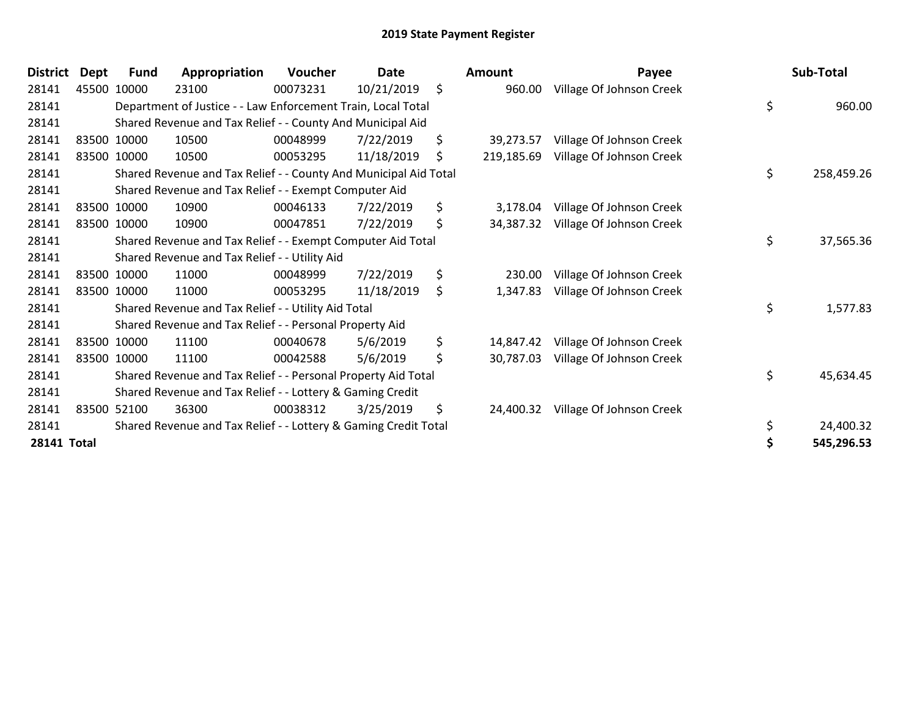| <b>District</b> | Dept | <b>Fund</b> | Appropriation                                                    | Voucher  | Date       | <b>Amount</b>    | Payee                    | Sub-Total        |
|-----------------|------|-------------|------------------------------------------------------------------|----------|------------|------------------|--------------------------|------------------|
| 28141           |      | 45500 10000 | 23100                                                            | 00073231 | 10/21/2019 | \$<br>960.00     | Village Of Johnson Creek |                  |
| 28141           |      |             | Department of Justice - - Law Enforcement Train, Local Total     |          |            |                  |                          | \$<br>960.00     |
| 28141           |      |             | Shared Revenue and Tax Relief - - County And Municipal Aid       |          |            |                  |                          |                  |
| 28141           |      | 83500 10000 | 10500                                                            | 00048999 | 7/22/2019  | \$<br>39,273.57  | Village Of Johnson Creek |                  |
| 28141           |      | 83500 10000 | 10500                                                            | 00053295 | 11/18/2019 | \$<br>219,185.69 | Village Of Johnson Creek |                  |
| 28141           |      |             | Shared Revenue and Tax Relief - - County And Municipal Aid Total |          |            |                  |                          | \$<br>258,459.26 |
| 28141           |      |             | Shared Revenue and Tax Relief - - Exempt Computer Aid            |          |            |                  |                          |                  |
| 28141           |      | 83500 10000 | 10900                                                            | 00046133 | 7/22/2019  | \$<br>3,178.04   | Village Of Johnson Creek |                  |
| 28141           |      | 83500 10000 | 10900                                                            | 00047851 | 7/22/2019  | \$<br>34,387.32  | Village Of Johnson Creek |                  |
| 28141           |      |             | Shared Revenue and Tax Relief - - Exempt Computer Aid Total      |          |            |                  |                          | \$<br>37,565.36  |
| 28141           |      |             | Shared Revenue and Tax Relief - - Utility Aid                    |          |            |                  |                          |                  |
| 28141           |      | 83500 10000 | 11000                                                            | 00048999 | 7/22/2019  | \$<br>230.00     | Village Of Johnson Creek |                  |
| 28141           |      | 83500 10000 | 11000                                                            | 00053295 | 11/18/2019 | \$<br>1,347.83   | Village Of Johnson Creek |                  |
| 28141           |      |             | Shared Revenue and Tax Relief - - Utility Aid Total              |          |            |                  |                          | \$<br>1,577.83   |
| 28141           |      |             | Shared Revenue and Tax Relief - - Personal Property Aid          |          |            |                  |                          |                  |
| 28141           |      | 83500 10000 | 11100                                                            | 00040678 | 5/6/2019   | \$<br>14,847.42  | Village Of Johnson Creek |                  |
| 28141           |      | 83500 10000 | 11100                                                            | 00042588 | 5/6/2019   | \$<br>30,787.03  | Village Of Johnson Creek |                  |
| 28141           |      |             | Shared Revenue and Tax Relief - - Personal Property Aid Total    |          |            |                  |                          | \$<br>45,634.45  |
| 28141           |      |             | Shared Revenue and Tax Relief - - Lottery & Gaming Credit        |          |            |                  |                          |                  |
| 28141           |      | 83500 52100 | 36300                                                            | 00038312 | 3/25/2019  | \$<br>24,400.32  | Village Of Johnson Creek |                  |
| 28141           |      |             | Shared Revenue and Tax Relief - - Lottery & Gaming Credit Total  |          |            |                  |                          | \$<br>24,400.32  |
| 28141 Total     |      |             |                                                                  |          |            |                  |                          | \$<br>545,296.53 |

| Payee                                  | Sub-Total        |
|----------------------------------------|------------------|
| Village Of Johnson Creek<br>960.00     |                  |
|                                        | \$<br>960.00     |
| 39,273.57 Village Of Johnson Creek     |                  |
| Village Of Johnson Creek<br>219,185.69 |                  |
|                                        | \$<br>258,459.26 |
| 3,178.04 Village Of Johnson Creek      |                  |
| Village Of Johnson Creek<br>34,387.32  |                  |
|                                        | \$<br>37,565.36  |
| Village Of Johnson Creek               |                  |
| Village Of Johnson Creek<br>1,347.83   |                  |
|                                        | \$<br>1,577.83   |
| 14,847.42 Village Of Johnson Creek     |                  |
| Village Of Johnson Creek<br>30,787.03  |                  |
|                                        | \$<br>45,634.45  |
| Village Of Johnson Creek               |                  |
|                                        | \$<br>24,400.32  |
|                                        | \$<br>545,296.53 |
|                                        |                  |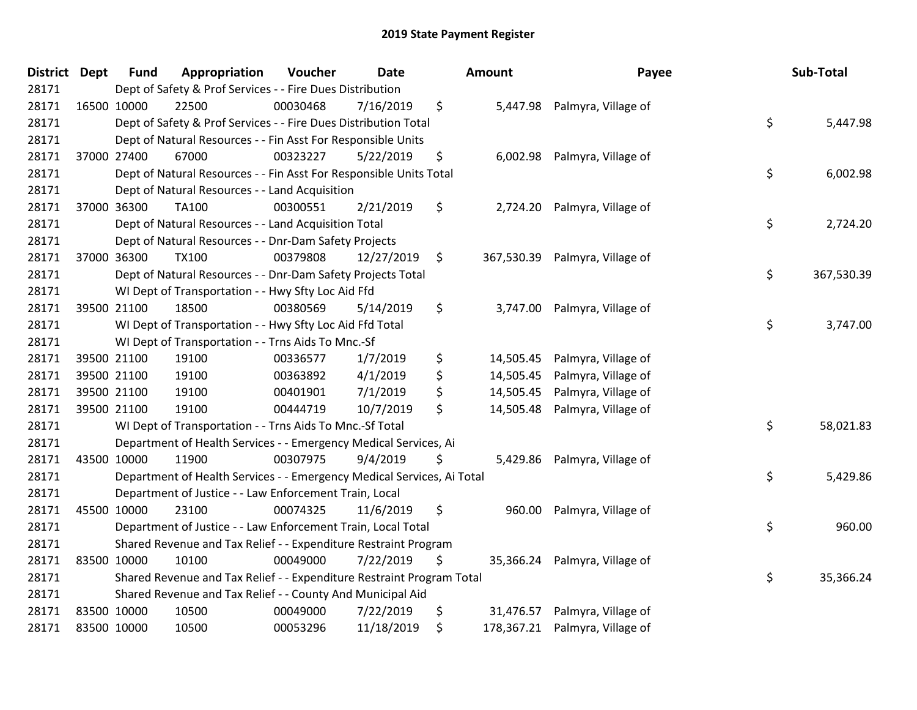| District Dept | <b>Fund</b> | Appropriation                                                          | Voucher  | <b>Date</b> |     | <b>Amount</b> | Payee                          | Sub-Total        |
|---------------|-------------|------------------------------------------------------------------------|----------|-------------|-----|---------------|--------------------------------|------------------|
| 28171         |             | Dept of Safety & Prof Services - - Fire Dues Distribution              |          |             |     |               |                                |                  |
| 28171         | 16500 10000 | 22500                                                                  | 00030468 | 7/16/2019   | \$  |               | 5,447.98 Palmyra, Village of   |                  |
| 28171         |             | Dept of Safety & Prof Services - - Fire Dues Distribution Total        |          |             |     |               |                                | \$<br>5,447.98   |
| 28171         |             | Dept of Natural Resources - - Fin Asst For Responsible Units           |          |             |     |               |                                |                  |
| 28171         | 37000 27400 | 67000                                                                  | 00323227 | 5/22/2019   | \$  | 6,002.98      | Palmyra, Village of            |                  |
| 28171         |             | Dept of Natural Resources - - Fin Asst For Responsible Units Total     |          |             |     |               |                                | \$<br>6,002.98   |
| 28171         |             | Dept of Natural Resources - - Land Acquisition                         |          |             |     |               |                                |                  |
| 28171         | 37000 36300 | TA100                                                                  | 00300551 | 2/21/2019   | \$  | 2,724.20      | Palmyra, Village of            |                  |
| 28171         |             | Dept of Natural Resources - - Land Acquisition Total                   |          |             |     |               |                                | \$<br>2,724.20   |
| 28171         |             | Dept of Natural Resources - - Dnr-Dam Safety Projects                  |          |             |     |               |                                |                  |
| 28171         | 37000 36300 | <b>TX100</b>                                                           | 00379808 | 12/27/2019  | \$  |               | 367,530.39 Palmyra, Village of |                  |
| 28171         |             | Dept of Natural Resources - - Dnr-Dam Safety Projects Total            |          |             |     |               |                                | \$<br>367,530.39 |
| 28171         |             | WI Dept of Transportation - - Hwy Sfty Loc Aid Ffd                     |          |             |     |               |                                |                  |
| 28171         | 39500 21100 | 18500                                                                  | 00380569 | 5/14/2019   | \$  | 3,747.00      | Palmyra, Village of            |                  |
| 28171         |             | WI Dept of Transportation - - Hwy Sfty Loc Aid Ffd Total               |          |             |     |               |                                | \$<br>3,747.00   |
| 28171         |             | WI Dept of Transportation - - Trns Aids To Mnc.-Sf                     |          |             |     |               |                                |                  |
| 28171         | 39500 21100 | 19100                                                                  | 00336577 | 1/7/2019    | \$  | 14,505.45     | Palmyra, Village of            |                  |
| 28171         | 39500 21100 | 19100                                                                  | 00363892 | 4/1/2019    | \$  | 14,505.45     | Palmyra, Village of            |                  |
| 28171         | 39500 21100 | 19100                                                                  | 00401901 | 7/1/2019    | \$  | 14,505.45     | Palmyra, Village of            |                  |
| 28171         | 39500 21100 | 19100                                                                  | 00444719 | 10/7/2019   | \$  | 14,505.48     | Palmyra, Village of            |                  |
| 28171         |             | WI Dept of Transportation - - Trns Aids To Mnc.-Sf Total               |          |             |     |               |                                | \$<br>58,021.83  |
| 28171         |             | Department of Health Services - - Emergency Medical Services, Ai       |          |             |     |               |                                |                  |
| 28171         | 43500 10000 | 11900                                                                  | 00307975 | 9/4/2019    | \$. | 5,429.86      | Palmyra, Village of            |                  |
| 28171         |             | Department of Health Services - - Emergency Medical Services, Ai Total |          |             |     |               |                                | \$<br>5,429.86   |
| 28171         |             | Department of Justice - - Law Enforcement Train, Local                 |          |             |     |               |                                |                  |
| 28171         | 45500 10000 | 23100                                                                  | 00074325 | 11/6/2019   | \$  | 960.00        | Palmyra, Village of            |                  |
| 28171         |             | Department of Justice - - Law Enforcement Train, Local Total           |          |             |     |               |                                | \$<br>960.00     |
| 28171         |             | Shared Revenue and Tax Relief - - Expenditure Restraint Program        |          |             |     |               |                                |                  |
| 28171         | 83500 10000 | 10100                                                                  | 00049000 | 7/22/2019   | \$  | 35,366.24     | Palmyra, Village of            |                  |
| 28171         |             | Shared Revenue and Tax Relief - - Expenditure Restraint Program Total  |          |             |     |               |                                | \$<br>35,366.24  |
| 28171         |             | Shared Revenue and Tax Relief - - County And Municipal Aid             |          |             |     |               |                                |                  |
| 28171         | 83500 10000 | 10500                                                                  | 00049000 | 7/22/2019   | \$  | 31,476.57     | Palmyra, Village of            |                  |
| 28171         | 83500 10000 | 10500                                                                  | 00053296 | 11/18/2019  | \$  |               | 178,367.21 Palmyra, Village of |                  |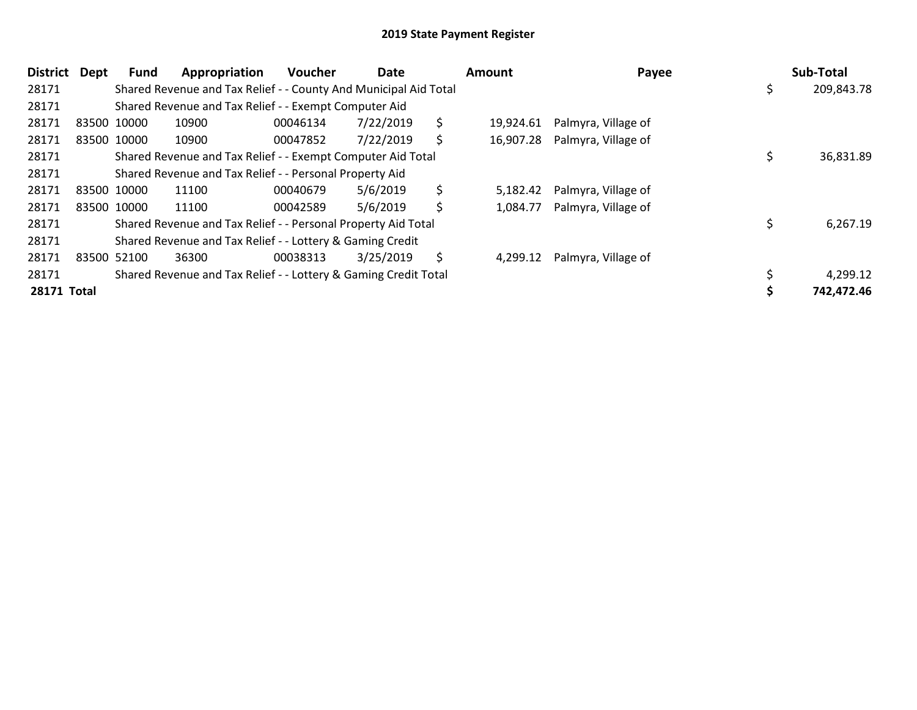| District    | <b>Dept</b> | <b>Fund</b> | Appropriation                                                    | <b>Voucher</b> | Date      | <b>Amount</b>   | Payee               | Sub-Total  |
|-------------|-------------|-------------|------------------------------------------------------------------|----------------|-----------|-----------------|---------------------|------------|
| 28171       |             |             | Shared Revenue and Tax Relief - - County And Municipal Aid Total |                |           |                 |                     | 209,843.78 |
| 28171       |             |             | Shared Revenue and Tax Relief - - Exempt Computer Aid            |                |           |                 |                     |            |
| 28171       |             | 83500 10000 | 10900                                                            | 00046134       | 7/22/2019 | \$<br>19.924.61 | Palmyra, Village of |            |
| 28171       |             | 83500 10000 | 10900                                                            | 00047852       | 7/22/2019 | \$<br>16,907.28 | Palmyra, Village of |            |
| 28171       |             |             | Shared Revenue and Tax Relief - - Exempt Computer Aid Total      |                |           |                 |                     | 36,831.89  |
| 28171       |             |             | Shared Revenue and Tax Relief - - Personal Property Aid          |                |           |                 |                     |            |
| 28171       |             | 83500 10000 | 11100                                                            | 00040679       | 5/6/2019  | \$<br>5,182.42  | Palmyra, Village of |            |
| 28171       |             | 83500 10000 | 11100                                                            | 00042589       | 5/6/2019  | \$<br>1,084.77  | Palmyra, Village of |            |
| 28171       |             |             | Shared Revenue and Tax Relief - - Personal Property Aid Total    |                |           |                 |                     | 6,267.19   |
| 28171       |             |             | Shared Revenue and Tax Relief - - Lottery & Gaming Credit        |                |           |                 |                     |            |
| 28171       |             | 83500 52100 | 36300                                                            | 00038313       | 3/25/2019 | \$<br>4,299.12  | Palmyra, Village of |            |
| 28171       |             |             | Shared Revenue and Tax Relief - - Lottery & Gaming Credit Total  |                |           |                 |                     | 4,299.12   |
| 28171 Total |             |             |                                                                  |                |           |                 |                     | 742,472.46 |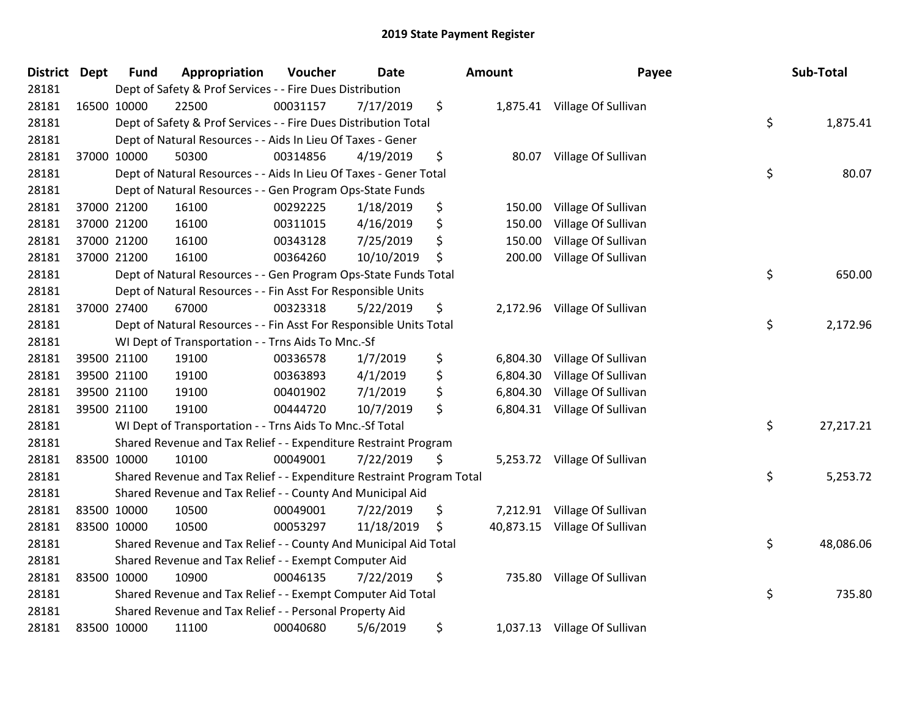| <b>District Dept</b> |             | <b>Fund</b> | Appropriation                                                         | Voucher  | <b>Date</b> |    | Amount    | Payee                        |    | Sub-Total |  |
|----------------------|-------------|-------------|-----------------------------------------------------------------------|----------|-------------|----|-----------|------------------------------|----|-----------|--|
| 28181                |             |             | Dept of Safety & Prof Services - - Fire Dues Distribution             |          |             |    |           |                              |    |           |  |
| 28181                |             | 16500 10000 | 22500                                                                 | 00031157 | 7/17/2019   | \$ |           | 1,875.41 Village Of Sullivan |    |           |  |
| 28181                |             |             | Dept of Safety & Prof Services - - Fire Dues Distribution Total       |          |             |    |           |                              | \$ | 1,875.41  |  |
| 28181                |             |             | Dept of Natural Resources - - Aids In Lieu Of Taxes - Gener           |          |             |    |           |                              |    |           |  |
| 28181                |             | 37000 10000 | 50300                                                                 | 00314856 | 4/19/2019   | \$ | 80.07     | Village Of Sullivan          |    |           |  |
| 28181                |             |             | Dept of Natural Resources - - Aids In Lieu Of Taxes - Gener Total     |          |             |    |           |                              | \$ | 80.07     |  |
| 28181                |             |             | Dept of Natural Resources - - Gen Program Ops-State Funds             |          |             |    |           |                              |    |           |  |
| 28181                |             | 37000 21200 | 16100                                                                 | 00292225 | 1/18/2019   | \$ | 150.00    | Village Of Sullivan          |    |           |  |
| 28181                |             | 37000 21200 | 16100                                                                 | 00311015 | 4/16/2019   | \$ | 150.00    | Village Of Sullivan          |    |           |  |
| 28181                |             | 37000 21200 | 16100                                                                 | 00343128 | 7/25/2019   | \$ | 150.00    | Village Of Sullivan          |    |           |  |
| 28181                |             | 37000 21200 | 16100                                                                 | 00364260 | 10/10/2019  | \$ | 200.00    | Village Of Sullivan          |    |           |  |
| 28181                |             |             | Dept of Natural Resources - - Gen Program Ops-State Funds Total       |          |             |    |           |                              | \$ | 650.00    |  |
| 28181                |             |             | Dept of Natural Resources - - Fin Asst For Responsible Units          |          |             |    |           |                              |    |           |  |
| 28181                |             | 37000 27400 | 67000                                                                 | 00323318 | 5/22/2019   | \$ | 2,172.96  | Village Of Sullivan          |    |           |  |
| 28181                |             |             | Dept of Natural Resources - - Fin Asst For Responsible Units Total    |          |             |    |           |                              | \$ | 2,172.96  |  |
| 28181                |             |             | WI Dept of Transportation - - Trns Aids To Mnc.-Sf                    |          |             |    |           |                              |    |           |  |
| 28181                |             | 39500 21100 | 19100                                                                 | 00336578 | 1/7/2019    | \$ | 6,804.30  | Village Of Sullivan          |    |           |  |
| 28181                |             | 39500 21100 | 19100                                                                 | 00363893 | 4/1/2019    | \$ | 6,804.30  | Village Of Sullivan          |    |           |  |
| 28181                |             | 39500 21100 | 19100                                                                 | 00401902 | 7/1/2019    | \$ | 6,804.30  | Village Of Sullivan          |    |           |  |
| 28181                |             | 39500 21100 | 19100                                                                 | 00444720 | 10/7/2019   | \$ | 6,804.31  | Village Of Sullivan          |    |           |  |
| 28181                |             |             | WI Dept of Transportation - - Trns Aids To Mnc.-Sf Total              |          |             |    |           |                              | \$ | 27,217.21 |  |
| 28181                |             |             | Shared Revenue and Tax Relief - - Expenditure Restraint Program       |          |             |    |           |                              |    |           |  |
| 28181                |             | 83500 10000 | 10100                                                                 | 00049001 | 7/22/2019   | \$ |           | 5,253.72 Village Of Sullivan |    |           |  |
| 28181                |             |             | Shared Revenue and Tax Relief - - Expenditure Restraint Program Total |          |             |    |           |                              | \$ | 5,253.72  |  |
| 28181                |             |             | Shared Revenue and Tax Relief - - County And Municipal Aid            |          |             |    |           |                              |    |           |  |
| 28181                |             | 83500 10000 | 10500                                                                 | 00049001 | 7/22/2019   | \$ | 7,212.91  | Village Of Sullivan          |    |           |  |
| 28181                | 83500 10000 |             | 10500                                                                 | 00053297 | 11/18/2019  | \$ | 40,873.15 | Village Of Sullivan          |    |           |  |
| 28181                |             |             | Shared Revenue and Tax Relief - - County And Municipal Aid Total      |          |             |    |           |                              | \$ | 48,086.06 |  |
| 28181                |             |             | Shared Revenue and Tax Relief - - Exempt Computer Aid                 |          |             |    |           |                              |    |           |  |
| 28181                | 83500 10000 |             | 10900                                                                 | 00046135 | 7/22/2019   | \$ | 735.80    | Village Of Sullivan          |    |           |  |
| 28181                |             |             | Shared Revenue and Tax Relief - - Exempt Computer Aid Total           |          |             |    |           |                              | \$ | 735.80    |  |
| 28181                |             |             | Shared Revenue and Tax Relief - - Personal Property Aid               |          |             |    |           |                              |    |           |  |
| 28181                |             | 83500 10000 | 11100                                                                 | 00040680 | 5/6/2019    | \$ |           | 1,037.13 Village Of Sullivan |    |           |  |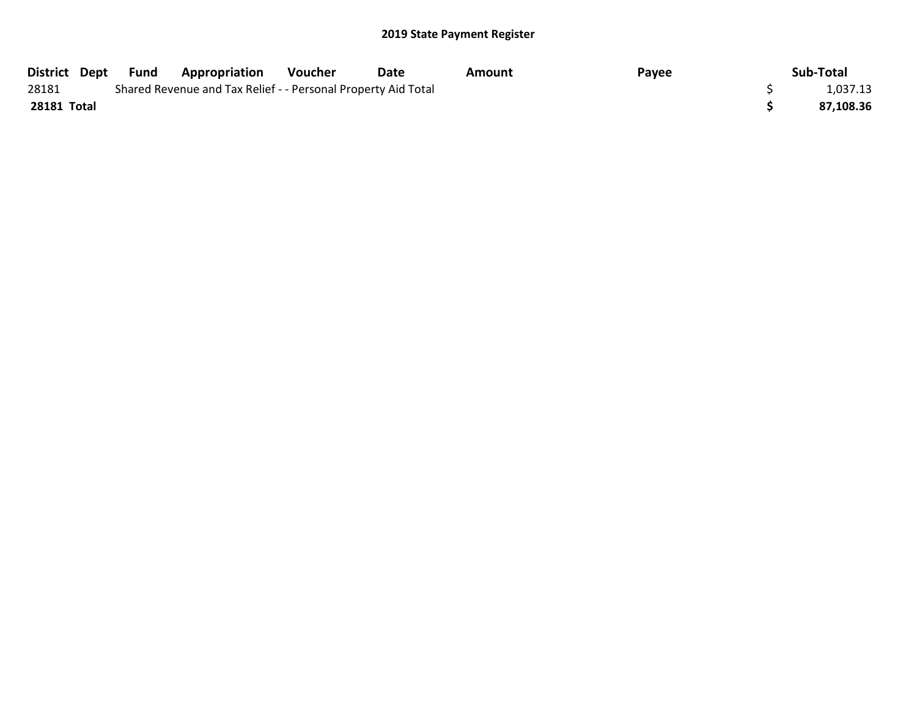| District Dept | Fund | <b>Appropriation</b>                                          | Voucher | Date | Amount | Payee | Sub-Total |
|---------------|------|---------------------------------------------------------------|---------|------|--------|-------|-----------|
| 28181         |      | Shared Revenue and Tax Relief - - Personal Property Aid Total |         |      |        |       | 1,037.13  |
| 28181 Total   |      |                                                               |         |      |        |       | 87,108.36 |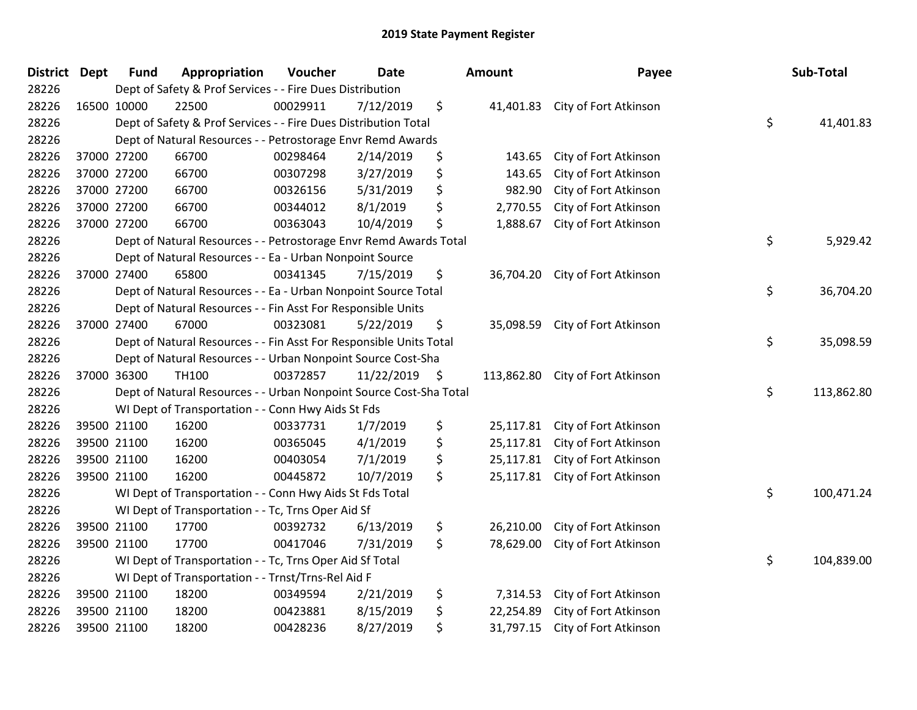| <b>District Dept</b> | <b>Fund</b> | Appropriation                                                      | Voucher  | <b>Date</b> | <b>Amount</b>    | Payee                           | Sub-Total        |
|----------------------|-------------|--------------------------------------------------------------------|----------|-------------|------------------|---------------------------------|------------------|
| 28226                |             | Dept of Safety & Prof Services - - Fire Dues Distribution          |          |             |                  |                                 |                  |
| 28226                | 16500 10000 | 22500                                                              | 00029911 | 7/12/2019   | \$<br>41,401.83  | City of Fort Atkinson           |                  |
| 28226                |             | Dept of Safety & Prof Services - - Fire Dues Distribution Total    |          |             |                  |                                 | \$<br>41,401.83  |
| 28226                |             | Dept of Natural Resources - - Petrostorage Envr Remd Awards        |          |             |                  |                                 |                  |
| 28226                | 37000 27200 | 66700                                                              | 00298464 | 2/14/2019   | \$<br>143.65     | City of Fort Atkinson           |                  |
| 28226                | 37000 27200 | 66700                                                              | 00307298 | 3/27/2019   | \$<br>143.65     | City of Fort Atkinson           |                  |
| 28226                | 37000 27200 | 66700                                                              | 00326156 | 5/31/2019   | \$<br>982.90     | City of Fort Atkinson           |                  |
| 28226                | 37000 27200 | 66700                                                              | 00344012 | 8/1/2019    | \$<br>2,770.55   | City of Fort Atkinson           |                  |
| 28226                | 37000 27200 | 66700                                                              | 00363043 | 10/4/2019   | \$<br>1,888.67   | City of Fort Atkinson           |                  |
| 28226                |             | Dept of Natural Resources - - Petrostorage Envr Remd Awards Total  |          |             |                  |                                 | \$<br>5,929.42   |
| 28226                |             | Dept of Natural Resources - - Ea - Urban Nonpoint Source           |          |             |                  |                                 |                  |
| 28226                | 37000 27400 | 65800                                                              | 00341345 | 7/15/2019   | \$<br>36,704.20  | City of Fort Atkinson           |                  |
| 28226                |             | Dept of Natural Resources - - Ea - Urban Nonpoint Source Total     |          |             |                  |                                 | \$<br>36,704.20  |
| 28226                |             | Dept of Natural Resources - - Fin Asst For Responsible Units       |          |             |                  |                                 |                  |
| 28226                | 37000 27400 | 67000                                                              | 00323081 | 5/22/2019   | \$<br>35,098.59  | City of Fort Atkinson           |                  |
| 28226                |             | Dept of Natural Resources - - Fin Asst For Responsible Units Total |          |             |                  |                                 | \$<br>35,098.59  |
| 28226                |             | Dept of Natural Resources - - Urban Nonpoint Source Cost-Sha       |          |             |                  |                                 |                  |
| 28226                | 37000 36300 | <b>TH100</b>                                                       | 00372857 | 11/22/2019  | \$<br>113,862.80 | City of Fort Atkinson           |                  |
| 28226                |             | Dept of Natural Resources - - Urban Nonpoint Source Cost-Sha Total |          |             |                  |                                 | \$<br>113,862.80 |
| 28226                |             | WI Dept of Transportation - - Conn Hwy Aids St Fds                 |          |             |                  |                                 |                  |
| 28226                | 39500 21100 | 16200                                                              | 00337731 | 1/7/2019    | \$<br>25,117.81  | City of Fort Atkinson           |                  |
| 28226                | 39500 21100 | 16200                                                              | 00365045 | 4/1/2019    | \$<br>25,117.81  | City of Fort Atkinson           |                  |
| 28226                | 39500 21100 | 16200                                                              | 00403054 | 7/1/2019    | \$<br>25,117.81  | City of Fort Atkinson           |                  |
| 28226                | 39500 21100 | 16200                                                              | 00445872 | 10/7/2019   | \$               | 25,117.81 City of Fort Atkinson |                  |
| 28226                |             | WI Dept of Transportation - - Conn Hwy Aids St Fds Total           |          |             |                  |                                 | \$<br>100,471.24 |
| 28226                |             | WI Dept of Transportation - - Tc, Trns Oper Aid Sf                 |          |             |                  |                                 |                  |
| 28226                | 39500 21100 | 17700                                                              | 00392732 | 6/13/2019   | \$<br>26,210.00  | City of Fort Atkinson           |                  |
| 28226                | 39500 21100 | 17700                                                              | 00417046 | 7/31/2019   | \$<br>78,629.00  | City of Fort Atkinson           |                  |
| 28226                |             | WI Dept of Transportation - - Tc, Trns Oper Aid Sf Total           |          |             |                  |                                 | \$<br>104,839.00 |
| 28226                |             | WI Dept of Transportation - - Trnst/Trns-Rel Aid F                 |          |             |                  |                                 |                  |
| 28226                | 39500 21100 | 18200                                                              | 00349594 | 2/21/2019   | \$<br>7,314.53   | City of Fort Atkinson           |                  |
| 28226                | 39500 21100 | 18200                                                              | 00423881 | 8/15/2019   | \$<br>22,254.89  | City of Fort Atkinson           |                  |
| 28226                | 39500 21100 | 18200                                                              | 00428236 | 8/27/2019   | \$<br>31,797.15  | City of Fort Atkinson           |                  |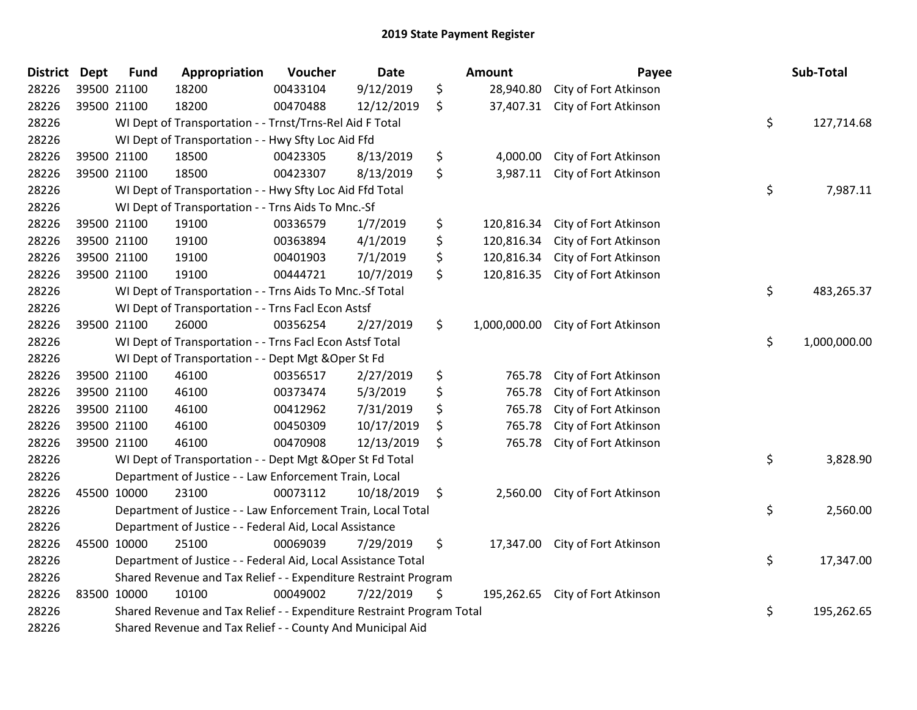| District Dept |             | <b>Fund</b> | Appropriation                                                         | Voucher  | <b>Date</b> | Amount             | Payee                           | Sub-Total          |
|---------------|-------------|-------------|-----------------------------------------------------------------------|----------|-------------|--------------------|---------------------------------|--------------------|
| 28226         | 39500 21100 |             | 18200                                                                 | 00433104 | 9/12/2019   | \$<br>28,940.80    | City of Fort Atkinson           |                    |
| 28226         | 39500 21100 |             | 18200                                                                 | 00470488 | 12/12/2019  | \$                 | 37,407.31 City of Fort Atkinson |                    |
| 28226         |             |             | WI Dept of Transportation - - Trnst/Trns-Rel Aid F Total              |          |             |                    |                                 | \$<br>127,714.68   |
| 28226         |             |             | WI Dept of Transportation - - Hwy Sfty Loc Aid Ffd                    |          |             |                    |                                 |                    |
| 28226         | 39500 21100 |             | 18500                                                                 | 00423305 | 8/13/2019   | \$<br>4,000.00     | City of Fort Atkinson           |                    |
| 28226         | 39500 21100 |             | 18500                                                                 | 00423307 | 8/13/2019   | \$<br>3,987.11     | City of Fort Atkinson           |                    |
| 28226         |             |             | WI Dept of Transportation - - Hwy Sfty Loc Aid Ffd Total              |          |             |                    |                                 | \$<br>7,987.11     |
| 28226         |             |             | WI Dept of Transportation - - Trns Aids To Mnc.-Sf                    |          |             |                    |                                 |                    |
| 28226         | 39500 21100 |             | 19100                                                                 | 00336579 | 1/7/2019    | \$<br>120,816.34   | City of Fort Atkinson           |                    |
| 28226         | 39500 21100 |             | 19100                                                                 | 00363894 | 4/1/2019    | \$<br>120,816.34   | City of Fort Atkinson           |                    |
| 28226         | 39500 21100 |             | 19100                                                                 | 00401903 | 7/1/2019    | \$<br>120,816.34   | City of Fort Atkinson           |                    |
| 28226         | 39500 21100 |             | 19100                                                                 | 00444721 | 10/7/2019   | \$<br>120,816.35   | City of Fort Atkinson           |                    |
| 28226         |             |             | WI Dept of Transportation - - Trns Aids To Mnc.-Sf Total              |          |             |                    |                                 | \$<br>483,265.37   |
| 28226         |             |             | WI Dept of Transportation - - Trns Facl Econ Astsf                    |          |             |                    |                                 |                    |
| 28226         | 39500 21100 |             | 26000                                                                 | 00356254 | 2/27/2019   | \$<br>1,000,000.00 | City of Fort Atkinson           |                    |
| 28226         |             |             | WI Dept of Transportation - - Trns Facl Econ Astsf Total              |          |             |                    |                                 | \$<br>1,000,000.00 |
| 28226         |             |             | WI Dept of Transportation - - Dept Mgt & Oper St Fd                   |          |             |                    |                                 |                    |
| 28226         | 39500 21100 |             | 46100                                                                 | 00356517 | 2/27/2019   | \$<br>765.78       | City of Fort Atkinson           |                    |
| 28226         | 39500 21100 |             | 46100                                                                 | 00373474 | 5/3/2019    | \$<br>765.78       | City of Fort Atkinson           |                    |
| 28226         | 39500 21100 |             | 46100                                                                 | 00412962 | 7/31/2019   | \$<br>765.78       | City of Fort Atkinson           |                    |
| 28226         | 39500 21100 |             | 46100                                                                 | 00450309 | 10/17/2019  | \$<br>765.78       | City of Fort Atkinson           |                    |
| 28226         | 39500 21100 |             | 46100                                                                 | 00470908 | 12/13/2019  | \$<br>765.78       | City of Fort Atkinson           |                    |
| 28226         |             |             | WI Dept of Transportation - - Dept Mgt & Oper St Fd Total             |          |             |                    |                                 | \$<br>3,828.90     |
| 28226         |             |             | Department of Justice - - Law Enforcement Train, Local                |          |             |                    |                                 |                    |
| 28226         | 45500 10000 |             | 23100                                                                 | 00073112 | 10/18/2019  | \$<br>2,560.00     | City of Fort Atkinson           |                    |
| 28226         |             |             | Department of Justice - - Law Enforcement Train, Local Total          |          |             |                    |                                 | \$<br>2,560.00     |
| 28226         |             |             | Department of Justice - - Federal Aid, Local Assistance               |          |             |                    |                                 |                    |
| 28226         | 45500 10000 |             | 25100                                                                 | 00069039 | 7/29/2019   | \$<br>17,347.00    | City of Fort Atkinson           |                    |
| 28226         |             |             | Department of Justice - - Federal Aid, Local Assistance Total         |          |             |                    |                                 | \$<br>17,347.00    |
| 28226         |             |             | Shared Revenue and Tax Relief - - Expenditure Restraint Program       |          |             |                    |                                 |                    |
| 28226         | 83500 10000 |             | 10100                                                                 | 00049002 | 7/22/2019   | \$<br>195,262.65   | City of Fort Atkinson           |                    |
| 28226         |             |             | Shared Revenue and Tax Relief - - Expenditure Restraint Program Total |          |             |                    |                                 | \$<br>195,262.65   |
| 28226         |             |             | Shared Revenue and Tax Relief - - County And Municipal Aid            |          |             |                    |                                 |                    |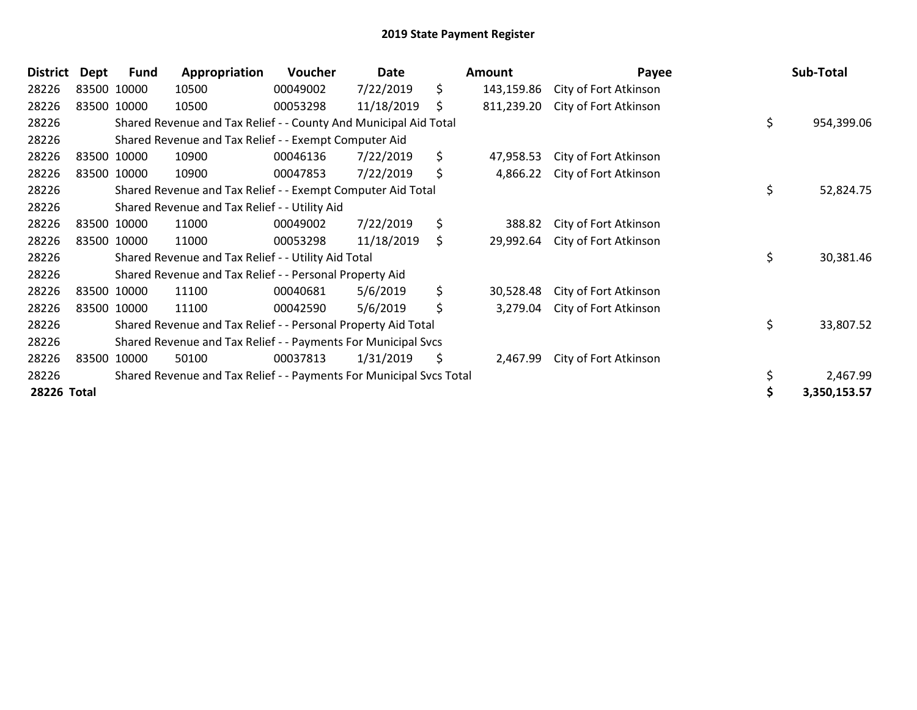| <b>District</b> | Dept | <b>Fund</b> | Appropriation                                                       | <b>Voucher</b> | Date       | Amount           | Payee                 |    | Sub-Total    |
|-----------------|------|-------------|---------------------------------------------------------------------|----------------|------------|------------------|-----------------------|----|--------------|
| 28226           |      | 83500 10000 | 10500                                                               | 00049002       | 7/22/2019  | \$<br>143,159.86 | City of Fort Atkinson |    |              |
| 28226           |      | 83500 10000 | 10500                                                               | 00053298       | 11/18/2019 | \$<br>811,239.20 | City of Fort Atkinson |    |              |
| 28226           |      |             | Shared Revenue and Tax Relief - - County And Municipal Aid Total    |                |            |                  |                       | \$ | 954,399.06   |
| 28226           |      |             | Shared Revenue and Tax Relief - - Exempt Computer Aid               |                |            |                  |                       |    |              |
| 28226           |      | 83500 10000 | 10900                                                               | 00046136       | 7/22/2019  | \$<br>47,958.53  | City of Fort Atkinson |    |              |
| 28226           |      | 83500 10000 | 10900                                                               | 00047853       | 7/22/2019  | \$<br>4,866.22   | City of Fort Atkinson |    |              |
| 28226           |      |             | Shared Revenue and Tax Relief - - Exempt Computer Aid Total         |                |            |                  |                       | \$ | 52,824.75    |
| 28226           |      |             | Shared Revenue and Tax Relief - - Utility Aid                       |                |            |                  |                       |    |              |
| 28226           |      | 83500 10000 | 11000                                                               | 00049002       | 7/22/2019  | \$<br>388.82     | City of Fort Atkinson |    |              |
| 28226           |      | 83500 10000 | 11000                                                               | 00053298       | 11/18/2019 | \$<br>29,992.64  | City of Fort Atkinson |    |              |
| 28226           |      |             | Shared Revenue and Tax Relief - - Utility Aid Total                 |                |            |                  |                       | \$ | 30,381.46    |
| 28226           |      |             | Shared Revenue and Tax Relief - - Personal Property Aid             |                |            |                  |                       |    |              |
| 28226           |      | 83500 10000 | 11100                                                               | 00040681       | 5/6/2019   | \$<br>30,528.48  | City of Fort Atkinson |    |              |
| 28226           |      | 83500 10000 | 11100                                                               | 00042590       | 5/6/2019   | \$<br>3,279.04   | City of Fort Atkinson |    |              |
| 28226           |      |             | Shared Revenue and Tax Relief - - Personal Property Aid Total       |                |            |                  |                       | \$ | 33,807.52    |
| 28226           |      |             | Shared Revenue and Tax Relief - - Payments For Municipal Svcs       |                |            |                  |                       |    |              |
| 28226           |      | 83500 10000 | 50100                                                               | 00037813       | 1/31/2019  | \$<br>2,467.99   | City of Fort Atkinson |    |              |
| 28226           |      |             | Shared Revenue and Tax Relief - - Payments For Municipal Svcs Total |                |            |                  |                       |    | 2,467.99     |
| 28226 Total     |      |             |                                                                     |                |            |                  |                       | S  | 3,350,153.57 |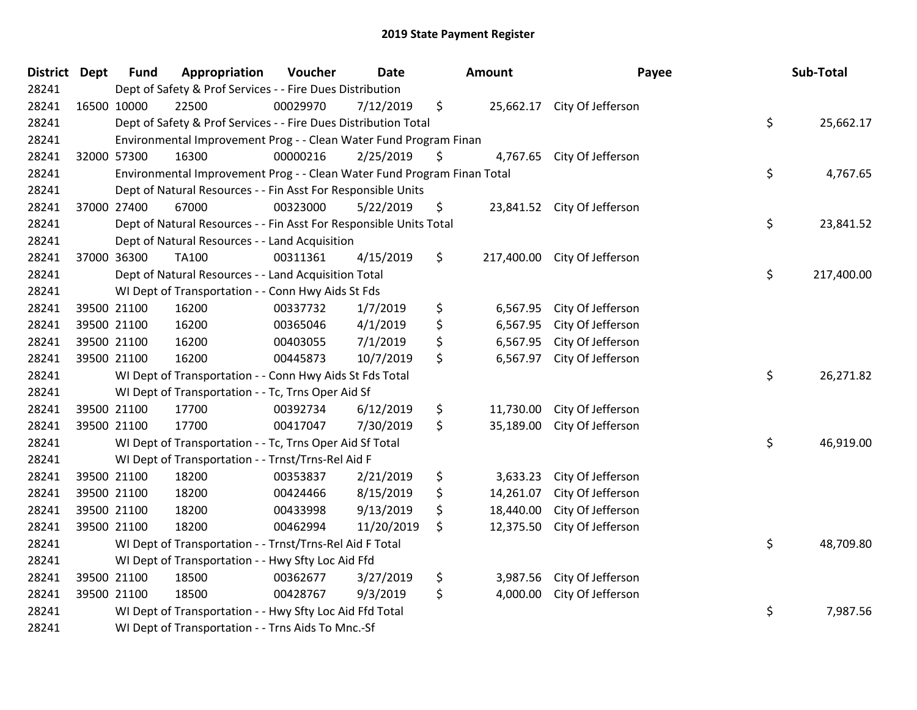| <b>District Dept</b> | <b>Fund</b> | Appropriation                                                           | Voucher  | Date       | Amount          | Payee                        | Sub-Total        |
|----------------------|-------------|-------------------------------------------------------------------------|----------|------------|-----------------|------------------------------|------------------|
| 28241                |             | Dept of Safety & Prof Services - - Fire Dues Distribution               |          |            |                 |                              |                  |
| 28241                | 16500 10000 | 22500                                                                   | 00029970 | 7/12/2019  | \$              | 25,662.17 City Of Jefferson  |                  |
| 28241                |             | Dept of Safety & Prof Services - - Fire Dues Distribution Total         |          |            |                 |                              | \$<br>25,662.17  |
| 28241                |             | Environmental Improvement Prog - - Clean Water Fund Program Finan       |          |            |                 |                              |                  |
| 28241                | 32000 57300 | 16300                                                                   | 00000216 | 2/25/2019  | \$<br>4,767.65  | City Of Jefferson            |                  |
| 28241                |             | Environmental Improvement Prog - - Clean Water Fund Program Finan Total |          |            |                 |                              | \$<br>4,767.65   |
| 28241                |             | Dept of Natural Resources - - Fin Asst For Responsible Units            |          |            |                 |                              |                  |
| 28241                | 37000 27400 | 67000                                                                   | 00323000 | 5/22/2019  | \$              | 23,841.52 City Of Jefferson  |                  |
| 28241                |             | Dept of Natural Resources - - Fin Asst For Responsible Units Total      |          |            |                 |                              | \$<br>23,841.52  |
| 28241                |             | Dept of Natural Resources - - Land Acquisition                          |          |            |                 |                              |                  |
| 28241                | 37000 36300 | <b>TA100</b>                                                            | 00311361 | 4/15/2019  | \$              | 217,400.00 City Of Jefferson |                  |
| 28241                |             | Dept of Natural Resources - - Land Acquisition Total                    |          |            |                 |                              | \$<br>217,400.00 |
| 28241                |             | WI Dept of Transportation - - Conn Hwy Aids St Fds                      |          |            |                 |                              |                  |
| 28241                | 39500 21100 | 16200                                                                   | 00337732 | 1/7/2019   | \$<br>6,567.95  | City Of Jefferson            |                  |
| 28241                | 39500 21100 | 16200                                                                   | 00365046 | 4/1/2019   | \$<br>6,567.95  | City Of Jefferson            |                  |
| 28241                | 39500 21100 | 16200                                                                   | 00403055 | 7/1/2019   | \$<br>6,567.95  | City Of Jefferson            |                  |
| 28241                | 39500 21100 | 16200                                                                   | 00445873 | 10/7/2019  | \$<br>6,567.97  | City Of Jefferson            |                  |
| 28241                |             | WI Dept of Transportation - - Conn Hwy Aids St Fds Total                |          |            |                 |                              | \$<br>26,271.82  |
| 28241                |             | WI Dept of Transportation - - Tc, Trns Oper Aid Sf                      |          |            |                 |                              |                  |
| 28241                | 39500 21100 | 17700                                                                   | 00392734 | 6/12/2019  | \$<br>11,730.00 | City Of Jefferson            |                  |
| 28241                | 39500 21100 | 17700                                                                   | 00417047 | 7/30/2019  | \$              | 35,189.00 City Of Jefferson  |                  |
| 28241                |             | WI Dept of Transportation - - Tc, Trns Oper Aid Sf Total                |          |            |                 |                              | \$<br>46,919.00  |
| 28241                |             | WI Dept of Transportation - - Trnst/Trns-Rel Aid F                      |          |            |                 |                              |                  |
| 28241                | 39500 21100 | 18200                                                                   | 00353837 | 2/21/2019  | \$<br>3,633.23  | City Of Jefferson            |                  |
| 28241                | 39500 21100 | 18200                                                                   | 00424466 | 8/15/2019  | \$<br>14,261.07 | City Of Jefferson            |                  |
| 28241                | 39500 21100 | 18200                                                                   | 00433998 | 9/13/2019  | \$<br>18,440.00 | City Of Jefferson            |                  |
| 28241                | 39500 21100 | 18200                                                                   | 00462994 | 11/20/2019 | \$<br>12,375.50 | City Of Jefferson            |                  |
| 28241                |             | WI Dept of Transportation - - Trnst/Trns-Rel Aid F Total                |          |            |                 |                              | \$<br>48,709.80  |
| 28241                |             | WI Dept of Transportation - - Hwy Sfty Loc Aid Ffd                      |          |            |                 |                              |                  |
| 28241                | 39500 21100 | 18500                                                                   | 00362677 | 3/27/2019  | \$<br>3,987.56  | City Of Jefferson            |                  |
| 28241                | 39500 21100 | 18500                                                                   | 00428767 | 9/3/2019   | \$              | 4,000.00 City Of Jefferson   |                  |
| 28241                |             | WI Dept of Transportation - - Hwy Sfty Loc Aid Ffd Total                |          |            |                 |                              | \$<br>7,987.56   |
| 28241                |             | WI Dept of Transportation - - Trns Aids To Mnc.-Sf                      |          |            |                 |                              |                  |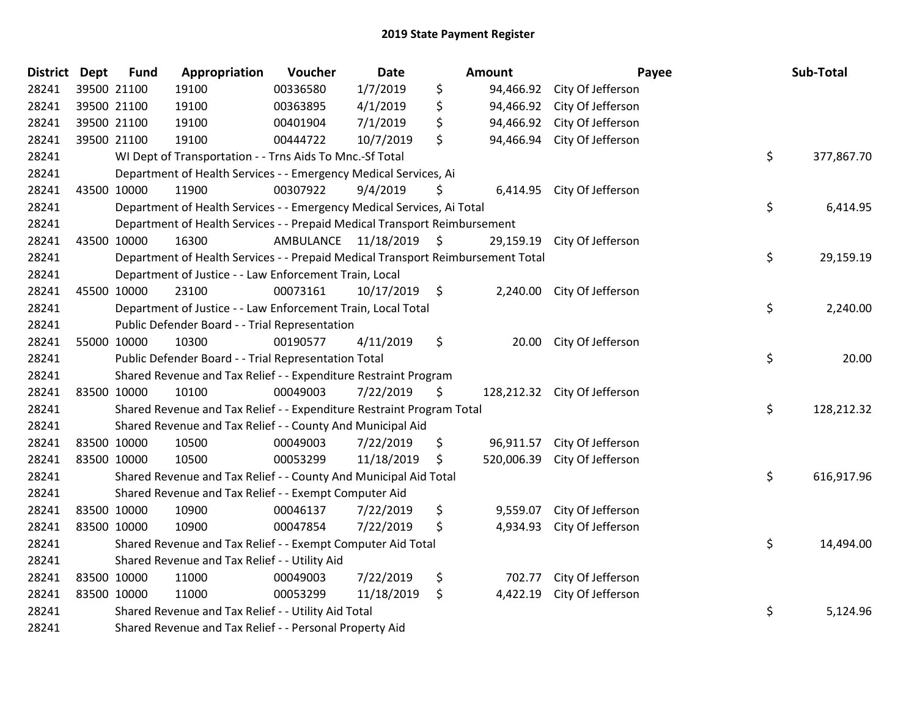| <b>District Dept</b> |             | <b>Fund</b> | Appropriation                                                                   | Voucher  | <b>Date</b>             |           | Amount    |                              | Payee | Sub-Total  |
|----------------------|-------------|-------------|---------------------------------------------------------------------------------|----------|-------------------------|-----------|-----------|------------------------------|-------|------------|
| 28241                |             | 39500 21100 | 19100                                                                           | 00336580 | 1/7/2019                | \$        |           | 94,466.92 City Of Jefferson  |       |            |
| 28241                |             | 39500 21100 | 19100                                                                           | 00363895 | 4/1/2019                | \$        | 94,466.92 | City Of Jefferson            |       |            |
| 28241                |             | 39500 21100 | 19100                                                                           | 00401904 | 7/1/2019                | \$        | 94,466.92 | City Of Jefferson            |       |            |
| 28241                |             | 39500 21100 | 19100                                                                           | 00444722 | 10/7/2019               | \$        | 94,466.94 | City Of Jefferson            |       |            |
| 28241                |             |             | WI Dept of Transportation - - Trns Aids To Mnc.-Sf Total                        |          |                         |           |           |                              | \$    | 377,867.70 |
| 28241                |             |             | Department of Health Services - - Emergency Medical Services, Ai                |          |                         |           |           |                              |       |            |
| 28241                |             | 43500 10000 | 11900                                                                           | 00307922 | 9/4/2019                | \$        |           | 6,414.95 City Of Jefferson   |       |            |
| 28241                |             |             | Department of Health Services - - Emergency Medical Services, Ai Total          |          |                         |           |           |                              | \$    | 6,414.95   |
| 28241                |             |             | Department of Health Services - - Prepaid Medical Transport Reimbursement       |          |                         |           |           |                              |       |            |
| 28241                | 43500 10000 |             | 16300                                                                           |          | AMBULANCE 11/18/2019 \$ |           | 29,159.19 | City Of Jefferson            |       |            |
| 28241                |             |             | Department of Health Services - - Prepaid Medical Transport Reimbursement Total |          | \$                      | 29,159.19 |           |                              |       |            |
| 28241                |             |             | Department of Justice - - Law Enforcement Train, Local                          |          |                         |           |           |                              |       |            |
| 28241                |             | 45500 10000 | 23100                                                                           | 00073161 | $10/17/2019$ \$         |           |           | 2,240.00 City Of Jefferson   |       |            |
| 28241                |             |             | Department of Justice - - Law Enforcement Train, Local Total                    |          |                         |           |           |                              | \$    | 2,240.00   |
| 28241                |             |             | Public Defender Board - - Trial Representation                                  |          |                         |           |           |                              |       |            |
| 28241                |             | 55000 10000 | 10300                                                                           | 00190577 | 4/11/2019               | \$        | 20.00     | City Of Jefferson            |       |            |
| 28241                |             |             | Public Defender Board - - Trial Representation Total                            |          |                         |           |           |                              | \$    | 20.00      |
| 28241                |             |             | Shared Revenue and Tax Relief - - Expenditure Restraint Program                 |          |                         |           |           |                              |       |            |
| 28241                |             | 83500 10000 | 10100                                                                           | 00049003 | 7/22/2019               | \$        |           | 128,212.32 City Of Jefferson |       |            |
| 28241                |             |             | Shared Revenue and Tax Relief - - Expenditure Restraint Program Total           |          |                         |           |           |                              | \$    | 128,212.32 |
| 28241                |             |             | Shared Revenue and Tax Relief - - County And Municipal Aid                      |          |                         |           |           |                              |       |            |
| 28241                |             | 83500 10000 | 10500                                                                           | 00049003 | 7/22/2019               | \$        |           | 96,911.57 City Of Jefferson  |       |            |
| 28241                |             | 83500 10000 | 10500                                                                           | 00053299 | 11/18/2019              | S         |           | 520,006.39 City Of Jefferson |       |            |
| 28241                |             |             | Shared Revenue and Tax Relief - - County And Municipal Aid Total                |          |                         |           |           |                              | \$    | 616,917.96 |
| 28241                |             |             | Shared Revenue and Tax Relief - - Exempt Computer Aid                           |          |                         |           |           |                              |       |            |
| 28241                |             | 83500 10000 | 10900                                                                           | 00046137 | 7/22/2019               | \$        | 9,559.07  | City Of Jefferson            |       |            |
| 28241                |             | 83500 10000 | 10900                                                                           | 00047854 | 7/22/2019               | \$        |           | 4,934.93 City Of Jefferson   |       |            |
| 28241                |             |             | Shared Revenue and Tax Relief - - Exempt Computer Aid Total                     |          |                         |           |           |                              | \$    | 14,494.00  |
| 28241                |             |             | Shared Revenue and Tax Relief - - Utility Aid                                   |          |                         |           |           |                              |       |            |
| 28241                |             | 83500 10000 | 11000                                                                           | 00049003 | 7/22/2019               | \$        |           | 702.77 City Of Jefferson     |       |            |
| 28241                |             | 83500 10000 | 11000                                                                           | 00053299 | 11/18/2019              | \$        | 4,422.19  | City Of Jefferson            |       |            |
| 28241                |             |             | Shared Revenue and Tax Relief - - Utility Aid Total                             |          |                         |           |           |                              | \$    | 5,124.96   |
| 28241                |             |             | Shared Revenue and Tax Relief - - Personal Property Aid                         |          |                         |           |           |                              |       |            |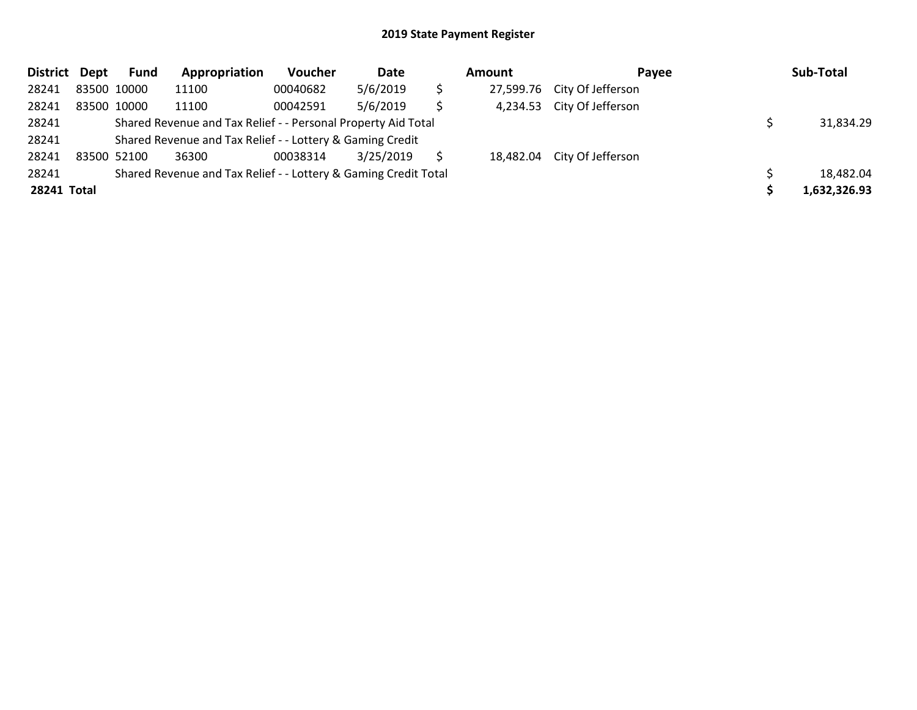| District Dept | Fund                                                            | Appropriation                                                 | Voucher  | Date      |           | Amount    | Payee                       |  | Sub-Total    |  |
|---------------|-----------------------------------------------------------------|---------------------------------------------------------------|----------|-----------|-----------|-----------|-----------------------------|--|--------------|--|
| 28241         | 83500 10000                                                     | 11100                                                         | 00040682 | 5/6/2019  | \$        | 27,599.76 | City Of Jefferson           |  |              |  |
| 28241         | 83500 10000                                                     | 11100                                                         | 00042591 | 5/6/2019  | \$        | 4,234.53  | City Of Jefferson           |  |              |  |
| 28241         |                                                                 | Shared Revenue and Tax Relief - - Personal Property Aid Total |          |           | 31,834.29 |           |                             |  |              |  |
| 28241         |                                                                 | Shared Revenue and Tax Relief - - Lottery & Gaming Credit     |          |           |           |           |                             |  |              |  |
| 28241         | 83500 52100                                                     | 36300                                                         | 00038314 | 3/25/2019 |           |           | 18,482.04 City Of Jefferson |  |              |  |
| 28241         | Shared Revenue and Tax Relief - - Lottery & Gaming Credit Total |                                                               |          |           |           |           |                             |  | 18,482.04    |  |
| 28241 Total   |                                                                 |                                                               |          |           |           |           |                             |  | 1,632,326.93 |  |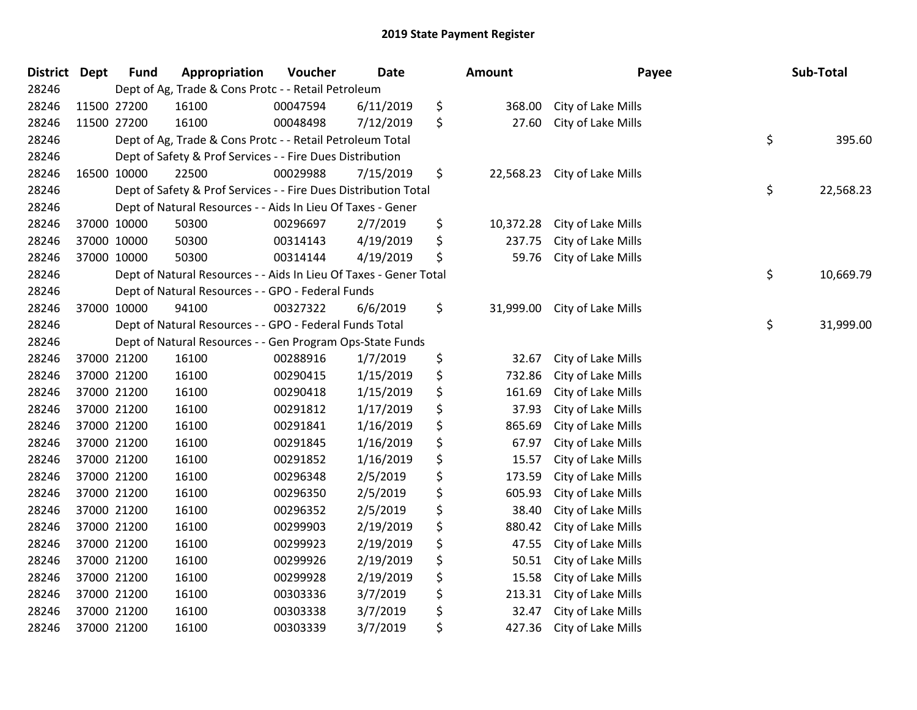| <b>District</b> | Dept        | <b>Fund</b> | Appropriation                                                     | Voucher  | <b>Date</b> | <b>Amount</b>   | Payee              | Sub-Total       |
|-----------------|-------------|-------------|-------------------------------------------------------------------|----------|-------------|-----------------|--------------------|-----------------|
| 28246           |             |             | Dept of Ag, Trade & Cons Protc - - Retail Petroleum               |          |             |                 |                    |                 |
| 28246           |             | 11500 27200 | 16100                                                             | 00047594 | 6/11/2019   | \$<br>368.00    | City of Lake Mills |                 |
| 28246           | 11500 27200 |             | 16100                                                             | 00048498 | 7/12/2019   | \$<br>27.60     | City of Lake Mills |                 |
| 28246           |             |             | Dept of Ag, Trade & Cons Protc - - Retail Petroleum Total         |          |             |                 |                    | \$<br>395.60    |
| 28246           |             |             | Dept of Safety & Prof Services - - Fire Dues Distribution         |          |             |                 |                    |                 |
| 28246           |             | 16500 10000 | 22500                                                             | 00029988 | 7/15/2019   | \$<br>22,568.23 | City of Lake Mills |                 |
| 28246           |             |             | Dept of Safety & Prof Services - - Fire Dues Distribution Total   |          |             |                 |                    | \$<br>22,568.23 |
| 28246           |             |             | Dept of Natural Resources - - Aids In Lieu Of Taxes - Gener       |          |             |                 |                    |                 |
| 28246           |             | 37000 10000 | 50300                                                             | 00296697 | 2/7/2019    | \$<br>10,372.28 | City of Lake Mills |                 |
| 28246           |             | 37000 10000 | 50300                                                             | 00314143 | 4/19/2019   | \$<br>237.75    | City of Lake Mills |                 |
| 28246           |             | 37000 10000 | 50300                                                             | 00314144 | 4/19/2019   | \$<br>59.76     | City of Lake Mills |                 |
| 28246           |             |             | Dept of Natural Resources - - Aids In Lieu Of Taxes - Gener Total |          |             |                 |                    | \$<br>10,669.79 |
| 28246           |             |             | Dept of Natural Resources - - GPO - Federal Funds                 |          |             |                 |                    |                 |
| 28246           |             | 37000 10000 | 94100                                                             | 00327322 | 6/6/2019    | \$<br>31,999.00 | City of Lake Mills |                 |
| 28246           |             |             | Dept of Natural Resources - - GPO - Federal Funds Total           |          |             |                 |                    | \$<br>31,999.00 |
| 28246           |             |             | Dept of Natural Resources - - Gen Program Ops-State Funds         |          |             |                 |                    |                 |
| 28246           |             | 37000 21200 | 16100                                                             | 00288916 | 1/7/2019    | \$<br>32.67     | City of Lake Mills |                 |
| 28246           |             | 37000 21200 | 16100                                                             | 00290415 | 1/15/2019   | \$<br>732.86    | City of Lake Mills |                 |
| 28246           |             | 37000 21200 | 16100                                                             | 00290418 | 1/15/2019   | \$<br>161.69    | City of Lake Mills |                 |
| 28246           |             | 37000 21200 | 16100                                                             | 00291812 | 1/17/2019   | \$<br>37.93     | City of Lake Mills |                 |
| 28246           |             | 37000 21200 | 16100                                                             | 00291841 | 1/16/2019   | \$<br>865.69    | City of Lake Mills |                 |
| 28246           |             | 37000 21200 | 16100                                                             | 00291845 | 1/16/2019   | \$<br>67.97     | City of Lake Mills |                 |
| 28246           | 37000 21200 |             | 16100                                                             | 00291852 | 1/16/2019   | \$<br>15.57     | City of Lake Mills |                 |
| 28246           |             | 37000 21200 | 16100                                                             | 00296348 | 2/5/2019    | \$<br>173.59    | City of Lake Mills |                 |
| 28246           | 37000 21200 |             | 16100                                                             | 00296350 | 2/5/2019    | \$<br>605.93    | City of Lake Mills |                 |
| 28246           |             | 37000 21200 | 16100                                                             | 00296352 | 2/5/2019    | \$<br>38.40     | City of Lake Mills |                 |
| 28246           |             | 37000 21200 | 16100                                                             | 00299903 | 2/19/2019   | \$<br>880.42    | City of Lake Mills |                 |
| 28246           |             | 37000 21200 | 16100                                                             | 00299923 | 2/19/2019   | \$<br>47.55     | City of Lake Mills |                 |
| 28246           |             | 37000 21200 | 16100                                                             | 00299926 | 2/19/2019   | \$<br>50.51     | City of Lake Mills |                 |
| 28246           |             | 37000 21200 | 16100                                                             | 00299928 | 2/19/2019   | \$<br>15.58     | City of Lake Mills |                 |
| 28246           |             | 37000 21200 | 16100                                                             | 00303336 | 3/7/2019    | \$<br>213.31    | City of Lake Mills |                 |
| 28246           |             | 37000 21200 | 16100                                                             | 00303338 | 3/7/2019    | \$<br>32.47     | City of Lake Mills |                 |
| 28246           |             | 37000 21200 | 16100                                                             | 00303339 | 3/7/2019    | \$<br>427.36    | City of Lake Mills |                 |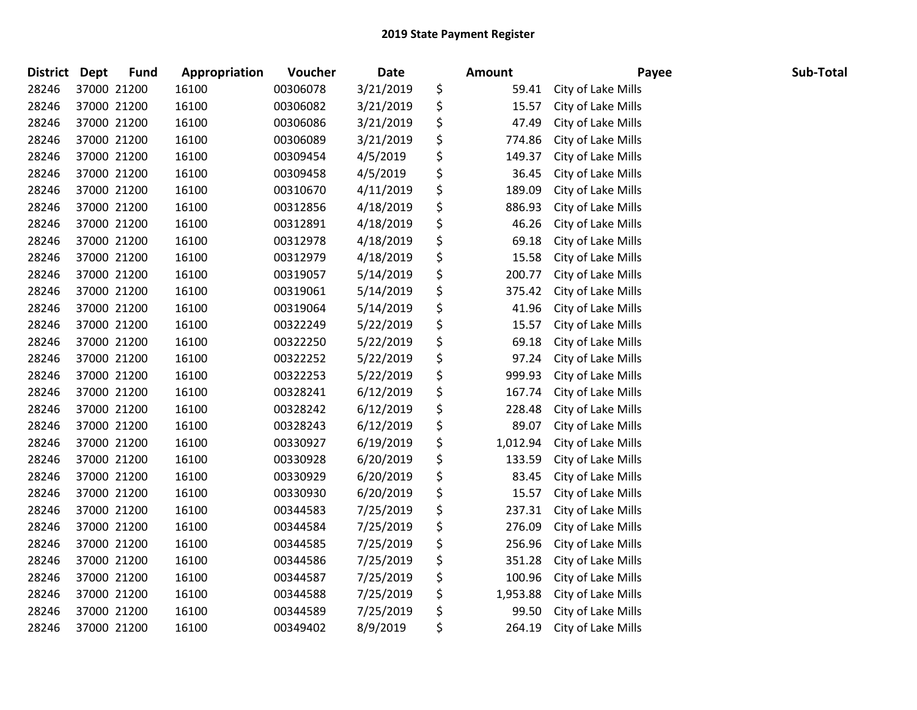| <b>District</b> | <b>Dept</b> | <b>Fund</b> | Appropriation | Voucher  | Date      | <b>Amount</b>  | Payee              | Sub-Total |
|-----------------|-------------|-------------|---------------|----------|-----------|----------------|--------------------|-----------|
| 28246           |             | 37000 21200 | 16100         | 00306078 | 3/21/2019 | \$<br>59.41    | City of Lake Mills |           |
| 28246           |             | 37000 21200 | 16100         | 00306082 | 3/21/2019 | \$<br>15.57    | City of Lake Mills |           |
| 28246           |             | 37000 21200 | 16100         | 00306086 | 3/21/2019 | \$<br>47.49    | City of Lake Mills |           |
| 28246           |             | 37000 21200 | 16100         | 00306089 | 3/21/2019 | \$<br>774.86   | City of Lake Mills |           |
| 28246           |             | 37000 21200 | 16100         | 00309454 | 4/5/2019  | \$<br>149.37   | City of Lake Mills |           |
| 28246           |             | 37000 21200 | 16100         | 00309458 | 4/5/2019  | \$<br>36.45    | City of Lake Mills |           |
| 28246           |             | 37000 21200 | 16100         | 00310670 | 4/11/2019 | \$<br>189.09   | City of Lake Mills |           |
| 28246           |             | 37000 21200 | 16100         | 00312856 | 4/18/2019 | \$<br>886.93   | City of Lake Mills |           |
| 28246           |             | 37000 21200 | 16100         | 00312891 | 4/18/2019 | \$<br>46.26    | City of Lake Mills |           |
| 28246           |             | 37000 21200 | 16100         | 00312978 | 4/18/2019 | \$<br>69.18    | City of Lake Mills |           |
| 28246           |             | 37000 21200 | 16100         | 00312979 | 4/18/2019 | \$<br>15.58    | City of Lake Mills |           |
| 28246           |             | 37000 21200 | 16100         | 00319057 | 5/14/2019 | \$<br>200.77   | City of Lake Mills |           |
| 28246           |             | 37000 21200 | 16100         | 00319061 | 5/14/2019 | \$<br>375.42   | City of Lake Mills |           |
| 28246           |             | 37000 21200 | 16100         | 00319064 | 5/14/2019 | \$<br>41.96    | City of Lake Mills |           |
| 28246           |             | 37000 21200 | 16100         | 00322249 | 5/22/2019 | \$<br>15.57    | City of Lake Mills |           |
| 28246           |             | 37000 21200 | 16100         | 00322250 | 5/22/2019 | \$<br>69.18    | City of Lake Mills |           |
| 28246           |             | 37000 21200 | 16100         | 00322252 | 5/22/2019 | \$<br>97.24    | City of Lake Mills |           |
| 28246           |             | 37000 21200 | 16100         | 00322253 | 5/22/2019 | \$<br>999.93   | City of Lake Mills |           |
| 28246           |             | 37000 21200 | 16100         | 00328241 | 6/12/2019 | \$<br>167.74   | City of Lake Mills |           |
| 28246           |             | 37000 21200 | 16100         | 00328242 | 6/12/2019 | \$<br>228.48   | City of Lake Mills |           |
| 28246           |             | 37000 21200 | 16100         | 00328243 | 6/12/2019 | \$<br>89.07    | City of Lake Mills |           |
| 28246           |             | 37000 21200 | 16100         | 00330927 | 6/19/2019 | \$<br>1,012.94 | City of Lake Mills |           |
| 28246           |             | 37000 21200 | 16100         | 00330928 | 6/20/2019 | \$<br>133.59   | City of Lake Mills |           |
| 28246           |             | 37000 21200 | 16100         | 00330929 | 6/20/2019 | \$<br>83.45    | City of Lake Mills |           |
| 28246           |             | 37000 21200 | 16100         | 00330930 | 6/20/2019 | \$<br>15.57    | City of Lake Mills |           |
| 28246           |             | 37000 21200 | 16100         | 00344583 | 7/25/2019 | \$<br>237.31   | City of Lake Mills |           |
| 28246           |             | 37000 21200 | 16100         | 00344584 | 7/25/2019 | \$<br>276.09   | City of Lake Mills |           |
| 28246           |             | 37000 21200 | 16100         | 00344585 | 7/25/2019 | \$<br>256.96   | City of Lake Mills |           |
| 28246           |             | 37000 21200 | 16100         | 00344586 | 7/25/2019 | \$<br>351.28   | City of Lake Mills |           |
| 28246           |             | 37000 21200 | 16100         | 00344587 | 7/25/2019 | \$<br>100.96   | City of Lake Mills |           |
| 28246           |             | 37000 21200 | 16100         | 00344588 | 7/25/2019 | \$<br>1,953.88 | City of Lake Mills |           |
| 28246           |             | 37000 21200 | 16100         | 00344589 | 7/25/2019 | \$<br>99.50    | City of Lake Mills |           |
| 28246           |             | 37000 21200 | 16100         | 00349402 | 8/9/2019  | \$<br>264.19   | City of Lake Mills |           |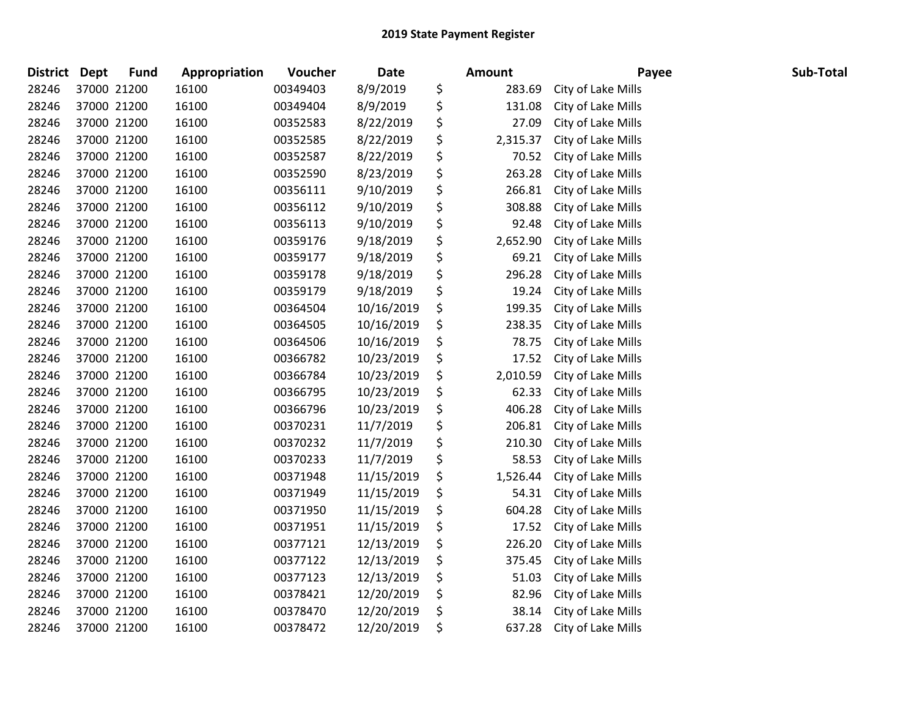| <b>District</b> | <b>Dept</b> | <b>Fund</b> | Appropriation | Voucher  | Date       | <b>Amount</b>  | Payee              | Sub-Total |
|-----------------|-------------|-------------|---------------|----------|------------|----------------|--------------------|-----------|
| 28246           | 37000 21200 |             | 16100         | 00349403 | 8/9/2019   | \$<br>283.69   | City of Lake Mills |           |
| 28246           | 37000 21200 |             | 16100         | 00349404 | 8/9/2019   | \$<br>131.08   | City of Lake Mills |           |
| 28246           | 37000 21200 |             | 16100         | 00352583 | 8/22/2019  | \$<br>27.09    | City of Lake Mills |           |
| 28246           | 37000 21200 |             | 16100         | 00352585 | 8/22/2019  | \$<br>2,315.37 | City of Lake Mills |           |
| 28246           | 37000 21200 |             | 16100         | 00352587 | 8/22/2019  | \$<br>70.52    | City of Lake Mills |           |
| 28246           | 37000 21200 |             | 16100         | 00352590 | 8/23/2019  | \$<br>263.28   | City of Lake Mills |           |
| 28246           | 37000 21200 |             | 16100         | 00356111 | 9/10/2019  | \$<br>266.81   | City of Lake Mills |           |
| 28246           | 37000 21200 |             | 16100         | 00356112 | 9/10/2019  | \$<br>308.88   | City of Lake Mills |           |
| 28246           | 37000 21200 |             | 16100         | 00356113 | 9/10/2019  | \$<br>92.48    | City of Lake Mills |           |
| 28246           | 37000 21200 |             | 16100         | 00359176 | 9/18/2019  | \$<br>2,652.90 | City of Lake Mills |           |
| 28246           | 37000 21200 |             | 16100         | 00359177 | 9/18/2019  | \$<br>69.21    | City of Lake Mills |           |
| 28246           | 37000 21200 |             | 16100         | 00359178 | 9/18/2019  | \$<br>296.28   | City of Lake Mills |           |
| 28246           | 37000 21200 |             | 16100         | 00359179 | 9/18/2019  | \$<br>19.24    | City of Lake Mills |           |
| 28246           | 37000 21200 |             | 16100         | 00364504 | 10/16/2019 | \$<br>199.35   | City of Lake Mills |           |
| 28246           | 37000 21200 |             | 16100         | 00364505 | 10/16/2019 | \$<br>238.35   | City of Lake Mills |           |
| 28246           | 37000 21200 |             | 16100         | 00364506 | 10/16/2019 | \$<br>78.75    | City of Lake Mills |           |
| 28246           | 37000 21200 |             | 16100         | 00366782 | 10/23/2019 | \$<br>17.52    | City of Lake Mills |           |
| 28246           | 37000 21200 |             | 16100         | 00366784 | 10/23/2019 | \$<br>2,010.59 | City of Lake Mills |           |
| 28246           | 37000 21200 |             | 16100         | 00366795 | 10/23/2019 | \$<br>62.33    | City of Lake Mills |           |
| 28246           | 37000 21200 |             | 16100         | 00366796 | 10/23/2019 | \$<br>406.28   | City of Lake Mills |           |
| 28246           | 37000 21200 |             | 16100         | 00370231 | 11/7/2019  | \$<br>206.81   | City of Lake Mills |           |
| 28246           | 37000 21200 |             | 16100         | 00370232 | 11/7/2019  | \$<br>210.30   | City of Lake Mills |           |
| 28246           | 37000 21200 |             | 16100         | 00370233 | 11/7/2019  | \$<br>58.53    | City of Lake Mills |           |
| 28246           | 37000 21200 |             | 16100         | 00371948 | 11/15/2019 | \$<br>1,526.44 | City of Lake Mills |           |
| 28246           | 37000 21200 |             | 16100         | 00371949 | 11/15/2019 | \$<br>54.31    | City of Lake Mills |           |
| 28246           | 37000 21200 |             | 16100         | 00371950 | 11/15/2019 | \$<br>604.28   | City of Lake Mills |           |
| 28246           | 37000 21200 |             | 16100         | 00371951 | 11/15/2019 | \$<br>17.52    | City of Lake Mills |           |
| 28246           | 37000 21200 |             | 16100         | 00377121 | 12/13/2019 | \$<br>226.20   | City of Lake Mills |           |
| 28246           | 37000 21200 |             | 16100         | 00377122 | 12/13/2019 | \$<br>375.45   | City of Lake Mills |           |
| 28246           | 37000 21200 |             | 16100         | 00377123 | 12/13/2019 | \$<br>51.03    | City of Lake Mills |           |
| 28246           | 37000 21200 |             | 16100         | 00378421 | 12/20/2019 | \$<br>82.96    | City of Lake Mills |           |
| 28246           | 37000 21200 |             | 16100         | 00378470 | 12/20/2019 | \$<br>38.14    | City of Lake Mills |           |
| 28246           | 37000 21200 |             | 16100         | 00378472 | 12/20/2019 | \$<br>637.28   | City of Lake Mills |           |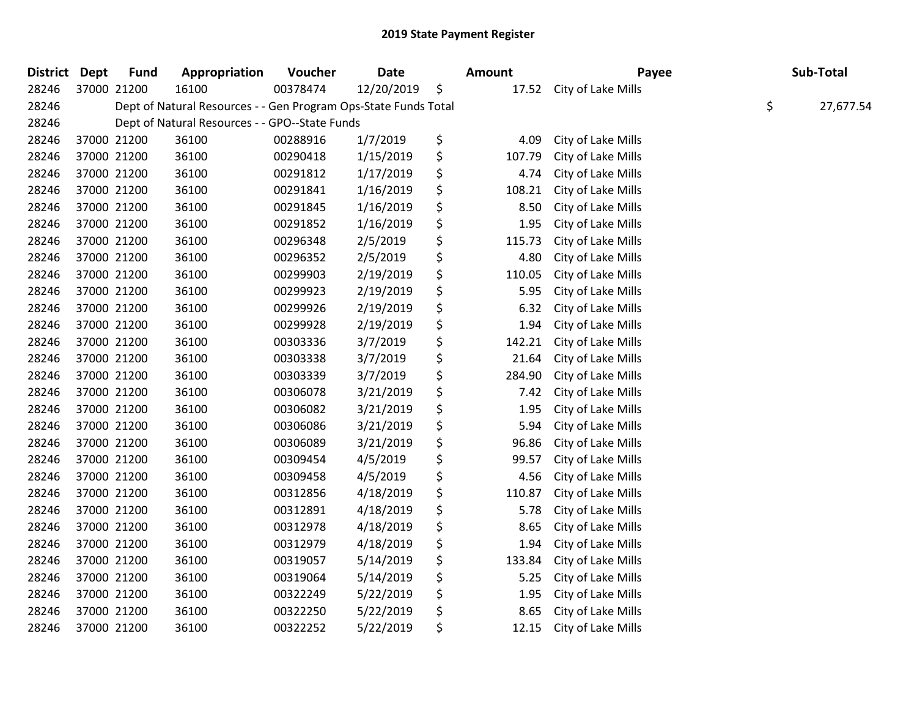| <b>District</b> | <b>Dept</b> | <b>Fund</b> | Appropriation                                                   | Voucher  | <b>Date</b> | <b>Amount</b> | Payee              | Sub-Total       |
|-----------------|-------------|-------------|-----------------------------------------------------------------|----------|-------------|---------------|--------------------|-----------------|
| 28246           |             | 37000 21200 | 16100                                                           | 00378474 | 12/20/2019  | \$<br>17.52   | City of Lake Mills |                 |
| 28246           |             |             | Dept of Natural Resources - - Gen Program Ops-State Funds Total |          |             |               |                    | \$<br>27,677.54 |
| 28246           |             |             | Dept of Natural Resources - - GPO--State Funds                  |          |             |               |                    |                 |
| 28246           |             | 37000 21200 | 36100                                                           | 00288916 | 1/7/2019    | \$<br>4.09    | City of Lake Mills |                 |
| 28246           |             | 37000 21200 | 36100                                                           | 00290418 | 1/15/2019   | \$<br>107.79  | City of Lake Mills |                 |
| 28246           |             | 37000 21200 | 36100                                                           | 00291812 | 1/17/2019   | \$<br>4.74    | City of Lake Mills |                 |
| 28246           |             | 37000 21200 | 36100                                                           | 00291841 | 1/16/2019   | \$<br>108.21  | City of Lake Mills |                 |
| 28246           |             | 37000 21200 | 36100                                                           | 00291845 | 1/16/2019   | \$<br>8.50    | City of Lake Mills |                 |
| 28246           |             | 37000 21200 | 36100                                                           | 00291852 | 1/16/2019   | \$<br>1.95    | City of Lake Mills |                 |
| 28246           |             | 37000 21200 | 36100                                                           | 00296348 | 2/5/2019    | \$<br>115.73  | City of Lake Mills |                 |
| 28246           |             | 37000 21200 | 36100                                                           | 00296352 | 2/5/2019    | \$<br>4.80    | City of Lake Mills |                 |
| 28246           |             | 37000 21200 | 36100                                                           | 00299903 | 2/19/2019   | \$<br>110.05  | City of Lake Mills |                 |
| 28246           |             | 37000 21200 | 36100                                                           | 00299923 | 2/19/2019   | \$<br>5.95    | City of Lake Mills |                 |
| 28246           |             | 37000 21200 | 36100                                                           | 00299926 | 2/19/2019   | \$<br>6.32    | City of Lake Mills |                 |
| 28246           |             | 37000 21200 | 36100                                                           | 00299928 | 2/19/2019   | \$<br>1.94    | City of Lake Mills |                 |
| 28246           |             | 37000 21200 | 36100                                                           | 00303336 | 3/7/2019    | \$<br>142.21  | City of Lake Mills |                 |
| 28246           |             | 37000 21200 | 36100                                                           | 00303338 | 3/7/2019    | \$<br>21.64   | City of Lake Mills |                 |
| 28246           |             | 37000 21200 | 36100                                                           | 00303339 | 3/7/2019    | \$<br>284.90  | City of Lake Mills |                 |
| 28246           |             | 37000 21200 | 36100                                                           | 00306078 | 3/21/2019   | \$<br>7.42    | City of Lake Mills |                 |
| 28246           |             | 37000 21200 | 36100                                                           | 00306082 | 3/21/2019   | \$<br>1.95    | City of Lake Mills |                 |
| 28246           |             | 37000 21200 | 36100                                                           | 00306086 | 3/21/2019   | \$<br>5.94    | City of Lake Mills |                 |
| 28246           |             | 37000 21200 | 36100                                                           | 00306089 | 3/21/2019   | \$<br>96.86   | City of Lake Mills |                 |
| 28246           |             | 37000 21200 | 36100                                                           | 00309454 | 4/5/2019    | \$<br>99.57   | City of Lake Mills |                 |
| 28246           |             | 37000 21200 | 36100                                                           | 00309458 | 4/5/2019    | \$<br>4.56    | City of Lake Mills |                 |
| 28246           |             | 37000 21200 | 36100                                                           | 00312856 | 4/18/2019   | \$<br>110.87  | City of Lake Mills |                 |
| 28246           |             | 37000 21200 | 36100                                                           | 00312891 | 4/18/2019   | \$<br>5.78    | City of Lake Mills |                 |
| 28246           |             | 37000 21200 | 36100                                                           | 00312978 | 4/18/2019   | \$<br>8.65    | City of Lake Mills |                 |
| 28246           |             | 37000 21200 | 36100                                                           | 00312979 | 4/18/2019   | \$<br>1.94    | City of Lake Mills |                 |
| 28246           |             | 37000 21200 | 36100                                                           | 00319057 | 5/14/2019   | \$<br>133.84  | City of Lake Mills |                 |
| 28246           |             | 37000 21200 | 36100                                                           | 00319064 | 5/14/2019   | \$<br>5.25    | City of Lake Mills |                 |
| 28246           |             | 37000 21200 | 36100                                                           | 00322249 | 5/22/2019   | \$<br>1.95    | City of Lake Mills |                 |
| 28246           |             | 37000 21200 | 36100                                                           | 00322250 | 5/22/2019   | \$<br>8.65    | City of Lake Mills |                 |
| 28246           |             | 37000 21200 | 36100                                                           | 00322252 | 5/22/2019   | \$<br>12.15   | City of Lake Mills |                 |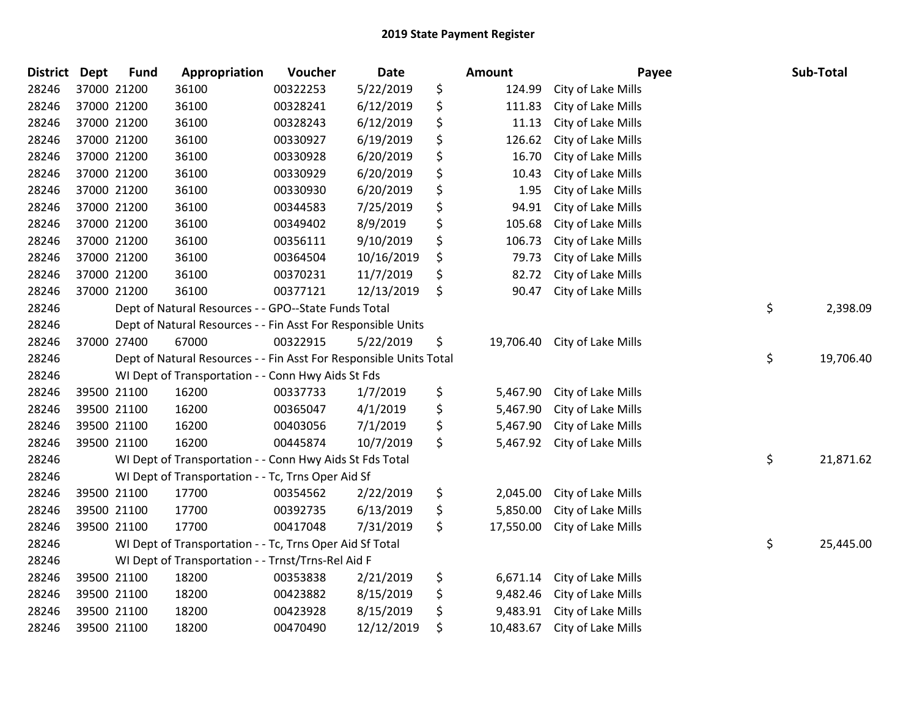| District Dept | <b>Fund</b> | Appropriation                                                      | Voucher  | Date       | <b>Amount</b>   | Payee              | Sub-Total       |
|---------------|-------------|--------------------------------------------------------------------|----------|------------|-----------------|--------------------|-----------------|
| 28246         | 37000 21200 | 36100                                                              | 00322253 | 5/22/2019  | \$<br>124.99    | City of Lake Mills |                 |
| 28246         | 37000 21200 | 36100                                                              | 00328241 | 6/12/2019  | \$<br>111.83    | City of Lake Mills |                 |
| 28246         | 37000 21200 | 36100                                                              | 00328243 | 6/12/2019  | \$<br>11.13     | City of Lake Mills |                 |
| 28246         | 37000 21200 | 36100                                                              | 00330927 | 6/19/2019  | \$<br>126.62    | City of Lake Mills |                 |
| 28246         | 37000 21200 | 36100                                                              | 00330928 | 6/20/2019  | \$<br>16.70     | City of Lake Mills |                 |
| 28246         | 37000 21200 | 36100                                                              | 00330929 | 6/20/2019  | \$<br>10.43     | City of Lake Mills |                 |
| 28246         | 37000 21200 | 36100                                                              | 00330930 | 6/20/2019  | \$<br>1.95      | City of Lake Mills |                 |
| 28246         | 37000 21200 | 36100                                                              | 00344583 | 7/25/2019  | \$<br>94.91     | City of Lake Mills |                 |
| 28246         | 37000 21200 | 36100                                                              | 00349402 | 8/9/2019   | \$<br>105.68    | City of Lake Mills |                 |
| 28246         | 37000 21200 | 36100                                                              | 00356111 | 9/10/2019  | \$<br>106.73    | City of Lake Mills |                 |
| 28246         | 37000 21200 | 36100                                                              | 00364504 | 10/16/2019 | \$<br>79.73     | City of Lake Mills |                 |
| 28246         | 37000 21200 | 36100                                                              | 00370231 | 11/7/2019  | \$<br>82.72     | City of Lake Mills |                 |
| 28246         | 37000 21200 | 36100                                                              | 00377121 | 12/13/2019 | \$<br>90.47     | City of Lake Mills |                 |
| 28246         |             | Dept of Natural Resources - - GPO--State Funds Total               |          |            |                 |                    | \$<br>2,398.09  |
| 28246         |             | Dept of Natural Resources - - Fin Asst For Responsible Units       |          |            |                 |                    |                 |
| 28246         | 37000 27400 | 67000                                                              | 00322915 | 5/22/2019  | \$<br>19,706.40 | City of Lake Mills |                 |
| 28246         |             | Dept of Natural Resources - - Fin Asst For Responsible Units Total |          |            |                 |                    | \$<br>19,706.40 |
| 28246         |             | WI Dept of Transportation - - Conn Hwy Aids St Fds                 |          |            |                 |                    |                 |
| 28246         | 39500 21100 | 16200                                                              | 00337733 | 1/7/2019   | \$<br>5,467.90  | City of Lake Mills |                 |
| 28246         | 39500 21100 | 16200                                                              | 00365047 | 4/1/2019   | \$<br>5,467.90  | City of Lake Mills |                 |
| 28246         | 39500 21100 | 16200                                                              | 00403056 | 7/1/2019   | \$<br>5,467.90  | City of Lake Mills |                 |
| 28246         | 39500 21100 | 16200                                                              | 00445874 | 10/7/2019  | \$<br>5,467.92  | City of Lake Mills |                 |
| 28246         |             | WI Dept of Transportation - - Conn Hwy Aids St Fds Total           |          |            |                 |                    | \$<br>21,871.62 |
| 28246         |             | WI Dept of Transportation - - Tc, Trns Oper Aid Sf                 |          |            |                 |                    |                 |
| 28246         | 39500 21100 | 17700                                                              | 00354562 | 2/22/2019  | \$<br>2,045.00  | City of Lake Mills |                 |
| 28246         | 39500 21100 | 17700                                                              | 00392735 | 6/13/2019  | \$<br>5,850.00  | City of Lake Mills |                 |
| 28246         | 39500 21100 | 17700                                                              | 00417048 | 7/31/2019  | \$<br>17,550.00 | City of Lake Mills |                 |
| 28246         |             | WI Dept of Transportation - - Tc, Trns Oper Aid Sf Total           |          |            |                 |                    | \$<br>25,445.00 |
| 28246         |             | WI Dept of Transportation - - Trnst/Trns-Rel Aid F                 |          |            |                 |                    |                 |
| 28246         | 39500 21100 | 18200                                                              | 00353838 | 2/21/2019  | \$<br>6,671.14  | City of Lake Mills |                 |
| 28246         | 39500 21100 | 18200                                                              | 00423882 | 8/15/2019  | \$<br>9,482.46  | City of Lake Mills |                 |
| 28246         | 39500 21100 | 18200                                                              | 00423928 | 8/15/2019  | \$<br>9,483.91  | City of Lake Mills |                 |
| 28246         | 39500 21100 | 18200                                                              | 00470490 | 12/12/2019 | \$<br>10,483.67 | City of Lake Mills |                 |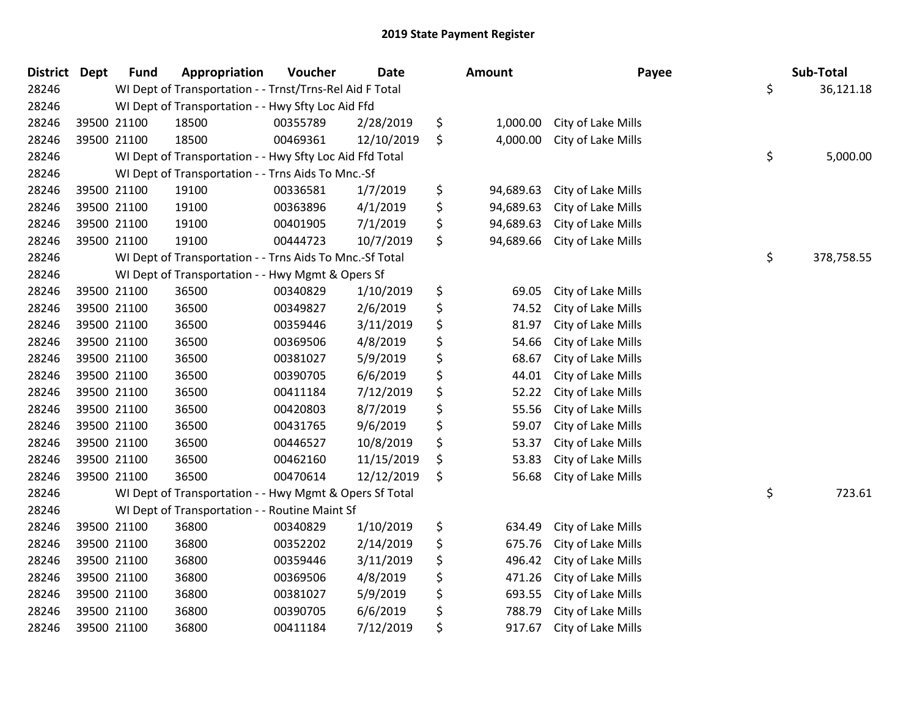| <b>District Dept</b> |             | <b>Fund</b> | Appropriation                                            | Voucher  | <b>Date</b> | Amount          | Payee              | Sub-Total        |
|----------------------|-------------|-------------|----------------------------------------------------------|----------|-------------|-----------------|--------------------|------------------|
| 28246                |             |             | WI Dept of Transportation - - Trnst/Trns-Rel Aid F Total |          |             |                 |                    | \$<br>36,121.18  |
| 28246                |             |             | WI Dept of Transportation - - Hwy Sfty Loc Aid Ffd       |          |             |                 |                    |                  |
| 28246                | 39500 21100 |             | 18500                                                    | 00355789 | 2/28/2019   | \$<br>1,000.00  | City of Lake Mills |                  |
| 28246                | 39500 21100 |             | 18500                                                    | 00469361 | 12/10/2019  | \$<br>4,000.00  | City of Lake Mills |                  |
| 28246                |             |             | WI Dept of Transportation - - Hwy Sfty Loc Aid Ffd Total |          |             |                 |                    | \$<br>5,000.00   |
| 28246                |             |             | WI Dept of Transportation - - Trns Aids To Mnc.-Sf       |          |             |                 |                    |                  |
| 28246                | 39500 21100 |             | 19100                                                    | 00336581 | 1/7/2019    | \$<br>94,689.63 | City of Lake Mills |                  |
| 28246                | 39500 21100 |             | 19100                                                    | 00363896 | 4/1/2019    | \$<br>94,689.63 | City of Lake Mills |                  |
| 28246                | 39500 21100 |             | 19100                                                    | 00401905 | 7/1/2019    | \$<br>94,689.63 | City of Lake Mills |                  |
| 28246                | 39500 21100 |             | 19100                                                    | 00444723 | 10/7/2019   | \$<br>94,689.66 | City of Lake Mills |                  |
| 28246                |             |             | WI Dept of Transportation - - Trns Aids To Mnc.-Sf Total |          |             |                 |                    | \$<br>378,758.55 |
| 28246                |             |             | WI Dept of Transportation - - Hwy Mgmt & Opers Sf        |          |             |                 |                    |                  |
| 28246                | 39500 21100 |             | 36500                                                    | 00340829 | 1/10/2019   | \$<br>69.05     | City of Lake Mills |                  |
| 28246                | 39500 21100 |             | 36500                                                    | 00349827 | 2/6/2019    | \$<br>74.52     | City of Lake Mills |                  |
| 28246                | 39500 21100 |             | 36500                                                    | 00359446 | 3/11/2019   | \$<br>81.97     | City of Lake Mills |                  |
| 28246                | 39500 21100 |             | 36500                                                    | 00369506 | 4/8/2019    | \$<br>54.66     | City of Lake Mills |                  |
| 28246                | 39500 21100 |             | 36500                                                    | 00381027 | 5/9/2019    | \$<br>68.67     | City of Lake Mills |                  |
| 28246                | 39500 21100 |             | 36500                                                    | 00390705 | 6/6/2019    | \$<br>44.01     | City of Lake Mills |                  |
| 28246                | 39500 21100 |             | 36500                                                    | 00411184 | 7/12/2019   | \$<br>52.22     | City of Lake Mills |                  |
| 28246                | 39500 21100 |             | 36500                                                    | 00420803 | 8/7/2019    | \$<br>55.56     | City of Lake Mills |                  |
| 28246                | 39500 21100 |             | 36500                                                    | 00431765 | 9/6/2019    | \$<br>59.07     | City of Lake Mills |                  |
| 28246                | 39500 21100 |             | 36500                                                    | 00446527 | 10/8/2019   | \$<br>53.37     | City of Lake Mills |                  |
| 28246                | 39500 21100 |             | 36500                                                    | 00462160 | 11/15/2019  | \$<br>53.83     | City of Lake Mills |                  |
| 28246                | 39500 21100 |             | 36500                                                    | 00470614 | 12/12/2019  | \$<br>56.68     | City of Lake Mills |                  |
| 28246                |             |             | WI Dept of Transportation - - Hwy Mgmt & Opers Sf Total  |          |             |                 |                    | \$<br>723.61     |
| 28246                |             |             | WI Dept of Transportation - - Routine Maint Sf           |          |             |                 |                    |                  |
| 28246                | 39500 21100 |             | 36800                                                    | 00340829 | 1/10/2019   | \$<br>634.49    | City of Lake Mills |                  |
| 28246                | 39500 21100 |             | 36800                                                    | 00352202 | 2/14/2019   | \$<br>675.76    | City of Lake Mills |                  |
| 28246                | 39500 21100 |             | 36800                                                    | 00359446 | 3/11/2019   | \$<br>496.42    | City of Lake Mills |                  |
| 28246                | 39500 21100 |             | 36800                                                    | 00369506 | 4/8/2019    | \$<br>471.26    | City of Lake Mills |                  |
| 28246                | 39500 21100 |             | 36800                                                    | 00381027 | 5/9/2019    | \$<br>693.55    | City of Lake Mills |                  |
| 28246                | 39500 21100 |             | 36800                                                    | 00390705 | 6/6/2019    | \$<br>788.79    | City of Lake Mills |                  |
| 28246                | 39500 21100 |             | 36800                                                    | 00411184 | 7/12/2019   | \$<br>917.67    | City of Lake Mills |                  |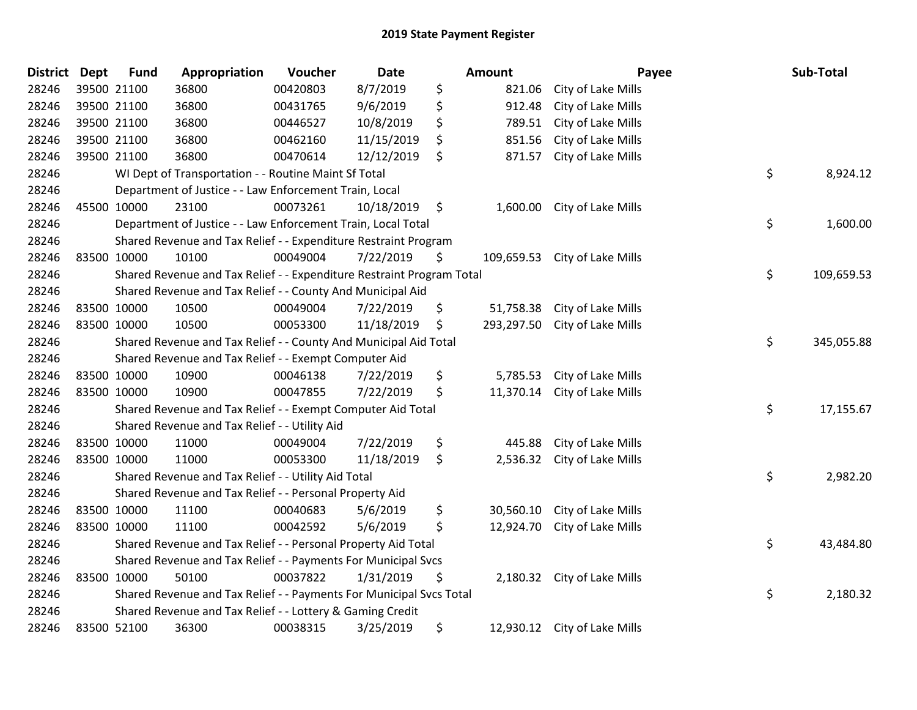| <b>District</b> | <b>Dept</b> | <b>Fund</b> | Appropriation                                                         | Voucher  | <b>Date</b> | Amount           | Payee                        | Sub-Total        |
|-----------------|-------------|-------------|-----------------------------------------------------------------------|----------|-------------|------------------|------------------------------|------------------|
| 28246           | 39500 21100 |             | 36800                                                                 | 00420803 | 8/7/2019    | \$<br>821.06     | City of Lake Mills           |                  |
| 28246           | 39500 21100 |             | 36800                                                                 | 00431765 | 9/6/2019    | \$<br>912.48     | City of Lake Mills           |                  |
| 28246           | 39500 21100 |             | 36800                                                                 | 00446527 | 10/8/2019   | \$<br>789.51     | City of Lake Mills           |                  |
| 28246           | 39500 21100 |             | 36800                                                                 | 00462160 | 11/15/2019  | \$<br>851.56     | City of Lake Mills           |                  |
| 28246           | 39500 21100 |             | 36800                                                                 | 00470614 | 12/12/2019  | \$<br>871.57     | City of Lake Mills           |                  |
| 28246           |             |             | WI Dept of Transportation - - Routine Maint Sf Total                  |          |             |                  |                              | \$<br>8,924.12   |
| 28246           |             |             | Department of Justice - - Law Enforcement Train, Local                |          |             |                  |                              |                  |
| 28246           | 45500 10000 |             | 23100                                                                 | 00073261 | 10/18/2019  | \$               | 1,600.00 City of Lake Mills  |                  |
| 28246           |             |             | Department of Justice - - Law Enforcement Train, Local Total          |          |             |                  |                              | \$<br>1,600.00   |
| 28246           |             |             | Shared Revenue and Tax Relief - - Expenditure Restraint Program       |          |             |                  |                              |                  |
| 28246           | 83500 10000 |             | 10100                                                                 | 00049004 | 7/22/2019   | \$<br>109,659.53 | City of Lake Mills           |                  |
| 28246           |             |             | Shared Revenue and Tax Relief - - Expenditure Restraint Program Total |          |             |                  |                              | \$<br>109,659.53 |
| 28246           |             |             | Shared Revenue and Tax Relief - - County And Municipal Aid            |          |             |                  |                              |                  |
| 28246           | 83500 10000 |             | 10500                                                                 | 00049004 | 7/22/2019   | \$<br>51,758.38  | City of Lake Mills           |                  |
| 28246           | 83500 10000 |             | 10500                                                                 | 00053300 | 11/18/2019  | \$<br>293,297.50 | City of Lake Mills           |                  |
| 28246           |             |             | Shared Revenue and Tax Relief - - County And Municipal Aid Total      |          |             |                  |                              | \$<br>345,055.88 |
| 28246           |             |             | Shared Revenue and Tax Relief - - Exempt Computer Aid                 |          |             |                  |                              |                  |
| 28246           | 83500 10000 |             | 10900                                                                 | 00046138 | 7/22/2019   | \$<br>5,785.53   | City of Lake Mills           |                  |
| 28246           | 83500 10000 |             | 10900                                                                 | 00047855 | 7/22/2019   | \$<br>11,370.14  | City of Lake Mills           |                  |
| 28246           |             |             | Shared Revenue and Tax Relief - - Exempt Computer Aid Total           |          |             |                  |                              | \$<br>17,155.67  |
| 28246           |             |             | Shared Revenue and Tax Relief - - Utility Aid                         |          |             |                  |                              |                  |
| 28246           | 83500 10000 |             | 11000                                                                 | 00049004 | 7/22/2019   | \$<br>445.88     | City of Lake Mills           |                  |
| 28246           | 83500 10000 |             | 11000                                                                 | 00053300 | 11/18/2019  | \$               | 2,536.32 City of Lake Mills  |                  |
| 28246           |             |             | Shared Revenue and Tax Relief - - Utility Aid Total                   |          |             |                  |                              | \$<br>2,982.20   |
| 28246           |             |             | Shared Revenue and Tax Relief - - Personal Property Aid               |          |             |                  |                              |                  |
| 28246           | 83500 10000 |             | 11100                                                                 | 00040683 | 5/6/2019    | \$<br>30,560.10  | City of Lake Mills           |                  |
| 28246           | 83500 10000 |             | 11100                                                                 | 00042592 | 5/6/2019    | \$<br>12,924.70  | City of Lake Mills           |                  |
| 28246           |             |             | Shared Revenue and Tax Relief - - Personal Property Aid Total         |          |             |                  |                              | \$<br>43,484.80  |
| 28246           |             |             | Shared Revenue and Tax Relief - - Payments For Municipal Svcs         |          |             |                  |                              |                  |
| 28246           | 83500 10000 |             | 50100                                                                 | 00037822 | 1/31/2019   | \$               | 2,180.32 City of Lake Mills  |                  |
| 28246           |             |             | Shared Revenue and Tax Relief - - Payments For Municipal Svcs Total   |          |             |                  |                              | \$<br>2,180.32   |
| 28246           |             |             | Shared Revenue and Tax Relief - - Lottery & Gaming Credit             |          |             |                  |                              |                  |
| 28246           | 83500 52100 |             | 36300                                                                 | 00038315 | 3/25/2019   | \$               | 12,930.12 City of Lake Mills |                  |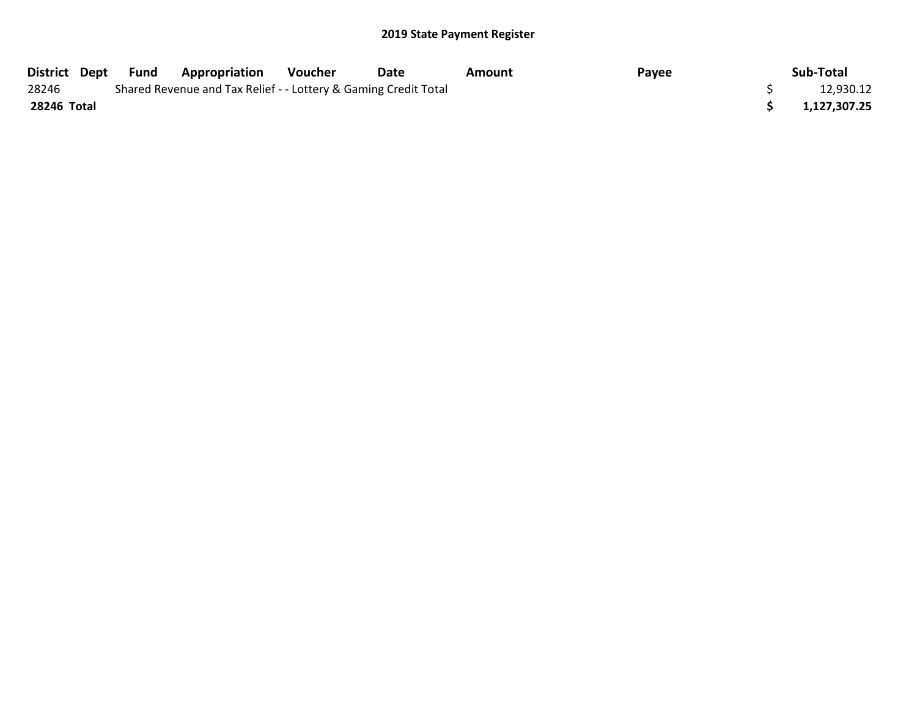| District Dept | Fund | <b>Appropriation</b>                                            | Voucher | Date      | Amount | Payee | Sub-Total    |
|---------------|------|-----------------------------------------------------------------|---------|-----------|--------|-------|--------------|
| 28246         |      | Shared Revenue and Tax Relief - - Lottery & Gaming Credit Total |         | 12,930.12 |        |       |              |
| 28246 Total   |      |                                                                 |         |           |        |       | 1,127,307.25 |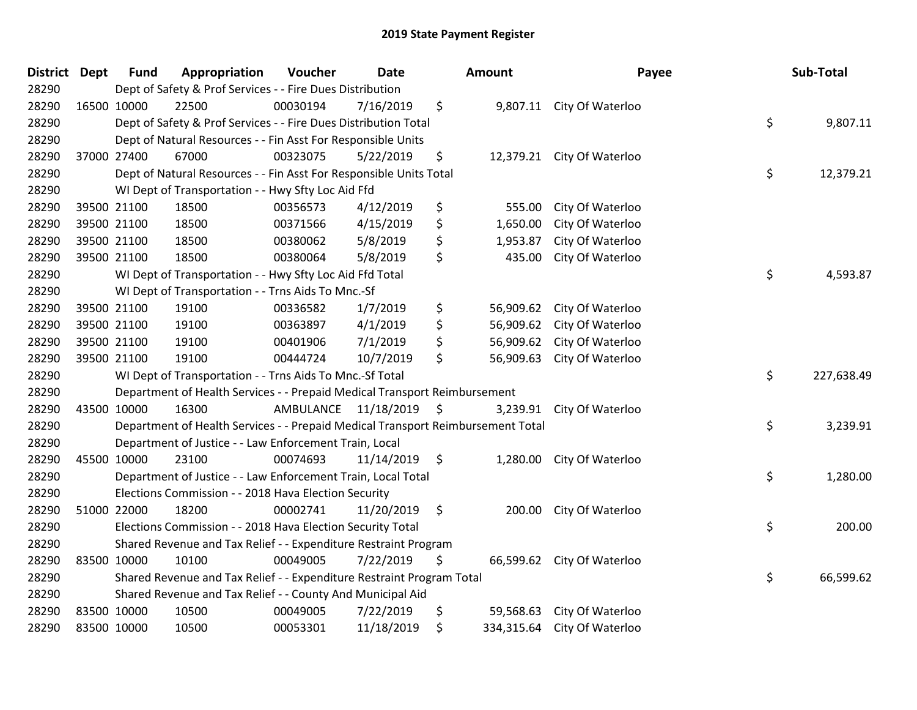| District Dept |             | <b>Fund</b> | Appropriation                                                                   | Voucher  | <b>Date</b>             | Amount           | Payee                      | Sub-Total        |
|---------------|-------------|-------------|---------------------------------------------------------------------------------|----------|-------------------------|------------------|----------------------------|------------------|
| 28290         |             |             | Dept of Safety & Prof Services - - Fire Dues Distribution                       |          |                         |                  |                            |                  |
| 28290         |             | 16500 10000 | 22500                                                                           | 00030194 | 7/16/2019               | \$               | 9,807.11 City Of Waterloo  |                  |
| 28290         |             |             | Dept of Safety & Prof Services - - Fire Dues Distribution Total                 |          |                         |                  |                            | \$<br>9,807.11   |
| 28290         |             |             | Dept of Natural Resources - - Fin Asst For Responsible Units                    |          |                         |                  |                            |                  |
| 28290         |             | 37000 27400 | 67000                                                                           | 00323075 | 5/22/2019               | \$               | 12,379.21 City Of Waterloo |                  |
| 28290         |             |             | Dept of Natural Resources - - Fin Asst For Responsible Units Total              |          |                         |                  |                            | \$<br>12,379.21  |
| 28290         |             |             | WI Dept of Transportation - - Hwy Sfty Loc Aid Ffd                              |          |                         |                  |                            |                  |
| 28290         |             | 39500 21100 | 18500                                                                           | 00356573 | 4/12/2019               | \$<br>555.00     | City Of Waterloo           |                  |
| 28290         |             | 39500 21100 | 18500                                                                           | 00371566 | 4/15/2019               | \$<br>1,650.00   | City Of Waterloo           |                  |
| 28290         |             | 39500 21100 | 18500                                                                           | 00380062 | 5/8/2019                | \$<br>1,953.87   | City Of Waterloo           |                  |
| 28290         |             | 39500 21100 | 18500                                                                           | 00380064 | 5/8/2019                | \$<br>435.00     | City Of Waterloo           |                  |
| 28290         |             |             | WI Dept of Transportation - - Hwy Sfty Loc Aid Ffd Total                        |          |                         |                  |                            | \$<br>4,593.87   |
| 28290         |             |             | WI Dept of Transportation - - Trns Aids To Mnc.-Sf                              |          |                         |                  |                            |                  |
| 28290         |             | 39500 21100 | 19100                                                                           | 00336582 | 1/7/2019                | \$<br>56,909.62  | City Of Waterloo           |                  |
| 28290         |             | 39500 21100 | 19100                                                                           | 00363897 | 4/1/2019                | \$<br>56,909.62  | City Of Waterloo           |                  |
| 28290         |             | 39500 21100 | 19100                                                                           | 00401906 | 7/1/2019                | \$<br>56,909.62  | City Of Waterloo           |                  |
| 28290         |             | 39500 21100 | 19100                                                                           | 00444724 | 10/7/2019               | \$<br>56,909.63  | City Of Waterloo           |                  |
| 28290         |             |             | WI Dept of Transportation - - Trns Aids To Mnc.-Sf Total                        |          |                         |                  |                            | \$<br>227,638.49 |
| 28290         |             |             | Department of Health Services - - Prepaid Medical Transport Reimbursement       |          |                         |                  |                            |                  |
| 28290         | 43500 10000 |             | 16300                                                                           |          | AMBULANCE 11/18/2019 \$ | 3,239.91         | City Of Waterloo           |                  |
| 28290         |             |             | Department of Health Services - - Prepaid Medical Transport Reimbursement Total |          |                         |                  |                            | \$<br>3,239.91   |
| 28290         |             |             | Department of Justice - - Law Enforcement Train, Local                          |          |                         |                  |                            |                  |
| 28290         |             | 45500 10000 | 23100                                                                           | 00074693 | $11/14/2019$ \$         | 1,280.00         | City Of Waterloo           |                  |
| 28290         |             |             | Department of Justice - - Law Enforcement Train, Local Total                    |          |                         |                  |                            | \$<br>1,280.00   |
| 28290         |             |             | Elections Commission - - 2018 Hava Election Security                            |          |                         |                  |                            |                  |
| 28290         | 51000 22000 |             | 18200                                                                           | 00002741 | 11/20/2019              | \$<br>200.00     | City Of Waterloo           |                  |
| 28290         |             |             | Elections Commission - - 2018 Hava Election Security Total                      |          |                         |                  |                            | \$<br>200.00     |
| 28290         |             |             | Shared Revenue and Tax Relief - - Expenditure Restraint Program                 |          |                         |                  |                            |                  |
| 28290         | 83500 10000 |             | 10100                                                                           | 00049005 | 7/22/2019               | \$<br>66,599.62  | City Of Waterloo           |                  |
| 28290         |             |             | Shared Revenue and Tax Relief - - Expenditure Restraint Program Total           |          |                         |                  |                            | \$<br>66,599.62  |
| 28290         |             |             | Shared Revenue and Tax Relief - - County And Municipal Aid                      |          |                         |                  |                            |                  |
| 28290         |             | 83500 10000 | 10500                                                                           | 00049005 | 7/22/2019               | \$<br>59,568.63  | City Of Waterloo           |                  |
| 28290         | 83500 10000 |             | 10500                                                                           | 00053301 | 11/18/2019              | \$<br>334,315.64 | City Of Waterloo           |                  |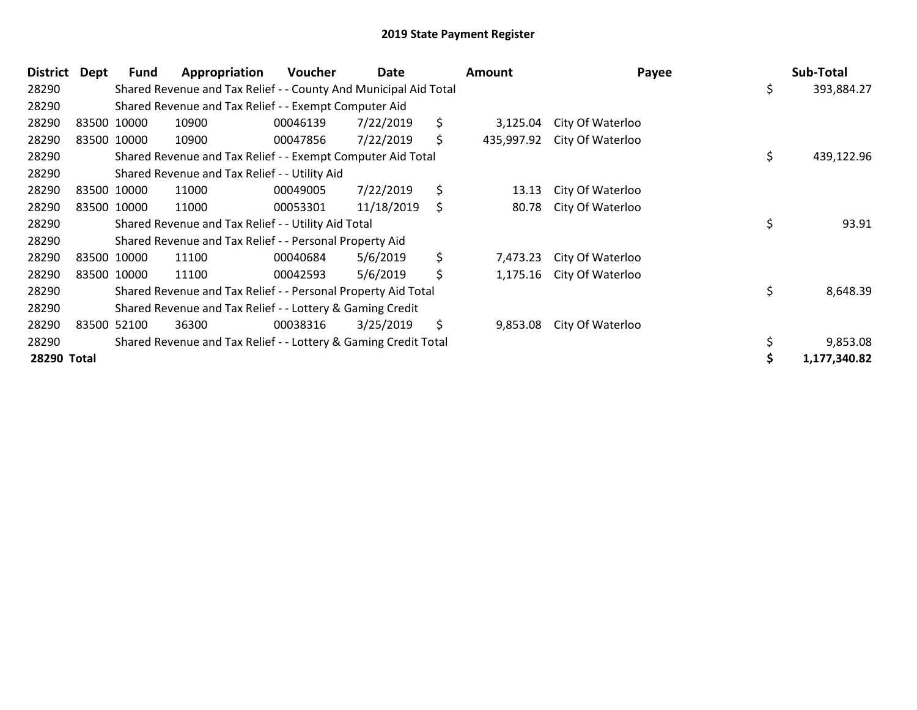| District    | Dept | Fund        | Appropriation                                                    | <b>Voucher</b> | Date       | <b>Amount</b>    | Payee            | Sub-Total        |
|-------------|------|-------------|------------------------------------------------------------------|----------------|------------|------------------|------------------|------------------|
| 28290       |      |             | Shared Revenue and Tax Relief - - County And Municipal Aid Total |                |            |                  |                  | \$<br>393,884.27 |
| 28290       |      |             | Shared Revenue and Tax Relief - - Exempt Computer Aid            |                |            |                  |                  |                  |
| 28290       |      | 83500 10000 | 10900                                                            | 00046139       | 7/22/2019  | \$<br>3,125.04   | City Of Waterloo |                  |
| 28290       |      | 83500 10000 | 10900                                                            | 00047856       | 7/22/2019  | \$<br>435,997.92 | City Of Waterloo |                  |
| 28290       |      |             | Shared Revenue and Tax Relief - - Exempt Computer Aid Total      |                |            |                  |                  | \$<br>439,122.96 |
| 28290       |      |             | Shared Revenue and Tax Relief - - Utility Aid                    |                |            |                  |                  |                  |
| 28290       |      | 83500 10000 | 11000                                                            | 00049005       | 7/22/2019  | \$<br>13.13      | City Of Waterloo |                  |
| 28290       |      | 83500 10000 | 11000                                                            | 00053301       | 11/18/2019 | \$<br>80.78      | City Of Waterloo |                  |
| 28290       |      |             | Shared Revenue and Tax Relief - - Utility Aid Total              |                |            |                  |                  | \$<br>93.91      |
| 28290       |      |             | Shared Revenue and Tax Relief - - Personal Property Aid          |                |            |                  |                  |                  |
| 28290       |      | 83500 10000 | 11100                                                            | 00040684       | 5/6/2019   | \$<br>7,473.23   | City Of Waterloo |                  |
| 28290       |      | 83500 10000 | 11100                                                            | 00042593       | 5/6/2019   | \$<br>1,175.16   | City Of Waterloo |                  |
| 28290       |      |             | Shared Revenue and Tax Relief - - Personal Property Aid Total    |                |            |                  |                  | \$<br>8,648.39   |
| 28290       |      |             | Shared Revenue and Tax Relief - - Lottery & Gaming Credit        |                |            |                  |                  |                  |
| 28290       |      | 83500 52100 | 36300                                                            | 00038316       | 3/25/2019  | \$<br>9,853.08   | City Of Waterloo |                  |
| 28290       |      |             | Shared Revenue and Tax Relief - - Lottery & Gaming Credit Total  |                |            |                  |                  | 9,853.08         |
| 28290 Total |      |             |                                                                  |                |            |                  |                  | 1,177,340.82     |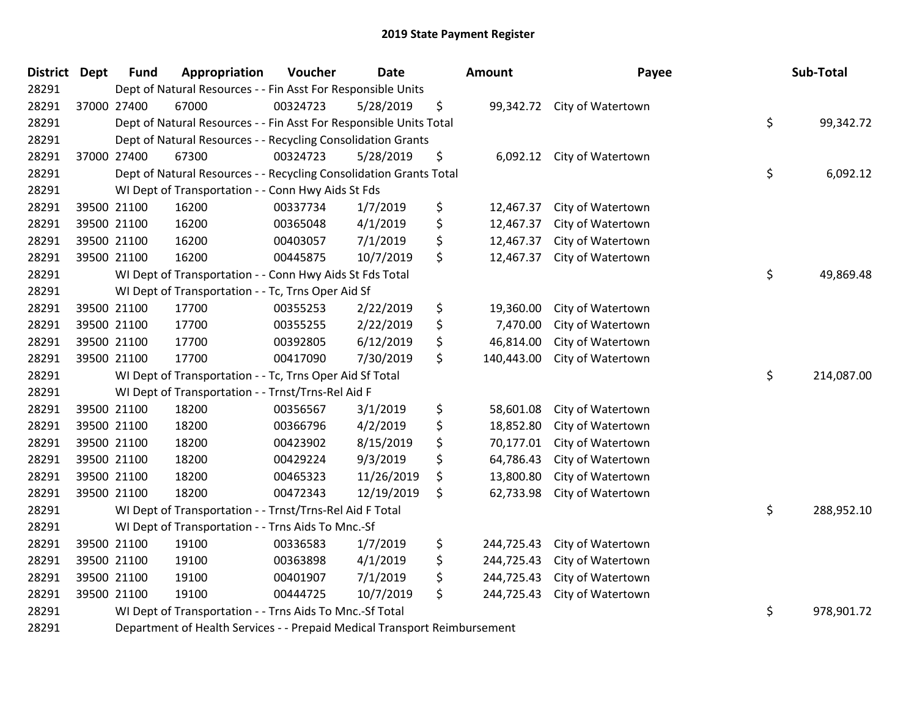| District Dept                              |             | <b>Fund</b> | Appropriation                                                                                                                                                                                                                     | Voucher  | <b>Date</b> |                                              | <b>Amount</b> | Payee                       | Sub-Total        |
|--------------------------------------------|-------------|-------------|-----------------------------------------------------------------------------------------------------------------------------------------------------------------------------------------------------------------------------------|----------|-------------|----------------------------------------------|---------------|-----------------------------|------------------|
| 28291                                      |             |             | Dept of Natural Resources - - Fin Asst For Responsible Units                                                                                                                                                                      |          |             |                                              |               |                             |                  |
| 28291                                      |             | 37000 27400 | 67000                                                                                                                                                                                                                             | 00324723 | 5/28/2019   | \$                                           |               | 99,342.72 City of Watertown |                  |
| 28291                                      |             |             | Dept of Natural Resources - - Fin Asst For Responsible Units Total                                                                                                                                                                |          |             |                                              |               |                             | \$<br>99,342.72  |
| 28291                                      |             |             | Dept of Natural Resources - - Recycling Consolidation Grants                                                                                                                                                                      |          |             |                                              |               |                             |                  |
| 28291                                      |             | 37000 27400 | 67300                                                                                                                                                                                                                             | 00324723 | 5/28/2019   | \$                                           | 6,092.12      | City of Watertown           |                  |
| 28291                                      |             |             | Dept of Natural Resources - - Recycling Consolidation Grants Total                                                                                                                                                                |          |             |                                              |               |                             | \$<br>6,092.12   |
| 28291                                      |             |             | WI Dept of Transportation - - Conn Hwy Aids St Fds                                                                                                                                                                                |          |             |                                              |               |                             |                  |
| 28291                                      |             | 39500 21100 | 16200                                                                                                                                                                                                                             | 00337734 | 1/7/2019    | \$                                           | 12,467.37     | City of Watertown           |                  |
| 28291                                      |             | 39500 21100 | 16200                                                                                                                                                                                                                             | 00365048 | 4/1/2019    | \$                                           | 12,467.37     | City of Watertown           |                  |
| 28291                                      |             | 39500 21100 | 16200                                                                                                                                                                                                                             | 00403057 | 7/1/2019    | \$                                           | 12,467.37     | City of Watertown           |                  |
| 28291                                      | 39500 21100 |             | 16200                                                                                                                                                                                                                             | 00445875 | 10/7/2019   | \$                                           | 12,467.37     | City of Watertown           |                  |
| 28291                                      |             |             | WI Dept of Transportation - - Conn Hwy Aids St Fds Total                                                                                                                                                                          |          |             |                                              |               |                             | \$<br>49,869.48  |
| 28291                                      |             |             | WI Dept of Transportation - - Tc, Trns Oper Aid Sf                                                                                                                                                                                |          |             |                                              |               |                             |                  |
| 28291                                      |             | 39500 21100 | 17700                                                                                                                                                                                                                             | 00355253 | 2/22/2019   | \$                                           | 19,360.00     | City of Watertown           |                  |
| 28291                                      |             | 39500 21100 | 17700                                                                                                                                                                                                                             | 00355255 | 2/22/2019   | \$                                           | 7,470.00      | City of Watertown           |                  |
| 28291                                      |             | 39500 21100 | 17700                                                                                                                                                                                                                             | 00392805 | 6/12/2019   | \$                                           | 46,814.00     | City of Watertown           |                  |
| 28291                                      | 39500 21100 |             | 17700                                                                                                                                                                                                                             | 00417090 | 7/30/2019   | \$                                           | 140,443.00    | City of Watertown           |                  |
| 28291                                      |             |             | WI Dept of Transportation - - Tc, Trns Oper Aid Sf Total                                                                                                                                                                          |          |             |                                              |               |                             | \$<br>214,087.00 |
| 28291                                      |             |             | WI Dept of Transportation - - Trnst/Trns-Rel Aid F                                                                                                                                                                                |          |             |                                              |               |                             |                  |
| 28291                                      |             | 39500 21100 | 18200                                                                                                                                                                                                                             | 00356567 | 3/1/2019    | \$                                           | 58,601.08     | City of Watertown           |                  |
| 28291                                      |             | 39500 21100 | 18200                                                                                                                                                                                                                             | 00366796 | 4/2/2019    | \$                                           | 18,852.80     | City of Watertown           |                  |
| 28291                                      |             | 39500 21100 | 18200                                                                                                                                                                                                                             | 00423902 | 8/15/2019   | \$                                           | 70,177.01     | City of Watertown           |                  |
| 28291                                      |             | 39500 21100 | 18200                                                                                                                                                                                                                             | 00429224 | 9/3/2019    | \$                                           | 64,786.43     | City of Watertown           |                  |
| 28291                                      |             | 39500 21100 | 18200                                                                                                                                                                                                                             | 00465323 | 11/26/2019  | \$                                           | 13,800.80     | City of Watertown           |                  |
| 28291                                      | 39500 21100 |             | 18200                                                                                                                                                                                                                             | 00472343 | 12/19/2019  | \$                                           | 62,733.98     | City of Watertown           |                  |
| 28291                                      |             |             | WI Dept of Transportation - - Trnst/Trns-Rel Aid F Total                                                                                                                                                                          |          |             |                                              |               |                             | \$<br>288,952.10 |
| 28291                                      |             |             | WI Dept of Transportation - - Trns Aids To Mnc.-Sf                                                                                                                                                                                |          |             |                                              |               |                             |                  |
| 28291                                      |             | 39500 21100 | 19100                                                                                                                                                                                                                             | 00336583 | 1/7/2019    | \$                                           | 244,725.43    | City of Watertown           |                  |
| 28291                                      |             | 39500 21100 | 19100                                                                                                                                                                                                                             | 00363898 | 4/1/2019    | \$                                           | 244,725.43    | City of Watertown           |                  |
| 28291                                      |             | 39500 21100 | 19100                                                                                                                                                                                                                             | 00401907 | 7/1/2019    | \$                                           | 244,725.43    | City of Watertown           |                  |
| 28291                                      |             | 39500 21100 | 19100                                                                                                                                                                                                                             | 00444725 | 10/7/2019   | \$                                           | 244,725.43    | City of Watertown           |                  |
| 28291                                      |             |             | WI Dept of Transportation - - Trns Aids To Mnc.-Sf Total                                                                                                                                                                          |          |             |                                              |               |                             | \$<br>978,901.72 |
| $\mathbf{a}\mathbf{a}\mathbf{a}\mathbf{a}$ |             |             | $\mathbf{R}$ . The second contract of the set of the second second second second second second second second second second second second second second second second second second second second second second second second seco |          |             | $\mathbf{a}$ . As a function of $\mathbf{a}$ |               |                             |                  |

Department of Health Services - - Prepaid Medical Transport Reimbursement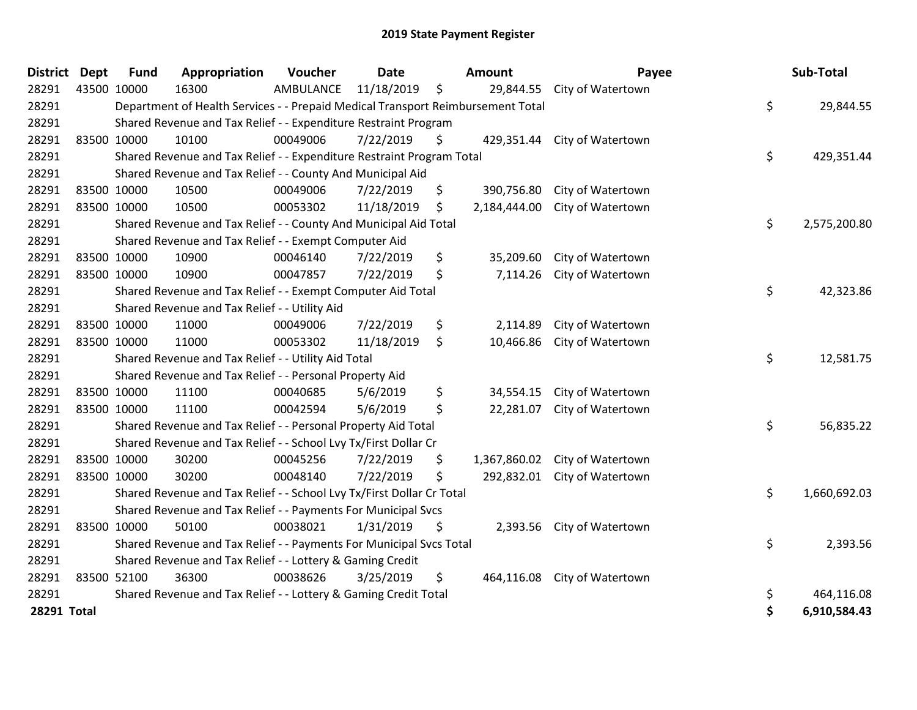| <b>District Dept</b> | <b>Fund</b>                                                                     | Appropriation                                                   | Voucher   | <b>Date</b> | Amount |              | Payee             |    | Sub-Total    |
|----------------------|---------------------------------------------------------------------------------|-----------------------------------------------------------------|-----------|-------------|--------|--------------|-------------------|----|--------------|
| 28291                | 43500 10000                                                                     | 16300                                                           | AMBULANCE | 11/18/2019  | \$     | 29,844.55    | City of Watertown |    |              |
| 28291                | Department of Health Services - - Prepaid Medical Transport Reimbursement Total |                                                                 |           |             |        |              |                   | \$ | 29,844.55    |
| 28291                | Shared Revenue and Tax Relief - - Expenditure Restraint Program                 |                                                                 |           |             |        |              |                   |    |              |
| 28291                | 83500 10000                                                                     | 10100                                                           | 00049006  | 7/22/2019   | \$     | 429,351.44   | City of Watertown |    |              |
| 28291                | Shared Revenue and Tax Relief - - Expenditure Restraint Program Total           |                                                                 |           |             |        |              |                   |    | 429,351.44   |
| 28291                | Shared Revenue and Tax Relief - - County And Municipal Aid                      |                                                                 |           |             |        |              |                   |    |              |
| 28291                | 83500 10000                                                                     | 10500                                                           | 00049006  | 7/22/2019   | \$     | 390,756.80   | City of Watertown |    |              |
| 28291                | 83500 10000                                                                     | 10500                                                           | 00053302  | 11/18/2019  | \$     | 2,184,444.00 | City of Watertown |    |              |
| 28291                | Shared Revenue and Tax Relief - - County And Municipal Aid Total                |                                                                 |           |             |        |              |                   |    | 2,575,200.80 |
| 28291                | Shared Revenue and Tax Relief - - Exempt Computer Aid                           |                                                                 |           |             |        |              |                   |    |              |
| 28291                | 83500 10000                                                                     | 10900                                                           | 00046140  | 7/22/2019   | \$     | 35,209.60    | City of Watertown |    |              |
| 28291                | 83500 10000                                                                     | 10900                                                           | 00047857  | 7/22/2019   | \$     | 7,114.26     | City of Watertown |    |              |
| 28291                | \$<br>Shared Revenue and Tax Relief - - Exempt Computer Aid Total               |                                                                 |           |             |        |              |                   |    | 42,323.86    |
| 28291                | Shared Revenue and Tax Relief - - Utility Aid                                   |                                                                 |           |             |        |              |                   |    |              |
| 28291                | 83500 10000                                                                     | 11000                                                           | 00049006  | 7/22/2019   | \$     | 2,114.89     | City of Watertown |    |              |
| 28291                | 83500 10000                                                                     | 11000                                                           | 00053302  | 11/18/2019  | \$     | 10,466.86    | City of Watertown |    |              |
| 28291                |                                                                                 | Shared Revenue and Tax Relief - - Utility Aid Total             |           |             |        |              |                   | \$ | 12,581.75    |
| 28291                | Shared Revenue and Tax Relief - - Personal Property Aid                         |                                                                 |           |             |        |              |                   |    |              |
| 28291                | 83500 10000                                                                     | 11100                                                           | 00040685  | 5/6/2019    | \$     | 34,554.15    | City of Watertown |    |              |
| 28291                | 83500 10000                                                                     | 11100                                                           | 00042594  | 5/6/2019    | \$     | 22,281.07    | City of Watertown |    |              |
| 28291                | Shared Revenue and Tax Relief - - Personal Property Aid Total                   |                                                                 |           |             |        |              |                   | \$ | 56,835.22    |
| 28291                | Shared Revenue and Tax Relief - - School Lvy Tx/First Dollar Cr                 |                                                                 |           |             |        |              |                   |    |              |
| 28291                | 83500 10000                                                                     | 30200                                                           | 00045256  | 7/22/2019   | \$     | 1,367,860.02 | City of Watertown |    |              |
| 28291                | 83500 10000                                                                     | 30200                                                           | 00048140  | 7/22/2019   | \$     | 292,832.01   | City of Watertown |    |              |
| 28291                | Shared Revenue and Tax Relief - - School Lvy Tx/First Dollar Cr Total           |                                                                 |           |             |        |              |                   | \$ | 1,660,692.03 |
| 28291                | Shared Revenue and Tax Relief - - Payments For Municipal Svcs                   |                                                                 |           |             |        |              |                   |    |              |
| 28291                | 83500 10000                                                                     | 50100                                                           | 00038021  | 1/31/2019   | \$     | 2,393.56     | City of Watertown |    |              |
| 28291                | Shared Revenue and Tax Relief - - Payments For Municipal Svcs Total             |                                                                 |           |             |        |              |                   | \$ | 2,393.56     |
| 28291                | Shared Revenue and Tax Relief - - Lottery & Gaming Credit                       |                                                                 |           |             |        |              |                   |    |              |
| 28291                | 83500 52100                                                                     | 36300                                                           | 00038626  | 3/25/2019   | \$     | 464,116.08   | City of Watertown |    |              |
| 28291                |                                                                                 | Shared Revenue and Tax Relief - - Lottery & Gaming Credit Total |           |             |        |              |                   | \$ | 464,116.08   |
| 28291 Total          |                                                                                 |                                                                 |           |             |        |              |                   | \$ | 6,910,584.43 |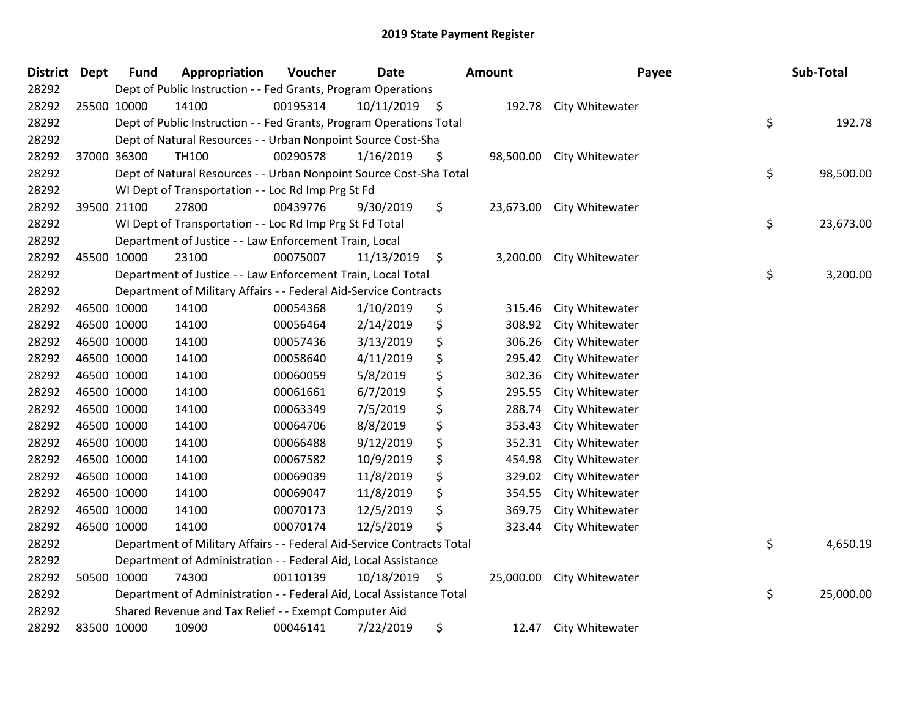| <b>District</b> | <b>Dept</b> | <b>Fund</b>                                                                             | Appropriation                                                                         | Voucher  | <b>Date</b>     | <b>Amount</b> |           | Payee           | Sub-Total |          |  |  |
|-----------------|-------------|-----------------------------------------------------------------------------------------|---------------------------------------------------------------------------------------|----------|-----------------|---------------|-----------|-----------------|-----------|----------|--|--|
| 28292           |             | Dept of Public Instruction - - Fed Grants, Program Operations                           |                                                                                       |          |                 |               |           |                 |           |          |  |  |
| 28292           |             | 25500 10000                                                                             | 14100                                                                                 | 00195314 | 10/11/2019      | $\ddot{\phi}$ | 192.78    | City Whitewater |           |          |  |  |
| 28292           |             | \$<br>Dept of Public Instruction - - Fed Grants, Program Operations Total               |                                                                                       |          |                 |               |           |                 |           | 192.78   |  |  |
| 28292           |             | Dept of Natural Resources - - Urban Nonpoint Source Cost-Sha                            |                                                                                       |          |                 |               |           |                 |           |          |  |  |
| 28292           |             | 37000 36300                                                                             | <b>TH100</b>                                                                          | 00290578 | 1/16/2019       | \$            | 98,500.00 | City Whitewater |           |          |  |  |
| 28292           |             |                                                                                         | \$<br>Dept of Natural Resources - - Urban Nonpoint Source Cost-Sha Total<br>98,500.00 |          |                 |               |           |                 |           |          |  |  |
| 28292           |             | WI Dept of Transportation - - Loc Rd Imp Prg St Fd                                      |                                                                                       |          |                 |               |           |                 |           |          |  |  |
| 28292           |             | 39500 21100                                                                             | 27800                                                                                 | 00439776 | 9/30/2019       | \$            | 23,673.00 | City Whitewater |           |          |  |  |
| 28292           |             |                                                                                         | \$<br>23,673.00<br>WI Dept of Transportation - - Loc Rd Imp Prg St Fd Total           |          |                 |               |           |                 |           |          |  |  |
| 28292           |             |                                                                                         | Department of Justice - - Law Enforcement Train, Local                                |          |                 |               |           |                 |           |          |  |  |
| 28292           |             | 45500 10000                                                                             | 23100                                                                                 | 00075007 | 11/13/2019      | \$            | 3,200.00  | City Whitewater |           |          |  |  |
| 28292           |             |                                                                                         | Department of Justice - - Law Enforcement Train, Local Total                          |          |                 |               |           |                 | \$        | 3,200.00 |  |  |
| 28292           |             |                                                                                         | Department of Military Affairs - - Federal Aid-Service Contracts                      |          |                 |               |           |                 |           |          |  |  |
| 28292           |             | 46500 10000                                                                             | 14100                                                                                 | 00054368 | 1/10/2019       | \$            | 315.46    | City Whitewater |           |          |  |  |
| 28292           |             | 46500 10000                                                                             | 14100                                                                                 | 00056464 | 2/14/2019       | \$            | 308.92    | City Whitewater |           |          |  |  |
| 28292           |             | 46500 10000                                                                             | 14100                                                                                 | 00057436 | 3/13/2019       | \$            | 306.26    | City Whitewater |           |          |  |  |
| 28292           |             | 46500 10000                                                                             | 14100                                                                                 | 00058640 | 4/11/2019       | \$            | 295.42    | City Whitewater |           |          |  |  |
| 28292           |             | 46500 10000                                                                             | 14100                                                                                 | 00060059 | 5/8/2019        | \$            | 302.36    | City Whitewater |           |          |  |  |
| 28292           |             | 46500 10000                                                                             | 14100                                                                                 | 00061661 | 6/7/2019        | \$            | 295.55    | City Whitewater |           |          |  |  |
| 28292           |             | 46500 10000                                                                             | 14100                                                                                 | 00063349 | 7/5/2019        | \$            | 288.74    | City Whitewater |           |          |  |  |
| 28292           |             | 46500 10000                                                                             | 14100                                                                                 | 00064706 | 8/8/2019        | \$            | 353.43    | City Whitewater |           |          |  |  |
| 28292           |             | 46500 10000                                                                             | 14100                                                                                 | 00066488 | 9/12/2019       | \$            | 352.31    | City Whitewater |           |          |  |  |
| 28292           |             | 46500 10000                                                                             | 14100                                                                                 | 00067582 | 10/9/2019       | \$            | 454.98    | City Whitewater |           |          |  |  |
| 28292           |             | 46500 10000                                                                             | 14100                                                                                 | 00069039 | 11/8/2019       | \$            | 329.02    | City Whitewater |           |          |  |  |
| 28292           |             | 46500 10000                                                                             | 14100                                                                                 | 00069047 | 11/8/2019       | \$            | 354.55    | City Whitewater |           |          |  |  |
| 28292           |             | 46500 10000                                                                             | 14100                                                                                 | 00070173 | 12/5/2019       | \$            | 369.75    | City Whitewater |           |          |  |  |
| 28292           |             | 46500 10000                                                                             | 14100                                                                                 | 00070174 | 12/5/2019       | \$            | 323.44    | City Whitewater |           |          |  |  |
| 28292           |             | \$<br>Department of Military Affairs - - Federal Aid-Service Contracts Total            |                                                                                       |          |                 |               |           |                 |           |          |  |  |
| 28292           |             | Department of Administration - - Federal Aid, Local Assistance                          |                                                                                       |          |                 |               |           |                 |           |          |  |  |
| 28292           |             | 50500 10000                                                                             | 74300                                                                                 | 00110139 | $10/18/2019$ \$ |               | 25,000.00 | City Whitewater |           |          |  |  |
| 28292           |             | \$<br>Department of Administration - - Federal Aid, Local Assistance Total<br>25,000.00 |                                                                                       |          |                 |               |           |                 |           |          |  |  |
| 28292           |             | Shared Revenue and Tax Relief - - Exempt Computer Aid                                   |                                                                                       |          |                 |               |           |                 |           |          |  |  |
| 28292           |             | 83500 10000                                                                             | 10900                                                                                 | 00046141 | 7/22/2019       | \$            | 12.47     | City Whitewater |           |          |  |  |